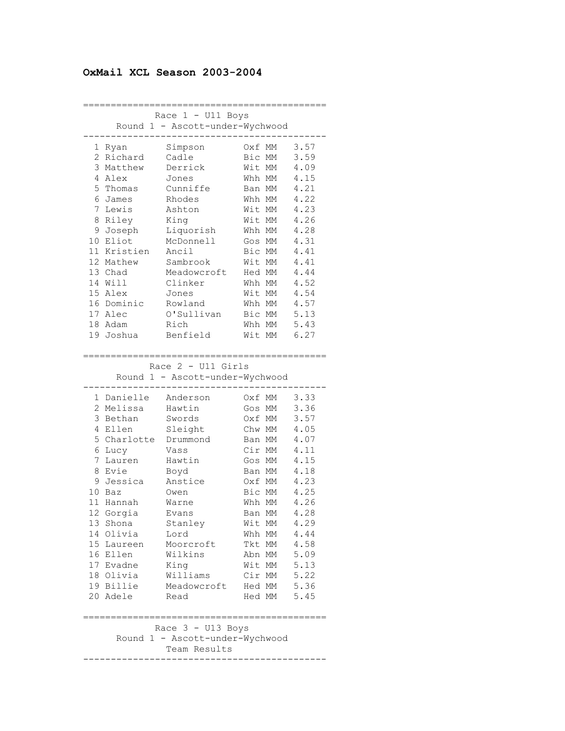# **OxMail XCL Season 2003-2004**

|    |            | Race 1 - U11 Boys               |           |             |
|----|------------|---------------------------------|-----------|-------------|
|    |            | Round 1 - Ascott-under-Wychwood |           |             |
|    |            |                                 |           |             |
|    | 1 Ryan     | Simpson                         | Oxf<br>МM | 3.57        |
|    | 2 Richard  | Cadle                           | Bic MM    | 3.59        |
| 3  | Matthew    | Derrick                         | Wit<br>МM | 4.09        |
|    | 4 Alex     | Jones                           | Whh MM    | 4.15        |
| 5  | Thomas     | Cunniffe                        | Ban MM    | 4.21        |
| 6  | James      | Rhodes                          | Whh MM    | 4.22        |
| 7  | Lewis      | Ashton                          | Wit MM    | 4.23        |
| 8  | Riley      | King                            | Wit MM    | 4.26        |
| 9  | Joseph     | Liquorish                       | Whh MM    | 4.28        |
| 10 | Eliot      | McDonnell                       | Gos MM    | 4.31        |
| 11 | Kristien   | Ancil                           | Bic MM    | 4.41        |
|    | 12 Mathew  | Sambrook                        | Wit MM    | 4.41        |
|    | 13 Chad    | Meadowcroft                     | Hed MM    | 4.44        |
|    | 14 Will    | Clinker                         | Whh MM    | 4.52        |
|    | 15 Alex    | Jones                           | Wit MM    | 4.54        |
|    | 16 Dominic | Rowland                         | Whh MM    | 4.57        |
|    | 17 Alec    | O'Sullivan                      | Bic MM    | 5.13        |
|    | 18 Adam    | Rich                            | Whh MM    | 5.43        |
| 19 | Joshua     | Benfield                        | Wit<br>МM | 6.27        |
|    |            |                                 |           |             |
|    |            |                                 |           |             |
|    |            | Race $2$ - U11 Girls            |           |             |
|    |            | Round 1 - Ascott-under-Wychwood |           |             |
|    | 1 Danielle | Anderson                        | 0xf<br>MM | 3.33        |
| 2  | Melissa    | Hawtin                          | МM<br>Gos | 3.36        |
| 3  | Bethan     | Swords                          | Oxf<br>МM | 3.57        |
| 4  | Ellen      | Sleight                         | Chw MM    | 4.05        |
| 5  | Charlotte  | Drummond                        | Ban MM    | 4.07        |
| 6  | Lucy       | Vass                            | Cir MM    | 4.11        |
| 7  | Lauren     | Hawtin                          | Gos MM    | 4.15        |
| 8  | Evie       | Boyd                            | Ban MM    | 4.18        |
| 9  | Jessica    | Anstice                         | Oxf MM    | 4.23        |
| 10 | Baz        | Owen                            | Bic<br>МM | 4.25        |
| 11 | Hannah     | Warne                           | Whh MM    | 4.26        |
|    | 12 Gorgia  | Evans                           | Ban MM    | 4.28        |
|    | 13 Shona   | Stanley                         | Wit MM    | 4.29        |
|    | 14 Olivia  | Lord                            | Whh MM    | 4.44        |
|    | 15 Laureen | Moorcroft                       | Tkt MM    | 4.58        |
|    | 16 Ellen   | Wilkins                         | Abn MM    | 5.09        |
|    | 17 Evadne  | King                            | Wit MM    | 5.13        |
|    | 18 Olivia  | Williams                        | Cir MM    | 5.22        |
|    | 19 Billie  | Meadowcroft                     |           | Hed MM 5.36 |
|    | 20 Adele   | Read                            |           | Hed MM 5.45 |
|    |            |                                 |           |             |
|    |            |                                 |           |             |
|    |            | Race 3 - U13 Boys               |           |             |
|    |            | Round 1 - Ascott-under-Wychwood |           |             |
|    |            | Team Results                    |           |             |
|    |            |                                 |           |             |
|    |            |                                 |           |             |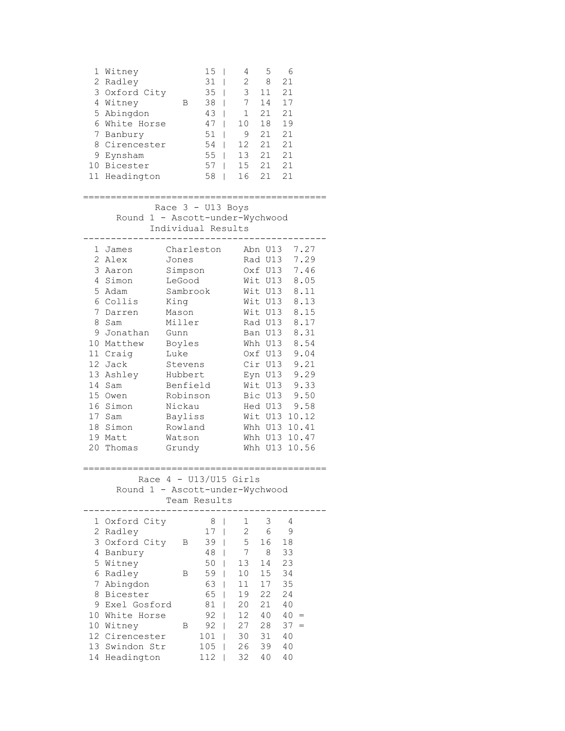|    | 1 Witney      |   | 15 | 4   | 5  |    |
|----|---------------|---|----|-----|----|----|
|    | 2 Radley      |   | 31 | 2   | 8  | 21 |
|    | 3 Oxford City |   | 35 | 3   | 11 | 21 |
| 4  | Witney        | в | 38 | 7   | 14 | 17 |
|    | 5 Abingdon    |   | 43 |     | 21 | 21 |
|    | White Horse   |   | 47 | 10  | 18 | 19 |
|    | 7 Banbury     |   | 51 | 9   | 21 | 21 |
|    | Cirencester   |   | 54 | 12  | 21 | 21 |
| 9  | Eynsham       |   | 55 | 13  | 21 | 21 |
| 10 | Bicester      |   | 57 | 1.5 | 21 | 21 |
|    | 11 Headington |   | 58 | 16  | 21 | 21 |
|    |               |   |    |     |    |    |

 Race 3 - U13 Boys Round 1 - Ascott-under-Wychwood Individual Results

| 1  | James    | Charleston |     | Abn U13 | 7.27  |
|----|----------|------------|-----|---------|-------|
| 2  | Alex     | Jones      | Rad | U13     | 7.29  |
| 3  | Aaron    | Simpson    | 0xf | U13     | 7.46  |
| 4  | Simon    | LeGood     | Wit | U13     | 8.05  |
| 5  | Adam     | Sambrook   | Wit | U13     | 8.11  |
| 6  | Collis   | King       | Wit | U13     | 8.13  |
| 7  | Darren   | Mason      | Wit | U13     | 8.15  |
| 8  | Sam      | Miller     | Rad | U13     | 8.17  |
| 9  | Jonathan | Gunn       | Ban | U13     | 8.31  |
| 10 | Matthew  | Boyles     | Whh | U13     | 8.54  |
| 11 | Craig    | Luke       | 0xf | U13     | 9.04  |
| 12 | Jack     | Stevens    | Cir | U13     | 9.21  |
| 13 | Ashley   | Hubbert    | Eyn | U13     | 9.29  |
| 14 | Sam      | Benfield   |     | Wit U13 | 9.33  |
| 15 | Owen     | Robinson   |     | Bic U13 | 9.50  |
| 16 | Simon    | Nickau     | Hed | U13     | 9.58  |
| 17 | Sam      | Bayliss    | Wit | U13     | 10.12 |
| 18 | Simon    | Rowland    | Whh | U13     | 10.41 |
| 19 | Matt     | Watson     | Whh | U13     | 10.47 |
| 20 | Thomas   | Grundy     | Whh | U13     | 10.56 |

### ============================================

 Race 4 - U13/U15 Girls Round 1 - Ascott-under-Wychwood Team Results

|     | 1 Oxford City |   | 8   | 1  | 3  | 4  |     |
|-----|---------------|---|-----|----|----|----|-----|
| 2   | Radlev        |   | 17  | 2  | 6  | 9  |     |
| 3   | Oxford City   | B | 39  | 5  | 16 | 18 |     |
| 4   | Banbury       |   | 48  |    | 8  | 33 |     |
| 5.  | Witney        |   | 50  | 13 | 14 | 23 |     |
| 6   | Radley        | В | 59  | 10 | 15 | 34 |     |
| 7   | Abingdon      |   | 63  | 11 | 17 | 35 |     |
| 8   | Bicester      |   | 65  | 19 | 22 | 24 |     |
| 9   | Exel Gosford  |   | 81  | 20 | 21 | 40 |     |
| 10  | White Horse   |   | 92  | 12 | 40 | 40 |     |
| 10  | Witney        | B | 92  | 27 | 28 | 37 | $=$ |
| 12  | Cirencester   |   | 101 | 30 | 31 | 40 |     |
| 1.3 | Swindon Str   |   | 105 | 26 | 39 | 40 |     |
| 14  | Headington    |   | 112 | 32 | 40 | 40 |     |
|     |               |   |     |    |    |    |     |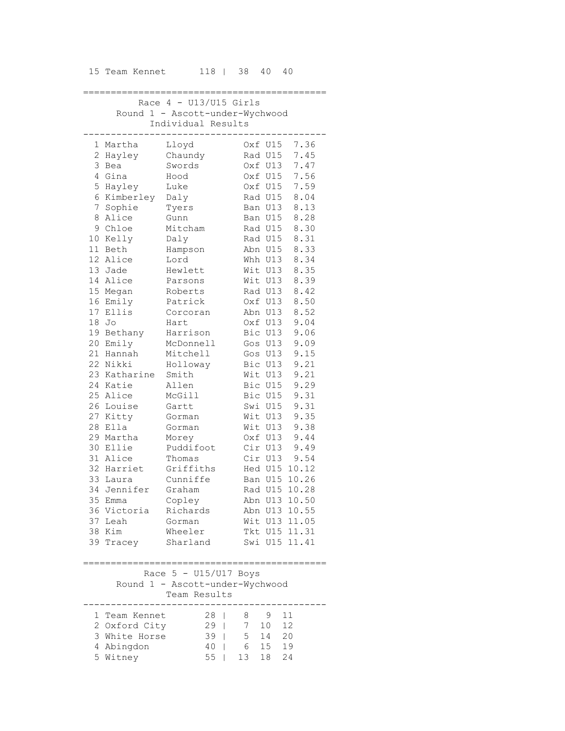| 15 Team Kennet | 118   38 40 40 |  |  |  |
|----------------|----------------|--|--|--|
|----------------|----------------|--|--|--|

| Race $4 - U13/U15$ Girls        |                  |                                 |            |         |               |  |  |
|---------------------------------|------------------|---------------------------------|------------|---------|---------------|--|--|
| Round 1 - Ascott-under-Wychwood |                  |                                 |            |         |               |  |  |
|                                 |                  | Individual Results              |            |         |               |  |  |
|                                 | 1 Martha         | Lloyd                           |            | Oxf U15 | 7.36          |  |  |
|                                 | 2 Hayley         | Chaundy                         |            | Rad U15 | 7.45          |  |  |
| 3                               | Bea              | Swords                          |            | Oxf U13 | 7.47          |  |  |
|                                 | 4 Gina           | Hood                            |            | Oxf U15 | 7.56          |  |  |
|                                 | 5 Hayley         | Luke                            |            | Oxf U15 | 7.59          |  |  |
|                                 | 6 Kimberley Daly |                                 |            | Rad U15 | 8.04          |  |  |
|                                 | 7 Sophie         | Tyers                           |            | Ban U13 | 8.13          |  |  |
|                                 | 8 Alice          | Gunn                            |            | Ban U15 | 8.28          |  |  |
|                                 | 9 Chloe          | Mitcham                         |            | Rad U15 | 8.30          |  |  |
|                                 | 10 Kelly         | Daly                            |            | Rad U15 | 8.31          |  |  |
|                                 | 11 Beth          | Hampson                         |            | Abn U15 | 8.33          |  |  |
|                                 | 12 Alice         | Lord                            |            | Whh U13 | 8.34          |  |  |
|                                 | 13 Jade          | Hewlett                         |            | Wit U13 | 8.35          |  |  |
|                                 | 14 Alice         | Parsons                         |            | Wit U13 | 8.39          |  |  |
|                                 | 15 Megan         | Roberts                         |            | Rad U13 | 8.42          |  |  |
|                                 | 16 Emily         | Patrick                         |            | Oxf U13 | 8.50          |  |  |
|                                 | 17 Ellis         | Corcoran                        |            | Abn U13 | 8.52          |  |  |
|                                 | 18 Jo            | Hart                            |            | Oxf U13 | 9.04          |  |  |
|                                 | 19 Bethany       | Harrison                        |            | Bic U13 | 9.06          |  |  |
|                                 | 20 Emily         | McDonnell                       |            | Gos U13 | 9.09          |  |  |
|                                 | 21 Hannah        | Mitchell                        |            | Gos U13 | 9.15          |  |  |
|                                 | 22 Nikki         | Holloway                        |            | Bic U13 | 9.21          |  |  |
|                                 | 23 Katharine     | Smith                           |            | Wit U13 | 9.21          |  |  |
|                                 | 24 Katie         | Allen                           |            | Bic U15 | 9.29          |  |  |
|                                 | 25 Alice         | McGill                          |            | Bic U15 | 9.31          |  |  |
|                                 | 26 Louise        | Gartt                           |            | Swi U15 | 9.31          |  |  |
|                                 | 27 Kitty         | Gorman                          |            | Wit U13 | 9.35          |  |  |
| 28                              | Ella             | Gorman                          |            | Wit U13 | 9.38          |  |  |
| 29                              | Martha           | Morey                           |            | Oxf U13 | 9.44          |  |  |
| 30                              | Ellie            | Puddifoot                       |            | Cir U13 | 9.49          |  |  |
|                                 | 31 Alice         | Thomas                          |            | Cir U13 | 9.54          |  |  |
|                                 | 32 Harriet       | Griffiths                       |            |         | Hed U15 10.12 |  |  |
|                                 | 33 Laura         | Cunniffe                        |            |         | Ban U15 10.26 |  |  |
|                                 | 34 Jennifer      | Graham                          |            |         | Rad U15 10.28 |  |  |
|                                 | 35 Emma          | Copley                          |            |         | Abn U13 10.50 |  |  |
|                                 | 36 Victoria      | Richards                        |            |         | Abn U13 10.55 |  |  |
|                                 | 37 Leah          | Gorman                          |            |         | Wit U13 11.05 |  |  |
|                                 | 38 Kim           | Wheeler                         |            |         | Tkt U15 11.31 |  |  |
|                                 | 39 Tracey        | Sharland                        |            |         | Swi U15 11.41 |  |  |
|                                 |                  |                                 | $:= = = :$ | ======  |               |  |  |
|                                 |                  | Race $5 - U15/U17$ Boys         |            |         |               |  |  |
|                                 |                  | Round 1 - Ascott-under-Wychwood |            |         |               |  |  |
|                                 |                  |                                 |            |         |               |  |  |

 Team Results -------------------------------------------- 1 Team Kennet 28 | 8 9 11 2 Oxford City 29 | 7 10 12 3 White Horse 39 | 5 14 20 4 Abingdon 40 | 6 15 19 5 Witney 55 | 13 18 24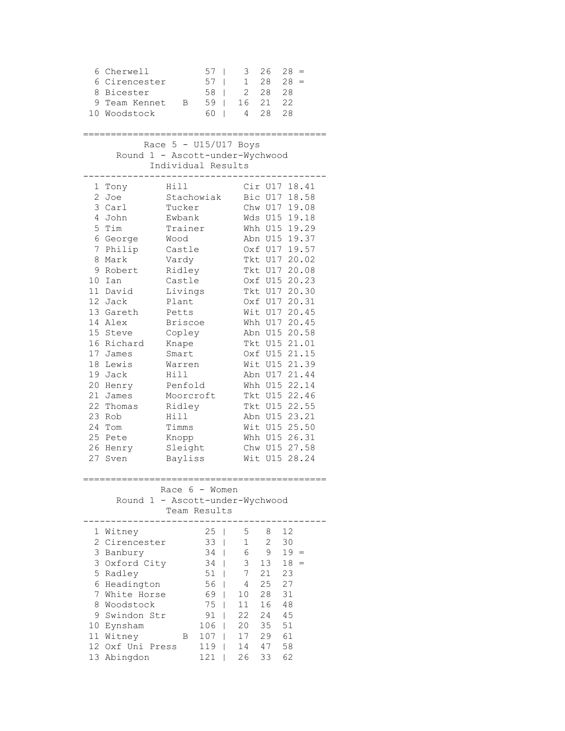| 6                                                                                                    | Cherwell<br>6 Cirencester<br>8 Bicester<br>9 Team Kennet<br>10 Woodstock                                                                                                                                                                                         | В                                                                                                                                                                                                                                                                               | 57<br>57<br>58<br>59<br>60                                                     | I<br>I<br>I<br>I<br>$\overline{\phantom{a}}$ | 3<br>$\mathbf{1}$<br>$\overline{2}$<br>16<br>4                     | 26<br>28<br>28<br>21<br>28                                                                                                       | 28<br>$=$<br>28<br>$=$<br>28<br>22<br>28                                                                                                                                                                                                                                                                                                                            |
|------------------------------------------------------------------------------------------------------|------------------------------------------------------------------------------------------------------------------------------------------------------------------------------------------------------------------------------------------------------------------|---------------------------------------------------------------------------------------------------------------------------------------------------------------------------------------------------------------------------------------------------------------------------------|--------------------------------------------------------------------------------|----------------------------------------------|--------------------------------------------------------------------|----------------------------------------------------------------------------------------------------------------------------------|---------------------------------------------------------------------------------------------------------------------------------------------------------------------------------------------------------------------------------------------------------------------------------------------------------------------------------------------------------------------|
| 5 - U15/U17 Boys<br>Race<br>Round 1 - Ascott-under-Wychwood<br>Individual Results                    |                                                                                                                                                                                                                                                                  |                                                                                                                                                                                                                                                                                 |                                                                                |                                              |                                                                    |                                                                                                                                  |                                                                                                                                                                                                                                                                                                                                                                     |
| 1<br>$\overline{c}$<br>4<br>7<br>8<br>14<br>17<br>18<br>20<br>21<br>22<br>23<br>24<br>25<br>26<br>27 | Tony<br>Joe<br>3 Carl<br>John<br>5 Tim<br>6 George<br>Philip<br>Mark<br>9 Robert<br>10 Ian<br>11 David<br>12 Jack<br>13 Gareth<br>Alex<br>15 Steve<br>16 Richard<br>James<br>Lewis<br>19 Jack<br>Henry<br>James<br>Thomas<br>Rob<br>Tom<br>Pete<br>Henry<br>Sven | Hill<br>Stachowiak<br>Tucker<br>Ewbank<br>Trainer<br>Wood<br>Castle<br>Vardy<br>Ridley<br>Castle<br>Livings<br>Plant<br>Petts<br><b>Briscoe</b><br>Copley<br>Knape<br>Smart<br>Warren<br>Hill<br>Penfold<br>Moorcroft<br>Ridley<br>Hill<br>Timms<br>Knopp<br>Sleight<br>Bayliss |                                                                                |                                              | Wit                                                                | Bic U17<br>Chw U17<br>Whh U15<br>Abn U15<br>Oxf U17<br>Tkt U17<br>Tkt U17<br>Tkt U17<br>Oxf U17<br>Wit U17<br>Whh U17<br>Abn U15 | Cir U17 18.41<br>18.58<br>19.08<br>Wds U15 19.18<br>19.29<br>19.37<br>19.57<br>20.02<br>20.08<br>Oxf U15 20.23<br>20.30<br>20.31<br>20.45<br>20.45<br>Abn U15 20.58<br>Tkt U15 21.01<br>Oxf U15 21.15<br>Wit U15 21.39<br>Abn U17 21.44<br>Whh U15 22.14<br>Tkt U15 22.46<br>Tkt U15 22.55<br>23.21<br>Wit U15 25.50<br>Whh U15 26.31<br>Chw U15 27.58<br>U15 28.24 |
| Race $6 -$ Women<br>Round 1 - Ascott-under-Wychwood<br>Team Results                                  |                                                                                                                                                                                                                                                                  |                                                                                                                                                                                                                                                                                 |                                                                                |                                              |                                                                    |                                                                                                                                  |                                                                                                                                                                                                                                                                                                                                                                     |
|                                                                                                      | 1 Witney<br>2 Cirencester<br>3 Banbury<br>3 Oxford City<br>5 Radley<br>6 Headington<br>7 White Horse<br>8 Woodstock<br>9 Swindon Str<br>10 Eynsham<br>11 Witney<br>12 Oxf Uni Press<br>13 Abingdon                                                               | В                                                                                                                                                                                                                                                                               | 25<br>33<br>34<br>34<br>51<br>56<br>69<br>75<br>91<br>106<br>107<br>119<br>121 | I<br>I<br>I                                  | 5<br>$\mathbf 1$<br>6<br>3<br>7<br>4<br>10<br>11<br>17<br>14<br>26 | 8<br>$\mathbf{2}$<br>9<br>13<br>21<br>25<br>28<br>16<br>22 24<br>20 35<br>29<br>47<br>33                                         | 12<br>30<br>$19 =$<br>18<br>$=$<br>23<br>27<br>31<br>48<br>45<br>51<br>61<br>58<br>62                                                                                                                                                                                                                                                                               |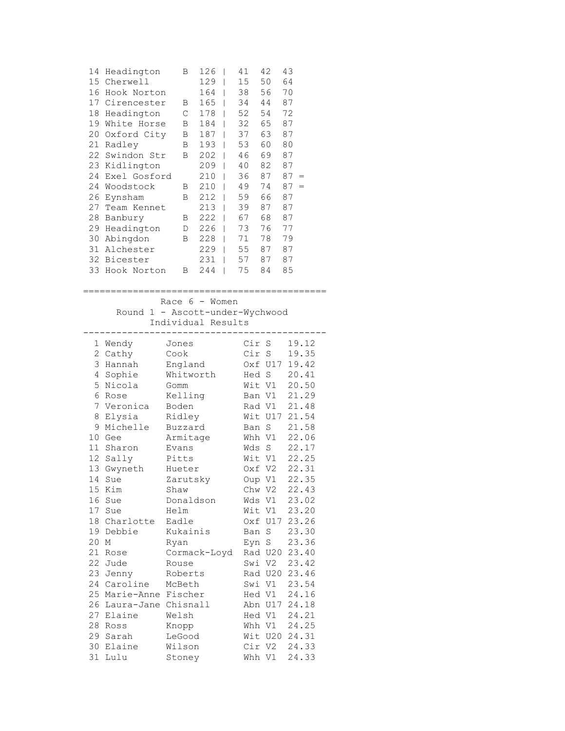| 14 | Headington   | в | 126 | 41 | 42 | 43        |
|----|--------------|---|-----|----|----|-----------|
| 15 | Cherwell     |   | 129 | 15 | 50 | 64        |
| 16 | Hook Norton  |   | 164 | 38 | 56 | 70        |
| 17 | Cirencester  | B | 165 | 34 | 44 | 87        |
| 18 | Headington   | С | 178 | 52 | 54 | 72        |
| 19 | White Horse  | B | 184 | 32 | 65 | 87        |
| 20 | Oxford City  | В | 187 | 37 | 63 | 87        |
| 21 | Radley       | В | 193 | 53 | 60 | 80        |
| 22 | Swindon Str  | в | 202 | 46 | 69 | 87        |
| 23 | Kidlington   |   | 209 | 40 | 82 | 87        |
| 24 | Exel Gosford |   | 210 | 36 | 87 | 87<br>$=$ |
| 24 | Woodstock    | B | 210 | 49 | 74 | 87<br>$=$ |
| 26 | Eynsham      | В | 212 | 59 | 66 | 87        |
| 27 | Team Kennet  |   | 213 | 39 | 87 | 87        |
| 28 | Banbury      | В | 222 | 67 | 68 | 87        |
| 29 | Headington   | D | 226 | 73 | 76 | 77        |
| 30 | Abingdon     | B | 228 | 71 | 78 | 79        |
| 31 | Alchester    |   | 229 | 55 | 87 | 87        |
| 32 | Bicester     |   | 231 | 57 | 87 | 87        |
| 33 | Hook Norton  | в | 244 | 75 | 84 | 85        |
|    |              |   |     |    |    |           |

============================================ Race 6 - Women

 Round 1 - Ascott-under-Wychwood Individual Results

|    | 1 Wendy             | Jones        | Cir S  |                | 19.12 |
|----|---------------------|--------------|--------|----------------|-------|
| 2  | Cathy               | Cook         | Cir    | S              | 19.35 |
| 3  | Hannah              | England      |        | Oxf U17        | 19.42 |
| 4  | Sophie              | Whitworth    | Hed    | $\rm S$        | 20.41 |
| 5  | Nicola              | Gomm         | Wit V1 |                | 20.50 |
| 6  | Rose                | Kelling      | Ban V1 |                | 21.29 |
| 7  | Veronica            | Boden        | Rad V1 |                | 21.48 |
| 8  | Elysia              | Ridley       |        | Wit U17        | 21.54 |
| 9  | Michelle            | Buzzard      | Ban    | S              | 21.58 |
| 10 | Gee                 | Armitage     | Whh    | V1             | 22.06 |
| 11 | Sharon              | Evans        | Wds    | S              | 22.17 |
| 12 | Sally               | Pitts        | Wit V1 |                | 22.25 |
| 13 | Gwyneth             | Hueter       |        | Oxf V2         | 22.31 |
| 14 | Sue                 | Zarutsky     | Oup V1 |                | 22.35 |
| 15 | Kim                 | Shaw         | Chw V2 |                | 22.43 |
| 16 | Sue                 | Donaldson    | Wds    | V1 -           | 23.02 |
| 17 | Sue                 | Helm         |        | Wit V1         | 23.20 |
| 18 | Charlotte           | Eadle        | Oxf    | U17            | 23.26 |
| 19 | Debbie              | Kukainis     | Ban    | S              | 23.30 |
| 20 | М                   | Ryan         | Eyn S  |                | 23.36 |
| 21 | Rose                | Cormack-Loyd |        | Rad U20        | 23.40 |
| 22 | Jude                | Rouse        | Swi    | V <sub>2</sub> | 23.42 |
| 23 | Jenny               | Roberts      |        | Rad U20        | 23.46 |
| 24 | Caroline            | McBeth       | Swi    | V1             | 23.54 |
| 25 | Marie-Anne Fischer  |              |        | Hed V1         | 24.16 |
| 26 | Laura-Jane Chisnall |              |        | Abn U17        | 24.18 |
| 27 | Elaine              | Welsh        | Hed V1 |                | 24.21 |
| 28 | Ross                | Knopp        |        | Whh V1         | 24.25 |
| 29 | Sarah               | LeGood       |        | Wit U20        | 24.31 |
| 30 | Elaine              | Wilson       | Cir    | V2             | 24.33 |
| 31 | Lulu                | Stoney       | Whh V1 |                | 24.33 |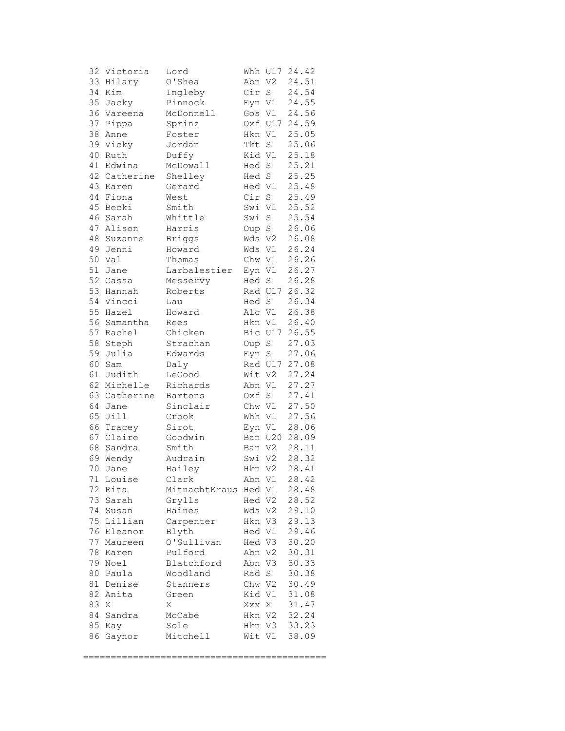| 32 | Victoria     | Lord              | Whh    | U17         | 24.42 |
|----|--------------|-------------------|--------|-------------|-------|
| 33 | Hilary       | O'Shea            | Abn    | V2          | 24.51 |
| 34 | Kim          | Ingleby           | Cir    | $\mathbf S$ | 24.54 |
| 35 | Jacky        | Pinnock           | Eyn V1 |             | 24.55 |
| 36 | Vareena      | McDonnell         | Gos    | V1          | 24.56 |
| 37 | Pippa        | Sprinz            | 0xf    | U17         | 24.59 |
| 38 | Anne         | Foster            | Hkn    | V1          | 25.05 |
|    | 39 Vicky     | Jordan            | Tkt    | $\rm S$     | 25.06 |
| 40 | Ruth         | Duffy             | Kid V1 |             | 25.18 |
| 41 | Edwina       | McDowall          | Hed    | $\mathbf S$ | 25.21 |
|    | 42 Catherine |                   |        |             | 25.25 |
| 43 | Karen        | Shelley<br>Gerard | Hed S  |             | 25.48 |
|    | Fiona        |                   | Hed V1 |             |       |
| 44 |              | West              | Cir    | $\mathbf S$ | 25.49 |
| 45 | Becki        | Smith             | Swi    | V1          | 25.52 |
| 46 | Sarah        | Whittle           | Swi    | $\mathbf S$ | 25.54 |
| 47 | Alison       | Harris            | Oup S  |             | 26.06 |
| 48 | Suzanne      | <b>Briggs</b>     | Wds V2 |             | 26.08 |
| 49 | Jenni        | Howard            | Wds    | V1          | 26.24 |
| 50 | Val          | Thomas            | Chw V1 |             | 26.26 |
| 51 | Jane         | Larbalestier      | Eyn V1 |             | 26.27 |
| 52 | Cassa        | Messervy          | Hed    | $\mathbf S$ | 26.28 |
| 53 | Hannah       | Roberts           |        | Rad U17     | 26.32 |
| 54 | Vincci       | Lau               | Hed S  |             | 26.34 |
| 55 | Hazel        | Howard            | Alc V1 |             | 26.38 |
| 56 | Samantha     | Rees              | Hkn V1 |             | 26.40 |
| 57 | Rachel       | Chicken           |        | Bic U17     | 26.55 |
| 58 | Steph        | Strachan          | Oup S  |             | 27.03 |
| 59 | Julia        | Edwards           | Eyn    | $\mathbf S$ | 27.06 |
| 60 | Sam          | Daly              |        | Rad U17     | 27.08 |
| 61 | Judith       | LeGood            | Wit V2 |             | 27.24 |
| 62 | Michelle     | Richards          | Abn V1 |             | 27.27 |
| 63 | Catherine    | Bartons           | Oxf    | S           | 27.41 |
| 64 | Jane         | Sinclair          | Chw    | V1          | 27.50 |
| 65 | Jill         | Crook             | Whh V1 |             | 27.56 |
| 66 | Tracey       | Sirot             | Eyn V1 |             | 28.06 |
|    | 67 Claire    | Goodwin           |        | Ban U20     | 28.09 |
| 68 |              |                   |        |             | 28.11 |
|    | Sandra       | Smith             | Ban V2 |             |       |
| 69 | Wendy        | Audrain           | Swi V2 |             | 28.32 |
| 70 | Jane         | Hailey            |        | Hkn V2      | 28.41 |
|    | 71 Louise    | Clark             |        | Abn V1      | 28.42 |
| 72 | Rita         | MitnachtKraus     | Hed V1 |             | 28.48 |
| 73 | Sarah        | Grylls            | Hed V2 |             | 28.52 |
| 74 | Susan        | Haines            | Wds    | V2          | 29.10 |
| 75 | Lillian      | Carpenter         | Hkn V3 |             | 29.13 |
| 76 | Eleanor      | Blyth             | Hed V1 |             | 29.46 |
| 77 | Maureen      | O'Sullivan        | Hed V3 |             | 30.20 |
| 78 | Karen        | Pulford           | Abn    | V2          | 30.31 |
| 79 | Noel         | Blatchford        | Abn    | V3          | 30.33 |
| 80 | Paula        | Woodland          | Rad    | S           | 30.38 |
| 81 | Denise       | Stanners          | Chw V2 |             | 30.49 |
| 82 | Anita        | Green             | Kid V1 |             | 31.08 |
| 83 | Χ            | Χ                 | Xxx    | X           | 31.47 |
| 84 | Sandra       | McCabe            | Hkn V2 |             | 32.24 |
| 85 | Kay          | Sole              | Hkn    | V3          | 33.23 |
| 86 | Gaynor       | Mitchell          | Wit V1 |             | 38.09 |
|    |              |                   |        |             |       |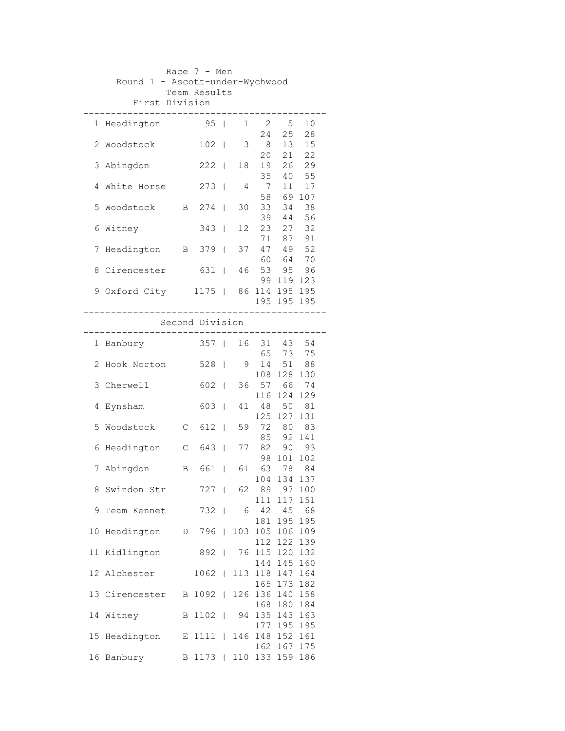| Race $7 - Men$  |                                 |             |                 |                          |     |                 |                            |           |  |
|-----------------|---------------------------------|-------------|-----------------|--------------------------|-----|-----------------|----------------------------|-----------|--|
|                 | Round 1 - Ascott-under-Wychwood |             |                 |                          |     |                 |                            |           |  |
|                 | First Division                  |             | Team Results    |                          |     |                 |                            |           |  |
|                 |                                 |             |                 |                          |     |                 |                            |           |  |
|                 | 1 Headington                    |             | 95 <sub>1</sub> |                          |     | $1 \quad 2$     | 5                          | 10        |  |
|                 |                                 |             |                 |                          |     | 24              | 25                         | 28        |  |
| 2.              | Woodstock                       |             | 102             | $\Box$                   | 3   | - 8             | 13                         | 15        |  |
|                 |                                 |             |                 |                          |     | 20              | 21                         | 22        |  |
| 3               | Abingdon                        |             | $222$           |                          | 18  | 19              | 26                         | 29        |  |
|                 |                                 |             |                 |                          |     | 35              | 40                         | 55        |  |
| 4               | White Horse                     |             | 273             | $\mathbf{I}$             | 4   | $7\overline{ }$ | 11                         | 17        |  |
|                 |                                 |             |                 |                          |     | 58              |                            | 69 107    |  |
| 5               | Woodstock                       |             | B 274           |                          | 30  | 33              | 34                         | 38        |  |
|                 |                                 |             |                 |                          |     |                 | 39 44                      | 56        |  |
| 6               | Witney                          |             | 343             | $\mathbf{I}$             | 12  | 23              | 27                         | 32        |  |
|                 |                                 |             |                 |                          |     | 71              | 87<br>71 87<br>47 49       | 91        |  |
| 7               | Headington                      |             | B 379           |                          | 37  |                 |                            | 52        |  |
|                 |                                 |             |                 |                          |     |                 | 60 64<br>53 95             | 70        |  |
| 8               | Cirencester                     |             | 631             | $\mathbf{I}$             | 46  |                 |                            | 96        |  |
|                 |                                 |             | 1175   86       |                          |     | 99              | 119 123                    |           |  |
|                 | 9 Oxford City                   |             |                 |                          |     |                 | 114 195 195<br>195 195 195 |           |  |
|                 |                                 |             |                 |                          |     |                 |                            |           |  |
| Second Division |                                 |             |                 |                          |     |                 |                            |           |  |
|                 |                                 |             |                 |                          |     |                 |                            |           |  |
|                 | 1 Banbury                       |             | 357             | $\Box$                   | 16  |                 | 31 43 54                   |           |  |
|                 |                                 |             |                 |                          |     |                 | 65 73                      | 75        |  |
| 2               | Hook Norton                     |             | 528             | $\mathbf{I}$             | 9   | 14              | 51                         | 88        |  |
|                 |                                 |             |                 |                          |     | 108             | 128 130                    |           |  |
| 3               | Cherwell                        |             | 602             | $\mathbf{I}$             | 36  | 57              | 66                         | 74        |  |
|                 |                                 |             |                 |                          |     | 116             | 124                        | 129       |  |
| 4               | Eynsham                         |             | 603             | $\mathbf{I}$             | 41  | 48              | 50                         | 81        |  |
|                 |                                 |             |                 |                          |     | 125             | 127                        | 131       |  |
| 5               | Woodstock                       | С           | $612$           |                          | 59  | 72              | 80                         | 83        |  |
|                 |                                 |             |                 |                          |     | 85              | 92                         | 141       |  |
| 6               | Headington                      | $\mathsf C$ | 643             |                          | 77  | 82<br>98        | 90<br>101                  | 93<br>102 |  |
| 7               | Abingdon                        | Β           | 661             | T                        | 61  |                 | 63 78                      | 84        |  |
|                 |                                 |             |                 |                          |     |                 | 104 134 137                |           |  |
| 8.              | Swindon Str                     |             | 727             |                          | 62  | 89              | 97                         | 100       |  |
|                 |                                 |             |                 |                          |     | 111             | 117                        | 151       |  |
|                 | 9 Team Kennet                   |             | $732$           |                          | 6   | 42              | 45                         | 68        |  |
|                 |                                 |             |                 |                          |     | 181             | 195 195                    |           |  |
| 10              | Headington                      |             | D 796           |                          | 103 |                 | 105 106 109                |           |  |
|                 |                                 |             |                 |                          |     | 112             | 122                        | 139       |  |
| 11              | Kidlington                      |             | 892             | $\overline{\phantom{0}}$ | 76  | 115             | 120                        | 132       |  |
|                 |                                 |             |                 |                          |     | 144             | 145                        | 160       |  |
|                 | 12 Alchester                    |             | 1062            | $\mathbf{I}$             | 113 | 118             | 147                        | 164       |  |
|                 |                                 |             |                 |                          |     | 165             | 173 182                    |           |  |
|                 | 13 Cirencester                  | B           | 1092            | $\mathbb{L}$             | 126 |                 | 136 140 158                |           |  |
|                 |                                 |             |                 |                          |     | 168             | 180                        | 184       |  |
|                 | 14 Witney                       | B           | 1102            |                          | 94  | 177             | 135 143<br>195 195         | 163       |  |
| 15              | Headington                      |             | E 1111          | $\Box$                   | 146 | 148             | 152 161                    |           |  |
|                 |                                 |             |                 |                          |     | 162             | 167 175                    |           |  |
|                 | 16 Banbury                      |             | B 1173          |                          | 110 |                 | 133 159 186                |           |  |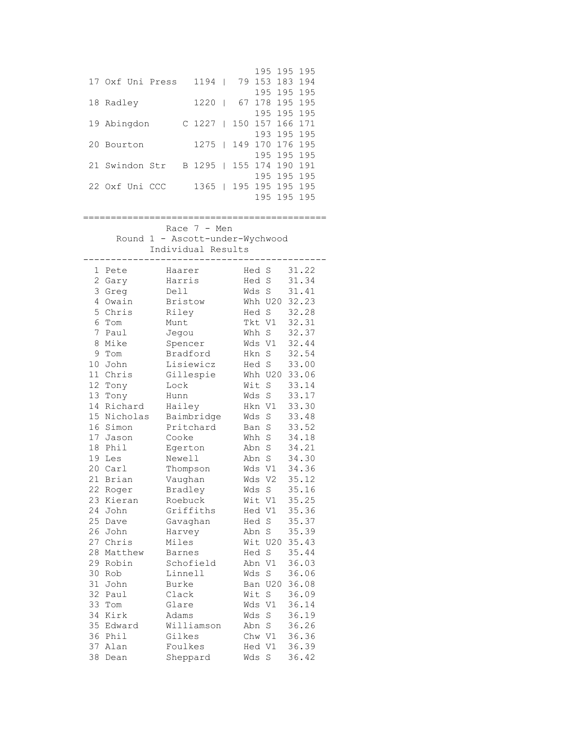| 17 Oxf Uni Press | 1194   | 79                  |         | 195 195 195<br>153 183 194                    |
|------------------|--------|---------------------|---------|-----------------------------------------------|
| 18 Radley        | 1220   | 67                  | 178 195 | 195 195 195<br>195                            |
| 19 Abingdon      | C 1227 | $\Box$              |         | 195 195 195<br>150 157 166 171<br>193 195 195 |
| 20<br>Bourton    | 1275   | 149<br>$\pm 1$      |         | 170 176 195<br>195 195 195                    |
| 21 Swindon Str   | B 1295 | $\Box$              | 195     | 155 174 190 191<br>195<br>195                 |
| 22 Oxf Uni CCC   | 1365   | 195<br>$\mathbf{L}$ | 195     | 195<br>195<br>195 195 195                     |

Race 7 - Men Round 1 - Ascott-under-Wychwood

Individual Results

| 1              | Pete     | Haarer         | Hed S      |                | 31.22 |
|----------------|----------|----------------|------------|----------------|-------|
| $\overline{2}$ | Gary     | Harris         | Hed        | S              | 31.34 |
| 3              | Greg     | Dell           | Wds        | $\mathbf S$    | 31.41 |
| 4              | Owain    | <b>Bristow</b> |            | Whh U20        | 32.23 |
| 5              | Chris    | Riley          | Hed        | S              | 32.28 |
| 6              | Tom      | Munt           | Tkt        | V1             | 32.31 |
| 7              | Paul     | Jegou          | Whh        | S              | 32.37 |
| 8              | Mike     | Spencer        | Wds        | V1             | 32.44 |
| 9              | Tom      | Bradford       | <b>Hkn</b> | S              | 32.54 |
| 10             | John     | Lisiewicz      | Hed        | $\mathbf S$    | 33.00 |
| 11             | Chris    | Gillespie      |            | Whh U20        | 33.06 |
| 12             | Tony     | Lock           | Wit        | S              | 33.14 |
| 13             | Tony     | Hunn           | Wds        | S              | 33.17 |
| 14             | Richard  | Hailey         | Hkn        | V1             | 33.30 |
| 15             | Nicholas | Baimbridge     | Wds        | S              | 33.48 |
| 16             | Simon    | Pritchard      | Ban        | $\rm S$        | 33.52 |
| 17             | Jason    | Cooke          | Whh        | S              | 34.18 |
| 18             | Phil     | Egerton        | Abn        | $\rm S$        | 34.21 |
| 19             | Les      | Newell         | Abn        | S              | 34.30 |
| 20             | Carl     | Thompson       | Wds        | V1             | 34.36 |
| 21             | Brian    | Vaughan        | Wds        | V <sub>2</sub> | 35.12 |
| 22             | Roger    | Bradley        | Wds        | S              | 35.16 |
| 23             | Kieran   | Roebuck        | Wit        | V1             | 35.25 |
| 24             | John     | Griffiths      | Hed V1     |                | 35.36 |
| 25             | Dave     | Gavaghan       | Hed        | S              | 35.37 |
| 26             | John     | Harvey         | Abn        | $\mathbf S$    | 35.39 |
| 27             | Chris    | Miles          |            | Wit U20        | 35.43 |
| 28             | Matthew  | <b>Barnes</b>  | Hed        | S              | 35.44 |
| 29             | Robin    | Schofield      | Abn        | V1             | 36.03 |
| 30             | Rob      | Linnell        | Wds        | S              | 36.06 |
| 31             | John     | Burke          | Ban        | U20            | 36.08 |
| 32             | Paul     | Clack          | Wit        | S              | 36.09 |
| 33             | Tom      | Glare          | Wds        | V1             | 36.14 |
| 34             | Kirk     | Adams          | Wds        | S              | 36.19 |
| 35             | Edward   | Williamson     | Abn        | S              | 36.26 |
| 36             | Phil     | Gilkes         | Chw V1     |                | 36.36 |
| 37             | Alan     | Foulkes        | Hed        | V <sub>1</sub> | 36.39 |
| 38             | Dean     | Sheppard       | Wds        | S              | 36.42 |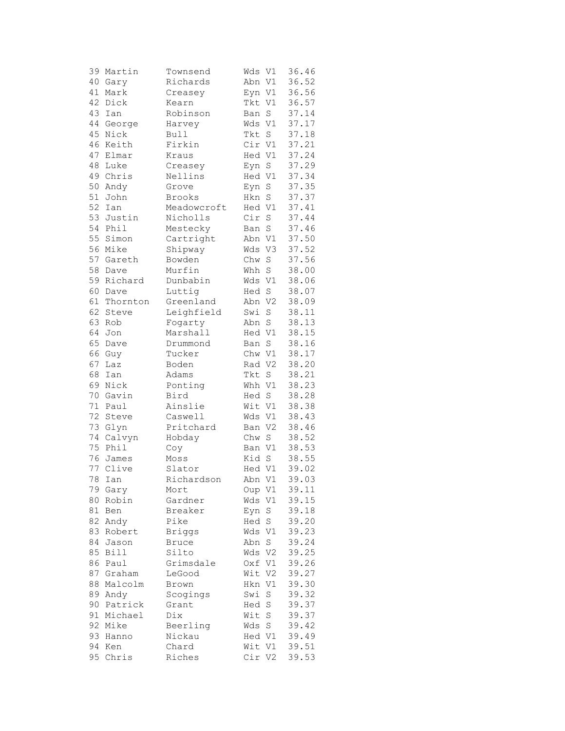| 39       | Martin          | Townsend          | Wds    | V1                         | 36.46 |
|----------|-----------------|-------------------|--------|----------------------------|-------|
| 40       | Gary            | Richards          | Abn V1 |                            | 36.52 |
| 41       | Mark            | Creasey           | Eyn    | V1                         | 36.56 |
| 42       | Dick            | Kearn             | Tkt    | V1                         | 36.57 |
| 43       | Ian             | Robinson          | Ban    | S                          | 37.14 |
| 44       | George          | Harvey            | Wds    | V1                         | 37.17 |
|          |                 |                   | Tkt    |                            |       |
| 45       | Nick            | Bull              |        | $\mathbf S$                | 37.18 |
|          | 46 Keith        | Firkin            | Cir V1 |                            | 37.21 |
| 47       | Elmar           | Kraus             | Hed V1 |                            | 37.24 |
| 48       | Luke            | Creasey           | Eyn    | $\rm S$                    | 37.29 |
| 49       | Chris           | Nellins           | Hed V1 |                            | 37.34 |
| 50       | Andy            | Grove             | Eyn    | $\mathbf S$                | 37.35 |
| 51       | John            | Brooks            | Hkn    | S                          | 37.37 |
| 52       | Ian             | Meadowcroft       | Hed V1 |                            | 37.41 |
| 53       | Justin          | Nicholls          | Cir    | $\rm S$                    | 37.44 |
| 54       | Phil            | Mestecky          | Ban    | $\rm S$                    | 37.46 |
|          | 55 Simon        | Cartright         | Abn V1 |                            | 37.50 |
|          | 56 Mike         | Shipway           | Wds    | V3                         | 37.52 |
| 57       | Gareth          | Bowden            | Chw    | $\rm S$                    | 37.56 |
| 58       | Dave            | Murfin            | Whh    | $\mathbf S$                | 38.00 |
| 59       | Richard         | Dunbabin          | Wds V1 |                            | 38.06 |
| 60       | Dave            | Luttig            | Hed    | S                          | 38.07 |
| 61       |                 |                   | Abn    |                            |       |
|          | Thornton        | Greenland         |        | V <sub>2</sub>             | 38.09 |
| 62       | Steve           | Leighfield        | Swi    | S                          | 38.11 |
| 63       | Rob             | Fogarty           | Abn    | $\rm S$                    | 38.13 |
| 64       | Jon             | Marshall          | Hed V1 |                            | 38.15 |
|          | 65 Dave         | Drummond          | Ban    | $\rm S$                    | 38.16 |
|          | 66 Guy          | Tucker            | Chw V1 |                            | 38.17 |
| 67       | Laz             | Boden             | Rad V2 |                            | 38.20 |
| 68       | Ian             | Adams             | Tkt    | $\rm S$                    | 38.21 |
| 69       | Nick            | Ponting           | Whh V1 |                            | 38.23 |
| 70       | Gavin           | Bird              | Hed S  |                            | 38.28 |
| 71       | Paul            | Ainslie           | Wit    | V1                         | 38.38 |
| 72       | Steve           | Caswell           | Wds    | V1                         | 38.43 |
| 73       | Glyn            | Pritchard         | Ban V2 |                            | 38.46 |
| 74       | Calvyn          | Hobday            | Chw    | $\rm S$                    | 38.52 |
| 75       | Phil            | Coy               | Ban V1 |                            | 38.53 |
| 76       | James           | Moss              | Kid S  |                            | 38.55 |
| 77       | Clive           | Slator            | Hed V1 |                            | 39.02 |
|          | 78 Ian          | Richardson        | Abn V1 |                            | 39.03 |
| 79       | Gary            | Mort              | Oup V1 |                            | 39.11 |
| 80       | Robin           | Gardner           | Wds    | V1                         | 39.15 |
| 81       | Ben             | Breaker           | Eyn    | $\rm S$                    | 39.18 |
| 82       | Andy            | Pike              | Hed    | $\mathbf S$                | 39.20 |
| 83       | Robert          | <b>Briggs</b>     | Wds    | V1                         | 39.23 |
| 84       | Jason           | <b>Bruce</b>      | Abn    | S                          | 39.24 |
| 85       | <b>Bill</b>     | Silto             | Wds    | V2                         | 39.25 |
| 86       | Paul            | Grimsdale         | Oxf V1 |                            | 39.26 |
| 87       | Graham          | LeGood            | Wit    | V <sub>2</sub>             | 39.27 |
| 88       | Malcolm         | Brown             | Hkn    | V1                         | 39.30 |
|          |                 |                   | Swi    |                            |       |
| 89<br>90 | Andy<br>Patrick | Scogings<br>Grant | Hed    | $\mathbf S$<br>$\mathbf S$ | 39.32 |
|          |                 |                   |        |                            | 39.37 |
| 91       | Michael         | Dix               | Wit    | $\rm S$                    | 39.37 |
| 92       | Mike            | Beerling          | Wds    | $\rm S$                    | 39.42 |
| 93       | Hanno           | Nickau            | Hed V1 |                            | 39.49 |
| 94       | Ken             | Chard             | Wit V1 |                            | 39.51 |
| 95       | Chris           | Riches            | Cir V2 |                            | 39.53 |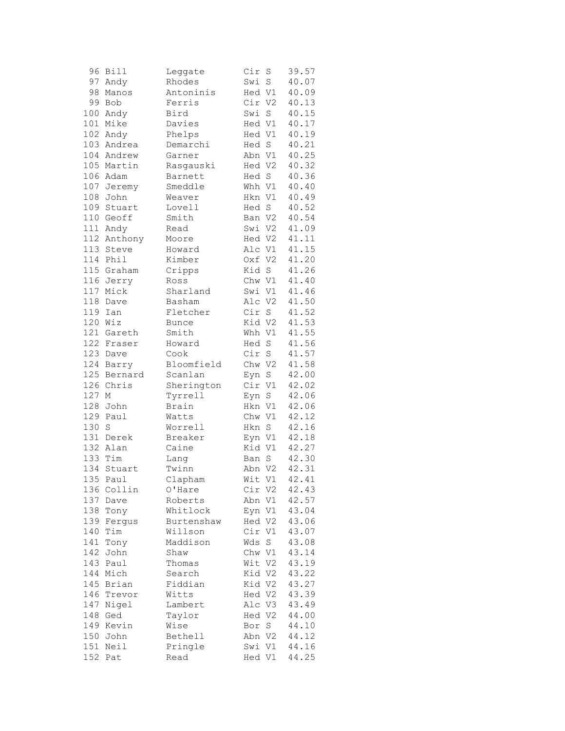| 96  | Bill        | Leggate      | Cir    | S           | 39.57 |
|-----|-------------|--------------|--------|-------------|-------|
|     | 97 Andy     | Rhodes       | Swi    | $\mathbf S$ | 40.07 |
| 98  | Manos       | Antoninis    | Hed V1 |             | 40.09 |
| 99  | Bob         | Ferris       | Cir V2 |             | 40.13 |
| 100 | Andy        | Bird         | Swi    | S           | 40.15 |
| 101 | Mike        | Davies       | Hed V1 |             | 40.17 |
|     | 102 Andy    | Phelps       | Hed V1 |             | 40.19 |
|     | 103 Andrea  | Demarchi     | Hed S  |             | 40.21 |
|     | 104 Andrew  | Garner       | Abn V1 |             | 40.25 |
|     | 105 Martin  | Rasgauski    | Hed V2 |             | 40.32 |
|     | 106 Adam    | Barnett      | Hed S  |             | 40.36 |
| 107 | Jeremy      | Smeddle      | Whh V1 |             | 40.40 |
| 108 | John        | Weaver       | Hkn V1 |             | 40.49 |
| 109 | Stuart      | Lovell       | Hed S  |             | 40.52 |
|     |             |              |        |             |       |
|     | 110 Geoff   | Smith        | Ban V2 |             | 40.54 |
|     | 111 Andy    | Read         | Swi V2 |             | 41.09 |
|     | 112 Anthony | Moore        | Hed V2 |             | 41.11 |
|     | 113 Steve   | Howard       | Alc V1 |             | 41.15 |
|     | 114 Phil    | Kimber       | Oxf V2 |             | 41.20 |
|     | 115 Graham  | Cripps       | Kid    | S           | 41.26 |
|     | 116 Jerry   | Ross         | Chw V1 |             | 41.40 |
| 117 | Mick        | Sharland     | Swi V1 |             | 41.46 |
| 118 | Dave        | Basham       | Alc V2 |             | 41.50 |
| 119 | Ian         | Fletcher     | Cir    | $\mathbf S$ | 41.52 |
| 120 | Wiz         | <b>Bunce</b> | Kid V2 |             | 41.53 |
|     | 121 Gareth  | Smith        | Whh V1 |             | 41.55 |
|     | 122 Fraser  | Howard       | Hed    | $\rm S$     | 41.56 |
|     | 123 Dave    | Cook         | Cir S  |             | 41.57 |
| 124 | Barry       | Bloomfield   | Chw V2 |             | 41.58 |
| 125 | Bernard     | Scanlan      | Eyn    | S           | 42.00 |
| 126 | Chris       | Sherington   | Cir V1 |             | 42.02 |
| 127 | М           | Tyrrell      | Eyn    | S           | 42.06 |
| 128 | John        | Brain        | Hkn V1 |             | 42.06 |
| 129 | Paul        | Watts        | Chw V1 |             | 42.12 |
| 130 | S           | Worrell      | Hkn    | S           | 42.16 |
|     | 131 Derek   | Breaker      | Eyn V1 |             | 42.18 |
|     | 132 Alan    | Caine        | Kid V1 |             | 42.27 |
|     | 133 Tim     | Lang         | Ban    | S           | 42.30 |
| 134 | Stuart      | Twinn        | Abn V2 |             | 42.31 |
|     | 135 Paul    | Clapham      | Wit V1 |             | 42.41 |
| 136 | Collin      | O'Hare       | Cir V2 |             | 42.43 |
| 137 | Dave        | Roberts      | Abn    | V1          | 42.57 |
| 138 | Tony        | Whitlock     | Eyn V1 |             | 43.04 |
| 139 |             | Burtenshaw   | Hed V2 |             | 43.06 |
|     | Fergus      |              |        |             | 43.07 |
| 140 | Tim         | Willson      | Cir    | V1          |       |
| 141 | Tony        | Maddison     | Wds    | S           | 43.08 |
| 142 | John        | Shaw         | Chw V1 |             | 43.14 |
| 143 | Paul        | Thomas       | Wit V2 |             | 43.19 |
| 144 | Mich        | Search       | Kid V2 |             | 43.22 |
| 145 | Brian       | Fiddian      | Kid V2 |             | 43.27 |
| 146 | Trevor      | Witts        | Hed V2 |             | 43.39 |
| 147 | Nigel       | Lambert      | Alc V3 |             | 43.49 |
| 148 | Ged         | Taylor       | Hed V2 |             | 44.00 |
|     | 149 Kevin   | Wise         | Bor    | S           | 44.10 |
| 150 | John        | Bethell      | Abn V2 |             | 44.12 |
| 151 | Neil        | Pringle      | Swi V1 |             | 44.16 |
| 152 | Pat         | Read         | Hed V1 |             | 44.25 |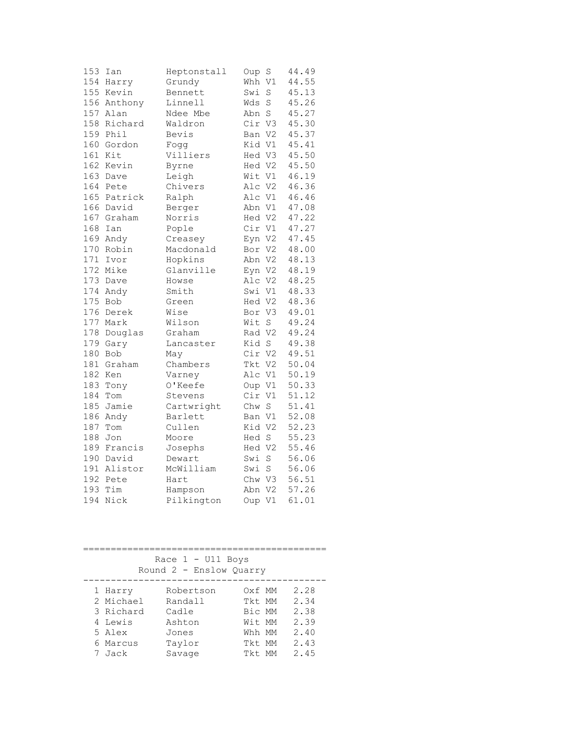| 153 | Ian     | Heptonstall | Oup    | S              | 44.49 |
|-----|---------|-------------|--------|----------------|-------|
| 154 | Harry   | Grundy      | Whh    | V1             | 44.55 |
| 155 | Kevin   | Bennett     | Swi    | S              | 45.13 |
| 156 | Anthony | Linnell     | Wds    | S              | 45.26 |
| 157 | Alan    | Ndee Mbe    | Abn    | S              | 45.27 |
| 158 | Richard | Waldron     | Cir    | V3             | 45.30 |
| 159 | Phil    | Bevis       | Ban V2 |                | 45.37 |
| 160 | Gordon  | Fogg        | Kid V1 |                | 45.41 |
| 161 | Kit     | Villiers    | Hed V3 |                | 45.50 |
| 162 | Kevin   | Byrne       | Hed V2 |                | 45.50 |
| 163 | Dave    | Leigh       | Wit    | V1             | 46.19 |
| 164 | Pete    | Chivers     | Alc V2 |                | 46.36 |
| 165 | Patrick | Ralph       | Alc V1 |                | 46.46 |
| 166 | David   | Berger      | Abn V1 |                | 47.08 |
| 167 | Graham  | Norris      | Hed V2 |                | 47.22 |
| 168 | Ian     | Pople       | Cir V1 |                | 47.27 |
| 169 | Andy    | Creasey     | Eyn V2 |                | 47.45 |
| 170 | Robin   | Macdonald   | Bor    | V <sub>2</sub> | 48.00 |
| 171 | Ivor    | Hopkins     | Abn V2 |                | 48.13 |
| 172 | Mike    | Glanville   | Eyn V2 |                | 48.19 |
| 173 | Dave    | Howse       | Alc    | V <sub>2</sub> | 48.25 |
| 174 | Andy    | Smith       | Swi    | V1             | 48.33 |
| 175 | Bob     | Green       | Hed V2 |                | 48.36 |
| 176 | Derek   | Wise        | Bor V3 |                | 49.01 |
| 177 | Mark    | Wilson      | Wit    | S              | 49.24 |
| 178 | Douglas | Graham      | Rad V2 |                | 49.24 |
| 179 | Gary    | Lancaster   | Kid S  |                | 49.38 |
| 180 | Bob     | May         | Cir V2 |                | 49.51 |
| 181 | Graham  | Chambers    | Tkt V2 |                | 50.04 |
| 182 | Ken     | Varney      | Alc    | V1             | 50.19 |
| 183 | Tony    | 0'Keefe     | Oup V1 |                | 50.33 |
| 184 | Tom     | Stevens     | Cir    | V1             | 51.12 |
| 185 | Jamie   | Cartwright  | Chw    | S              | 51.41 |
| 186 | Andy    | Barlett     | Ban V1 |                | 52.08 |
| 187 | Tom     | Cullen      | Kid V2 |                | 52.23 |
| 188 | Jon     | Moore       | Hed S  |                | 55.23 |
| 189 | Francis | Josephs     | Hed V2 |                | 55.46 |
| 190 | David   | Dewart      | Swi    | $\rm S$        | 56.06 |
| 191 | Alistor | McWilliam   | Swi    | S              | 56.06 |
| 192 | Pete    | Hart        | Chw    | V3             | 56.51 |
| 193 | Tim     | Hampson     | Abn    | V <sub>2</sub> | 57.26 |
| 194 | Nick    | Pilkington  | Oup    | V1             | 61.01 |

============================================ Race 1 - U11 Boys Round 2 - Enslow Quarry -------------------------------------------- 1 Harry Robertson Oxf MM 2.28 2 Michael Randall Tkt MM 2.34 3 Richard Cadle Bic MM 2.38 4 Lewis Ashton Wit MM 2.39 5 Alex Jones Whh MM 2.40 6 Marcus Taylor Tkt MM 2.43 7 Jack Savage Tkt MM 2.45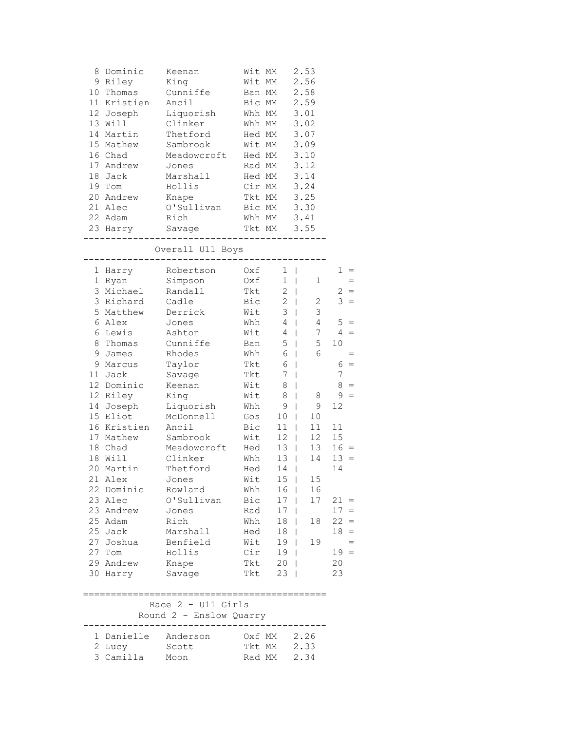|        | 8 Dominic         | Keenan                                        | Wit MM                 | 2.53                                                 |        |
|--------|-------------------|-----------------------------------------------|------------------------|------------------------------------------------------|--------|
|        | 9 Riley           | King                                          | Wit MM                 | 2.56                                                 |        |
|        | 10 Thomas         | Cunniffe                                      | Ban MM                 | 2.58                                                 |        |
|        | 11 Kristien       | Ancil                                         | Bic MM                 | 2.59                                                 |        |
|        | 12 Joseph         | Liquorish                                     | Whh MM                 | 3.01                                                 |        |
|        | 13 Will           | Clinker                                       | Whh MM                 | 3.02                                                 |        |
|        | 14 Martin         | Thetford                                      | Hed MM                 | 3.07                                                 |        |
|        | 15 Mathew         | Sambrook                                      | Wit MM                 | 3.09                                                 |        |
|        | 16 Chad           | Meadowcroft Hed MM                            |                        | 3.10                                                 |        |
|        | 17 Andrew         | Jones                                         | Rad MM                 | 3.12                                                 |        |
|        | 18 Jack           | Marshall                                      | Hed MM                 | 3.14                                                 |        |
| 19 Tom |                   | Hollis                                        | Cir MM                 | 3.24                                                 |        |
|        | 20 Andrew         | Knape                                         | Tkt MM                 | 3.25                                                 |        |
|        | 21 Alec           | O'Sullivan Bic MM 3.30                        |                        |                                                      |        |
|        | 22 Adam Rich      |                                               | Whh MM 3.41            |                                                      |        |
|        |                   | 23 Harry Savage Tkt MM 3.55                   | ___________________    |                                                      |        |
|        |                   | Overall U11 Boys                              | -------------          |                                                      |        |
|        | 1 Harry           | Robertson                                     | Oxf                    | $1 \mid$                                             | $1 =$  |
|        | 1 Ryan            | Simpson                                       | Oxf                    | $1 \mid$<br>$\mathbf 1$                              |        |
|        | 3 Michael         | Randall                                       | Tkt                    | $2 \mid$                                             | $2 =$  |
|        | 3 Richard Cadle   |                                               | Bic                    | $2 \mid$<br>$\mathbf{2}$                             | $3 =$  |
|        | 5 Matthew Derrick |                                               | Wit                    | 3<br>$3 \mid$                                        |        |
|        | 6 Alex            | Jones                                         | Whh                    | $4 -$<br>$4 \mid$                                    | $5 =$  |
|        | 6 Lewis           | Ashton                                        | Wit                    | 7 <sup>7</sup><br>$4 \mid$                           | $4 =$  |
|        | 8 Thomas          | Cunniffe                                      | Ban                    | 5<br>$5 \mid$                                        | 10     |
|        | 9 James           | Rhodes                                        | Whh                    | 6<br>$6 \mid$                                        |        |
|        | 9 Marcus          | Taylor                                        | Tkt                    | $6-1$                                                | $6 =$  |
|        | 11 Jack           | Savage                                        | Tkt                    | 7 <sup>1</sup>                                       | 7      |
|        | 12 Dominic        | Keenan                                        | Wit<br>8               | $\mathbf{I}$                                         | $8 =$  |
|        | 12 Riley          | King                                          | Wit<br>8               | $\mathbf{I}$<br>8                                    | $9 =$  |
|        | 14 Joseph         | Liquorish                                     | Whh<br>9               | 9<br>$\mathbf{I}$                                    | 12     |
|        | 15 Eliot          | McDonnell                                     | Gos<br>10              | $\Box$<br>10 <sub>o</sub>                            |        |
|        | 16 Kristien       | Ancil                                         | Bic                    | $11$                                                 | 11     |
|        | 17 Mathew         | Sambrook                                      | $\overline{W}$ it      | $\begin{array}{c} 11 \\ 12 \end{array}$<br>$12 \mid$ | 15     |
|        | 18 Chad           | Meadowcroft Hed                               |                        | 13 <br>13                                            | $16 =$ |
|        | 18 Will           | Clinker                                       | Whh                    | $13 \mid$<br>14                                      | $13 =$ |
|        | 20 Martin         | Thetford                                      | Hed<br>14              |                                                      | 14     |
|        | 21 Alex           | Jones                                         | Wit                    | $15 \mid$<br>15                                      |        |
|        | 22 Dominic        | Rowland                                       | Whh<br>16              | 16                                                   |        |
|        | 23 Alec           | O'Sullivan                                    | Bic<br>17              | 17                                                   | $21 =$ |
|        | 23 Andrew         | Jones                                         | Rad<br>17              |                                                      | $17 =$ |
|        | 25 Adam           | Rich                                          | Whh<br>18              | 18<br>$\mathbf{I}$                                   | $22 =$ |
|        | 25 Jack           | Marshall                                      | 18<br>Hed              | $\Box$                                               | $18 =$ |
|        | 27 Joshua         | Benfield                                      | Wit<br>19 <sub>1</sub> | 19                                                   | $=$    |
| 27 Tom |                   | Hollis                                        | Cir<br>19 <sub>1</sub> |                                                      | $19 =$ |
|        | 29 Andrew         | Knape                                         | Tkt<br>20              | $\Box$                                               | 20     |
|        | 30 Harry          | Savage                                        | 23<br>Tkt              |                                                      | 23     |
|        |                   |                                               |                        |                                                      |        |
|        |                   | Race 2 - U11 Girls<br>Round 2 - Enslow Quarry |                        |                                                      |        |
|        | 1 Danielle        | Anderson                                      | Oxf MM                 | 2.26                                                 |        |
|        | 2 Lucy            | Scott                                         | Tkt MM                 | 2.33                                                 |        |
|        | 3 Camilla         | Moon                                          | Rad MM                 | 2.34                                                 |        |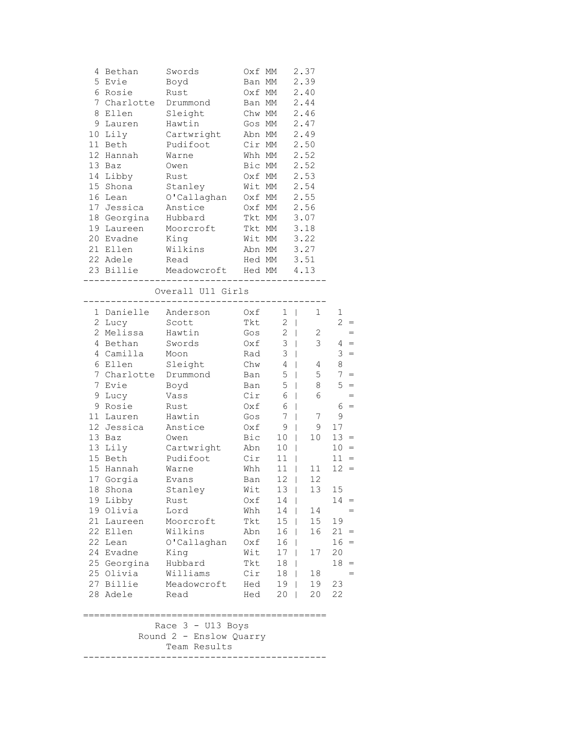|    | 4 Bethan            | Swords                                                | Oxf MM |                 | 2.37                      |                        |
|----|---------------------|-------------------------------------------------------|--------|-----------------|---------------------------|------------------------|
|    | 5 Evie              | Boyd                                                  | Ban MM |                 | 2.39                      |                        |
|    | 6 Rosie             | Rust                                                  | Oxf MM |                 | 2.40                      |                        |
| 7  | Charlotte Drummond  |                                                       | Ban MM |                 | 2.44                      |                        |
| 8  | Ellen Sleight       |                                                       | Chw MM |                 | 2.46                      |                        |
|    | 9 Lauren            | Hawtin                                                |        | Gos MM          | 2.47                      |                        |
|    | 10 Lily             | Cartwright                                            | Abn MM |                 | 2.49                      |                        |
|    | 11 Beth             | Pudifoot                                              | Cir MM |                 | 2.50                      |                        |
|    | 12 Hannah           | Warne                                                 | Whh MM |                 | 2.52                      |                        |
|    | 13 Baz              | Owen                                                  | Bic MM |                 | 2.52                      |                        |
|    | 14 Libby            | Rust                                                  | Oxf MM |                 | 2.53                      |                        |
|    | 15 Shona            | Stanley                                               | Wit MM |                 | 2.54                      |                        |
|    | 16 Lean             | O'Callaghan                                           | Oxf MM |                 | 2.55                      |                        |
|    | 17 Jessica          | Anstice                                               | Oxf MM |                 | 2.56                      |                        |
|    | 18 Georgina Hubbard |                                                       | Tkt MM |                 | 3.07                      |                        |
|    | 19 Laureen          | Moorcroft                                             | Tkt MM |                 | 3.18                      |                        |
|    | 20 Evadne           | King                                                  | Wit MM |                 | 3.22                      |                        |
|    | 21 Ellen            | Wilkins                                               | Abn MM |                 | 3.27                      |                        |
|    | 22 Adele            | Read                                                  | Hed MM |                 | 3.51                      |                        |
|    |                     | 23 Billie Meadowcroft Hed MM 4.13                     |        |                 |                           |                        |
|    |                     | Overall U11 Girls<br>-------------------------------- |        |                 |                           |                        |
|    | 1 Danielle Anderson |                                                       | Oxf    | $1 \mid$        | 1                         | 1                      |
|    | 2 Lucy              | Scott                                                 |        | Tkt 2           |                           | $2 =$                  |
|    | 2 Melissa           | Hawtin                                                |        | $Gos \t 2$      | $\mathbf{2}$              | $=$                    |
|    | 4 Bethan            | Swords                                                | Oxf    |                 | $3 \mid$<br>$\mathcal{S}$ | $4 =$                  |
|    | 4 Camilla           | Moon                                                  | Rad    | $\mathfrak{Z}$  | $\mathbb{R}$              | $3 =$                  |
|    | 6 Ellen             | Sleight                                               | Chw    | $\overline{4}$  | $\pm$ $\pm$<br>4          | 8                      |
| 7  | Charlotte Drummond  |                                                       | Ban    | $5\phantom{.0}$ | 5<br>$\mathbb{R}$         | 7 <sup>7</sup><br>$=$  |
| 7  | Evie                | Boyd                                                  | Ban    | 5               | 8<br>a kara               | $5 =$                  |
| 9  | Lucy                | Vass                                                  | Cir    | 6               | 6<br>$\mathbb{R}$         |                        |
|    | 9 Rosie             | Rust                                                  | Oxf    | 6               | $\Box$                    | $6 =$                  |
|    | 11 Lauren           | Hawtin                                                | Gos    | 7               | 7<br>$\Box$               | 9                      |
|    | 12 Jessica          | Anstice                                               | Oxf    | 9               | 9<br>$\Box$               | 17                     |
|    | 13 Baz              | Owen                                                  | Bic    | $10$            | 10                        | $13 =$                 |
|    | 13 Lily             | Cartwright                                            | Abn    | 10              |                           | $10 =$                 |
|    | 15 Beth             | Pudifoot                                              | Cir    | $11$            |                           | 11<br>$=$              |
|    | 15 Hannah           | Warne                                                 | Whh    |                 | $11$  <br>11              | 12 <sup>7</sup><br>$=$ |
|    | 17 Gorgia           | Evans                                                 | Ban    | $12 \quad  $    | 12 <sup>7</sup>           |                        |
| 18 | Shona               | Stanley                                               | Wit    | 13 <sup>1</sup> | 13                        | 15                     |
|    | 19 Libby            | Rust                                                  | Oxf    | $14$            |                           | $14 =$                 |
|    | 19 Olivia           | Lord                                                  | Whh    | 14              | 14<br>L                   |                        |
|    | 21 Laureen          | Moorcroft                                             | Tkt    | 15 <sub>2</sub> | 15<br>$\Box$              | 19                     |
|    | 22 Ellen            | Wilkins                                               | Abn    | 16              | 16<br>$\Box$              | $21 =$                 |
|    | 22 Lean             | O'Callaghan                                           | Oxf    | 16              | $\mathbf{I}$              | $16 =$                 |
|    | 24 Evadne           | King                                                  | Wit    | 17 <sub>1</sub> | 17                        | 20                     |
|    | 25 Georgina         | Hubbard                                               | Tkt    | 18              | - 1                       | $18 =$                 |
|    | 25 Olivia           | Williams                                              | Cir    |                 | 18  <br>18                |                        |
|    | 27 Billie           | Meadowcroft                                           | Hed    | 19 <sub>1</sub> | 19                        | 23                     |
|    | 28 Adele            | Read                                                  | Hed    | 20              | 20<br>$\mathbf{I}$        | 22                     |
|    |                     |                                                       |        |                 |                           |                        |
|    |                     | Race 3 - U13 Boys                                     |        |                 |                           |                        |
|    |                     | Round 2 - Enslow Quarry                               |        |                 |                           |                        |
|    |                     | Team Results                                          |        |                 |                           |                        |
|    |                     |                                                       |        |                 |                           |                        |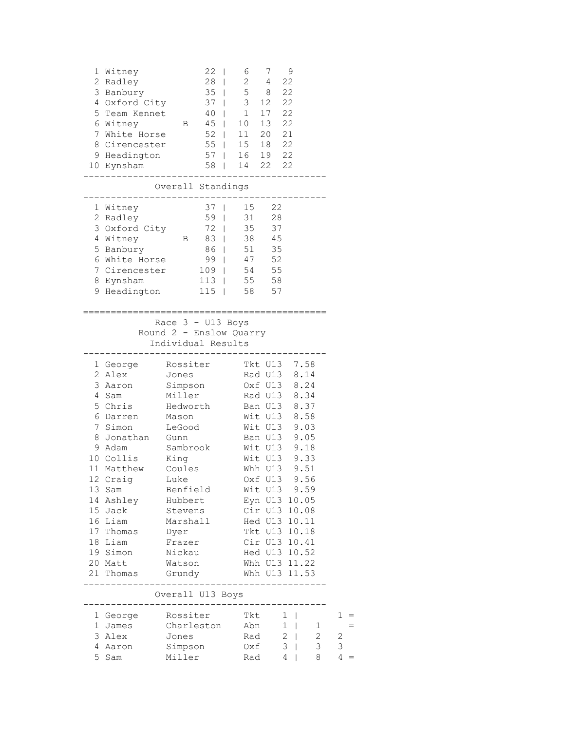| 5<br>8                           | 1 Witney<br>2 Radley<br>3 Banbury<br>4 Oxford City<br>Team Kennet<br>6 Witney<br>7 White Horse<br>Cirencester<br>9 Headington<br>10 Eynsham                                                                                         | $\mathbf{B}$                                                                                                                                                                                                                          | 22<br>$\mathbf{I}$<br>28<br>$\Box$<br>40<br>45                              | 6<br>$2^{\circ}$<br>35   58<br>37   3 12<br>$\begin{array}{ccc} \end{array}$ $\begin{array}{ccc} \end{array}$<br>10<br>52   11<br>55   15 18 22<br>57   16 19 22<br>$58$   14 22 22 | 7<br>4<br>17<br>13<br>20 21                                                                                                                                                                                                                                                                                  | 9<br>22<br>22<br>22<br>22<br>22                                     |                                                              |                      |
|----------------------------------|-------------------------------------------------------------------------------------------------------------------------------------------------------------------------------------------------------------------------------------|---------------------------------------------------------------------------------------------------------------------------------------------------------------------------------------------------------------------------------------|-----------------------------------------------------------------------------|-------------------------------------------------------------------------------------------------------------------------------------------------------------------------------------|--------------------------------------------------------------------------------------------------------------------------------------------------------------------------------------------------------------------------------------------------------------------------------------------------------------|---------------------------------------------------------------------|--------------------------------------------------------------|----------------------|
|                                  |                                                                                                                                                                                                                                     | Overall Standings                                                                                                                                                                                                                     |                                                                             |                                                                                                                                                                                     |                                                                                                                                                                                                                                                                                                              |                                                                     |                                                              |                      |
|                                  | 1 Witney<br>2 Radley<br>3 Oxford City<br>4 Witney<br>5 Banbury<br>6 White Horse<br>7 Cirencester<br>8 Eynsham<br>9 Headington                                                                                                       | B                                                                                                                                                                                                                                     | 37<br>$\mathbf{I}$<br>$59$  <br>$72 \mid$<br>83  <br>$86$  <br>113<br>$115$ | 31<br>35<br>38<br>51<br>99   47<br>$109$   54<br>55<br>58                                                                                                                           | 15 22<br>28<br>37<br>45<br>35<br>52<br>55<br>58<br>57                                                                                                                                                                                                                                                        |                                                                     |                                                              |                      |
|                                  |                                                                                                                                                                                                                                     | Race $3 - U13$ Boys<br>Round 2 - Enslow Quarry<br>Individual Results                                                                                                                                                                  |                                                                             |                                                                                                                                                                                     |                                                                                                                                                                                                                                                                                                              |                                                                     |                                                              |                      |
| 3<br>4<br>5<br>7<br>8<br>14      | 1 George<br>2 Alex<br>Aaron<br>Sam<br>Chris<br>6 Darren<br>Simon<br>Jonathan<br>9 Adam<br>10 Collis<br>11 Matthew<br>12 Craig<br>13 Sam<br>Ashley<br>15 Jack<br>16 Liam<br>17 Thomas<br>18 Liam<br>19 Simon<br>20 Matt<br>21 Thomas | Rossiter<br>Jones<br>Simpson<br>Miller<br>Hedworth<br>Mason<br>LeGood<br>Gunn<br>Sambrook<br>King<br>Coules<br>Luke<br>Benfield<br>Hubbert<br>Stevens<br>Marshall<br>Dyer<br>Frazer<br>Nickau<br>Watson<br>Grundy<br>Overall U13 Boys |                                                                             |                                                                                                                                                                                     | Tkt U13 7.58<br>Rad U13<br>Oxf U13 8.24<br>Rad U13 8.34<br>Ban U13<br>Wit U13<br>Wit U13<br>Ban U13<br>Wit U13<br>Wit U13<br>Whh U13 9.51<br>Oxf U13<br>Wit U13 9.59<br>Eyn U13 10.05<br>Cir U13 10.08<br>Hed U13 10.11<br>Tkt U13 10.18<br>Cir U13 10.41<br>Hed U13 10.52<br>Whh U13 11.22<br>Whh U13 11.53 |                                                                     | 8.14<br>8.37<br>8.58<br>9.03<br>9.05<br>9.18<br>9.33<br>9.56 |                      |
| ı,<br>$\mathbf 1$<br>3<br>4<br>5 | George<br>James<br>Alex<br>Aaron<br>Sam                                                                                                                                                                                             | Rossiter<br>Charleston<br>Jones<br>Simpson<br>Miller                                                                                                                                                                                  |                                                                             |                                                                                                                                                                                     | Tkt<br>Abn<br>Rad<br>Oxf<br>Rad                                                                                                                                                                                                                                                                              | $1 \mid$<br>$1 \mid$<br>$2 \mid$<br>3<br>$\blacksquare$<br>$4 \mid$ | 1<br>$\overline{c}$<br>3<br>8                                | $1 =$<br>2<br>3<br>4 |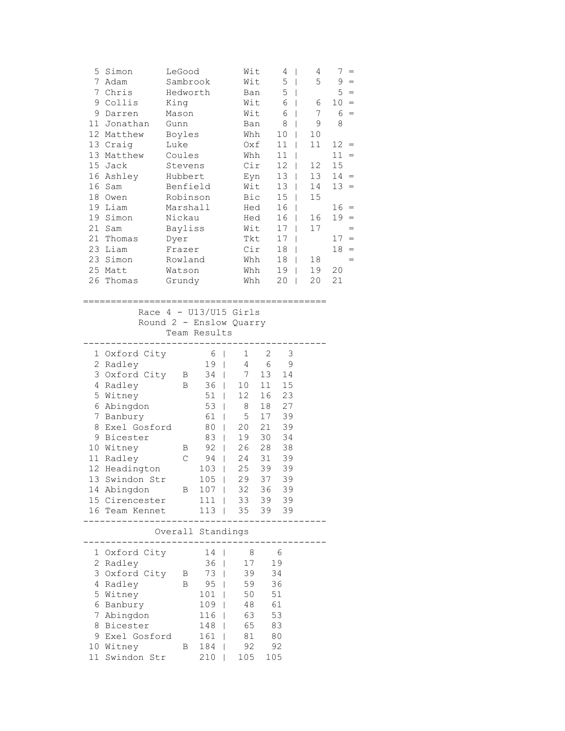| 5<br>Simon<br>7<br>Adam<br>7<br>Chris<br>9<br>Collis<br>9<br>Darren<br>Jonathan<br>11<br>12 Matthew<br>13 Craig<br>13 Matthew<br>15 Jack<br>16 Ashley<br>16<br>Sam<br>18<br>Owen<br>19<br>Liam<br>19<br>Simon<br>21<br>Sam<br>21<br>Thomas<br>23 Liam<br>23 Simon | LeGood<br>Sambrook<br>Hedworth<br>King<br>Mason<br>Gunn<br>Boyles<br>Luke<br>Coules<br>Stevens<br>Hubbert<br>Benfield<br>Robinson<br>Marshall<br>Nickau<br>Bayliss<br>Dyer<br>Frazer<br>Rowland |                                                                                                                                                                                                                                                                          | Wit<br>Wit<br>Ban<br>Wit<br>Wit<br>Ban<br>Whh<br>Oxf<br>Whh<br>Cir<br>Eyn<br>Wit<br>Bic<br>Hed<br>Wit<br>Tkt<br>Cir<br>Whh | Hed                                                                                           | 4<br>$\overline{\phantom{a}}$<br>5<br>$\Box$<br>5<br>$\mathbf{I}$<br>6<br>$\mathbf{I}$<br>6<br>$\mathbf{I}$<br>8<br>L<br>10<br>L<br>11<br>$\mathbf{I}$<br>11<br>$\perp$<br>12<br>$\overline{\phantom{a}}$<br>13<br>$\mathbb{R}$<br>13<br>$\Box$<br>15 <sub>2</sub><br>$\mathbf{I}$<br>16<br>$\mathbf{I}$<br>16<br>L<br>17<br>$\mathbf{I}$<br>17 <sub>1</sub><br>18<br>$\Box$<br>18<br>$\Box$ | 4<br>5<br>6<br>7<br>9<br>10<br>11<br>12<br>13<br>14<br>15<br>16<br>17<br>18 | $7 =$<br>$9 =$<br>$5 =$<br>$10 =$<br>$6 =$<br>8<br>$12 =$<br>$11 =$<br>15<br>$14 =$<br>$13 =$<br>$16 =$<br>$19 =$<br>$=$<br>$17 =$<br>$18 =$ |
|-------------------------------------------------------------------------------------------------------------------------------------------------------------------------------------------------------------------------------------------------------------------|-------------------------------------------------------------------------------------------------------------------------------------------------------------------------------------------------|--------------------------------------------------------------------------------------------------------------------------------------------------------------------------------------------------------------------------------------------------------------------------|----------------------------------------------------------------------------------------------------------------------------|-----------------------------------------------------------------------------------------------|----------------------------------------------------------------------------------------------------------------------------------------------------------------------------------------------------------------------------------------------------------------------------------------------------------------------------------------------------------------------------------------------|-----------------------------------------------------------------------------|----------------------------------------------------------------------------------------------------------------------------------------------|
| 25 Matt<br>26 Thomas                                                                                                                                                                                                                                              | Watson<br>Grundy                                                                                                                                                                                | Race $4 - U13/U15$ Girls                                                                                                                                                                                                                                                 | Whh<br>Whh                                                                                                                 |                                                                                               | 19<br>$\Box$<br>20<br>$\mathbf{I}$                                                                                                                                                                                                                                                                                                                                                           | 19<br>20                                                                    | 20<br>21                                                                                                                                     |
|                                                                                                                                                                                                                                                                   |                                                                                                                                                                                                 | Round 2 - Enslow Quarry<br>Team Results                                                                                                                                                                                                                                  |                                                                                                                            |                                                                                               |                                                                                                                                                                                                                                                                                                                                                                                              |                                                                             |                                                                                                                                              |
| 1 Oxford City<br>2 Radley<br>3<br>Oxford City<br>Radley<br>4<br>5 Witney<br>6 Abingdon<br>7<br>Banbury<br>8<br>Exel Gosford<br>9 Bicester<br>10 Witney<br>11<br>Radley<br>12 Headington<br>13 Swindon Str<br>14 Abingdon<br>15 Cirencester<br>16<br>Team Kennet   | B<br>В<br>Β<br>$\mathsf C$<br>Β                                                                                                                                                                 | 6<br>$\Box$<br>19<br>$\overline{\phantom{a}}$<br>34<br>$\Box$<br>36<br>$\mathbf{I}$<br>51<br>$\mathbb{L}$<br>53<br>L<br>61<br>$\mathbb{L}$<br>80<br>$\mathbf{1}$<br>83<br>$\perp$<br>92<br>$\mathbb{R}$<br>94<br>$\Box$<br>103<br>$\Box$<br>$105$  <br>107<br>111<br>113 | 1<br>4<br>7<br>10<br>12<br>8<br>5<br>20<br>19<br>26<br>24<br>25<br>32<br>33<br>35                                          | 2<br>6<br>13<br>11<br>16<br>18<br>17<br>21<br>30<br>28<br>31<br>39<br>29 37<br>36<br>39<br>39 | 3<br>$\mathsf 9$<br>14<br>15<br>23<br>27<br>39<br>39<br>34<br>38<br>39<br>39<br>39<br>39<br>39<br>39                                                                                                                                                                                                                                                                                         |                                                                             |                                                                                                                                              |
|                                                                                                                                                                                                                                                                   |                                                                                                                                                                                                 | Overall Standings                                                                                                                                                                                                                                                        |                                                                                                                            |                                                                                               |                                                                                                                                                                                                                                                                                                                                                                                              |                                                                             |                                                                                                                                              |
| 1 Oxford City<br>2<br>Radley<br>3<br>Oxford City<br>4<br>Radley<br>5<br>Witney<br>6<br>Banbury<br>7<br>Abingdon<br>8<br>Bicester<br>Exel Gosford<br>9<br>10 Witney<br>Swindon Str<br>11                                                                           | Β<br>В<br>Β                                                                                                                                                                                     | 14<br>36<br>L<br>73<br>95<br>101<br>109<br>116<br>L<br>148<br>161<br>184<br>210                                                                                                                                                                                          | - 8<br>17<br>39<br>59<br>50<br>48<br>63<br>65<br>81<br>92<br>105                                                           | 19<br>34<br>36<br>51<br>61<br>53<br>83<br>80<br>92<br>105                                     | 6                                                                                                                                                                                                                                                                                                                                                                                            |                                                                             |                                                                                                                                              |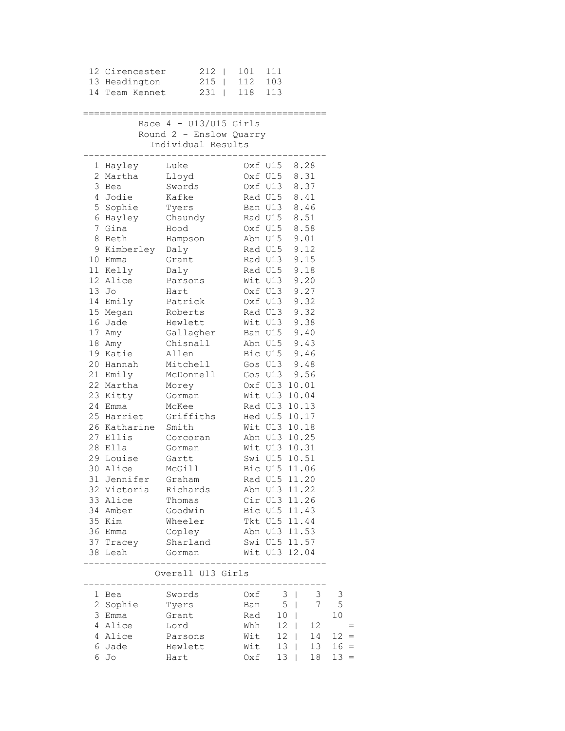| 12 Cirencester       | $212$                         | 101          | 111             |                         |                                         |
|----------------------|-------------------------------|--------------|-----------------|-------------------------|-----------------------------------------|
| 13 Headington        | $215$                         | 112          | 103             |                         |                                         |
| 14 Team Kennet       | $231$                         | 118 113      |                 |                         |                                         |
|                      |                               |              |                 |                         |                                         |
|                      | Race $4 - U13/U15$ Girls      |              |                 |                         |                                         |
|                      | Round 2 - Enslow Quarry       |              |                 |                         |                                         |
|                      | Individual Results            |              |                 |                         |                                         |
|                      |                               |              |                 |                         |                                         |
| 1 Hayley             | Luke                          |              | Oxf U15 8.28    |                         |                                         |
| 2 Martha             | Lloyd                         |              | Oxf U15         | 8.31                    |                                         |
| 3 Bea                | Swords                        |              | Oxf U13 8.37    |                         |                                         |
| 4 Jodie              | Kafke                         |              | Rad U15 8.41    |                         |                                         |
| 5 Sophie             | Tyers                         |              | Ban U13 8.46    |                         |                                         |
| 6 Hayley Chaundy     |                               | Rad U15 8.51 |                 |                         |                                         |
| 7 Gina               | Hood                          |              | Oxf U15 8.58    |                         |                                         |
| 8 Beth               | Hampson                       |              | Abn U15 9.01    |                         |                                         |
| 9 Kimberley Daly     |                               |              | Rad U15         | 9.12                    |                                         |
| 10 Emma              | Grant                         |              | Rad U13         | 9.15                    |                                         |
| 11 Kelly             | Daly                          |              | Rad U15         | 9.18                    |                                         |
| 12 Alice             | Parsons                       |              | Wit U13         | 9.20                    |                                         |
| 13 Jo                | Hart                          |              | Oxf U13 9.27    |                         |                                         |
| 14 Emily             | Patrick                       |              | Oxf U13 9.32    |                         |                                         |
| 15 Megan             | Roberts                       |              | Rad U13 9.32    |                         |                                         |
| 16 Jade              | Hewlett                       |              | Wit U13 9.38    |                         |                                         |
| 17 Amy               | Gallagher                     |              | Ban U15 9.40    |                         |                                         |
| 18 Amy               | Chisnall                      |              | Abn U15 9.43    |                         |                                         |
| 19 Katie             | Allen                         |              | Bic U15 9.46    |                         |                                         |
| 20 Hannah            | Mitchell                      |              | Gos U13 9.48    |                         |                                         |
| 21 Emily             | McDonnell                     |              | Gos U13         | 9.56                    |                                         |
| 22 Martha            | Morey                         |              | Oxf U13 10.01   |                         |                                         |
| 23 Kitty             | Gorman                        |              | Wit U13 10.04   |                         |                                         |
| 24 Emma              | McKee                         |              | Rad U13 10.13   |                         |                                         |
| 25 Harriet           | Griffiths                     |              | Hed U15 10.17   |                         |                                         |
| 26 Katharine Smith   |                               |              | Wit U13 10.18   |                         |                                         |
| 27 Ellis             | Corcoran                      |              | Abn U13 10.25   |                         |                                         |
| 28 Ella              | Gorman                        |              | Wit U13 10.31   |                         |                                         |
| 29 Louise            | Gartt                         |              | Swi U15 10.51   |                         |                                         |
| 30 Alice             | McGill                        |              | Bic U15 11.06   |                         |                                         |
| 31 Jennifer          | Graham                        |              | Rad U15 11.20   |                         |                                         |
| 32 Victoria Richards |                               |              | Abn U13 11.22   |                         |                                         |
| 33 Alice             | Thomas                        |              | Cir U13 11.26   |                         |                                         |
| 34 Amber             | Goodwin                       |              | Bic U15 11.43   |                         |                                         |
| 35 Kim               | Wheeler                       |              | Tkt U15 11.44   |                         |                                         |
| 36 Emma              | Copley                        |              | Abn U13 11.53   |                         |                                         |
| 37 Tracey<br>38 Leah | Sharland                      |              | Swi U15 11.57   |                         |                                         |
|                      | Gorman                        |              | Wit U13 12.04   |                         |                                         |
|                      | Overall U13 Girls             |              |                 | _______________________ |                                         |
|                      | ----------------------------- | Oxf          |                 |                         |                                         |
| 1 Bea                | Swords                        |              | 3 <sup>1</sup>  | 3<br>$7\phantom{.0}$    | $\overline{\phantom{a}}$<br>$5^{\circ}$ |
| 2 Sophie             | Tyers                         |              | Ban 5           |                         |                                         |
| 3 Emma               | Grant                         | Rad          | 10 <sup>1</sup> |                         | 10                                      |
| 4 Alice<br>4 Alice   | Lord<br>Parsons               | Whh<br>Wit   |                 | 12   12<br>12   14      | $12 =$                                  |
|                      |                               |              |                 |                         |                                         |

 6 Jade Hewlett Wit 13 | 13 16 = 6 Jo Hart Oxf 13 | 18 13 =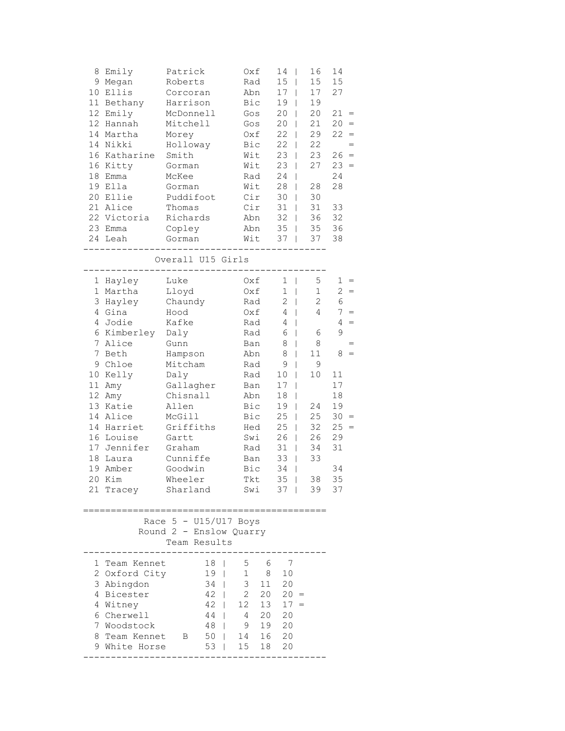| 8<br>9<br>10<br>11<br>12<br>12<br>18<br>19                                | Emily<br>Megan<br>Ellis<br>Bethany<br>Emily<br>Hannah<br>14 Martha<br>14 Nikki<br>16 Katharine<br>16 Kitty<br>Emma<br>Ella                                                                                      | Patrick<br>Roberts<br>Corcoran<br>Harrison<br>McDonnell<br>Mitchell<br>Morey<br>Holloway<br>Smith<br>Gorman<br>McKee<br>Gorman                                                                | Oxf<br>Rad<br>Abn<br>Bic<br>Gos<br>Gos<br>Oxf<br>Bic<br>Wit<br>Wit<br>Rad<br>Wit                                                                | 14<br>I<br>15<br>$\overline{\phantom{a}}$<br>17<br>$\mathbf{I}$<br>19<br>T<br>20<br>20<br>22<br>T<br>22<br>L<br>23<br>$\mathbf{I}$<br>23<br>$\Box$<br>24<br>$\perp$<br>28<br>$\overline{\phantom{a}}$                                                                                                     | 16<br>15<br>17<br>19<br>20<br>21<br>29<br>22<br>23<br>27<br>28                                                 | 14<br>15<br>27<br>$21 =$<br>$20 =$<br>22<br>$=$<br>$=$<br>$26 =$<br>$23 =$<br>24<br>28                                                                         |
|---------------------------------------------------------------------------|-----------------------------------------------------------------------------------------------------------------------------------------------------------------------------------------------------------------|-----------------------------------------------------------------------------------------------------------------------------------------------------------------------------------------------|-------------------------------------------------------------------------------------------------------------------------------------------------|-----------------------------------------------------------------------------------------------------------------------------------------------------------------------------------------------------------------------------------------------------------------------------------------------------------|----------------------------------------------------------------------------------------------------------------|----------------------------------------------------------------------------------------------------------------------------------------------------------------|
| 20<br>21                                                                  | Ellie<br>Alice<br>22 Victoria<br>23 Emma<br>24 Leah                                                                                                                                                             | Puddifoot<br>Thomas<br>Richards<br>Copley<br>Gorman                                                                                                                                           | Cir<br>Cir<br>Abn<br>Abn<br>Wit                                                                                                                 | 30<br>$\overline{\phantom{a}}$<br>31<br>L<br>32<br>L<br>35<br>L<br>37<br>$\mathbf{I}$                                                                                                                                                                                                                     | 30<br>31<br>36<br>35<br>37                                                                                     | 33<br>32<br>36<br>38                                                                                                                                           |
| 1                                                                         | Hayley                                                                                                                                                                                                          | Overall U15 Girls<br>Luke                                                                                                                                                                     | Oxf                                                                                                                                             | 1<br>$\mathbf{I}$                                                                                                                                                                                                                                                                                         | 5                                                                                                              | 1                                                                                                                                                              |
| 1<br>3<br>4<br>4<br>7<br>7<br>9<br>10<br>11<br>12<br>13<br>14<br>18<br>19 | Martha<br>Hayley<br>Gina<br>Jodie<br>6 Kimberley<br>Alice<br>Beth<br>Chloe<br>Kelly<br>Amy<br>Amy<br>Katie<br>Alice<br>14 Harriet<br>16 Louise<br>17 Jennifer<br>Laura<br>Amber<br>20 Kim<br>21 Tracey Sharland | Lloyd<br>Chaundy<br>Hood<br>Kafke<br>Daly<br>Gunn<br>Hampson<br>Mitcham<br>Daly<br>Gallagher<br>Chisnall<br>Allen<br>McGill<br>Griffiths<br>Gartt<br>Graham<br>Cunniffe<br>Goodwin<br>Wheeler | Oxf<br>Rad<br>Oxf<br>Rad<br>Rad<br>Ban<br>Abn<br>Rad<br>Rad<br>Ban<br>Abn<br>Bic<br>Bic<br>Hed<br>Swi<br>Rad<br>Ban<br>Bic<br><b>Tkt</b><br>Swi | $\mathbf{1}$<br>$\mathbf{I}$<br>2<br>$\perp$<br>4<br>L<br>4<br>L<br>6<br>L<br>8<br>$\mathbf{I}$<br>8<br>T<br>9<br>$\overline{\phantom{a}}$<br>10<br>$\mathbf{I}$<br>17<br>T<br>18<br>19<br>25<br>T<br>25<br>$\mathbf{I}$<br>26<br>$\Box$<br>31<br>$\Box$<br>33<br>$\mathbf{I}$<br>34<br>T<br>$35$  <br>37 | $\mathbf{1}$<br>$\overline{c}$<br>4<br>6<br>8<br>11<br>9<br>10<br>24<br>25<br>32<br>26<br>34<br>33<br>38<br>39 | $=$<br>$\overline{c}$<br>6<br>7<br>$=$<br>$\overline{4}$<br>$=$<br>9<br>8<br>11<br>17<br>18<br>19<br>30<br>$=$<br>25<br>$\equiv$<br>29<br>31<br>34<br>35<br>37 |
|                                                                           |                                                                                                                                                                                                                 | Race $5 - U15/U17$ Boys<br>Round 2 - Enslow Quarry<br>Team Results                                                                                                                            |                                                                                                                                                 |                                                                                                                                                                                                                                                                                                           |                                                                                                                |                                                                                                                                                                |
| 8                                                                         | 1 Team Kennet<br>2 Oxford City<br>3 Abingdon<br>4 Bicester<br>4 Witney<br>6 Cherwell<br>7 Woodstock<br>Team Kennet B<br>9 White Horse                                                                           | 18<br>L<br>19<br>$\mathbf{I}$<br>34<br>$\mathbf{L}$<br>42<br>$\mathbf{L}$<br>42<br>44<br>$\mathbf{1}$<br>48<br>$\mathbf{L}$<br>$50 \mid$<br>53<br>$\mathbf{I}$                                | 5 6<br>$1 \quad 8$<br>3 <sup>7</sup><br>11<br>$2^{\circ}$<br>20<br>12<br>$\mathbf{L}$<br>20<br>4<br>19<br>9<br>16<br>14<br>15<br>18             | - 7<br>10<br>20<br>$20 =$<br>$13 \quad 17 =$<br>20<br>20<br>20<br>20                                                                                                                                                                                                                                      |                                                                                                                |                                                                                                                                                                |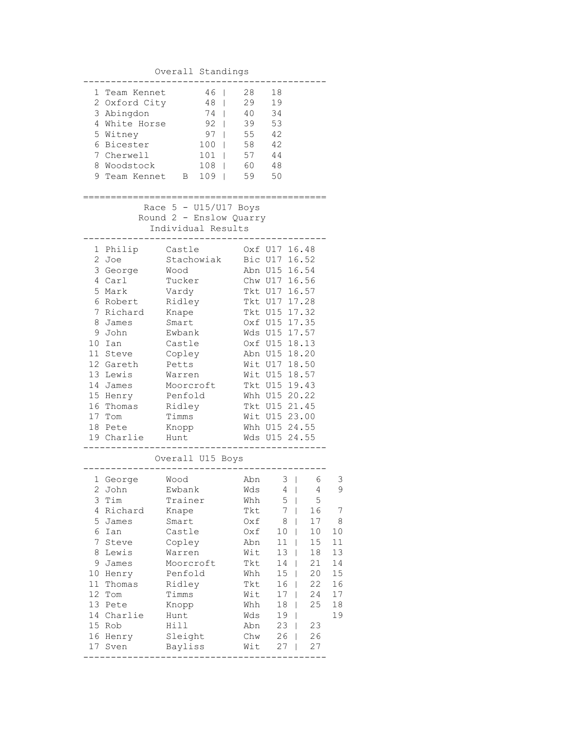## Overall Standings

|              | 1 Team Kennet | 46                      | 28  | 18            |    |    |
|--------------|---------------|-------------------------|-----|---------------|----|----|
|              | 2 Oxford City | 48<br>$\mathbf{I}$      | 29  | 19            |    |    |
|              | 3 Abingdon    | 74                      | 40  | 34            |    |    |
|              | 4 White Horse | $92 \quad \square$      |     |               |    |    |
|              |               |                         | 39  | 53            |    |    |
|              | 5 Witney      | $97 \mid$               | 55  | 42            |    |    |
|              | 6 Bicester    | $100$                   | 58  | 42            |    |    |
|              | 7 Cherwell    | $101$                   | 57  | 44            |    |    |
|              | 8 Woodstock   | $108$                   | 60  | 48            |    |    |
| 9            | Team Kennet B | $109$                   | 59  | 50            |    |    |
|              |               |                         |     |               |    |    |
|              |               |                         |     |               |    |    |
|              |               | Race $5 - U15/U17$ Boys |     |               |    |    |
|              |               | Round 2 - Enslow Quarry |     |               |    |    |
|              |               |                         |     |               |    |    |
|              |               | Individual Results      |     |               |    |    |
|              |               |                         |     |               |    |    |
|              | 1 Philip      | Castle                  |     | Oxf U17 16.48 |    |    |
| $\mathbf{2}$ | Joe           | Stachowiak              |     | Bic U17 16.52 |    |    |
|              | 3 George      | Wood                    |     | Abn U15 16.54 |    |    |
|              | 4 Carl        | Tucker                  |     | Chw U17 16.56 |    |    |
| 5            | Mark          | Vardy                   |     | Tkt U17 16.57 |    |    |
| 6            | Robert        | Ridley                  |     | Tkt U17 17.28 |    |    |
| 7            | Richard       | Knape                   |     | Tkt U15 17.32 |    |    |
| 8            | James         | Smart                   |     | Oxf U15 17.35 |    |    |
| 9            | John          | Ewbank                  |     | Wds U15 17.57 |    |    |
| 10           | Ian           | Castle                  |     | Oxf U15 18.13 |    |    |
|              |               |                         |     |               |    |    |
|              | 11 Steve      | Copley                  |     | Abn U15 18.20 |    |    |
|              | 12 Gareth     | Petts                   |     | Wit U17 18.50 |    |    |
|              | 13 Lewis      | Warren                  |     | Wit U15 18.57 |    |    |
|              | 14 James      | Moorcroft               |     | Tkt U15 19.43 |    |    |
|              | 15 Henry      | Penfold                 |     | Whh U15 20.22 |    |    |
|              | 16 Thomas     | Ridley                  |     | Tkt U15 21.45 |    |    |
|              | 17 Tom        | Timms                   |     | Wit U15 23.00 |    |    |
|              | 18 Pete       | Knopp                   |     | Whh U15 24.55 |    |    |
|              | 19 Charlie    | Hunt                    |     | Wds U15 24.55 |    |    |
|              |               |                         |     |               |    |    |
|              |               | Overall U15 Boys        |     |               |    |    |
|              |               |                         |     |               |    |    |
|              | 1 George      | Wood                    | Abn | $3 \mid$      | 6  | З  |
|              | 2 John        | Ewbank                  | Wds | 4             | 4  | 9  |
| 3            | Tim           | Trainer                 | Whh | 5             | 5  |    |
| 4            | Richard       | Knape                   | Tkt | 7             | 16 | 7  |
| 5            |               |                         |     | 8             | 17 |    |
|              | James         | Smart                   | Oxf |               |    | 8  |
| 6            | Ian           | Castle                  | Oxf | 10            | 10 | 10 |
| 7            | Steve         | Copley                  | Abn | 11<br>I       | 15 | 11 |
| 8            | Lewis         | Warren                  | Wit | 13<br>I       | 18 | 13 |
| 9            | James         | Moorcroft               | Tkt | 14<br>I       | 21 | 14 |
| 10           | Henry         | Penfold                 | Whh | 15            | 20 | 15 |
| 11           | Thomas        | Ridley                  | Tkt | 16            | 22 | 16 |
| 12           | Tom           | Timms                   | Wit | 17            | 24 | 17 |
| 13           | Pete          | Knopp                   | Whh | 18            | 25 | 18 |
| 14           |               |                         |     |               |    |    |
|              | Charlie       | Hunt                    | Wds | 19            |    | 19 |
| 15           | Rob           | Hill                    | Abn | 23            | 23 |    |
| 16           | Henry         | Sleight                 | Chw | 26            | 26 |    |
| 17           | Sven          | Bayliss                 | Wit | 27            | 27 |    |
|              |               |                         |     |               |    |    |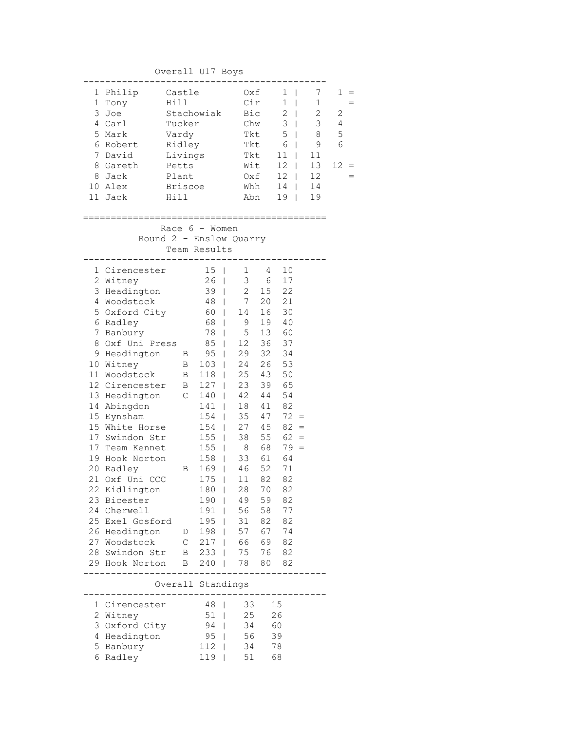Overall U17 Boys

|    | 1 Philip | Castle         | Oxf  | 1             |    |    |
|----|----------|----------------|------|---------------|----|----|
|    | Tony     | Hill           | Cir  | 1             | 1  |    |
|    | 3 Joe    | Stachowiak     | Bic  | $\mathcal{L}$ | 2  | 2  |
| 4  | Carl     | Tucker         | Chw  | 3             | 3  | 4  |
|    | 5 Mark   | Vardy          | Tkt. | 5             | 8  | 5  |
|    | 6 Robert | Ridley         | Tkt. | 6             | 9  | 6  |
|    | 7 David  | Livings        | Tkt. | 11            | 11 |    |
| 8  | Gareth   | Petts          | Wit  | 12            | 13 | 12 |
| 8  | Jack     | Plant          | Oxf  | 12            | 12 |    |
| 10 | Alex     | <b>Briscoe</b> | Whh  | 14            | 14 |    |
|    | Jack     | Hi 11          | Abn  | 19            | 19 |    |
|    |          |                |      |               |    |    |

============================================

 Race 6 - Women Round 2 - Enslow Quarry Team Results

|                 | 1 Cirencester                |   | 15  |                          | $1 \quad \blacksquare$ | 4  | 10     |  |
|-----------------|------------------------------|---|-----|--------------------------|------------------------|----|--------|--|
|                 | 2 Witney                     |   | 26  | $\overline{\phantom{a}}$ | 3                      | 6  | 17     |  |
| 3               | Headington                   |   | 39  | $\overline{\phantom{a}}$ | $2^{\circ}$            | 15 | 22     |  |
|                 | 4 Woodstock                  |   | 48  | $\overline{\phantom{a}}$ | 7 <sup>7</sup>         | 20 | 21     |  |
|                 | 5 Oxford City                |   | 60  | $\overline{1}$           | 14                     | 16 | 30     |  |
|                 | 6 Radley                     |   | 68  | $\overline{\phantom{a}}$ | 9                      | 19 | 40     |  |
|                 | 7 Banbury                    |   | 78  | I                        | 5                      | 13 | 60     |  |
| 8               | Oxf Uni Press                |   | 85  | $\overline{\phantom{a}}$ | 12 <sup>7</sup>        | 36 | 37     |  |
|                 | 9 Headington B               |   | 95  | $\overline{\phantom{a}}$ | 29                     | 32 | 34     |  |
|                 | 10 Witney<br>$\overline{B}$  |   | 103 | $\overline{\phantom{a}}$ | 24                     | 26 | 53     |  |
| 11              | Woodstock B                  |   | 118 | $\overline{\phantom{a}}$ | 25 43                  |    | 50     |  |
|                 | 12 Cirencester B             |   | 127 | $\overline{\phantom{a}}$ | 23                     | 39 | 65     |  |
|                 | 13 Headington C              |   | 140 | $\overline{\phantom{a}}$ | 42 44                  |    | 54     |  |
| 14              | Abingdon                     |   | 141 | $\mathbf{I}$             | 18                     | 41 | 82     |  |
| 15 <sub>1</sub> | Eynsham                      |   | 154 | $\overline{\phantom{a}}$ | 35                     | 47 | $72 =$ |  |
|                 | 15 White Horse               |   | 154 | $\overline{\phantom{a}}$ | 27                     | 45 | $82 =$ |  |
|                 | 17 Swindon Str               |   | 155 | $\overline{1}$           | 38                     | 55 | $62 =$ |  |
|                 | 17 Team Kennet               |   | 155 | $\overline{\phantom{a}}$ | 8                      | 68 | $79 =$ |  |
| 19              | Hook Norton                  |   | 158 | $\overline{1}$           | 33                     | 61 | 64     |  |
|                 | 20 Radley                    | B | 169 | $\overline{1}$           | 46                     | 52 | 71     |  |
|                 | 21 Oxf Uni CCC               |   | 175 | $\overline{\phantom{a}}$ | 11                     | 82 | 82     |  |
|                 | 22 Kidlington                |   | 180 | $\overline{1}$           | 28                     | 70 | 82     |  |
|                 | 23 Bicester                  |   | 190 | $\overline{1}$           | 49                     | 59 | 82     |  |
|                 | 24 Cherwell                  |   | 191 | $\overline{\phantom{a}}$ | 56                     | 58 | 77     |  |
|                 | 25 Exel Gosford              |   | 195 | $\overline{\phantom{a}}$ | 31                     | 82 | 82     |  |
|                 | 26 Headington D              |   | 198 | $\overline{\phantom{a}}$ | 57                     | 67 | 74     |  |
|                 | 27 Woodstock C 217           |   |     |                          | 66 69                  |    | 82     |  |
|                 | 28 Swindon Str B 233         |   |     |                          | 75 76                  |    | 82     |  |
|                 | 29 Hook Norton B 240   78 80 |   |     |                          |                        |    | 82     |  |
|                 | Overall Standings            |   |     |                          |                        |    |        |  |
|                 |                              |   |     |                          |                        |    |        |  |
|                 | 1 Cirencester                |   | 48  | $\overline{\phantom{a}}$ | 33                     |    | 15     |  |
|                 | 2 Witney                     |   | 51  | $\overline{\phantom{a}}$ | 25                     |    | 26     |  |
| 3               | Oxford City                  |   | 94  | $\overline{\phantom{a}}$ | 34                     |    | 60     |  |

 4 Headington 95 | 56 39 5 Banbury 112 | 34 78 6 Radley 119 | 51 68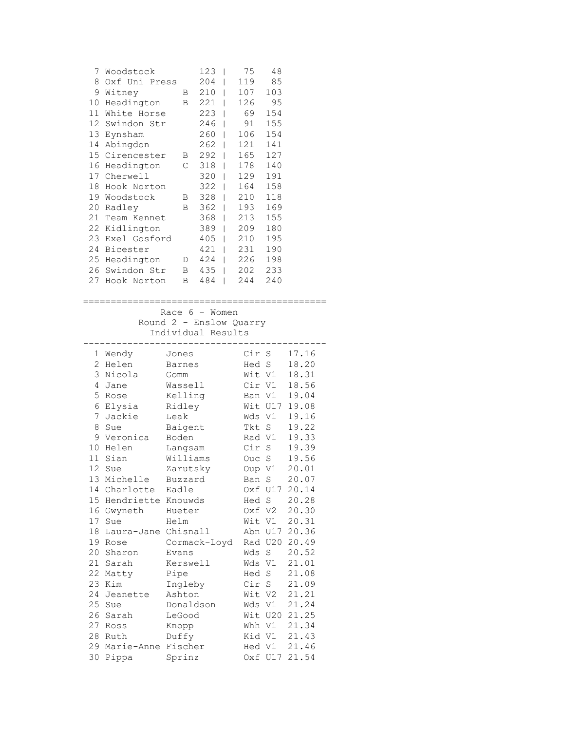|                 | 7 Woodstock<br>8 Oxf Uni Press<br>9 Witney<br>10 Headington<br>11 White Horse<br>12 Swindon Str<br>13 Eynsham<br>14 Abingdon<br>15 Cirencester B 292  <br>16 Headington<br>17 Cherwell<br>18 Hook Norton<br>19 Woodstock<br>20 Radley<br>21 Team Kennet<br>22 Kidlington<br>23 Exel Gosford<br>24 Bicester<br>25 Headington D 424   226 198<br>26 Swindon Str B 435   202 233<br>27 Hook Norton |         | $123 \mid$<br>$204$  <br>B 210  <br>B 221  <br>223  <br>$246$  <br>$260$  <br>262   121<br>$C$ 318  <br>$320$  <br>$322$  <br>B 328  <br>B 362   193<br>368   213<br>389   209<br>405   210<br>421   231<br>B 484<br>$\Box$ | 75<br>119<br>107<br>126<br>69<br>91<br>106<br>165<br>178 140<br>129<br>164<br>210<br>244 | 48<br>85<br>103<br>95<br>154<br>155<br>154<br>141<br>127<br>191<br>158<br>118<br>169<br>155<br>180<br>195<br>190<br>240 |                              |  |
|-----------------|-------------------------------------------------------------------------------------------------------------------------------------------------------------------------------------------------------------------------------------------------------------------------------------------------------------------------------------------------------------------------------------------------|---------|-----------------------------------------------------------------------------------------------------------------------------------------------------------------------------------------------------------------------------|------------------------------------------------------------------------------------------|-------------------------------------------------------------------------------------------------------------------------|------------------------------|--|
|                 |                                                                                                                                                                                                                                                                                                                                                                                                 |         | Race $6 -$ Women                                                                                                                                                                                                            |                                                                                          |                                                                                                                         |                              |  |
|                 |                                                                                                                                                                                                                                                                                                                                                                                                 |         | Round 2 - Enslow Quarry<br>Individual Results                                                                                                                                                                               |                                                                                          |                                                                                                                         |                              |  |
|                 | 1 Wendy                                                                                                                                                                                                                                                                                                                                                                                         | Jones   |                                                                                                                                                                                                                             |                                                                                          | Cir S                                                                                                                   | 17.16                        |  |
|                 | 2 Helen                                                                                                                                                                                                                                                                                                                                                                                         | Barnes  |                                                                                                                                                                                                                             |                                                                                          | Hed S                                                                                                                   | 18.20                        |  |
|                 | 3 Nicola                                                                                                                                                                                                                                                                                                                                                                                        | Gomm    |                                                                                                                                                                                                                             |                                                                                          |                                                                                                                         |                              |  |
|                 | 4 Jane                                                                                                                                                                                                                                                                                                                                                                                          | Wassell |                                                                                                                                                                                                                             |                                                                                          |                                                                                                                         | Wit V1 18.31<br>Cir V1 18.56 |  |
|                 | 5 Rose                                                                                                                                                                                                                                                                                                                                                                                          | Kelling |                                                                                                                                                                                                                             |                                                                                          |                                                                                                                         | Ban V1 19.04                 |  |
|                 | 6 Elysia                                                                                                                                                                                                                                                                                                                                                                                        | Ridley  |                                                                                                                                                                                                                             |                                                                                          |                                                                                                                         | Wit U17 19.08                |  |
|                 | 7 Jackie                                                                                                                                                                                                                                                                                                                                                                                        | Leak    |                                                                                                                                                                                                                             |                                                                                          | Wds V1                                                                                                                  | 19.16                        |  |
|                 | 8 Sue                                                                                                                                                                                                                                                                                                                                                                                           | Baigent |                                                                                                                                                                                                                             |                                                                                          | Tkt S                                                                                                                   | 19.22                        |  |
|                 | 9 Veronica                                                                                                                                                                                                                                                                                                                                                                                      | Boden   |                                                                                                                                                                                                                             |                                                                                          | Rad V1                                                                                                                  | 19.33                        |  |
|                 | 10 Helen                                                                                                                                                                                                                                                                                                                                                                                        | Langsam |                                                                                                                                                                                                                             |                                                                                          | Cir S                                                                                                                   | 19.39                        |  |
|                 | 11 Sian                                                                                                                                                                                                                                                                                                                                                                                         |         | Williams                                                                                                                                                                                                                    |                                                                                          | Ouc S                                                                                                                   | 19.56                        |  |
| 12 <sup>7</sup> | Sue                                                                                                                                                                                                                                                                                                                                                                                             |         | Zarutsky                                                                                                                                                                                                                    | Oup V1                                                                                   |                                                                                                                         | 20.01                        |  |
|                 | 13 Michelle                                                                                                                                                                                                                                                                                                                                                                                     | Buzzard |                                                                                                                                                                                                                             | Ban S                                                                                    |                                                                                                                         | 20.07                        |  |
|                 | 14 Charlotte                                                                                                                                                                                                                                                                                                                                                                                    | Eadle   |                                                                                                                                                                                                                             |                                                                                          | Oxf U17                                                                                                                 | 20.14                        |  |
|                 | 15 Hendriette Knouwds                                                                                                                                                                                                                                                                                                                                                                           |         |                                                                                                                                                                                                                             | Hed S                                                                                    |                                                                                                                         | 20.28                        |  |
|                 | 16 Gwyneth                                                                                                                                                                                                                                                                                                                                                                                      | Hueter  |                                                                                                                                                                                                                             |                                                                                          | Oxf V2                                                                                                                  | 20.30                        |  |
|                 | 17 Sue                                                                                                                                                                                                                                                                                                                                                                                          | Helm    |                                                                                                                                                                                                                             |                                                                                          | Wit V1                                                                                                                  | 20.31                        |  |
|                 | 18 Laura-Jane Chisnall                                                                                                                                                                                                                                                                                                                                                                          |         |                                                                                                                                                                                                                             |                                                                                          | Abn U17                                                                                                                 | 20.36                        |  |
|                 | 19 Rose                                                                                                                                                                                                                                                                                                                                                                                         |         | Cormack-Loyd                                                                                                                                                                                                                |                                                                                          |                                                                                                                         | Rad U20 20.49                |  |
|                 | 20 Sharon                                                                                                                                                                                                                                                                                                                                                                                       | Evans   |                                                                                                                                                                                                                             | Wds S                                                                                    |                                                                                                                         | 20.52                        |  |
|                 | 21 Sarah                                                                                                                                                                                                                                                                                                                                                                                        |         | Kerswell                                                                                                                                                                                                                    | Wds V1                                                                                   |                                                                                                                         | 21.01                        |  |
|                 | 22 Matty                                                                                                                                                                                                                                                                                                                                                                                        | Pipe    |                                                                                                                                                                                                                             | Hed S                                                                                    |                                                                                                                         | 21.08                        |  |
|                 | 23 Kim                                                                                                                                                                                                                                                                                                                                                                                          | Ingleby |                                                                                                                                                                                                                             | Cir S                                                                                    |                                                                                                                         | 21.09                        |  |
|                 | 24 Jeanette                                                                                                                                                                                                                                                                                                                                                                                     | Ashton  |                                                                                                                                                                                                                             | Wit V2                                                                                   |                                                                                                                         | 21.21                        |  |
|                 | 25 Sue                                                                                                                                                                                                                                                                                                                                                                                          |         | Donaldson                                                                                                                                                                                                                   | Wds V1                                                                                   |                                                                                                                         | 21.24                        |  |
|                 | 26 Sarah                                                                                                                                                                                                                                                                                                                                                                                        | LeGood  |                                                                                                                                                                                                                             |                                                                                          | Wit U20                                                                                                                 | 21.25                        |  |
|                 | 27 Ross                                                                                                                                                                                                                                                                                                                                                                                         | Knopp   |                                                                                                                                                                                                                             | Whh V1                                                                                   |                                                                                                                         | 21.34                        |  |
|                 | 28 Ruth                                                                                                                                                                                                                                                                                                                                                                                         | Duffy   |                                                                                                                                                                                                                             | Kid V1                                                                                   |                                                                                                                         | 21.43                        |  |
|                 | 29 Marie-Anne Fischer                                                                                                                                                                                                                                                                                                                                                                           |         |                                                                                                                                                                                                                             | Hed V1                                                                                   |                                                                                                                         | 21.46                        |  |
|                 | 30 Pippa                                                                                                                                                                                                                                                                                                                                                                                        | Sprinz  |                                                                                                                                                                                                                             |                                                                                          |                                                                                                                         | Oxf U17 21.54                |  |
|                 |                                                                                                                                                                                                                                                                                                                                                                                                 |         |                                                                                                                                                                                                                             |                                                                                          |                                                                                                                         |                              |  |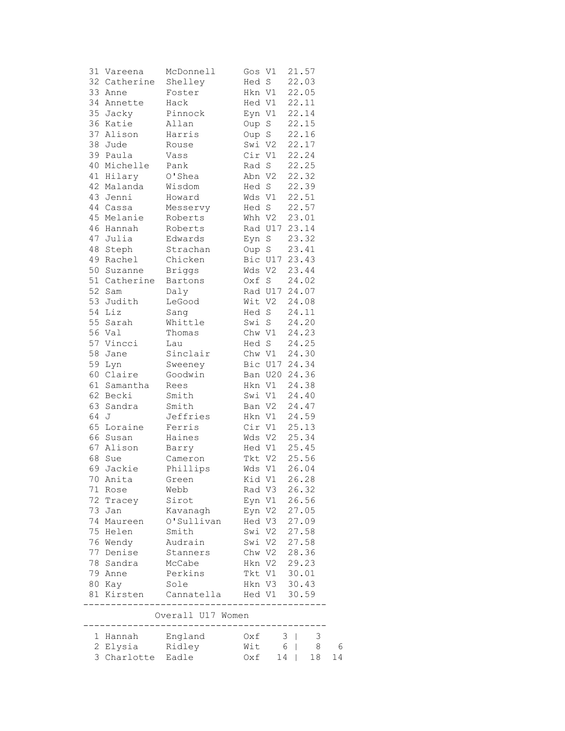|    | 31 Vareena        | McDonnell         | Gos V1        | 21.57               |    |
|----|-------------------|-------------------|---------------|---------------------|----|
|    | 32 Catherine      | Shelley           | Hed S         | 22.03               |    |
| 33 | Anne              | Foster            | Hkn V1        | 22.05               |    |
| 34 | Annette           | Hack              | Hed V1        | 22.11               |    |
|    | 35 Jacky          | Pinnock           | Eyn V1        | 22.14               |    |
|    | 36 Katie          | Allan             | Oup S         | 22.15               |    |
| 37 | Alison            | Harris            | Oup S         | 22.16               |    |
| 38 | Jude              | Rouse             | Swi V2        | 22.17               |    |
|    | 39 Paula          | Vass              | Cir V1        | 22.24               |    |
|    | 40 Michelle       | Pank              | Rad S         | 22.25               |    |
|    | 41 Hilary         | O'Shea            | Abn V2        | 22.32               |    |
|    | 42 Malanda        | Wisdom            | Hed S         | 22.39               |    |
| 43 | Jenni             | Howard            | Wds Vl        | 22.51               |    |
|    | 44 Cassa          | Messervy          | Hed S         | 22.57               |    |
|    | 45 Melanie        | Roberts           | Whh V2        | 23.01               |    |
|    | 46 Hannah         | Roberts           | Rad U17       | 23.14               |    |
|    | 47 Julia          | Edwards           | Eyn S         | 23.32               |    |
| 48 | Steph             | Strachan          | Oup S         | 23.41               |    |
| 49 | Rachel            | Chicken           | Bic U17 23.43 |                     |    |
| 50 | Suzanne           | <b>Briggs</b>     | Wds V2        | 23.44               |    |
|    | 51 Catherine      | Bartons           | Oxf S         | 24.02               |    |
| 52 | Sam               | Daly              | Rad U17 24.07 |                     |    |
| 53 | Judith            | LeGood            | Wit V2        | 24.08               |    |
| 54 | Liz               | Sang              | Hed S         | 24.11               |    |
| 55 | Sarah             | Whittle           | Swi S         | 24.20               |    |
|    | 56 Val            | Thomas            | Chw V1        | 24.23               |    |
|    | 57 Vincci         | Lau               | Hed S         | 24.25               |    |
| 58 | Jane              | Sinclair          | Chw V1        | 24.30               |    |
| 59 | Lyn               | Sweeney           | Bic U17 24.34 |                     |    |
| 60 | Claire            | Goodwin           | Ban U20 24.36 |                     |    |
|    | 61 Samantha       | Rees              | Hkn V1        | 24.38               |    |
| 62 | Becki             | Smith             | Swi V1        | 24.40               |    |
| 63 | Sandra            | Smith             | Ban V2        | 24.47               |    |
| 64 | J                 | Jeffries          | Hkn V1        | 24.59               |    |
| 65 | Loraine           | Ferris            | Cir V1        | 25.13               |    |
|    | 66 Susan          | Haines            | Wds V2        | 25.34               |    |
|    | 67 Alison         | Barry             | Hed V1        | 25.45               |    |
| 68 | Sue               | Cameron           | Tkt V2        | 25.56               |    |
| 69 | Jackie            | Phillips          | Wds V1        | 26.04               |    |
|    | 70 Anita          | Green             | Kid V1 26.28  |                     |    |
|    | 71 Rose           | Webb              | Rad V3        | 26.32               |    |
| 72 | Tracey            | Sirot             | Eyn V1        | 26.56               |    |
| 73 | Jan               | Kavanagh          | Eyn V2        | 27.05               |    |
| 74 | Maureen           | O'Sullivan        | Hed V3        | 27.09               |    |
| 75 | Helen             | Smith             | Swi V2        | 27.58               |    |
|    | 76 Wendy          | Audrain           | Swi V2        | 27.58               |    |
|    | 77 Denise         | Stanners          | Chw V2        | 28.36               |    |
| 78 | Sandra            | McCabe            | Hkn V2        | 29.23               |    |
|    | 79 Anne           | Perkins           | Tkt V1        | 30.01               |    |
|    | 80 Kay            | Sole              | Hkn V3 30.43  |                     |    |
|    | 81 Kirsten        | Cannatella        | Hed V1        | 30.59               |    |
|    |                   | Overall U17 Women |               |                     |    |
|    | 1 Hannah          | England           | Oxf           | 3<br>3              |    |
|    | 2 Elysia          | Ridley            | Wit           | 6 <sup>1</sup><br>8 | 6  |
|    | 3 Charlotte Eadle |                   | Oxf           | 14<br>18            | 14 |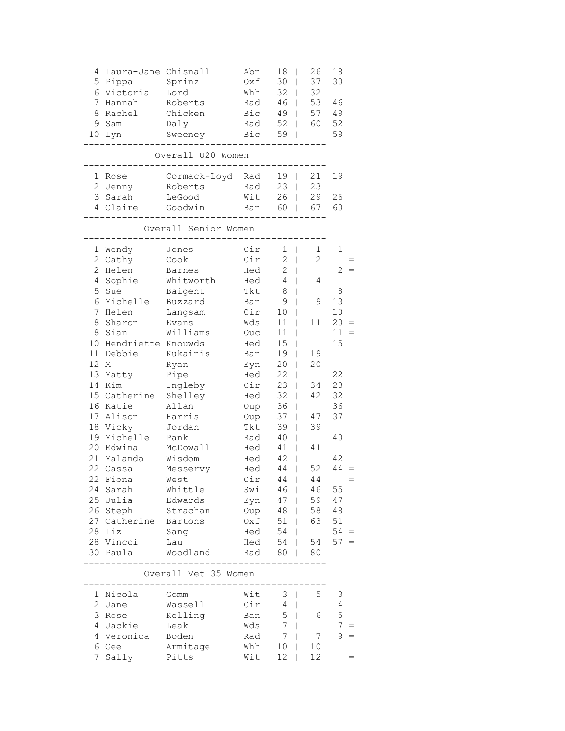| 4<br>5               | Laura-Jane Chisnall<br>Pippa | Sprinz               | Abn<br>Oxf | 18<br>30                       | 26<br>37       | 18<br>30        |  |  |  |  |
|----------------------|------------------------------|----------------------|------------|--------------------------------|----------------|-----------------|--|--|--|--|
| 6                    | Victoria                     | Lord                 | Whh        | 32                             | 32             |                 |  |  |  |  |
| 7                    | Hannah                       | Roberts              | Rad        | 46<br>L                        | 53             | 46              |  |  |  |  |
| 8                    | Rachel                       | Chicken              | Bic        | 49                             | 57             | 49              |  |  |  |  |
|                      |                              |                      |            | 52                             |                | 52              |  |  |  |  |
| 9                    | Sam                          | Daly                 | Rad        | $\mathbf{I}$                   | 60             |                 |  |  |  |  |
| 10                   | Lyn                          | Sweeney              | Bic        | 59<br>I                        |                | 59              |  |  |  |  |
|                      |                              | Overall U20 Women    |            |                                |                |                 |  |  |  |  |
| 1                    | Rose                         | Cormack-Loyd         | Rad        | 19                             | 21             | 19              |  |  |  |  |
| 2                    | Jenny                        | Roberts              | Rad        | 23                             | 23             |                 |  |  |  |  |
| 3                    | Sarah                        | LeGood               | Wit        | 26                             | 29             | 26              |  |  |  |  |
|                      | 4 Claire                     | Goodwin              | Ban        | 60<br>$\overline{\phantom{a}}$ | 67             | 60              |  |  |  |  |
| Overall Senior Women |                              |                      |            |                                |                |                 |  |  |  |  |
| 1                    | Wendy                        | Jones                | Cir        | 1<br>T                         | 1              | 1               |  |  |  |  |
| $\mathbf{2}$         | Cathy                        | Cook                 | Cir        | 2<br>L                         | $\overline{2}$ |                 |  |  |  |  |
| $\mathbf{2}$         | Helen                        | <b>Barnes</b>        | Hed        | 2                              |                | 2               |  |  |  |  |
| 4                    | Sophie                       | Whitworth            | Hed        | 4                              | 4              |                 |  |  |  |  |
| 5                    | Sue                          | Baigent              | Tkt        | 8                              |                | 8               |  |  |  |  |
|                      | 6 Michelle                   | Buzzard              | Ban        | 9                              | 9              | 13              |  |  |  |  |
| 7                    | Helen                        | Langsam              | Cir        | 10                             |                | 10              |  |  |  |  |
| 8                    | Sharon                       | Evans                | Wds        | 11                             | 11             | 20              |  |  |  |  |
| 8                    | Sian                         | Williams             | Ouc        | 11                             |                | 11              |  |  |  |  |
| 10                   | Hendriette Knouwds           |                      | Hed        | 15                             |                | 15              |  |  |  |  |
| 11                   | Debbie                       | Kukainis             | Ban        | 19                             | 19             |                 |  |  |  |  |
| 12                   |                              |                      |            |                                | 20             |                 |  |  |  |  |
|                      | М                            | Ryan                 | Eyn        | 20                             |                |                 |  |  |  |  |
| 13                   | Matty                        | Pipe                 | Hed        | 22                             |                | 22              |  |  |  |  |
|                      | 14 Kim                       | Ingleby              | Cir        | 23                             | 34             | 23              |  |  |  |  |
|                      | 15 Catherine                 | Shelley              | Hed        | 32<br>L                        | 42             | 32              |  |  |  |  |
|                      | 16 Katie                     | Allan                | Oup        | 36<br>I                        |                | 36              |  |  |  |  |
|                      | 17 Alison                    | Harris               | Oup        | 37<br>L                        | 47             | 37              |  |  |  |  |
| 18                   | Vicky                        | Jordan               | Tkt        | 39                             | 39             |                 |  |  |  |  |
| 19                   | Michelle                     | Pank                 | Rad        | 40                             |                | 40              |  |  |  |  |
| 20                   | Edwina                       | McDowall             | Hed        | 41                             | 41             |                 |  |  |  |  |
|                      | 21 Malanda                   | Wisdom               | Hed        | 42                             |                | 42              |  |  |  |  |
|                      | 22 Cassa                     | Messervy             | Hed        | 44                             | 52             | 44              |  |  |  |  |
|                      | 22 Fiona                     | West                 | Cir        | $44$                           | 44             |                 |  |  |  |  |
|                      | 24 Sarah                     | Whittle              | Swi        | 46                             | 46             | 55              |  |  |  |  |
|                      | 25 Julia                     | Edwards              | Eyn        | $47 \mid$                      | 59             | 47              |  |  |  |  |
|                      | 26 Steph                     | Strachan             | Oup        | $48$                           | 58             | 48              |  |  |  |  |
|                      | 27 Catherine Bartons         |                      | Oxf        | $51$                           | 63             | 51              |  |  |  |  |
|                      | 28 Liz                       | Sang                 | Hed        | $54$                           |                | $54 =$          |  |  |  |  |
|                      | 28 Vincci                    | Lau                  | Hed        | 54                             | 54             | $57 =$          |  |  |  |  |
|                      | 30 Paula                     | Woodland             | Rad        | 80                             | 80             |                 |  |  |  |  |
|                      |                              | Overall Vet 35 Women |            |                                |                |                 |  |  |  |  |
|                      |                              |                      |            |                                |                |                 |  |  |  |  |
|                      | 1 Nicola                     | Gomm                 | Wit        | 3                              | 5              | 3               |  |  |  |  |
|                      | 2 Jane                       | Wassell              | Cir        | $4 \mid$                       |                | 4               |  |  |  |  |
|                      | 3 Rose                       | Kelling              | Ban        | $5 \mid$                       | 6              | 5               |  |  |  |  |
|                      | 4 Jackie                     | Leak                 | Wds        | 7                              |                | $7\overline{ }$ |  |  |  |  |
|                      | 4 Veronica Boden             |                      | Rad        | 7                              | 7              | 9               |  |  |  |  |
|                      | 6 Gee                        | Armitage             | Whh        | 10                             | 10             |                 |  |  |  |  |

7 Sally Pitts Wit 12 | 12 =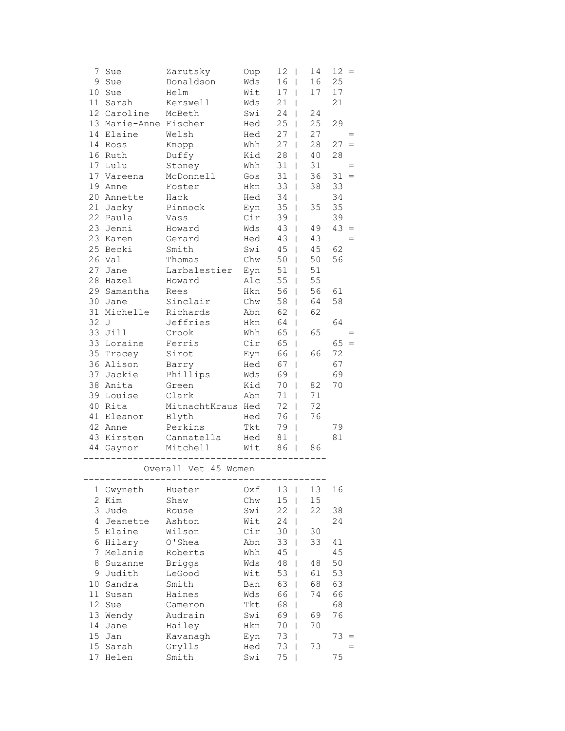| 7  | Sue                   | Zarutsky             | Oup  | 12<br>$\overline{\phantom{a}}$ | 14            | 12       | $\hspace{1.6cm} = \hspace{1.6cm}$ |
|----|-----------------------|----------------------|------|--------------------------------|---------------|----------|-----------------------------------|
| 9  | Sue                   | Donaldson            | Wds  | 16<br>$\overline{1}$           | 16            | 25       |                                   |
| 10 | Sue                   | Helm                 | Wit  | 17<br>T                        | 17            | 17       |                                   |
| 11 | Sarah                 | Kerswell             | Wds  | 21<br>T                        |               | 21       |                                   |
|    | 12 Caroline           | McBeth               | Swi  | 24<br>$\overline{1}$           | 24            |          |                                   |
|    | 13 Marie-Anne Fischer |                      | Hed  | 25<br>$\overline{1}$           | 25            | 29       |                                   |
| 14 | Elaine                | Welsh                | Hed  | 27<br>$\overline{1}$           | 27            |          |                                   |
| 14 | Ross                  | Knopp                | Whh  | 27<br>$\overline{1}$           | 28            | 27       | $=$                               |
|    | 16 Ruth               | Duffy                | Kid  | 28<br>$\overline{1}$           | 40            | 28       |                                   |
| 17 | Lulu                  | Stoney               | Whh  | 31<br>$\overline{1}$           | 31            |          | $=$                               |
|    | 17 Vareena            | McDonnell            | Gos  | 31<br>T                        | 36            | 31       | $=$                               |
| 19 | Anne                  | Foster               | Hkn  | 33<br>T                        | 38            | 33       |                                   |
|    | 20 Annette            | Hack                 | Hed  | 34<br>$\overline{1}$           |               | 34       |                                   |
|    | 21 Jacky              | Pinnock              | Eyn  | 35<br>$\overline{1}$           | 35            | 35       |                                   |
| 22 | Paula                 | Vass                 | Cir  | 39<br>$\overline{1}$           |               | 39       |                                   |
| 23 | Jenni                 | Howard               | Wds  | 43<br>T                        | 49            | 43       | $=$                               |
|    | 23 Karen              | Gerard               | Hed  | 43<br>$\overline{1}$           | 43            |          |                                   |
|    | 25 Becki              | Smith                | Swi  | 45<br>$\overline{1}$           | 45            | 62       |                                   |
| 26 | Val                   | Thomas               | Chw  | 50<br>$\overline{1}$           | 50            | 56       |                                   |
| 27 | Jane                  | Larbalestier         | Eyn  | 51<br>T                        | 51            |          |                                   |
| 28 | Hazel                 | Howard               | Alc  | 55<br>T                        | 55            |          |                                   |
|    | 29 Samantha           | Rees                 | Hkn  | 56<br>$\overline{1}$           | 56            | 61       |                                   |
| 30 | Jane                  | Sinclair             | Chw  | 58<br>$\overline{1}$           | 64            | 58       |                                   |
| 31 | Michelle              | Richards             | Abn  | 62<br>T                        | 62            |          |                                   |
| 32 | J                     | Jeffries             | Hkn  | 64<br>T                        |               | 64       |                                   |
| 33 | Jill                  | Crook                | Whh  | 65<br>$\overline{1}$           | 65            |          |                                   |
| 33 | Loraine               | Ferris               | Cir  | 65<br>$\overline{1}$           |               | 65       | $=$                               |
| 35 | Tracey                | Sirot                | Eyn  | 66<br>$\mathbf{I}$             | 66            | 72       |                                   |
|    | 36 Alison             | Barry                | Hed  | 67<br>I                        |               | 67       |                                   |
| 37 | Jackie                | Phillips             | Wds  | 69<br>$\overline{1}$           |               | 69       |                                   |
|    | 38 Anita              | Green                | Kid  | 70<br>T                        | 82            | 70       |                                   |
| 39 | Louise                | Clark                | Abn  | 71<br>T                        | 71            |          |                                   |
| 40 | Rita                  | MitnachtKraus        | Hed  | 72<br>I                        | 72            |          |                                   |
| 41 | Eleanor               | Blyth                | Hed  | 76<br>$\mathsf{I}$             | 76            |          |                                   |
|    | 42 Anne               | Perkins              | Tkt  | 79<br>$\overline{1}$           |               | 79       |                                   |
|    | 43 Kirsten            | Cannatella           | Hed  | 81<br>$\mathsf{I}$             |               | 81       |                                   |
|    | 44 Gaynor             | Mitchell             | Wit  | 86<br>$\overline{1}$           | 86            |          |                                   |
|    |                       | Overall Vet 45 Women |      |                                |               |          |                                   |
| 1  | Gwyneth               | Hueter               | Oxf  | 13<br>$\mathsf{I}$             | 13            | 16       |                                   |
| 2  | Kim                   | Shaw                 | Chw  | 15<br>$\mathsf{I}$             | 15            |          |                                   |
|    | 2.7.3.4               | $D = 12$             | 0.11 | $22 - 1$                       | $\cap$ $\cap$ | $\Omega$ |                                   |

|    | 2 Kim    | Shaw          | Chw | 15 | 15 |    |
|----|----------|---------------|-----|----|----|----|
| 3  | Jude     | Rouse         | Swi | 22 | 22 | 38 |
| 4  | Jeanette | Ashton        | Wit | 24 |    | 24 |
| 5. | Elaine   | Wilson        | Cir | 30 | 30 |    |
| 6  | Hilary   | O'Shea        | Abn | 33 | 33 | 41 |
| 7  | Melanie  | Roberts       | Whh | 45 |    | 45 |
| 8  | Suzanne  | <b>Briggs</b> | Wds | 48 | 48 | 50 |
| 9  | Judith   | LeGood        | Wit | 53 | 61 | 53 |
| 10 | Sandra   | Smith         | Ban | 63 | 68 | 63 |
| 11 | Susan    | Haines        | Wds | 66 | 74 | 66 |
| 12 | Sue      | Cameron       | Tkt | 68 |    | 68 |
| 13 | Wendy    | Audrain       | Swi | 69 | 69 | 76 |
| 14 | Jane     | Hailey        | Hkn | 70 | 70 |    |
| 15 | Jan      | Kavanagh      | Eyn | 73 |    | 73 |
| 15 | Sarah    | Grylls        | Hed | 73 | 73 |    |
| 17 | Helen    | Smith         | Swi | 75 |    | 75 |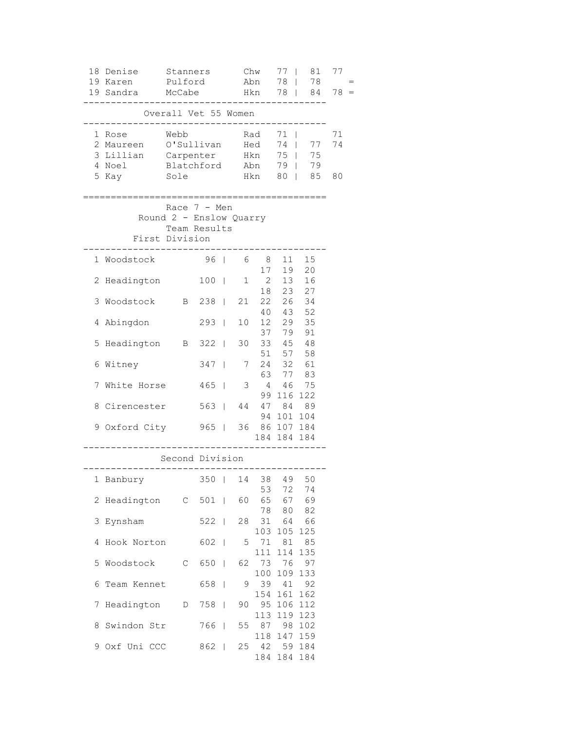|   | 18 Denise<br>Stanners<br>Pulford<br>19 Karen |                                                           |               | Chw<br>Abn   |     | 77                                          | 81<br>78   78<br>78   84 | 77         |     |
|---|----------------------------------------------|-----------------------------------------------------------|---------------|--------------|-----|---------------------------------------------|--------------------------|------------|-----|
|   | 19 Sandra                                    | McCabe                                                    |               |              |     | Hkn                                         |                          |            | 78: |
|   |                                              | Overall Vet 55 Women                                      |               |              |     |                                             |                          |            |     |
|   | 1 Rose                                       | Webb                                                      |               |              |     | Rad                                         | $71 \quad  $             |            | 71  |
|   | 2 Maureen O'Sullivan Hed                     |                                                           |               |              |     |                                             |                          | 74   77 74 |     |
|   | 3 Lillian Carpenter Hkn 75   75              |                                                           |               |              |     |                                             |                          |            |     |
|   | 4 Noel                                       | Blatchford                                                |               |              | Abn |                                             |                          | 79   79    |     |
|   | 5 Kay                                        | Sole                                                      |               |              |     | Hkn                                         |                          | 80   85    | 80  |
|   |                                              | Race $7 - Men$<br>Round 2 - Enslow Quarry<br>Team Results |               |              |     |                                             |                          |            |     |
|   | First Division                               |                                                           |               |              |     |                                             |                          |            |     |
|   | 1 Woodstock                                  |                                                           | 96   68 11 15 |              |     | 17                                          | 19                       | 20         |     |
|   | 2 Headington                                 |                                                           | $100$         |              |     | $\begin{array}{ccc} 1 & 2 & 13 \end{array}$ |                          | 16         |     |
|   |                                              |                                                           |               |              |     |                                             | 18  23  27               |            |     |
| 3 | Woodstock                                    | B 238   21 22 26                                          |               |              |     |                                             |                          | 34         |     |
|   | 4 Abingdon                                   |                                                           | $293$         |              |     | 10 12 29 35                                 | 40  43  52               |            |     |
|   |                                              |                                                           |               |              |     |                                             | 37 79 91                 |            |     |
| 5 | Headington B 322                             |                                                           |               |              |     | 30 33 45 48                                 |                          |            |     |
| 6 | Witney                                       |                                                           | 347           | $\mathbb{R}$ | 7   |                                             | 51 57 58<br>$24$ 32 61   |            |     |
|   |                                              |                                                           |               |              |     |                                             | 63 77 83                 |            |     |
|   | 7 White Horse                                |                                                           | $465$         |              |     | 3 4 46 75                                   |                          |            |     |
| 8 | Cirencester                                  |                                                           | 563   44      |              |     |                                             | 99 116 122<br>47 84 89   |            |     |
|   |                                              |                                                           |               |              |     |                                             | 94 101 104               |            |     |
|   | 9 Oxford City 965   36 86 107 184            |                                                           |               |              |     |                                             |                          |            |     |
|   |                                              |                                                           |               |              |     |                                             | 184 184 184              |            |     |
|   |                                              | Second Division                                           |               |              |     |                                             |                          |            |     |
|   | 1 Banbury 350   14 38 49                     |                                                           |               |              |     |                                             |                          | 50         |     |
|   |                                              |                                                           |               |              |     | 53                                          | 72                       | 74         |     |
|   | 2 Headington C 501   60 65 67 69             |                                                           |               |              |     |                                             |                          |            |     |
|   | 3 Eynsham                                    |                                                           | 522           |              |     | 28 31 64 66                                 | 78 80                    | 82         |     |
|   |                                              |                                                           |               |              |     |                                             | 103 105                  | 125        |     |
| 4 | Hook Norton                                  |                                                           | 602           |              |     | 5 71 81 85                                  |                          |            |     |
|   |                                              |                                                           |               |              |     | 111                                         | 114                      | 135        |     |
| 5 | Woodstock C 650                              |                                                           |               |              |     | 62 73 76<br>100                             | 109                      | 97<br>133  |     |
| 6 | Team Kennet 658                              |                                                           |               |              | 9   | 39                                          | 41                       | 92         |     |
|   |                                              |                                                           |               |              |     | 154                                         | 161                      | 162        |     |
| 7 | Headington                                   |                                                           | D 758         |              | 90  | 95                                          | 106                      | 112        |     |
|   | 8 Swindon Str                                |                                                           | 766           |              |     | 113<br>55 87 98                             | 119                      | 123<br>102 |     |
|   |                                              |                                                           |               |              |     | 118                                         | 147                      | 159        |     |
|   | 9 Oxf Uni CCC                                |                                                           | 862           |              |     | 25 42 59 184                                |                          |            |     |
|   |                                              |                                                           |               |              |     |                                             | 184 184 184              |            |     |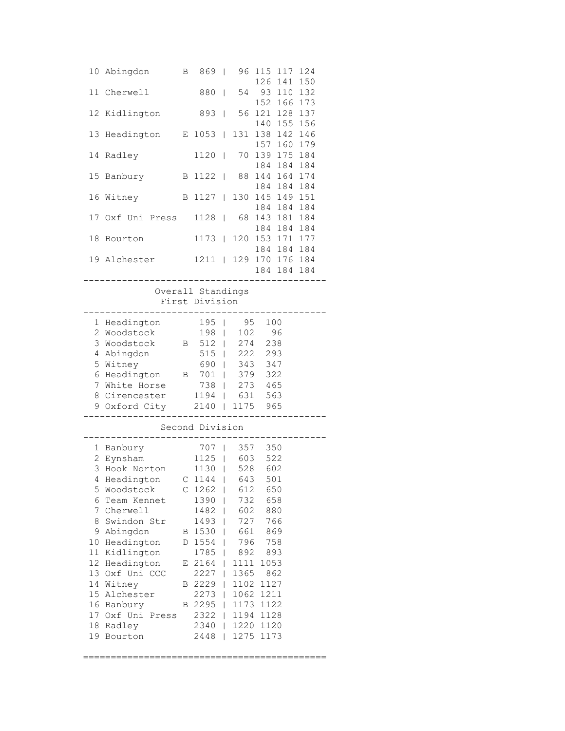| 10                                                                                           | Abingdon                                                                                                                                                                                                                                                         | Β                          | 869                                                                                                                                                     | $\blacksquare$                                                                         | 96                                                                                                                                        | 115<br>126                                                                                                                               | 117<br>141 | 124<br>150         |  |
|----------------------------------------------------------------------------------------------|------------------------------------------------------------------------------------------------------------------------------------------------------------------------------------------------------------------------------------------------------------------|----------------------------|---------------------------------------------------------------------------------------------------------------------------------------------------------|----------------------------------------------------------------------------------------|-------------------------------------------------------------------------------------------------------------------------------------------|------------------------------------------------------------------------------------------------------------------------------------------|------------|--------------------|--|
| 11                                                                                           | Cherwell                                                                                                                                                                                                                                                         |                            | 880                                                                                                                                                     | T                                                                                      | 54                                                                                                                                        | 93<br>152                                                                                                                                | 110<br>166 | 132<br>173         |  |
| 12                                                                                           | Kidlington                                                                                                                                                                                                                                                       |                            | 893                                                                                                                                                     | I                                                                                      | 56                                                                                                                                        | 121<br>140                                                                                                                               | 128<br>155 | 137<br>156         |  |
| 13                                                                                           | Headington                                                                                                                                                                                                                                                       | Е                          | 1053                                                                                                                                                    | T                                                                                      | 131                                                                                                                                       | 138<br>157                                                                                                                               | 142<br>160 | 146<br>179         |  |
| 14                                                                                           | Radley                                                                                                                                                                                                                                                           |                            | 1120                                                                                                                                                    | $\overline{1}$                                                                         | 70                                                                                                                                        | 139<br>184                                                                                                                               | 175<br>184 | 184<br>184         |  |
| 15                                                                                           | Banbury                                                                                                                                                                                                                                                          | B                          | 1122                                                                                                                                                    | $\mathsf{I}$                                                                           | 88                                                                                                                                        | 144<br>184                                                                                                                               | 164<br>184 | 174<br>184         |  |
| 16                                                                                           | Witney                                                                                                                                                                                                                                                           | B                          | 1127                                                                                                                                                    | $\overline{1}$                                                                         | 130                                                                                                                                       | 145<br>184                                                                                                                               | 184        | 149 151<br>184     |  |
| 17                                                                                           | Oxf Uni Press                                                                                                                                                                                                                                                    |                            | 1128                                                                                                                                                    | $\mathsf{I}$                                                                           | 68                                                                                                                                        | 143<br>184                                                                                                                               | 181<br>184 | 184<br>184         |  |
| 18                                                                                           | Bourton                                                                                                                                                                                                                                                          |                            | 1173                                                                                                                                                    | L                                                                                      | 120                                                                                                                                       | 153<br>184                                                                                                                               | 171<br>184 | 177<br>184         |  |
|                                                                                              | 19 Alchester                                                                                                                                                                                                                                                     |                            | 1211                                                                                                                                                    | $\Box$                                                                                 |                                                                                                                                           | 129 170<br>184                                                                                                                           |            | 176 184<br>184 184 |  |
|                                                                                              |                                                                                                                                                                                                                                                                  |                            | Overall Standings<br>First Division                                                                                                                     |                                                                                        |                                                                                                                                           |                                                                                                                                          |            |                    |  |
| 2<br>7                                                                                       | 1 Headington<br>Woodstock<br>3 Woodstock<br>4 Abingdon<br>5 Witney<br>6 Headington<br>White Horse<br>8 Cirencester<br>9 Oxford City                                                                                                                              | B<br>Β                     | 195<br>198<br>512<br>515<br>690<br>701<br>738<br>1194<br>2140                                                                                           | I<br>I<br>I<br>I<br>I<br>I<br>I<br>T<br>I                                              | 95<br>102<br>274<br>222<br>343<br>379<br>273<br>631<br>1175                                                                               | 100<br>238<br>293<br>347<br>322<br>465<br>563<br>965                                                                                     | 96         |                    |  |
|                                                                                              |                                                                                                                                                                                                                                                                  |                            | Second Division                                                                                                                                         |                                                                                        |                                                                                                                                           |                                                                                                                                          |            |                    |  |
| 2<br>3<br>4<br>5<br>6<br>7<br>8<br>10<br>11<br>12<br>13<br>14<br>17 <sub>2</sub><br>18<br>19 | 1 Banbury<br>Eynsham<br>Hook Norton<br>Headington<br>Woodstock<br>Team Kennet<br>Cherwell<br>Swindon Str<br>9 Abingdon<br>Headington<br>Kidlington<br>Headington<br>Oxf Uni CCC<br>Witney<br>15 Alchester<br>16 Banbury<br>Oxf Uni<br>Press<br>Radley<br>Bourton | С<br>В<br>D<br>Е<br>В<br>В | 707<br>1125<br>1130<br>$C$ 1144<br>1262<br>1390<br>1482<br>1493<br>1530<br>1554<br>1785<br>2164<br>2227<br>2229<br>2273<br>2295<br>2322<br>2340<br>2448 | T<br>I<br>I<br>I<br>ı<br>I<br>I<br>I<br>I<br>I<br>I<br>I<br>I<br>L<br>I<br>I<br>I<br>I | 357<br>603<br>528<br>643<br>612<br>732<br>602<br>727<br>661<br>796<br>892<br>1111<br>1365<br>1102<br>1062<br>1173<br>1194<br>1220<br>1275 | 350<br>522<br>602<br>501<br>650<br>658<br>880<br>766<br>869<br>758<br>893<br>1053<br>862<br>1127<br>1211<br>1122<br>1128<br>1120<br>1173 |            |                    |  |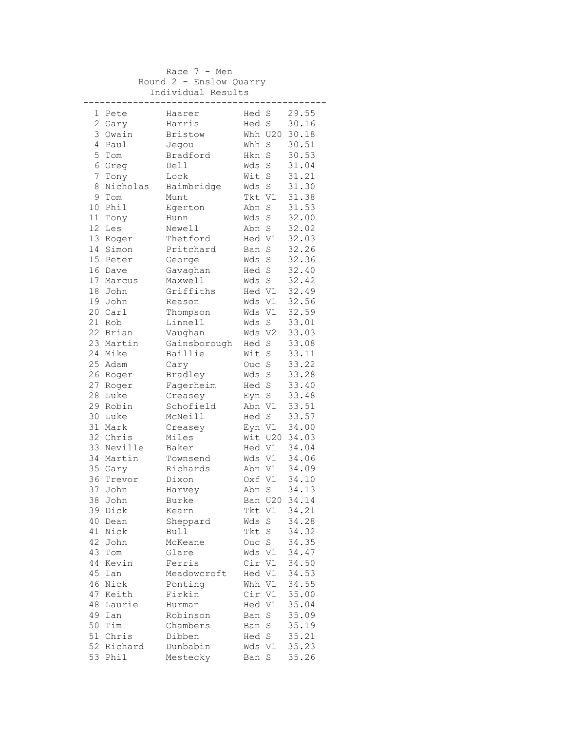|                |            | Race $7 - Men$          |        |         |               |
|----------------|------------|-------------------------|--------|---------|---------------|
|                |            | Round 2 - Enslow Quarry |        |         |               |
|                |            | Individual Results      |        |         |               |
|                |            | ------------            |        |         |               |
| 1              | Pete       | Haarer                  | Hed S  |         | 29.55         |
|                | 2 Gary     | Harris                  |        |         | Hed S 30.16   |
|                | 3 Owain    | Bristow                 |        |         | Whh U20 30.18 |
|                | 4 Paul     | Jegou                   | Whh S  |         | 30.51         |
|                | 5 Tom      | Bradford                | Hkn S  |         | 30.53         |
|                | 6 Greg     | Dell                    | Wds S  |         | 31.04         |
| 7 <sup>1</sup> | Tony       | Lock                    | Wit S  |         | 31.21         |
| 8              | Nicholas   | Baimbridge              | Wds S  |         | 31.30         |
|                | 9 Tom      | Munt                    |        |         | Tkt V1 31.38  |
|                | 10 Phil    | Egerton                 | Abn S  |         | 31.53         |
|                | 11 Tony    | Hunn                    | Wds    | S       | 32.00         |
|                | 12 Les     | Newell                  | Abn S  |         | 32.02         |
|                | 13 Roger   | Thetford                | Hed V1 |         | 32.03         |
|                | 14 Simon   | Pritchard               | Ban S  |         | 32.26         |
|                | 15 Peter   | George                  | Wds S  |         | 32.36         |
|                | 16 Dave    | Gavaghan                | Hed S  |         | 32.40         |
|                | 17 Marcus  | Maxwell                 |        | Wds S   | 32.42         |
|                | 18 John    | Griffiths               |        |         | Hed V1 32.49  |
|                | 19 John    | Reason                  |        |         | Wds V1 32.56  |
|                | 20 Carl    | Thompson                | Wds V1 |         | 32.59         |
|                | 21 Rob     | Linnell                 | Wds S  |         | 33.01         |
|                | 22 Brian   | Vaughan                 | Wds V2 |         | 33.03         |
|                | 23 Martin  | Gainsborough            | Hed S  |         | 33.08         |
|                | 24 Mike    | Baillie                 | Wit S  |         | 33.11         |
|                | 25 Adam    | Cary                    | Ouc S  |         | 33.22         |
|                | 26 Roger   | Bradley                 | Wds S  |         | 33.28         |
|                | 27 Roger   | Fagerheim               | Hed S  |         | 33.40         |
|                | 28 Luke    | Creasey                 | Eyn S  |         | 33.48         |
|                | 29 Robin   | Schofield               | Abn V1 |         | 33.51         |
|                | 30 Luke    | McNeill                 | Hed S  |         | 33.57         |
|                | 31 Mark    | Creasey                 | Eyn V1 |         | 34.00         |
|                | 32 Chris   | Miles                   |        |         | Wit U20 34.03 |
|                | 33 Neville | Baker                   |        | Hed V1  | 34.04         |
|                | 34 Martin  | Townsend                |        |         | Wds V1 34.06  |
|                | 35 Gary    | Richards                |        |         | Abn V1 34.09  |
|                | 36 Trevor  | Dixon                   |        |         | Oxf V1 34.10  |
| 37             | John       | Harvey                  | Abn S  |         | 34.13         |
| 38             | John       | Burke                   | Ban    | U20     | 34.14         |
|                | 39 Dick    | Kearn                   | Tkt V1 |         | 34.21         |
| 40             | Dean       | Sheppard                | Wds    | S       | 34.28         |
| 41             | Nick       | Bull                    | Tkt    | $\rm S$ | 34.32         |
| 42             | John       | McKeane                 | Ouc S  |         | 34.35         |
|                | 43 Tom     | Glare                   | Wds V1 |         | 34.47         |
| 44             | Kevin      | Ferris                  | Cir V1 |         | 34.50         |
| 45             | Ian        | Meadowcroft             | Hed V1 |         | 34.53         |
|                | 46 Nick    | Ponting                 | Whh V1 |         | 34.55         |
| 47             | Keith      | Firkin                  | Cir V1 |         | 35.00         |
| 48             | Laurie     | Hurman                  | Hed V1 |         | 35.04         |
| 49             | Ian        | Robinson                | Ban    | S       | 35.09         |
|                | 50 Tim     | Chambers                | Ban    | S       | 35.19         |
| 51             | Chris      | Dibben                  | Hed S  |         | 35.21         |
|                | 52 Richard | Dunbabin                | Wds V1 |         | 35.23         |
| 53             | Phil       | Mestecky                | Ban S  |         | 35.26         |
|                |            |                         |        |         |               |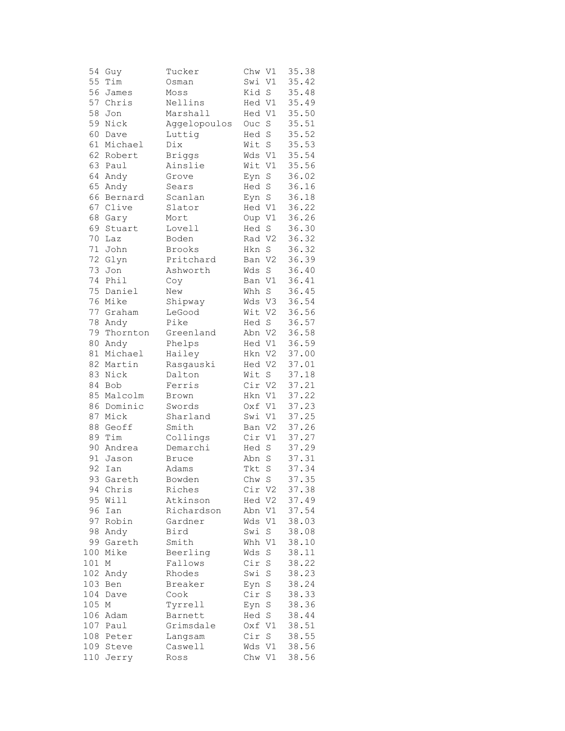| 54  | Guy       | Tucker        | Chw V1 |             | 35.38 |
|-----|-----------|---------------|--------|-------------|-------|
| 55  | Tim       | Osman         | Swi    | V1          | 35.42 |
| 56  | James     | Moss          | Kid    | $\rm S$     | 35.48 |
| 57  | Chris     | Nellins       | Hed V1 |             | 35.49 |
| 58  | Jon       | Marshall      | Hed V1 |             | 35.50 |
| 59  | Nick      | Aggelopoulos  | Ouc    | $\rm S$     | 35.51 |
| 60  | Dave      | Luttig        | Hed    | $\rm S$     | 35.52 |
| 61  | Michael   | Dix           | Wit    | $\rm S$     | 35.53 |
|     | 62 Robert | <b>Briggs</b> | Wds V1 |             | 35.54 |
| 63  | Paul      | Ainslie       | Wit V1 |             | 35.56 |
| 64  | Andy      | Grove         | Eyn    | $\rm S$     | 36.02 |
| 65  | Andy      | Sears         | Hed S  |             | 36.16 |
| 66  | Bernard   | Scanlan       | Eyn S  |             | 36.18 |
| 67  | Clive     | Slator        | Hed V1 |             | 36.22 |
| 68  | Gary      | Mort          | Oup V1 |             | 36.26 |
| 69  | Stuart    | Lovell        | Hed    | S           | 36.30 |
| 70  | Laz       | Boden         | Rad V2 |             | 36.32 |
| 71  | John      | Brooks        | Hkn    | S           | 36.32 |
| 72  | Glyn      | Pritchard     | Ban V2 |             | 36.39 |
| 73  | Jon       | Ashworth      | Wds    | $\rm S$     | 36.40 |
| 74  | Phil      |               | Ban V1 |             | 36.41 |
| 75  | Daniel    | Coy<br>New    | Whh S  |             | 36.45 |
| 76  | Mike      |               |        |             | 36.54 |
|     |           | Shipway       | Wds V3 |             |       |
| 77  | Graham    | LeGood        | Wit V2 |             | 36.56 |
| 78  | Andy      | Pike          | Hed S  |             | 36.57 |
| 79  | Thornton  | Greenland     | Abn V2 |             | 36.58 |
| 80  | Andy      | Phelps        | Hed V1 |             | 36.59 |
| 81  | Michael   | Hailey        | Hkn V2 |             | 37.00 |
| 82  | Martin    | Rasgauski     | Hed V2 |             | 37.01 |
| 83  | Nick      | Dalton        | Wit    | S           | 37.18 |
| 84  | Bob       | Ferris        | Cir V2 |             | 37.21 |
| 85  | Malcolm   | Brown         | Hkn V1 |             | 37.22 |
| 86  | Dominic   | Swords        | Oxf V1 |             | 37.23 |
| 87  | Mick      | Sharland      | Swi V1 |             | 37.25 |
| 88  | Geoff     | Smith         | Ban V2 |             | 37.26 |
| 89  | Tim       | Collings      | Cir V1 |             | 37.27 |
| 90  | Andrea    | Demarchi      | Hed    | $\mathbf S$ | 37.29 |
| 91  | Jason     | Bruce         | Abn    | $\mathbf S$ | 37.31 |
| 92  | Ian       | Adams         | Tkt    | $\rm S$     | 37.34 |
|     | 93 Gareth | Bowden        | Chw S  |             | 37.35 |
| 94  | Chris     | Riches        | Cir V2 |             | 37.38 |
| 95  | Will      | Atkinson      | Hed    | V2          | 37.49 |
| 96  | Ian       | Richardson    | Abn    | V1          | 37.54 |
| 97  | Robin     | Gardner       | Wds    | V1          | 38.03 |
| 98  | Andy      | Bird          | Swi    | S           | 38.08 |
| 99  | Gareth    | Smith         | Whh    | V1          | 38.10 |
| 100 | Mike      | Beerling      | Wds    | $\rm S$     | 38.11 |
| 101 | М         | Fallows       | Cir    | S           | 38.22 |
| 102 | Andy      | Rhodes        | Swi    | S           | 38.23 |
| 103 | Ben       | Breaker       | Eyn    | S           | 38.24 |
| 104 | Dave      | Cook          | Cir    | $\rm S$     | 38.33 |
| 105 | Μ         | Tyrrell       | Eyn    | S           | 38.36 |
| 106 | Adam      | Barnett       | Hed    | $\mathbf S$ | 38.44 |
| 107 | Paul      | Grimsdale     | Oxf V1 |             | 38.51 |
| 108 | Peter     | Langsam       | Cir    | $\rm S$     | 38.55 |
| 109 | Steve     | Caswell       | Wds    | V1          | 38.56 |
| 110 | Jerry     | Ross          | Chw V1 |             | 38.56 |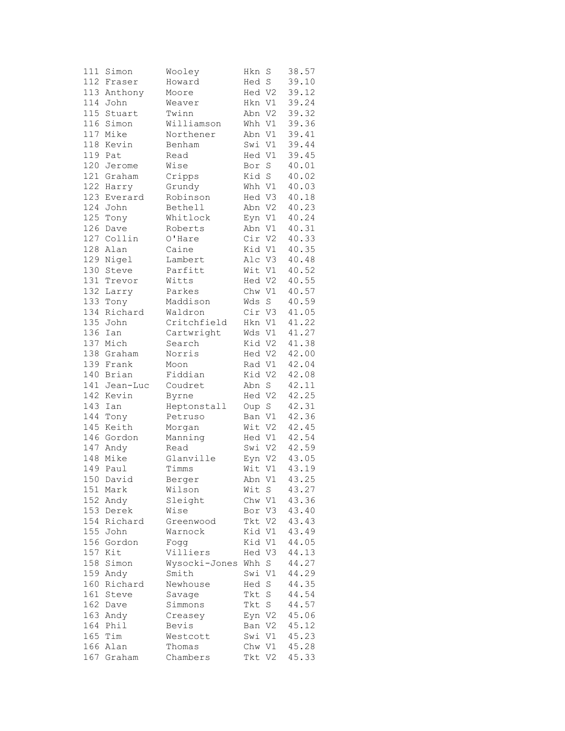| 111 | Simon       | Wooley             | Hkn    | S           | 38.57 |
|-----|-------------|--------------------|--------|-------------|-------|
|     | 112 Fraser  | Howard             | Hed S  |             | 39.10 |
|     | 113 Anthony | Moore              | Hed V2 |             | 39.12 |
| 114 | John        | Weaver             | Hkn V1 |             | 39.24 |
| 115 | Stuart      | Twinn              | Abn V2 |             | 39.32 |
| 116 | Simon       | Williamson         | Whh V1 |             | 39.36 |
|     | 117 Mike    | Northener          | Abn V1 |             | 39.41 |
|     | 118 Kevin   | Benham             | Swi V1 |             | 39.44 |
|     | 119 Pat     | Read               | Hed V1 |             | 39.45 |
|     | 120 Jerome  | Wise               | Bor    | $\rm S$     | 40.01 |
|     | 121 Graham  | Cripps             | Kid S  |             | 40.02 |
|     |             |                    |        |             |       |
| 123 | 122 Harry   | Grundy<br>Robinson | Whh V1 |             | 40.03 |
|     | Everard     |                    | Hed V3 |             | 40.18 |
| 124 | John        | Bethell            | Abn V2 |             | 40.23 |
| 125 | Tony        | Whitlock           | Eyn V1 |             | 40.24 |
| 126 | Dave        | Roberts            | Abn V1 |             | 40.31 |
|     | 127 Collin  | O'Hare             | Cir V2 |             | 40.33 |
|     | 128 Alan    | Caine              | Kid V1 |             | 40.35 |
|     | 129 Nigel   | Lambert            | Alc V3 |             | 40.48 |
| 130 | Steve       | Parfitt            | Wit V1 |             | 40.52 |
| 131 | Trevor      | Witts              | Hed V2 |             | 40.55 |
| 132 | Larry       | Parkes             | Chw V1 |             | 40.57 |
| 133 | Tony        | Maddison           | Wds    | $\mathbf S$ | 40.59 |
| 134 | Richard     | Waldron            | Cir V3 |             | 41.05 |
|     | 135 John    | Critchfield        | Hkn V1 |             | 41.22 |
| 136 | Ian         | Cartwright         | Wds V1 |             | 41.27 |
|     | 137 Mich    | Search             | Kid V2 |             | 41.38 |
|     | 138 Graham  | Norris             | Hed V2 |             | 42.00 |
|     | 139 Frank   | Moon               | Rad V1 |             | 42.04 |
|     | 140 Brian   | Fiddian            | Kid V2 |             | 42.08 |
| 141 | Jean-Luc    | Coudret            | Abn S  |             | 42.11 |
| 142 | Kevin       | Byrne              | Hed V2 |             | 42.25 |
| 143 | Ian         | Heptonstall        | Oup S  |             | 42.31 |
| 144 | Tony        | Petruso            | Ban V1 |             | 42.36 |
|     | 145 Keith   | Morgan             | Wit V2 |             | 42.45 |
|     | 146 Gordon  | Manning            | Hed V1 |             | 42.54 |
|     | 147 Andy    | Read               | Swi V2 |             | 42.59 |
|     | 148 Mike    |                    |        |             |       |
|     |             | Glanville          | Eyn V2 |             | 43.05 |
| 149 | Paul        | Timms              | Wit V1 |             | 43.19 |
|     | 150 David   | Berger             | Abn V1 |             | 43.25 |
| 151 | Mark        | Wilson             | Wit    | S.          | 43.27 |
| 152 | Andy        | Sleight            | Chw V1 |             | 43.36 |
| 153 | Derek       | Wise               | Bor V3 |             | 43.40 |
| 154 | Richard     | Greenwood          | Tkt V2 |             | 43.43 |
|     | 155 John    | Warnock            | Kid V1 |             | 43.49 |
|     | 156 Gordon  | Fogg               | Kid V1 |             | 44.05 |
| 157 | Kit         | Villiers           | Hed V3 |             | 44.13 |
| 158 | Simon       | Wysocki-Jones      | Whh    | S           | 44.27 |
| 159 | Andy        | Smith              | Swi V1 |             | 44.29 |
| 160 | Richard     | Newhouse           | Hed    | S           | 44.35 |
| 161 | Steve       | Savage             | Tkt    | S           | 44.54 |
| 162 | Dave        | Simmons            | Tkt    | S           | 44.57 |
| 163 | Andy        | Creasey            | Eyn V2 |             | 45.06 |
| 164 | Phil        | Bevis              | Ban V2 |             | 45.12 |
|     | 165 Tim     | Westcott           | Swi V1 |             | 45.23 |
|     | 166 Alan    | Thomas             | Chw V1 |             | 45.28 |
|     | 167 Graham  | Chambers           | Tkt V2 |             | 45.33 |
|     |             |                    |        |             |       |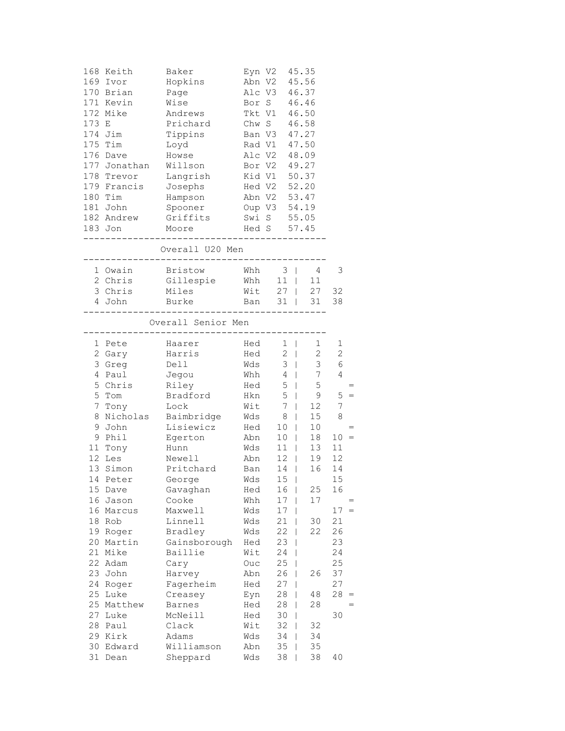| 173 E    | 168 Keith<br>169 Ivor<br>170 Brian<br>171 Kevin<br>172 Mike<br>174 Jim<br>175 Tim<br>176 Dave<br>177 Jonathan<br>178 Trevor<br>179 Francis | Baker<br>Hopkins<br>Page<br>Wise<br>Andrews<br>Prichard<br>Tippins<br>Loyd<br>Howse<br>Willson<br>Langrish<br>Josephs | Rad V1<br>Alc V2 | Eyn V2 45.35<br>Abn V2<br>Alc V3 46.37<br>Bor S 46.46<br>Tkt V1 46.50<br>Chw S 46.58<br>Ban V3 47.27<br>Bor V2 49.27<br>Kid V1 50.37<br>Hed V2 52.20 | 45.56<br>47.50<br>48.09         |                |
|----------|--------------------------------------------------------------------------------------------------------------------------------------------|-----------------------------------------------------------------------------------------------------------------------|------------------|------------------------------------------------------------------------------------------------------------------------------------------------------|---------------------------------|----------------|
|          | 180 Tim                                                                                                                                    | Hampson                                                                                                               |                  | Abn V2 53.47                                                                                                                                         |                                 |                |
|          | 181 John                                                                                                                                   | Spooner                                                                                                               |                  | Oup V3 54.19                                                                                                                                         |                                 |                |
|          | 182 Andrew                                                                                                                                 | Griffits                                                                                                              |                  | Swi S 55.05                                                                                                                                          |                                 |                |
|          | 183 Jon<br>-------                                                                                                                         | Moore                                                                                                                 |                  | Hed S 57.45                                                                                                                                          |                                 |                |
|          |                                                                                                                                            | Overall U20 Men<br>-------------                                                                                      |                  |                                                                                                                                                      |                                 |                |
|          | 1 Owain                                                                                                                                    | Bristow                                                                                                               | Whh              | $3 \mid$                                                                                                                                             | 4                               | 3              |
|          | 2 Chris                                                                                                                                    | Gillespie                                                                                                             | Whh              |                                                                                                                                                      | 11   11                         |                |
|          | 3 Chris                                                                                                                                    | Miles                                                                                                                 | Wit              |                                                                                                                                                      | 27   27 32                      |                |
|          | 4 John                                                                                                                                     | Burke                                                                                                                 |                  | Ban 31   31<br>--------------                                                                                                                        |                                 | 38             |
|          |                                                                                                                                            | Overall Senior Men<br>_________________                                                                               |                  |                                                                                                                                                      |                                 |                |
| 1        | Pete                                                                                                                                       | Haarer                                                                                                                | Hed              | $1 \mid$                                                                                                                                             | $\mathbf{1}$                    | 1              |
|          | 2 Gary                                                                                                                                     | Harris                                                                                                                | Hed              | $2 \mid$                                                                                                                                             | $\overline{2}$                  | $\overline{c}$ |
|          | 3 Greg                                                                                                                                     | Dell                                                                                                                  | Wds              | $3 \mid$                                                                                                                                             | $\mathfrak{Z}$                  | $\epsilon$     |
| 4        | Paul                                                                                                                                       | Jegou                                                                                                                 | Whh              | $4 \mid$                                                                                                                                             | 7                               | 4              |
| 5        | Chris                                                                                                                                      | Riley                                                                                                                 | Hed              | 5                                                                                                                                                    | $5\phantom{.0}$<br>$\Box$       |                |
| 5        | Tom                                                                                                                                        | Bradford                                                                                                              | Hkn              | 5<br>$\mathbb{R}$                                                                                                                                    | 9                               | 5              |
| 7        | Tony                                                                                                                                       | Lock                                                                                                                  | Wit              | 7                                                                                                                                                    | 12 <sup>°</sup><br>$\mathbb{R}$ | 7              |
| 8        | Nicholas                                                                                                                                   | Baimbridge                                                                                                            | Wds              | 8                                                                                                                                                    | 15<br>$\mathbf{1}$              | 8              |
| 9        | John                                                                                                                                       | Lisiewicz                                                                                                             | Hed              | 10                                                                                                                                                   | 10                              |                |
|          | 9 Phil                                                                                                                                     | Egerton                                                                                                               | Abn              | 10 <sub>1</sub>                                                                                                                                      | 18                              | $10 =$         |
|          | 11 Tony                                                                                                                                    | Hunn                                                                                                                  | Wds              | $11$                                                                                                                                                 | 13                              | 11             |
|          | 12 Les                                                                                                                                     | Newell                                                                                                                | Abn              | $12$                                                                                                                                                 | 19                              | 12             |
| 13       | Simon                                                                                                                                      | Pritchard                                                                                                             | Ban              | $14$                                                                                                                                                 | 16                              | 14             |
|          | 14 Peter                                                                                                                                   | George                                                                                                                | Wds              | 15 <sub>1</sub>                                                                                                                                      |                                 | 15             |
| 15       | Dave                                                                                                                                       | Gavaghan                                                                                                              | Hed              | 16                                                                                                                                                   | 25                              | 16             |
| 16       | Jason                                                                                                                                      | Cooke                                                                                                                 | Whh              | 17                                                                                                                                                   | 17                              |                |
| 16       | Marcus                                                                                                                                     | Maxwell                                                                                                               | Wds              | 17                                                                                                                                                   |                                 | 17<br>$=$      |
| 18       | Rob                                                                                                                                        | Linnell                                                                                                               | Wds              | 21                                                                                                                                                   | 30                              | 21             |
| 19       | Roger                                                                                                                                      | Bradley                                                                                                               | Wds              | 22                                                                                                                                                   | 22                              | 26             |
| 20       | Martin                                                                                                                                     | Gainsborough                                                                                                          | Hed              | 23                                                                                                                                                   | I                               | 23             |
| 21       | Mike                                                                                                                                       | Baillie                                                                                                               | Wit              | 24                                                                                                                                                   | I                               | 24             |
| 22       | Adam                                                                                                                                       | Cary                                                                                                                  | Ouc              | 25                                                                                                                                                   |                                 | 25             |
| 23       | John                                                                                                                                       | Harvey                                                                                                                | Abn              | 26                                                                                                                                                   | 26                              | 37             |
| 24<br>25 | Roger                                                                                                                                      | Fagerheim                                                                                                             | Hed              | 27                                                                                                                                                   |                                 | 27             |
| 25       | Luke                                                                                                                                       | Creasey                                                                                                               | Eyn              | 28<br>28                                                                                                                                             | 48<br>28                        | 28             |
| 27       | Matthew<br>Luke                                                                                                                            | <b>Barnes</b><br>McNeill                                                                                              | Hed              | 30                                                                                                                                                   |                                 | 30             |
| 28       | Paul                                                                                                                                       | Clack                                                                                                                 | Hed<br>Wit       | 32                                                                                                                                                   | 32                              |                |
| 29       | Kirk                                                                                                                                       | Adams                                                                                                                 | Wds              | 34                                                                                                                                                   | 34                              |                |
| 30       | Edward                                                                                                                                     | Williamson                                                                                                            | Abn              | 35                                                                                                                                                   | 35                              |                |
| 31       | Dean                                                                                                                                       | Sheppard                                                                                                              | Wds              | 38                                                                                                                                                   | 38                              | 40             |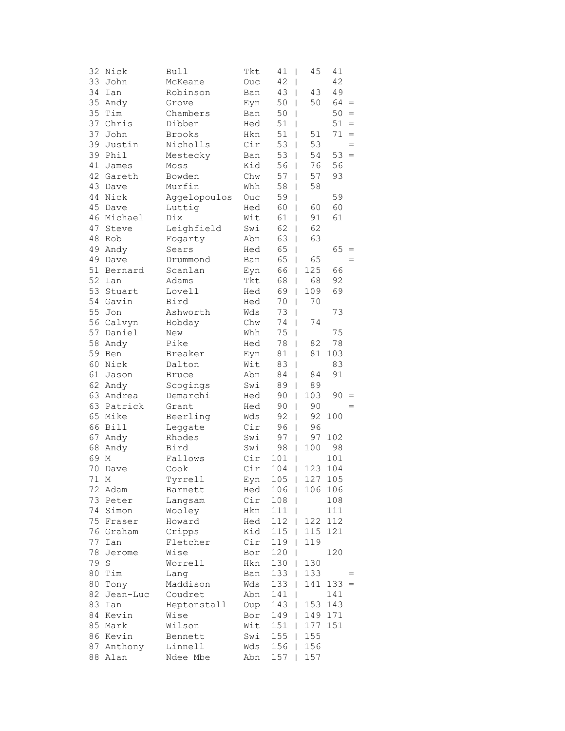| 32 | Nick               | Bull                | Tkt        | 41<br>$\overline{\phantom{a}}$ | 45                             | 41         |                                   |
|----|--------------------|---------------------|------------|--------------------------------|--------------------------------|------------|-----------------------------------|
|    | 33 John            | McKeane             | Ouc        | 42<br>$\overline{\phantom{a}}$ |                                | 42         |                                   |
| 34 | Ian                | Robinson            | Ban        | 43                             | 43<br>I                        | 49         |                                   |
| 35 | Andy               | Grove               | Eyn        | 50                             | 50<br>I                        | 64         | $\hspace{1.6cm} = \hspace{1.6cm}$ |
| 35 | Tim                | Chambers            | Ban        | 50<br>I                        |                                | 50         | $\hspace{1.6cm} = \hspace{1.6cm}$ |
| 37 | Chris              | Dibben              | Hed        | 51<br>I                        |                                | 51         | $=$                               |
| 37 | John               | Brooks              | Hkn        | 51                             | 51<br>I                        | 71         | $=$                               |
| 39 | Justin             | Nicholls            | Cir        | 53                             | 53<br>I                        |            | $=$                               |
|    | 39 Phil            | Mestecky            | Ban        | 53                             | 54<br>$\overline{\phantom{a}}$ | 53         | $=$                               |
| 41 | James              | Moss                | Kid        | 56                             | 76<br>I                        | 56         |                                   |
|    | 42 Gareth          | Bowden              | Chw        | 57                             | 57<br>I                        | 93         |                                   |
| 43 | Dave               | Murfin              | Whh        | 58                             | 58<br>I                        |            |                                   |
| 44 | Nick               | Aggelopoulos        | Ouc        | 59<br>I                        |                                | 59         |                                   |
| 45 | Dave               | Luttig              | Hed        | 60<br>I                        | 60                             | 60         |                                   |
| 46 | Michael            | Dix                 | Wit        | 61                             | 91<br>I                        | 61         |                                   |
| 47 | Steve              | Leighfield          | Swi        | 62                             | 62<br>I                        |            |                                   |
| 48 | Rob                | Fogarty             | Abn        | 63                             | 63<br>$\overline{\phantom{a}}$ |            |                                   |
|    | 49 Andy            | Sears               | Hed        | 65                             | I                              | 65         | $=$                               |
|    | 49 Dave            | Drummond            | Ban        | 65                             | 65<br>I                        |            |                                   |
| 51 | Bernard            | Scanlan             | Eyn        | 66                             | 125<br>I                       | 66         |                                   |
| 52 | Ian                | Adams               | Tkt        | 68                             | 68<br>T                        | 92         |                                   |
| 53 | Stuart             | Lovell              | Hed        | 69                             | 109<br>I                       | 69         |                                   |
|    | 54 Gavin           | Bird                | Hed        | 70                             | 70<br>I                        |            |                                   |
| 55 | Jon                | Ashworth            | Wds        | 73                             | I                              | 73         |                                   |
|    | 56 Calvyn          | Hobday              | Chw        | 74                             | 74<br>I                        |            |                                   |
|    | 57 Daniel          | New                 | Whh        | 75                             | I                              | 75         |                                   |
| 58 | Andy               | Pike                | Hed        | 78                             | I<br>82                        | 78         |                                   |
|    | 59 Ben             | Breaker             | Eyn        | 81<br>$\overline{\phantom{a}}$ | 81                             | 103        |                                   |
| 60 | Nick               | Dalton              | Wit        | 83                             | I                              | 83         |                                   |
| 61 | Jason              | <b>Bruce</b>        | Abn        | 84                             | I<br>84                        | 91         |                                   |
| 62 | Andy               | Scogings            | Swi        | 89                             | 89<br>I                        |            |                                   |
|    | 63 Andrea          | Demarchi            | Hed        | 90                             | 103<br>I                       | 90         | $=$                               |
|    | 63 Patrick         | Grant               | Hed        | 90                             | 90<br>T                        |            |                                   |
|    | 65 Mike            | Beerling            | Wds        | 92                             | 92<br>I                        | 100        |                                   |
|    | 66 Bill            | Leggate             | Cir        | 96                             | 96<br>I                        |            |                                   |
| 67 | Andy               | Rhodes              | Swi        | 97                             | 97<br>$\overline{1}$           | 102        |                                   |
| 68 | Andy               | Bird                | Swi        | 98                             | 100<br>I                       | 98         |                                   |
| 69 | $\mathbb M$        | Fallows             | Cir        | 101                            | I                              | 101        |                                   |
| 70 | Dave               | Cook                | Cir        | 104                            | 123<br>I                       | 104        |                                   |
| 71 | М                  | Tyrrell             | Eyn        | $105$                          | 127                            | 105        |                                   |
| 72 | Adam               | Barnett             | Hed        | 106                            | I                              | 106 106    |                                   |
|    | 73 Peter           | Langsam             | Cir        | 108                            |                                | 108        |                                   |
|    | 74 Simon           | Wooley              | Hkn        | 111                            |                                | 111        |                                   |
| 75 | Fraser             | Howard              | Hed        | 112                            | 122<br>I                       | 112        |                                   |
|    | 76 Graham          | Cripps              | Kid        | 115                            | 115<br>I                       | 121        |                                   |
| 77 | Ian                | Fletcher            | Cir        | 119                            | 119<br>I                       |            |                                   |
| 78 | Jerome             | Wise                | Bor        | 120                            | I                              | 120        |                                   |
| 79 | S                  | Worrell             | Hkn        | 130                            | 130<br>T                       |            |                                   |
| 80 | Tim                | Lang                | Ban        | 133                            | 133<br>T                       |            |                                   |
| 80 | Tony               | Maddison            | Wds        | 133                            | 141<br>T                       | $133 =$    |                                   |
| 82 | Jean-Luc<br>83 Ian | Coudret             | Abn        | 141                            | ı<br>153                       | 141        |                                   |
|    | 84 Kevin           | Heptonstall<br>Wise | Oup<br>Bor | 143                            | T<br>149                       | 143<br>171 |                                   |
|    | 85 Mark            | Wilson              | Wit        | 149<br>151                     | L<br>177<br>T                  | 151        |                                   |
|    | 86 Kevin           | Bennett             | Swi        | 155                            | 155<br>T                       |            |                                   |
|    | 87 Anthony         | Linnell             | Wds        | 156                            | 156<br>I                       |            |                                   |
|    | 88 Alan            | Ndee Mbe            | Abn        | 157                            | 157                            |            |                                   |
|    |                    |                     |            |                                |                                |            |                                   |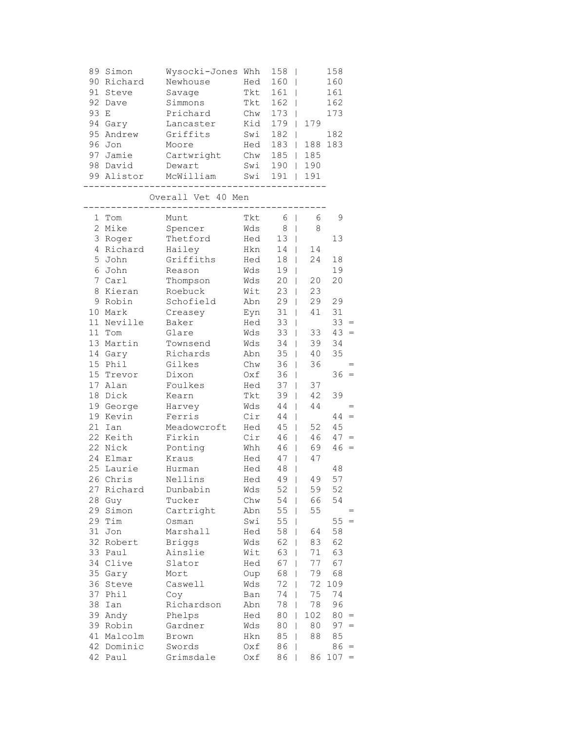| 89 | Simon     | Wysocki-Jones | Whh | 158 |     | 158 |
|----|-----------|---------------|-----|-----|-----|-----|
| 90 | Richard   | Newhouse      | Hed | 160 |     | 160 |
| 91 | Steve     | Savage        | Tkt | 161 |     | 161 |
|    | 92 Dave   | Simmons       | Tkt | 162 |     | 162 |
| 93 | E.        | Prichard      | Chw | 173 |     | 173 |
|    | 94 Gary   | Lancaster     | Kid | 179 | 179 |     |
|    | 95 Andrew | Griffits      | Swi | 182 |     | 182 |
|    | 96 Jon    | Moore         | Hed | 183 | 188 | 183 |
| 97 | Jamie     | Cartwright    | Chw | 185 | 185 |     |
| 98 | David     | Dewart        | Swi | 190 | 190 |     |
| 99 | Alistor   | McWilliam     | Swi | 191 | 191 |     |
|    |           |               |     |     |     |     |

Overall Vet 40 Men

| 1               | Tom       | Munt          | Tkt | 6<br>$\overline{1}$            | 6   | 9   |          |
|-----------------|-----------|---------------|-----|--------------------------------|-----|-----|----------|
| 2               | Mike      | Spencer       | Wds | 8<br>$\mathbf{I}$              | 8   |     |          |
| 3               | Roger     | Thetford      | Hed | 13<br>$\mathsf{I}$             |     | 13  |          |
| 4               | Richard   | Hailey        | Hkn | 14<br>L                        | 14  |     |          |
| 5               | John      | Griffiths     | Hed | 18<br>I                        | 24  | 18  |          |
| 6               | John      | Reason        | Wds | 19<br>I                        |     | 19  |          |
| 7               | Carl      | Thompson      | Wds | 20<br>$\overline{1}$           | 20  | 20  |          |
| 8               | Kieran    | Roebuck       | Wit | 23<br>T                        | 23  |     |          |
| 9               | Robin     | Schofield     | Abn | 29<br>L                        | 29  | 29  |          |
|                 | 10 Mark   | Creasey       | Eyn | 31<br>$\overline{1}$           | 41  | 31  |          |
| 11              | Neville   | Baker         | Hed | 33<br>I                        |     | 33  | $=$      |
| 11              | Tom       | Glare         | Wds | 33<br>I                        | 33  | 43  | $=$      |
|                 | 13 Martin | Townsend      | Wds | 34<br>$\overline{1}$           | 39  | 34  |          |
| 14              | Gary      | Richards      | Abn | 35<br>T                        | 40  | 35  |          |
| 15              | Phil      | Gilkes        | Chw | 36<br>T                        | 36  |     |          |
| 15 <sub>1</sub> | Trevor    | Dixon         | 0xf | 36<br>I                        |     | 36  |          |
| 17              | Alan      | Foulkes       | Hed | 37<br>T                        | 37  |     |          |
| 18              | Dick      | Kearn         | Tkt | 39<br>I                        | 42  | 39  |          |
|                 | 19 George | Harvey        | Wds | 44<br>I                        | 44  |     | $=$      |
|                 | 19 Kevin  | Ferris        | Cir | 44<br>I                        |     | 44  | $=$      |
| 21              | Ian       | Meadowcroft   | Hed | 45<br>T                        | 52  | 45  |          |
| 22              | Keith     | Firkin        | Cir | 46<br>T                        | 46  | 47  | $=$      |
|                 | 22 Nick   | Ponting       | Whh | 46<br>L                        | 69  | 46  | $=$      |
|                 | 24 Elmar  | Kraus         | Hed | 47<br>T                        | 47  |     |          |
| 25              | Laurie    | Hurman        | Hed | 48<br>I                        |     | 48  |          |
|                 | 26 Chris  | Nellins       | Hed | 49<br>$\overline{\phantom{a}}$ | 49  | 57  |          |
| 27              | Richard   | Dunbabin      | Wds | 52<br>I                        | 59  | 52  |          |
| 28              | Guy       | Tucker        | Chw | 54<br>T                        | 66  | 54  |          |
| 29              | Simon     | Cartright     | Abn | 55<br>T                        | 55  |     |          |
| 29              | Tim       | Osman         | Swi | 55<br>T                        |     | 55  | $\equiv$ |
| 31              | Jon       | Marshall      | Hed | 58<br>T                        | 64  | 58  |          |
| 32              | Robert    | <b>Briggs</b> | Wds | 62<br>I                        | 83  | 62  |          |
| 33              | Paul      | Ainslie       | Wit | 63<br>I                        | 71  | 63  |          |
|                 | 34 Clive  | Slator        | Hed | 67<br>I                        | 77  | 67  |          |
| 35              | Gary      | Mort          | Oup | 68<br>T                        | 79  | 68  |          |
| 36              | Steve     | Caswell       | Wds | 72<br>T                        | 72  | 109 |          |
| 37              | Phil      | Coy           | Ban | 74<br>I                        | 75  | 74  |          |
| 38              | Ian       | Richardson    | Abn | 78<br>T                        | 78  | 96  |          |
| 39              | Andy      | Phelps        | Hed | 80<br>I                        | 102 | 80  | $\equiv$ |
| 39              | Robin     | Gardner       | Wds | 80<br>T                        | 80  | 97  | $=$      |
| 41              | Malcolm   | Brown         | Hkn | 85<br>I                        | 88  | 85  |          |
| 42              | Dominic   | Swords        | Oxf | 86<br>I                        |     | 86  | $=$      |
| 42              | Paul      | Grimsdale     | Oxf | 86                             | 86  | 107 | $=$      |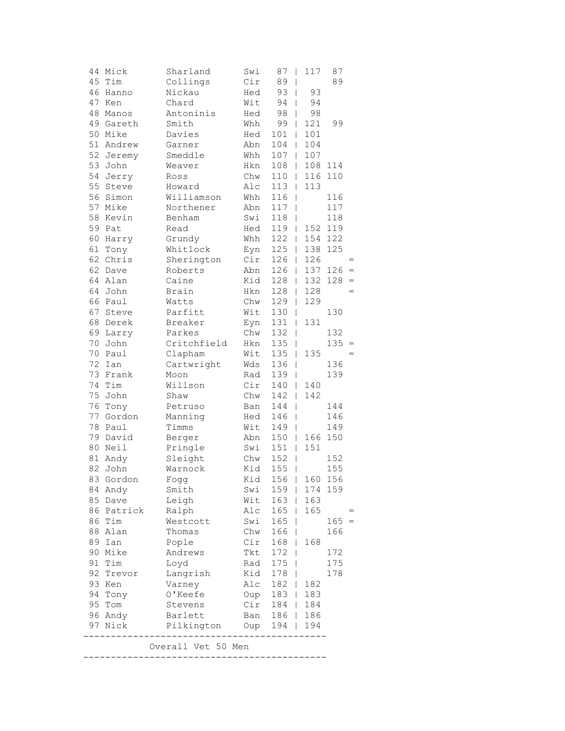|    | 44 Mick    | Sharland           | Swi        | 87            | 117<br>-1                | 87      |     |
|----|------------|--------------------|------------|---------------|--------------------------|---------|-----|
|    | 45 Tim     | Collings           | Cir        | 89            | $\overline{\phantom{a}}$ | 89      |     |
| 46 | Hanno      | Nickau             | Hed        | 93            | 93<br>$\mathbf{I}$       |         |     |
| 47 | Ken        | Chard              | Wit        | 94            | 94<br>$\mathbf{I}$       |         |     |
| 48 | Manos      | Antoninis          | Hed        | 98            | 98<br>L                  |         |     |
|    | 49 Gareth  | Smith              | Whh        | 99            | 121<br>L                 | 99      |     |
|    | 50 Mike    | Davies             | Hed        | 101           | 101<br>L                 |         |     |
|    | 51 Andrew  | Garner             | Abn        | 104           | 104<br>L                 |         |     |
|    | 52 Jeremy  | Smeddle            | Whh        | 107           | 107<br>$\mathbf{L}$      |         |     |
| 53 | John       | Weaver             | Hkn        | 108           | $\mathbf{L}$             | 108 114 |     |
| 54 | Jerry      | Ross               | Chw        | 110           | 116<br>$\mathbf{L}$      | 110     |     |
| 55 | Steve      | Howard             | Alc        | 113           | 113<br>L                 |         |     |
| 56 | Simon      | Williamson         | Whh        | 116           | $\mathbf{I}$             | 116     |     |
| 57 | Mike       | Northener          | Abn        | 117           | -1                       | 117     |     |
| 58 | Kevin      | Benham             | Swi        | 118           |                          | 118     |     |
| 59 | Pat        | Read               | Hed        | 119           | 152<br>L                 | 119     |     |
| 60 | Harry      | Grundy             | Whh        | 122           | 154<br>L                 | 122     |     |
| 61 | Tony       | Whitlock           | Eyn        | 125           | 138<br>$\mathbf{L}$      | 125     |     |
|    | 62 Chris   | Sherington         | Cir        | 126           | 126<br>L                 |         |     |
|    | 62 Dave    | Roberts            | Abn        | 126           | 137<br>$\mathbf{L}$      | 126     |     |
|    | 64 Alan    | Caine              | Kid        | 128           | 132<br>$\mathbf{L}$      | 128     |     |
| 64 | John       | Brain              | Hkn        | 128           | 128<br>$\mathbf{L}$      |         |     |
| 66 | Paul       | Watts              | Chw        | 129           | 129<br>L                 |         |     |
| 67 | Steve      | Parfitt            | Wit        | 130           | L                        | 130     |     |
| 68 | Derek      | Breaker            | Eyn        | 131           | 131<br>L                 |         |     |
| 69 | Larry      | Parkes             | Chw        | 132           | T                        | 132     |     |
| 70 | John       | Critchfield        | Hkn        | 135           | T                        | 135     | $=$ |
| 70 | Paul       | Clapham            | Wit        | 135           | 135<br>$\mathbf{I}$      |         |     |
| 72 | Ian        | Cartwright         | Wds        | 136           | $\overline{1}$           | 136     |     |
| 73 | Frank      | Moon               | Rad        | 139           | L                        | 139     |     |
| 74 | Tim        | Willson            | Cir        | 140           | 140<br>$\mathbf{L}$      |         |     |
| 75 | John       | Shaw               | Chw        | 142           | 142<br>L                 |         |     |
| 76 | Tony       | Petruso            | Ban        | 144           | T                        | 144     |     |
| 77 | Gordon     | Manning            | Hed        | 146           | L                        | 146     |     |
| 78 | Paul       | Timms              | Wit        | 149           | L                        | 149     |     |
|    | 79 David   | Berger             | Abn        | 150           | 166<br>L                 | 150     |     |
|    | 80 Neil    | Pringle            | Swi        | 151           | 151<br>$\overline{1}$    |         |     |
|    | 81 Andy    | Sleight            | Chw        | 152           | $\overline{\phantom{a}}$ | 152     |     |
| 82 | John       | Warnock            | Kid        | 155           |                          | 155     |     |
|    | 83 Gordon  |                    |            | $156$         | T                        | 160 156 |     |
|    |            | Fogg               | Kid<br>Swi |               |                          | 174 159 |     |
|    | 84 Andy    | Smith              |            | 159           |                          |         |     |
|    | 85 Dave    | Leigh              | Wit        | $163$         | 163                      |         |     |
|    | 86 Patrick | Ralph              | Alc        | $165$         | 165                      |         |     |
|    | 86 Tim     | Westcott           | Swi        | 165           |                          | $165 =$ |     |
|    | 88 Alan    | Thomas             | Chw        | $166$         |                          | 166     |     |
|    | 89 Ian     | Pople              | Cir        | $168$         | 168                      |         |     |
|    | 90 Mike    | Andrews            | Tkt        | 172           |                          | 172     |     |
|    | 91 Tim     | Loyd               | Rad        | $175$         |                          | 175     |     |
|    | 92 Trevor  | Langrish           | Kid        | 178           |                          | 178     |     |
|    | 93 Ken     | Varney             | Alc        | 182           | 182                      |         |     |
|    | 94 Tony    | O'Keefe            | Oup        | 183           | 183                      |         |     |
|    | 95 Tom     | Stevens            | Cir        | 184           | 184                      |         |     |
|    | 96 Andy    | Barlett            |            | Ban 186   186 |                          |         |     |
|    | 97 Nick    | Pilkington         | Oup        | 194           | 194                      |         |     |
|    |            | Overall Vet 50 Men |            |               |                          |         |     |

--------------------------------------------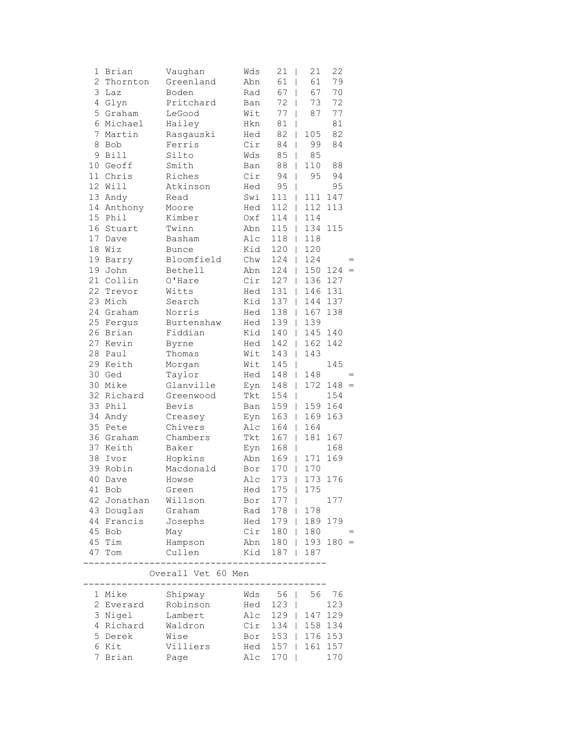| 1  | Brian                      | Vaughan      | Wds | 21<br>$\overline{\phantom{a}}$ | 21                                    | 22            |     |
|----|----------------------------|--------------|-----|--------------------------------|---------------------------------------|---------------|-----|
|    | $\overline{2}$<br>Thornton | Greenland    | Abn | 61<br>$\overline{\phantom{a}}$ | 61                                    | 79            |     |
| 3  | Laz                        | Boden        | Rad | 67                             | 67<br>$\overline{\phantom{a}}$        | 70            |     |
| 4  | Glyn                       | Pritchard    | Ban | 72                             | 73<br>$\mathbf{I}$                    | 72            |     |
| 5  | Graham                     | LeGood       | Wit | 77                             | 87<br>$\mathbf{I}$                    | 77            |     |
| 6  | Michael                    | Hailey       | Hkn | $8\,1$                         | T                                     | 81            |     |
| 7  | Martin                     | Rasgauski    | Hed | 82                             | 105<br>$\mathbf{I}$                   | 82            |     |
| 8  | Bob                        | Ferris       | Cir | 84                             | 99<br>$\mathbf{I}$                    | 84            |     |
| 9  | <b>Bill</b>                | Silto        | Wds | 85                             | 85<br>$\overline{1}$                  |               |     |
| 10 | Geoff                      | Smith        | Ban | 88                             | 110<br>$\mathbf{I}$                   | 88            |     |
| 11 | Chris                      | Riches       | Cir | 94                             | 95<br>$\overline{1}$                  | 94            |     |
| 12 | Will                       | Atkinson     | Hed | 95                             | $\mathbf{I}$                          | 95            |     |
| 13 | Andy                       | Read         | Swi | 111                            | 111<br>$\mathbb{L}$                   | 147           |     |
| 14 | Anthony                    | Moore        | Hed | 112                            | 112<br>$\mathbf{L}$                   | 113           |     |
| 15 | Phil                       | Kimber       | Oxf | 114                            | 114<br>$\mathbf{L}$                   |               |     |
| 16 | Stuart                     | Twinn        | Abn | 115                            | 134<br>$\mathbb{L}$                   | 115           |     |
| 17 | Dave                       | Basham       | Alc | 118                            | 118<br>$\mathbb{L}$                   |               |     |
| 18 | Wiz                        | <b>Bunce</b> | Kid | 120                            | 120<br>$\mathbf{L}$                   |               |     |
| 19 | Barry                      | Bloomfield   | Chw | 124                            | 124<br>$\mathbb{L}$                   |               |     |
| 19 | John                       | Bethell      | Abn | 124                            | $\mathbb{L}$                          | $150$ $124 =$ |     |
| 21 | Collin                     | O'Hare       | Cir | 127                            | $\mathbb{L}$                          | 136 127       |     |
| 22 | Trevor                     | Witts        | Hed | 131                            | 146<br>$\mathbf{L}$                   | 131           |     |
| 23 | Mich                       | Search       | Kid | 137                            | 144<br>$\mathbf{L}$                   | 137           |     |
| 24 | Graham                     | Norris       | Hed | 138                            | 167<br>$\mathbf{L}$                   | 138           |     |
| 25 | Fergus                     | Burtenshaw   | Hed | 139                            | 139<br>$\mathbb{L}$                   |               |     |
| 26 | Brian                      | Fiddian      | Kid | 140                            | $\mathbf{L}$                          | 145 140       |     |
| 27 | Kevin                      | Byrne        | Hed | 142                            | 162<br>$\mathbf{L}$                   | 142           |     |
| 28 | Paul                       | Thomas       | Wit | 143                            | 143<br>$\mathbb{L}$                   |               |     |
|    | 29 Keith                   | Morgan       | Wit | 145                            | $\mathbf{I}$                          | 145           |     |
| 30 | Ged                        | Taylor       | Hed | 148                            | 148<br>$\mathbb{L}$                   |               |     |
| 30 | Mike                       | Glanville    | Eyn | 148                            | 172<br>$\mathbb{L}$                   | $148 =$       |     |
| 32 | Richard                    | Greenwood    | Tkt | 154                            | $\mathbf{I}$                          | 154           |     |
| 33 | Phil                       | Bevis        | Ban | 159                            | 159<br>$\mathbf{I}$                   | 164           |     |
| 34 | Andy                       | Creasey      | Eyn | 163                            | 169<br>$\mathbf{L}$                   | 163           |     |
| 35 | Pete                       | Chivers      | Alc | 164                            | 164<br>$\mathbf{L}$                   |               |     |
| 36 | Graham                     | Chambers     | Tkt | 167                            | 181<br>$\mathbf{I}$                   | 167           |     |
| 37 | Keith                      | Baker        | Eyn | 168                            | $\begin{array}{c} \hline \end{array}$ | 168           |     |
| 38 | Ivor                       | Hopkins      | Abn | 169                            | 171<br>$\mathbf{L}$                   | 169           |     |
| 39 | Robin                      | Macdonald    | Bor | 170                            | 170<br>$\overline{\phantom{a}}$       |               |     |
|    |                            |              |     | 173                            |                                       | 173 176       |     |
|    | 40 Dave                    | Howse        | Alc |                                | 175                                   |               |     |
| 41 | Bob                        | Green        | Hed | $175$                          |                                       |               |     |
| 42 | Jonathan                   | Willson      | Bor | 177                            |                                       | 177           |     |
| 43 | Douglas                    | Graham       | Rad | 178                            | 178<br>$\mathbf{I}$                   |               |     |
| 44 | Francis                    | Josephs      | Hed | 179                            | 189<br>$\mathbf{1}$                   | 179           |     |
| 45 | Bob                        | May          | Cir | 180                            | 180<br>L                              |               | $=$ |
| 45 | Tim                        | Hampson      | Abn | 180                            | 193<br>L                              | 180           | $=$ |
| 47 | Tom                        | Cullen       | Kid | 187                            | 187<br>T                              |               |     |
|    |                            |              |     |                                |                                       |               |     |

### Overall Vet 60 Men

| 1 Mike    | Shipway<br>Robinson | Wds 56   56 76    |  |     |
|-----------|---------------------|-------------------|--|-----|
|           |                     |                   |  |     |
| 2 Everard |                     | Hed 123           |  | 123 |
| 3 Nigel   | Lambert             | Alc 129   147 129 |  |     |
| 4 Richard | Waldron             | Cir 134   158 134 |  |     |
| 5 Derek   | Wise                | Bor 153   176 153 |  |     |
| 6 Kit     | Villiers            | Hed 157   161 157 |  |     |
| 7 Brian   | Page                | Alc 170           |  | 170 |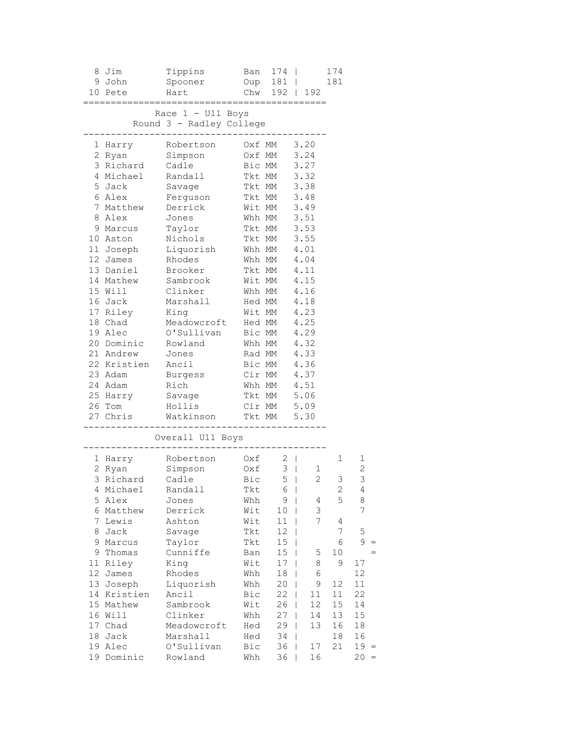|    | 8 Jim             | Tippins                               |        | Ban 174                                   |               | 174              |                   |
|----|-------------------|---------------------------------------|--------|-------------------------------------------|---------------|------------------|-------------------|
|    | 9 John            | Spooner                               |        | Oup 181                                   |               | 181              |                   |
|    | Hart<br>10 Pete   |                                       |        |                                           | Chw 192   192 |                  |                   |
|    |                   | $=$ $=$ $=$ $=$                       |        |                                           |               |                  |                   |
|    |                   | Race $1 - U11$ Boys                   |        |                                           |               |                  |                   |
|    |                   | Round 3 - Radley College              |        |                                           |               |                  |                   |
|    | 1 Harry           | Robertson                             |        | Oxf MM 3.20                               |               |                  |                   |
|    | 2 Ryan            |                                       | Oxf MM |                                           | 3.24          |                  |                   |
|    |                   |                                       |        | Bic MM                                    | 3.27          |                  |                   |
|    | 4 Michael Randall |                                       |        | Tkt MM 3.32                               |               |                  |                   |
|    | 5 Jack            | Savage                                |        | Tkt MM 3.38                               |               |                  |                   |
|    |                   | 6 Alex Ferguson Tkt MM 3.48           |        |                                           |               |                  |                   |
|    |                   | 7 Matthew Derrick Wit MM 3.49         |        |                                           |               |                  |                   |
|    | 8 Alex Jones      |                                       |        | Whh MM 3.51                               |               |                  |                   |
|    | 9 Marcus          | Taylor                                |        | Tkt MM 3.53                               |               |                  |                   |
|    | 10 Aston          |                                       |        |                                           |               |                  |                   |
|    | 11 Joseph         |                                       |        |                                           |               |                  |                   |
|    | 12 James          | Nichols<br>Liquorish<br>Rhodes        |        | Tkt MM 3.55<br>Whh MM 4.01<br>Whh MM 4.04 |               |                  |                   |
|    | 13 Daniel         | Brooker                               |        | Tkt MM 4.11                               |               |                  |                   |
|    | 14 Mathew         | Sambrook Wit MM                       |        |                                           | 4.15          |                  |                   |
|    |                   | 15 Will Clinker Whh MM 4.16           |        |                                           |               |                  |                   |
|    | 16 Jack           | Marshall Hed MM 4.18                  |        |                                           |               |                  |                   |
|    |                   | 17 Riley King Mit MM 4.23             |        |                                           |               |                  |                   |
|    |                   | 18 Chad Meadowcroft Hed MM 4.25       |        |                                           |               |                  |                   |
|    | 19 Alec           | O'Sullivan                            |        |                                           |               |                  |                   |
|    |                   |                                       |        | Bic MM 4.29<br>Whh MM 4.32                |               |                  |                   |
|    |                   | 20 Dominic Rowland<br>21 Andrew Jones |        | Rad MM 4.33                               |               |                  |                   |
|    | 22 Kristien Ancil |                                       |        | Bic MM 4.36                               |               |                  |                   |
|    |                   | 23 Adam Burgess Cir MM 4.37           |        |                                           |               |                  |                   |
|    | 24 Adam Rich      |                                       |        | Whh MM 4.51                               |               |                  |                   |
|    | 25 Harry Savage   |                                       |        | Tkt MM 5.06                               |               |                  |                   |
|    | 26 Tom            | Hollis                                |        | Cir MM 5.09                               |               |                  |                   |
|    |                   | 27 Chris Watkinson Tkt MM 5.30        |        |                                           |               |                  |                   |
|    |                   |                                       |        | ___________                               |               |                  |                   |
|    |                   | Overall U11 Boys                      |        |                                           |               |                  |                   |
|    |                   | 1 Harry Robertson 0xf 2               |        |                                           |               | $\mathbf 1$      |                   |
|    |                   | 2 Ryan Simpson 0xf 3   1              |        |                                           |               |                  | 1<br>$\mathbf{2}$ |
|    |                   | 3 Richard Cadle Bic 5   2             |        |                                           |               | 3                | 3                 |
| 4  | Michael           | Randall                               | Tkt    | 6                                         | I             | $\mathbf{2}$     | 4                 |
|    | 5 Alex            | Jones                                 | Whh    | 9                                         | 4             | 5                | 8                 |
|    | 6 Matthew         | Derrick                               | Wit    | 10                                        | 3             |                  | 7                 |
| 7  | Lewis             | Ashton                                | Wit    | 11                                        | 7             | 4                |                   |
| 8  | Jack              | Savage                                | Tkt    | 12                                        | T             | $\boldsymbol{7}$ | 5                 |
| 9  | Marcus            | Taylor                                | Tkt    | 15                                        | I             | 6                | 9                 |
| 9  | Thomas            | Cunniffe                              | Ban    | 15                                        | 5<br>T        | 10               |                   |
| 11 | Riley             | King                                  | Wit    | 17                                        | 8             | 9                | $17\,$            |
| 12 | James             | Rhodes                                | Whh    | 18                                        | 6             |                  | 12                |
| 13 | Joseph            | Liquorish                             | Whh    | 20                                        | 9             | 12               | 11                |
| 14 | Kristien          | Ancil                                 | Bic    | 22                                        | 11            | 11               | 22                |
|    | 15 Mathew         | Sambrook                              | Wit    | 26                                        | 12            | 15               | 14                |
|    | 16 Will           | Clinker                               | Whh    | 27                                        | 14            | 13               | 15                |
|    | 17 Chad           | Meadowcroft                           | Hed    | 29                                        | 13<br>T       | 16               | 18                |
| 18 | Jack              | Marshall                              | Hed    | 34                                        | T             | 18               | 16                |
| 19 | Alec              | O'Sullivan                            | Bic    | 36                                        | 17<br>T       | 21               | 19                |
| 19 | Dominic           | Rowland                               | Whh    | 36                                        | 16<br>L       |                  | 20<br>$=$         |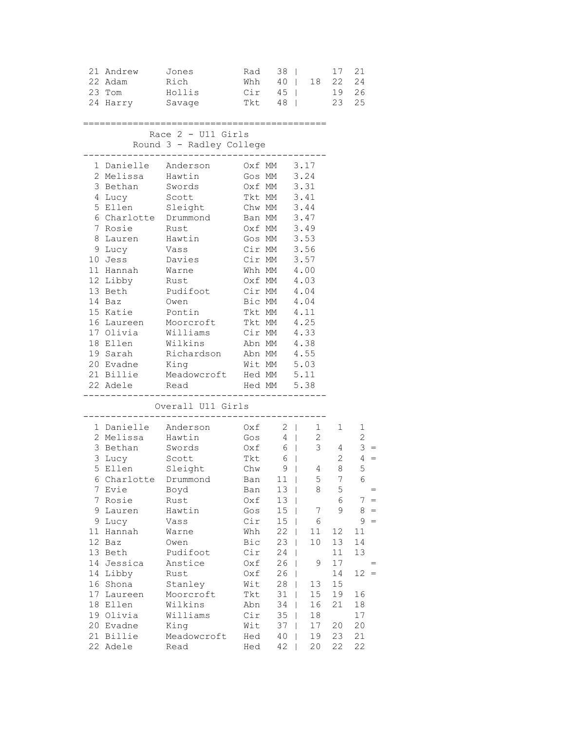| ====================<br>Race $2 - U11$ Girls<br>Round 3 - Radley College<br>1 Danielle Anderson<br>Oxf MM 3.17<br>2 Melissa Hawtin<br>Gos MM 3.24                                                                                                                                                                                                                                                                                                                                                                                                                                                                                             | 19  26<br>23  25                                                                                                                                                                                                            |
|-----------------------------------------------------------------------------------------------------------------------------------------------------------------------------------------------------------------------------------------------------------------------------------------------------------------------------------------------------------------------------------------------------------------------------------------------------------------------------------------------------------------------------------------------------------------------------------------------------------------------------------------------|-----------------------------------------------------------------------------------------------------------------------------------------------------------------------------------------------------------------------------|
|                                                                                                                                                                                                                                                                                                                                                                                                                                                                                                                                                                                                                                               |                                                                                                                                                                                                                             |
| 3 Bethan<br>Oxf MM 3.31<br>Tkt MM 3.41<br>Swords<br>Tkt MM<br>4 Lucy<br>Scott<br>3.41<br>5 Ellen Sleight Chw MM 3.44<br>6 Charlotte Drummond Ban MM 3.47<br>Oxf MM 3.49<br>7 Rosie Rust<br>8 Lauren Hawtin Gos MM 3.53<br>Cir MM 3.56<br>9 Lucy Vass<br>10 Jess Davies Cir MM 3.57<br>Whh $MM$ 4.00<br>11 Hannah Warne<br>0xf MM 4.03<br>Cir MM 4.04<br>Bic MM 4.04<br>12 Libby Rust<br>13 Beth Pudifoot<br>14 Baz Owen<br>15 Katie Pontin<br>Tkt MM 4.11<br>16 Laureen Moorcroft Tkt MM 4.25<br>17 Olivia Williams Cir MM 4.33<br>18 Ellen Wilkins Abn MM 4.38<br>19 Sarah Richardson Abn MM 4.55<br>20 Evadne King Mit MM 5.03<br>21 Billie |                                                                                                                                                                                                                             |
| Meadowcroft Hed MM 5.11<br>22 Adele<br>____________                                                                                                                                                                                                                                                                                                                                                                                                                                                                                                                                                                                           |                                                                                                                                                                                                                             |
| Overall U11 Girls                                                                                                                                                                                                                                                                                                                                                                                                                                                                                                                                                                                                                             |                                                                                                                                                                                                                             |
| 1 Danielle Anderson 0xf 2   1 1<br>2 Melissa Hawtin Gos 4   2<br>3 Bethan Swords 0xf 6   3 4<br>$\begin{array}{ccc} - & & 6 \\ \text{Tkt} & & 6 \\ \text{Chw} & & 9 \end{array}$<br>3 Lucy Scott<br>5 Ellen Sleight<br>$9 \mid$<br>6 Charlotte Drummond<br>Ban 11  <br>7<br>Evie<br>13<br>Boyd<br>$\perp$<br>Ban<br>7<br>Rosie<br>Rust<br>Oxf<br>13<br>I<br>15<br>9.<br>Gos                                                                                                                                                                                                                                                                   | $\mathbf{1}$<br>2<br>$3 =$<br>$2 \t 4 =$<br>5<br>8 <sup>8</sup><br>4<br>$7\overline{ }$<br>6<br>5 <sup>5</sup><br>8<br>5<br>$=$<br>6<br>7<br>$=$<br>7<br>9<br>$=$<br>8                                                      |
| Lauren<br>Hawtin<br>T<br>Cir<br>15<br>9<br>Lucy<br>Vass<br>Hannah<br>Whh<br>22<br>11<br>Warne<br>12<br>Bic<br>23<br>Baz<br>Owen<br>13 Beth<br>Pudifoot<br>Cir<br>24<br>26<br>14<br>Jessica<br>Anstice<br>Oxf<br>26<br>14<br>Libby<br>Rust<br>Oxf<br>28<br>16 Shona<br>Stanley<br>Wit<br>T<br>17<br>Moorcroft<br>Tkt<br>31<br>Laureen<br>T<br>Wilkins<br>34<br>18<br>Ellen<br>Abn<br>T<br>Williams<br>19 Olivia<br>Cir<br>35<br>Evadne<br>King<br>Wit<br>20<br>37<br>21<br>Billie<br>Meadowcroft<br>Hed<br>40<br>22 Adele<br>42<br>Read<br>Hed                                                                                                 | $=$<br>6<br>9<br>11<br>11<br>12<br>10<br>13<br>14<br>11<br>13<br>9<br>17<br>12<br>14<br>$\qquad \qquad =$<br>13<br>15<br>15<br>19<br>16<br>16<br>21<br>18<br>18<br>17<br>17<br>20<br>20<br>21<br>19<br>23<br>20<br>22<br>22 |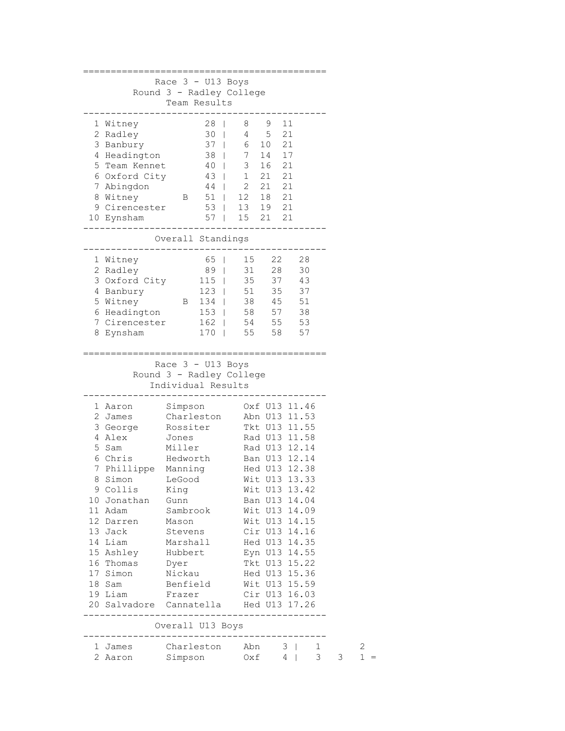|                           | Race 3 - U13 Boys             |      |                                                                                                           |               |       |                     |   |        |
|---------------------------|-------------------------------|------|-----------------------------------------------------------------------------------------------------------|---------------|-------|---------------------|---|--------|
|                           | Round 3 - Radley College      |      |                                                                                                           |               |       |                     |   |        |
|                           | Team Results                  |      |                                                                                                           |               |       |                     |   |        |
|                           |                               |      |                                                                                                           |               |       |                     |   |        |
| 1 Witney                  |                               | $28$ | 8 9 11                                                                                                    |               |       |                     |   |        |
| 2 Radley                  |                               |      | 30   4 5 21                                                                                               |               |       |                     |   |        |
| 3 Banbury                 |                               |      |                                                                                                           |               |       |                     |   |        |
| 4 Headington              |                               |      |                                                                                                           |               |       |                     |   |        |
| 5 Team Kennet             |                               |      | $\begin{array}{c ccccc} 37 &   & 6 & 10 & 21 \\ 38 &   & 7 & 14 & 17 \\ 40 &   & 3 & 16 & 21 \end{array}$ |               |       |                     |   |        |
| 6 Oxford City             |                               |      | 43   1 21 21                                                                                              |               |       |                     |   |        |
| 7 Abingdon                |                               |      | $44$   2                                                                                                  | 21 21         |       |                     |   |        |
| 8 Witney                  | B 51                          |      |                                                                                                           | 12 18 21      |       |                     |   |        |
| 9 Cirencester 53          |                               |      |                                                                                                           | 13 19 21      |       |                     |   |        |
| 10 Eynsham                |                               |      | 57   15 21 21                                                                                             |               |       |                     |   |        |
|                           |                               |      |                                                                                                           |               |       |                     |   |        |
|                           | Overall Standings             |      |                                                                                                           |               |       |                     |   |        |
| 1 Witney                  |                               |      | 65   15                                                                                                   |               | 22 28 |                     |   |        |
| 2 Radley                  | 89                            |      | 31                                                                                                        | 28            |       | 30                  |   |        |
| 3 Oxford City             |                               |      | 115   35 37                                                                                               |               |       | 43                  |   |        |
| 4 Banbury                 |                               |      | 123   51 35                                                                                               |               |       | 37                  |   |        |
| 5 Witney B 134   38 45 51 |                               |      |                                                                                                           |               |       |                     |   |        |
| 6 Headington 153   58 57  |                               |      |                                                                                                           |               |       | 38                  |   |        |
| 7 Cirencester             |                               |      | 162   54 55                                                                                               |               |       | 53                  |   |        |
| 8 Eynsham                 |                               | 170  |                                                                                                           | 55 58         |       | 57                  |   |        |
|                           |                               |      |                                                                                                           |               |       |                     |   |        |
|                           |                               |      |                                                                                                           |               |       |                     |   |        |
|                           | Race $3 - U13$ Boys           |      |                                                                                                           |               |       |                     |   |        |
|                           | Round 3 - Radley College      |      |                                                                                                           |               |       |                     |   |        |
|                           |                               |      |                                                                                                           |               |       |                     |   |        |
|                           | Individual Results            |      |                                                                                                           |               |       |                     |   |        |
|                           |                               |      |                                                                                                           |               |       |                     |   |        |
| 1 Aaron                   | Simpson                       |      |                                                                                                           | Oxf U13 11.46 |       |                     |   |        |
| 2 James                   | Charleston                    |      | Abn U13 11.53                                                                                             |               |       |                     |   |        |
| 3 George                  | Rossiter                      |      | Tkt U13 11.55                                                                                             |               |       |                     |   |        |
| 4 Alex                    | Jones                         |      |                                                                                                           | Rad U13 11.58 |       |                     |   |        |
| 5 Sam                     | Miller                        |      |                                                                                                           | Rad U13 12.14 |       |                     |   |        |
| 6 Chris                   | Hedworth                      |      | Ban U13 12.14                                                                                             |               |       |                     |   |        |
| 7 Phillippe Manning       |                               |      | Hed U13 12.38                                                                                             |               |       |                     |   |        |
| 8 Simon LeGood            |                               |      |                                                                                                           | Wit U13 13.33 |       |                     |   |        |
| 9 Collis                  | King                          |      |                                                                                                           | Wit U13 13.42 |       |                     |   |        |
| 10 Jonathan               | Gunn                          |      |                                                                                                           | Ban U13 14.04 |       |                     |   |        |
| 11 Adam                   | Sambrook                      |      |                                                                                                           | Wit U13 14.09 |       |                     |   |        |
| 12 Darren                 | Mason                         |      |                                                                                                           | Wit U13 14.15 |       |                     |   |        |
| 13 Jack                   | Stevens                       |      |                                                                                                           | Cir U13 14.16 |       |                     |   |        |
| 14 Liam                   | Marshall                      |      |                                                                                                           | Hed U13 14.35 |       |                     |   |        |
| 15 Ashley                 | Hubbert                       |      |                                                                                                           | Eyn U13 14.55 |       |                     |   |        |
| 16 Thomas                 | Dyer                          |      |                                                                                                           | Tkt U13 15.22 |       |                     |   |        |
| 17 Simon                  | Nickau                        |      |                                                                                                           | Hed U13 15.36 |       |                     |   |        |
| 18 Sam                    | Benfield                      |      | Wit U13 15.59                                                                                             |               |       |                     |   |        |
| 19 Liam                   | Frazer                        |      |                                                                                                           | Cir U13 16.03 |       |                     |   |        |
| 20 Salvadore Cannatella   | ----------                    |      | Hed U13 17.26                                                                                             | _________     |       |                     |   |        |
|                           |                               |      |                                                                                                           |               |       |                     |   |        |
|                           | Overall U13 Boys              |      |                                                                                                           |               |       |                     |   |        |
| l James<br>2 Aaron        | Charleston Abn 3  <br>Simpson |      |                                                                                                           | $0xf \t4$     |       | 1<br>3 <sup>7</sup> | 3 | 2<br>1 |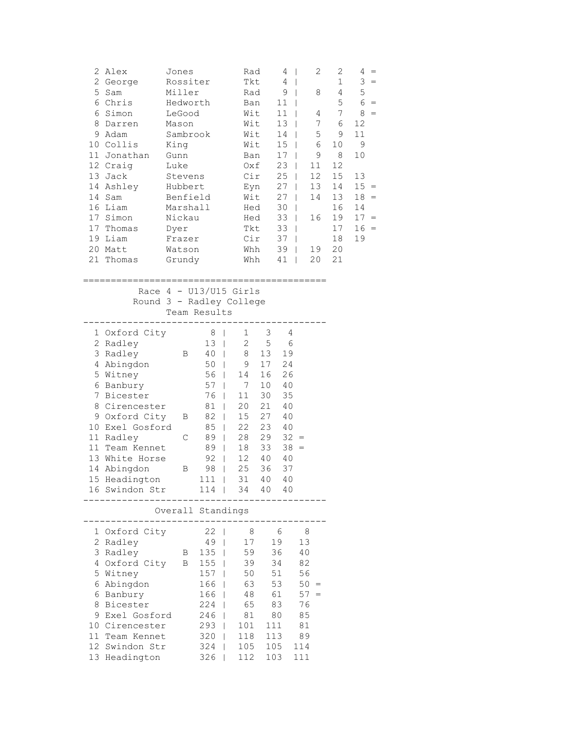| 5           | 2 Alex<br>2 George<br>Sam<br>6 Chris<br>6 Simon<br>8 Darren<br>9 Adam<br>10 Collis<br>11 Jonathan<br>12 Craig<br>13 Jack<br>14 Ashley<br>14 Sam<br>16 Liam<br>17 Simon<br>17 Thomas<br>19 Liam                                                   | Jones<br>Rossiter<br>Miller<br>Hedworth<br>LeGood<br>Mason<br>Sambrook<br>King<br>Gunn<br>Luke<br>Stevens<br>Hubbert<br>Benfield<br>Marshall<br>Nickau<br>Dyer<br>Frazer |                                                                                                                                                                                             | Rad<br>Tkt<br>Rad<br>Ban<br>Wit<br>Wit<br>Wit<br>Wit<br>Ban<br>Oxf<br>Cir<br>Eyn<br>Hed<br>Tkt<br>Cir                                                                                                                                  | Wit<br>Hed                                                                                           | 4<br>$\overline{\phantom{a}}$<br>4<br>$\overline{\phantom{a}}$<br>9<br>$\perp$<br>11<br>11<br>13<br>14<br>15<br>17<br>23<br>$\perp$<br>25<br>$\Box$<br>$27 \mid$<br>27<br>30<br>33<br>33<br>37 | T<br>T<br>T<br>$\mathbf{I}$<br>$\mathbf{I}$<br>$\mathbf{I}$<br>T<br>$\mathbf{I}$<br>$\mathbf{I}$<br>$\mathbf{I}$ | 2<br>8<br>4<br>7<br>5<br>6<br>9<br>11<br>12<br>13<br>14<br>16 | 2<br>$\mathbf{1}$<br>4<br>5<br>7<br>6<br>9<br>10<br>8<br>12<br>15<br>14<br>13<br>16<br>19<br>17<br>18 | $4 =$<br>$3 =$<br>$\mathsf S$<br>$6 =$<br>8<br>$=$<br>12<br>11<br>$\mathsf 9$<br>10<br>13<br>$15 =$<br>$18 =$<br>14<br>$17 =$<br>16<br>$=$<br>19 |
|-------------|--------------------------------------------------------------------------------------------------------------------------------------------------------------------------------------------------------------------------------------------------|--------------------------------------------------------------------------------------------------------------------------------------------------------------------------|---------------------------------------------------------------------------------------------------------------------------------------------------------------------------------------------|----------------------------------------------------------------------------------------------------------------------------------------------------------------------------------------------------------------------------------------|------------------------------------------------------------------------------------------------------|------------------------------------------------------------------------------------------------------------------------------------------------------------------------------------------------|------------------------------------------------------------------------------------------------------------------|---------------------------------------------------------------|-------------------------------------------------------------------------------------------------------|--------------------------------------------------------------------------------------------------------------------------------------------------|
|             | 20 Matt<br>21 Thomas                                                                                                                                                                                                                             | Watson                                                                                                                                                                   |                                                                                                                                                                                             | Whh                                                                                                                                                                                                                                    |                                                                                                      | 39<br>$\Box$                                                                                                                                                                                   |                                                                                                                  | 19                                                            | 20<br>21                                                                                              |                                                                                                                                                  |
|             |                                                                                                                                                                                                                                                  | Grundy                                                                                                                                                                   |                                                                                                                                                                                             | Whh                                                                                                                                                                                                                                    |                                                                                                      | $41$                                                                                                                                                                                           |                                                                                                                  | 20                                                            |                                                                                                       |                                                                                                                                                  |
|             | Round 3 - Radley College                                                                                                                                                                                                                         |                                                                                                                                                                          | Team Results                                                                                                                                                                                | Race $4 - U13/U15$ Girls                                                                                                                                                                                                               |                                                                                                      |                                                                                                                                                                                                |                                                                                                                  |                                                               |                                                                                                       |                                                                                                                                                  |
| $7^{\circ}$ | 1 Oxford City<br>2 Radley<br>3 Radley<br>4 Abingdon<br>5 Witney<br>6 Banbury<br>Bicester<br>8 Cirencester<br>9 Oxford City<br>10 Exel Gosford<br>11 Radley<br>11 Team Kennet<br>13 White Horse<br>14 Abingdon<br>15 Headington<br>16 Swindon Str | В<br>Β<br>C<br>В                                                                                                                                                         | 8<br>$\mathbf{I}$<br>13  <br>40 <sub>1</sub><br>50<br>56<br>$\mathbf{I}$<br>57<br>76<br>81<br>82<br>85<br>89<br>89<br>$\overline{\phantom{a}}$<br>92<br>$\perp$<br>98<br>$111$ $\pm$<br>114 | 1<br>$\overline{c}$<br>8<br>9<br>$\mathbf{I}$<br>14<br>7<br>$\mathbf{I}$<br>11<br>$\mathbf{I}$<br>20<br>$\mathbf{I}$<br>15<br>$\mathbf{I}$<br>22<br>$\mathbf{I}$<br>28<br>$\overline{1}$<br>18<br>12<br>25<br>$\mathbf{I}$<br>31<br>34 | 3<br>$\mathsf S$<br>13<br>17<br>16<br>10<br>30<br>21<br>27<br>23<br>29<br>33<br>40<br>36<br>40<br>40 | 4<br>6<br>19<br>24<br>26<br>40<br>35<br>40<br>40<br>40<br>$32 =$<br>$38 =$<br>40<br>37<br>40<br>40                                                                                             |                                                                                                                  |                                                               |                                                                                                       |                                                                                                                                                  |
|             |                                                                                                                                                                                                                                                  |                                                                                                                                                                          | Overall Standings                                                                                                                                                                           |                                                                                                                                                                                                                                        |                                                                                                      |                                                                                                                                                                                                |                                                                                                                  |                                                               |                                                                                                       |                                                                                                                                                  |
|             | 1 Oxford City<br>2 Radley<br>3 Radley<br>4 Oxford City<br>5 Witney<br>6 Abingdon<br>6 Banbury<br>8 Bicester<br>9 Exel Gosford<br>10 Cirencester<br>11 Team Kennet<br>12 Swindon Str<br>13 Headington                                             | Β<br>В                                                                                                                                                                   | 22<br>49<br>135<br>155<br>157<br>166<br>166<br>224<br>246<br>$293$  <br>320<br>324<br>326                                                                                                   | 8<br>17<br>59<br>I<br>39<br>50<br>63<br>48<br>65<br>81<br>L<br>101<br>118<br>$\mathbf{I}$<br>105<br>I<br>112                                                                                                                           | 111<br>113                                                                                           | - 6<br>19<br>36<br>34<br>51<br>53<br>61<br>83<br>80<br>105<br>103                                                                                                                              | 8<br>13<br>40<br>82<br>56<br>$50 =$<br>$57 =$<br>76<br>85<br>81<br>89<br>114<br>111                              |                                                               |                                                                                                       |                                                                                                                                                  |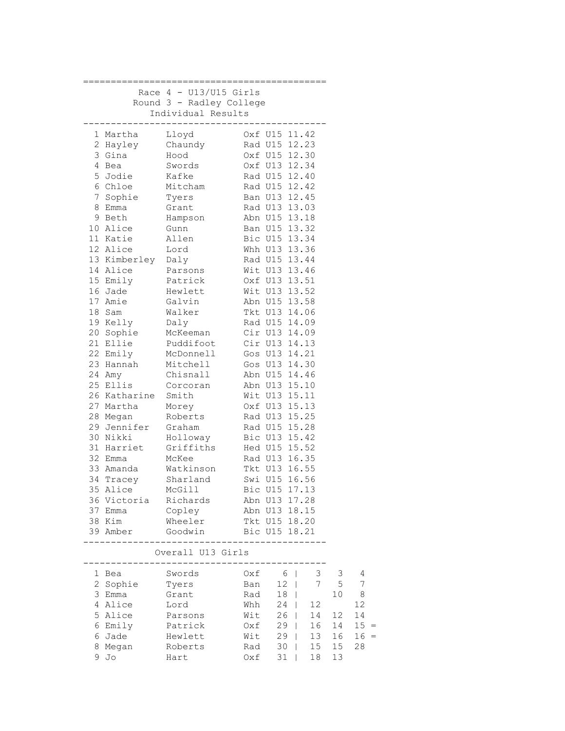|   |                    | Race $4 - U13/U15$ Girls |     |                |                |                |        |
|---|--------------------|--------------------------|-----|----------------|----------------|----------------|--------|
|   |                    | Round 3 - Radley College |     |                |                |                |        |
|   |                    | Individual Results       |     |                |                |                |        |
|   |                    |                          |     |                |                |                |        |
|   | l Martha           | Lloyd                    |     | Oxf U15 11.42  |                |                |        |
|   | 2 Hayley Chaundy   |                          |     | Rad U15 12.23  |                |                |        |
|   | 3 Gina             | Hood                     |     | Oxf U15 12.30  |                |                |        |
|   | 4 Bea              | Swords                   |     | Oxf U13 12.34  |                |                |        |
|   | 5 Jodie            | Kafke                    |     | Rad U15 12.40  |                |                |        |
|   | 6 Chloe            | Mitcham                  |     | Rad U15 12.42  |                |                |        |
| 7 | Sophie             | Tyers                    |     | Ban U13 12.45  |                |                |        |
| 8 | Emma               | Grant                    |     | Rad U13 13.03  |                |                |        |
|   | 9 Beth             | Hampson                  |     | Abn U15 13.18  |                |                |        |
|   | 10 Alice           | Gunn                     |     | Ban U15 13.32  |                |                |        |
|   | 11 Katie           | Allen                    |     | Bic U15 13.34  |                |                |        |
|   | 12 Alice           | Lord                     |     | Whh U13 13.36  |                |                |        |
|   | 13 Kimberley Daly  |                          |     | Rad U15 13.44  |                |                |        |
|   | 14 Alice           | Parsons                  |     | Wit U13 13.46  |                |                |        |
|   | 15 Emily           | Patrick                  |     | Oxf U13 13.51  |                |                |        |
|   | 16 Jade            | Hewlett                  |     | Wit U13 13.52  |                |                |        |
|   | 17 Amie            | Galvin                   |     | Abn U15 13.58  |                |                |        |
|   | 18 Sam             | Walker                   |     | Tkt U13 14.06  |                |                |        |
|   | 19 Kelly           | Daly                     |     | Rad U15 14.09  |                |                |        |
|   | 20 Sophie          | McKeeman                 |     | Cir U13 14.09  |                |                |        |
|   | 21 Ellie           | Puddifoot                |     | Cir U13 14.13  |                |                |        |
|   | 22 Emily           | McDonnell                |     | Gos U13 14.21  |                |                |        |
|   | 23 Hannah          | Mitchell                 |     | Gos U13 14.30  |                |                |        |
|   | 24 Amy             | Chisnall                 |     | Abn U15 14.46  |                |                |        |
|   | 25 Ellis           | Corcoran                 |     | Abn U13 15.10  |                |                |        |
|   | 26 Katharine Smith |                          |     | Wit U13 15.11  |                |                |        |
|   | 27 Martha          | Morey                    |     | Oxf U13 15.13  |                |                |        |
|   | 28 Megan           | Roberts                  |     | Rad U13 15.25  |                |                |        |
|   | 29 Jennifer Graham |                          |     | Rad U15 15.28  |                |                |        |
|   | 30 Nikki           | Holloway                 |     | Bic U13 15.42  |                |                |        |
|   | 31 Harriet         | Griffiths                |     | Hed U15 15.52  |                |                |        |
|   | 32 Emma            | McKee                    |     | Rad U13 16.35  |                |                |        |
|   | 33 Amanda          | Watkinson                |     | Tkt U13 16.55  |                |                |        |
|   | 34 Tracey          | Sharland                 |     | Swi U15 16.56  |                |                |        |
|   | 35 Alice           | McGill                   |     | Bic U15 17.13  |                |                |        |
|   |                    | 36 Victoria Richards     |     | Abn U13 17.28  |                |                |        |
|   | 37 Emma            | Copley                   |     | Abn U13 18.15  |                |                |        |
|   | 38 Kim             | Wheeler Tkt U15 18.20    |     |                |                |                |        |
|   | 39 Amber           | Goodwin Bic U15 18.21    |     |                |                |                |        |
|   | --------           |                          |     |                |                |                |        |
|   |                    | Overall U13 Girls        |     |                |                |                |        |
|   |                    |                          |     |                |                |                |        |
|   | 1 Bea              | Swords                   | Oxf | 6 <sup>1</sup> | 3 <sup>7</sup> | 3              | 4      |
|   | 2 Sophie           | Tyers                    | Ban | $12$           |                | 7 <sub>5</sub> | 7      |
|   | 3 Emma             | Grant                    | Rad | $18$           |                | 10             | - 8    |
|   | 4 Alice            | Lord                     | Whh | 24             | $12\,$         |                | 12     |
|   | 5 Alice            | Parsons                  | Wit | $26$           | 14             | 12             | 14     |
|   | 6 Emily            | Patrick                  | Oxf | $29$           | 16             | 14             | $15 =$ |
|   | 6 Jade             | Hewlett                  | Wit | $29$           | 13             | 16             | $16 =$ |
| 8 | Megan              | Roberts                  | Rad | $30$           | $15\,$         | 15             | 28     |
|   | 9 Jo               | Hart                     | Oxf | $31$           | 18             | 13             |        |
|   |                    |                          |     |                |                |                |        |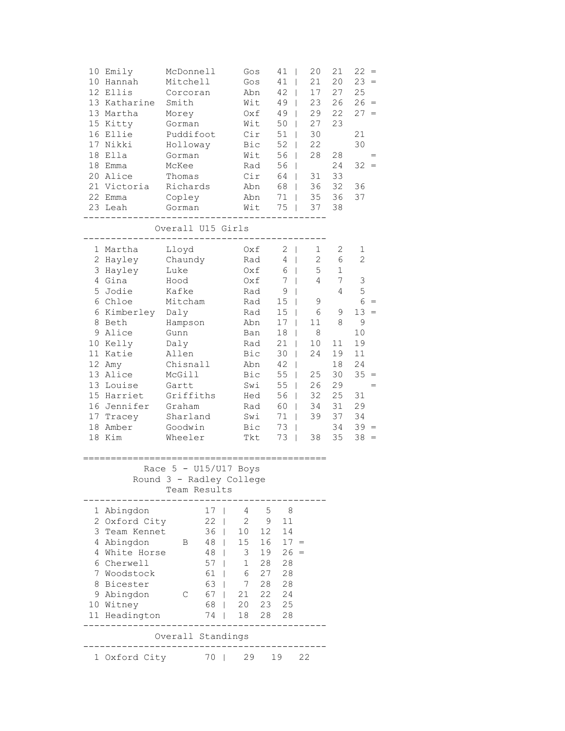|                                    | 10 Emily<br>10 Hannah<br>12 Ellis<br>13 Katharine<br>13 Martha<br>15 Kitty<br>16 Ellie<br>17 Nikki<br>18 Ella<br>18 Emma<br>20 Alice<br>21 Victoria<br>22 Emma<br>23 Leah                                      | McDonnell<br>Mitchell<br>Corcoran<br>Smith<br>Morey<br>Gorman<br>Puddifoot<br>Holloway<br>Gorman<br>McKee<br>Thomas<br>Richards<br>Copley<br>Gorman                                      |                                                                                                                                                            | Gos<br>Gos<br>Abn<br>Wit<br>Oxf<br>Wit<br>Cir<br>Bic<br>Wit<br>Rad<br>Cir<br>Abn<br>Abn<br>Wit                                    |                                                                        | 41<br>T<br>41<br>T<br>42<br>49<br>$\Box$<br>49<br>$\overline{\phantom{a}}$<br>50<br>$\overline{1}$<br>51<br>52<br>T<br>56<br>56<br>T<br>64<br>68<br>$\Box$<br>71<br>75                                                                                                                                | T<br>L<br>L<br>L<br>$\mathbf{I}$ | 20<br>21<br>17<br>23<br>29<br>27<br>30<br>22<br>28<br>31<br>36<br>35<br>37                       | 21<br>20<br>27<br>26<br>22<br>23<br>28<br>24<br>33<br>32<br>36<br>38                                  | $22 =$<br>$23 =$<br>25<br>$26 =$<br>$27 =$<br>21<br>30<br>32<br>36<br>37                                                    |  |
|------------------------------------|----------------------------------------------------------------------------------------------------------------------------------------------------------------------------------------------------------------|------------------------------------------------------------------------------------------------------------------------------------------------------------------------------------------|------------------------------------------------------------------------------------------------------------------------------------------------------------|-----------------------------------------------------------------------------------------------------------------------------------|------------------------------------------------------------------------|-------------------------------------------------------------------------------------------------------------------------------------------------------------------------------------------------------------------------------------------------------------------------------------------------------|----------------------------------|--------------------------------------------------------------------------------------------------|-------------------------------------------------------------------------------------------------------|-----------------------------------------------------------------------------------------------------------------------------|--|
|                                    |                                                                                                                                                                                                                | Overall U15 Girls                                                                                                                                                                        |                                                                                                                                                            |                                                                                                                                   |                                                                        |                                                                                                                                                                                                                                                                                                       |                                  |                                                                                                  |                                                                                                       |                                                                                                                             |  |
| 5<br>6<br>8<br>9<br>10<br>17<br>18 | 1 Martha<br>2 Hayley<br>3 Hayley<br>4 Gina<br>Jodie<br>6 Chloe<br>Kimberley<br>Beth<br>Alice<br>Kelly<br>11 Katie<br>12 Amy<br>13 Alice<br>13 Louise<br>15 Harriet<br>16 Jennifer<br>Tracey<br>Amber<br>18 Kim | Lloyd<br>Chaundy<br>Luke<br>Hood<br>Kafke<br>Mitcham<br>Daly<br>Hampson<br>Gunn<br>Daly<br>Allen<br>Chisnall<br>McGill<br>Gartt<br>Griffiths<br>Graham<br>Sharland<br>Goodwin<br>Wheeler |                                                                                                                                                            | Oxf<br>Rad<br>Oxf<br>Oxf<br>Rad<br>Rad<br>Rad<br>Abn<br>Ban<br>Rad<br>Bic<br>Abn<br>Bic<br>Swi<br>Hed<br>Rad<br>Swi<br>Bic<br>Tkt |                                                                        | $2 \mid$<br>4<br>$\perp$<br>6<br>$\mathbf{I}$<br>$7\phantom{.0}$<br>$\overline{1}$<br>9<br>$\mathsf{I}$<br>15 <sub>1</sub><br>15<br>$\overline{1}$<br>17<br>18<br>T<br>21<br>T<br>30<br>T<br>42<br>T<br>55<br>55<br>$\perp$<br>56<br>$\mathbf{I}$<br>60<br>$\mathbf{I}$<br>71<br>73<br>T<br>$73 \mid$ | L<br>L<br>$\mathbf{I}$           | 1<br>$\mathbf{2}$<br>5<br>4<br>9<br>6<br>11<br>8<br>10<br>24<br>25<br>26<br>32<br>34<br>39<br>38 | 2<br>6<br>$\mathbf 1$<br>7<br>4<br>9<br>8<br>11<br>19<br>18<br>30<br>29<br>25<br>31<br>37<br>34<br>35 | 1<br>$\overline{2}$<br>3<br>5<br>6<br>$13 =$<br>$\mathsf 9$<br>10<br>19<br>11<br>24<br>35<br>31<br>29<br>34<br>$39 =$<br>38 |  |
|                                    |                                                                                                                                                                                                                | Race $5 - U15/U17$ Boys                                                                                                                                                                  |                                                                                                                                                            |                                                                                                                                   |                                                                        |                                                                                                                                                                                                                                                                                                       |                                  |                                                                                                  |                                                                                                       |                                                                                                                             |  |
|                                    |                                                                                                                                                                                                                | Round 3 - Radley College<br>Team Results                                                                                                                                                 |                                                                                                                                                            |                                                                                                                                   |                                                                        |                                                                                                                                                                                                                                                                                                       |                                  |                                                                                                  |                                                                                                       |                                                                                                                             |  |
|                                    | 1 Abingdon<br>2 Oxford City<br>3 Team Kennet<br>4 Abingdon<br>4 White Horse<br>6 Cherwell<br>7 Woodstock<br>8 Bicester<br>9 Abingdon<br>10 Witney<br>11 Headington                                             | В<br>С                                                                                                                                                                                   | 17<br>22<br>I<br>36<br>$\mathbf{I}$<br>48<br>$\mathbf{I}$<br>$48$  <br>$57 \mid$<br>61<br>$\overline{1}$<br>63<br>$\mathbf{I}$<br>67<br>T<br>68<br>74<br>I | 4<br>2<br>10<br>15<br>3<br>$\mathbf 1$<br>6<br>7<br>21<br>20<br>18                                                                | $5^{\circ}$<br>9<br>12<br>16<br>19<br>28<br>27<br>28<br>22<br>23<br>28 | 8 <sup>8</sup><br>11<br>14<br>$17 =$<br>$26 =$<br>28<br>28<br>28<br>24<br>25<br>28                                                                                                                                                                                                                    |                                  |                                                                                                  |                                                                                                       |                                                                                                                             |  |
|                                    |                                                                                                                                                                                                                | Overall Standings                                                                                                                                                                        |                                                                                                                                                            |                                                                                                                                   |                                                                        |                                                                                                                                                                                                                                                                                                       |                                  |                                                                                                  |                                                                                                       |                                                                                                                             |  |
|                                    | 1 Oxford City                                                                                                                                                                                                  |                                                                                                                                                                                          | 70                                                                                                                                                         |                                                                                                                                   | 29 19                                                                  |                                                                                                                                                                                                                                                                                                       | 22                               |                                                                                                  |                                                                                                       |                                                                                                                             |  |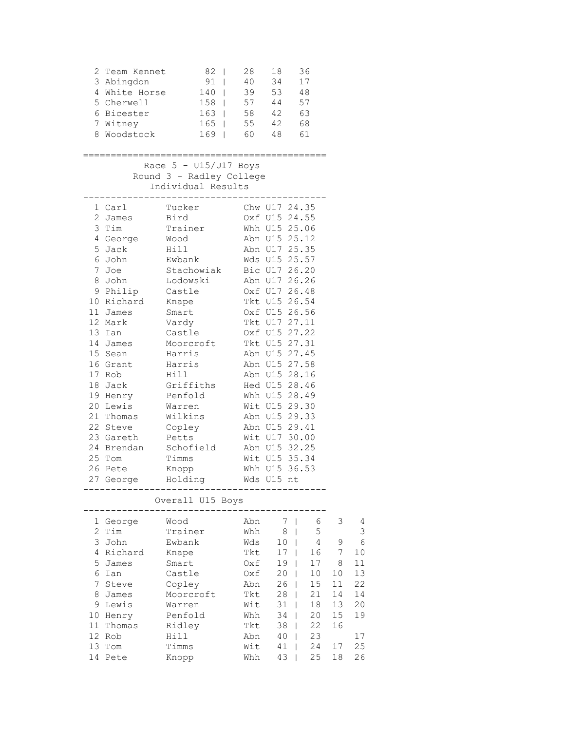|                           | 3 Abingdon<br>5 Cherwell<br>6 Bicester<br>7 Witney<br>8 Woodstock                                              | 2 Team Kennet 82  <br>91<br>4 White Horse 140  <br>$158$  <br>$163$  <br>165  <br>$169$ | 28<br>40<br>39<br>57<br>58 | 18<br>34<br>53 48<br>44<br>42<br>$55 \t 42 \t 68$<br>60 48 61 | 36<br>17<br>57<br>63 |    |            |
|---------------------------|----------------------------------------------------------------------------------------------------------------|-----------------------------------------------------------------------------------------|----------------------------|---------------------------------------------------------------|----------------------|----|------------|
|                           |                                                                                                                |                                                                                         |                            |                                                               |                      |    |            |
|                           |                                                                                                                | Race $5 - U15/U17$ Boys                                                                 |                            |                                                               |                      |    |            |
|                           |                                                                                                                | Round 3 - Radley College                                                                |                            |                                                               |                      |    |            |
|                           |                                                                                                                | Individual Results<br>. <u>.</u>                                                        |                            |                                                               |                      |    |            |
|                           | 1 Carl                                                                                                         | Tucker                                                                                  |                            | Chw U17 24.35                                                 |                      |    |            |
|                           | 2 James                                                                                                        | Bird                                                                                    |                            | Oxf U15 24.55                                                 |                      |    |            |
|                           | 3 Tim                                                                                                          | Trainer                                                                                 |                            | Whh U15 25.06                                                 |                      |    |            |
|                           | 4 George                                                                                                       | Wood                                                                                    |                            | Abn U15 25.12                                                 |                      |    |            |
|                           | 5 Jack                                                                                                         | Hill                                                                                    |                            | Abn U17 25.35                                                 |                      |    |            |
|                           | 6 John to the season of the season of the season of the season of the season of the season of the season of th | Ewbank                                                                                  |                            | Wds U15 25.57                                                 |                      |    |            |
|                           | 7 Joe                                                                                                          | Stachowiak                                                                              |                            | Bic U17 26.20                                                 |                      |    |            |
|                           | 8 John                                                                                                         | Lodowski                                                                                |                            | Abn U17 26.26                                                 |                      |    |            |
|                           | 9 Philip                                                                                                       | Castle                                                                                  |                            | Oxf U17 26.48                                                 |                      |    |            |
|                           | 10 Richard<br>11 James                                                                                         | Knape<br>Smart                                                                          |                            | Tkt U15 26.54<br>Oxf U15 26.56                                |                      |    |            |
|                           | 12 Mark                                                                                                        | Vardy                                                                                   |                            | Tkt U17 27.11                                                 |                      |    |            |
|                           | 13 Ian                                                                                                         | Castle                                                                                  |                            | Oxf U15 27.22                                                 |                      |    |            |
|                           | 14 James                                                                                                       | Moorcroft                                                                               |                            | Tkt U15 27.31                                                 |                      |    |            |
|                           | 15 Sean                                                                                                        | Harris                                                                                  |                            | Abn U15 27.45                                                 |                      |    |            |
|                           | 16 Grant                                                                                                       | Harris                                                                                  |                            | Abn U15 27.58                                                 |                      |    |            |
|                           | 17 Rob                                                                                                         | Hill Theory                                                                             |                            | Abn U15 28.16                                                 |                      |    |            |
|                           | 18 Jack                                                                                                        | Griffiths                                                                               |                            | Hed U15 28.46                                                 |                      |    |            |
|                           | 19 Henry                                                                                                       | Penfold                                                                                 |                            | Whh U15 28.49                                                 |                      |    |            |
|                           | 20 Lewis                                                                                                       | Warren                                                                                  |                            | Wit U15 29.30                                                 |                      |    |            |
|                           | 21 Thomas                                                                                                      | Wilkins                                                                                 |                            | Abn U15 29.33                                                 |                      |    |            |
|                           | 22 Steve                                                                                                       | Copley                                                                                  |                            | Abn U15 29.41                                                 |                      |    |            |
|                           | 23 Gareth                                                                                                      | Petts                                                                                   |                            | Wit U17 30.00                                                 |                      |    |            |
|                           | 24 Brendan<br>25 Tom                                                                                           | Schofield                                                                               |                            | Abn U15 32.25                                                 |                      |    |            |
|                           | 26 Pete                                                                                                        | Timms<br>Knopp                                                                          |                            | Wit U15 35.34<br>Whh U15 36.53                                |                      |    |            |
|                           | 27 George                                                                                                      | Holding                                                                                 |                            | Wds U15 nt                                                    |                      |    |            |
|                           |                                                                                                                |                                                                                         |                            |                                                               |                      |    |            |
|                           |                                                                                                                | Overall U15 Boys                                                                        |                            |                                                               |                      |    |            |
|                           | 1 George                                                                                                       | Wood                                                                                    | Abn                        | 7<br>$\blacksquare$                                           | 6                    | 3  | 4          |
| $\mathbf{2}^{\mathsf{I}}$ | Tim                                                                                                            | Trainer                                                                                 | Whh                        | 8                                                             | 5                    |    | 3          |
| 3                         | John                                                                                                           | Ewbank                                                                                  | Wds                        | 10                                                            | 4                    | 9  | $\epsilon$ |
|                           | 4 Richard                                                                                                      | Knape                                                                                   | Tkt                        | 17                                                            | 16                   | 7  | 10         |
|                           | 5 James                                                                                                        | Smart                                                                                   | Oxf                        | 19                                                            | 17                   | 8  | 11         |
| 6                         | Ian                                                                                                            | Castle                                                                                  | Oxf                        | 20                                                            | 10                   | 10 | 13         |
| 7                         | Steve                                                                                                          | Copley                                                                                  | Abn                        | 26                                                            | 15                   | 11 | 22         |
| 8                         | James                                                                                                          | Moorcroft                                                                               | Tkt                        | 28                                                            | 21                   | 14 | 14         |
| 9                         | Lewis                                                                                                          | Warren                                                                                  | Wit                        | 31<br>I                                                       | 18                   | 13 | 20         |
| 10                        | Henry                                                                                                          | Penfold                                                                                 | Whh                        | 34<br>T                                                       | 20                   | 15 | 19         |
| 11                        | Thomas                                                                                                         | Ridley                                                                                  | Tkt                        | 38                                                            | 22                   | 16 |            |
| 12                        | Rob                                                                                                            | Hill                                                                                    | Abn                        | 40                                                            | 23                   |    | 17         |
| 13                        | Tom                                                                                                            | Timms                                                                                   | Wit                        | 41                                                            | 24                   | 17 | 25         |
| 14                        | Pete                                                                                                           | Knopp                                                                                   | Whh                        | 43<br>ı                                                       | 25                   | 18 | 26         |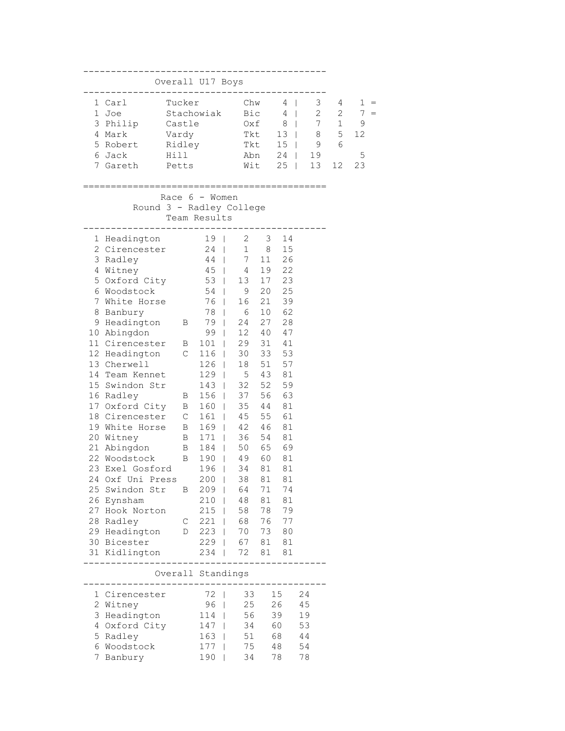| Overall U17 Boys                            |                |                                                   |                             |          |             |    |                |              |          |
|---------------------------------------------|----------------|---------------------------------------------------|-----------------------------|----------|-------------|----|----------------|--------------|----------|
| 1 Carl                                      | Tucker         |                                                   | Chw                         |          | $4 \mid$    |    | 3 <sup>7</sup> | 4            | 1<br>$=$ |
| 1 Joe                                       |                |                                                   | Stachowiak Bic              |          | $4 \mid$    |    | $2^{\circ}$    | $\mathbf{2}$ | 7        |
| 3 Philip Castle                             |                |                                                   |                             |          | $0xf 8$     |    |                | $7\quad1$    | 9        |
| 4 Mark                                      | Vardy          |                                                   | Tkt                         |          | $13 \mid$   |    | 8              | 5            | 12       |
| 5 Robert Ridley                             |                |                                                   | Tkt 15                      |          |             |    | 9              | 6            |          |
| 6 Jack                                      | Hill           |                                                   | Abn 24                      |          |             |    | 19             |              | 5        |
| 7 Gareth                                    | Petts          |                                                   |                             | Wit      | $25 \mid$   |    | 13             | 12           | 23       |
|                                             |                |                                                   |                             |          |             |    |                |              |          |
| Round 3 - Radley College                    |                | Race $6 -$ Women                                  |                             |          |             |    |                |              |          |
|                                             |                | Team Results                                      |                             |          |             |    |                |              |          |
| 1 Headington                                |                | . <u>.</u> .                                      | 19   2 3                    |          | 14          |    |                |              |          |
| 2 Cirencester 24                            |                |                                                   | $1 \t 8$                    |          | 15          |    |                |              |          |
| 3 Radley                                    |                |                                                   | 7 <sub>11</sub>             |          | 26          |    |                |              |          |
| 4 Witney                                    |                | $\begin{array}{c c} 44 &   \\ 45 &   \end{array}$ |                             | 19       | 22          |    |                |              |          |
| 5 Oxford City                               |                |                                                   | $45$   $4$<br>53   13<br>13 | 17       | 23          |    |                |              |          |
| 6 Woodstock                                 |                | $54 \mid 9$                                       |                             | 20       | 25          |    |                |              |          |
| 7 White Horse                               |                | 76                                                | 16                          | 21       | 39          |    |                |              |          |
| 8 Banbury                                   |                | 78                                                | 6                           | 10       | 62          |    |                |              |          |
| 9 Headington B                              |                | 79                                                | 24                          | 27       | 28          |    |                |              |          |
| 10 Abingdon                                 |                | 99 <sub>1</sub>                                   | 12 40                       |          | 47          |    |                |              |          |
| 11 Cirencester B                            |                | $101  $                                           | 29                          | 31       | 41          |    |                |              |          |
| 12 Headington C                             |                | 116                                               | 30                          | 33       | 53          |    |                |              |          |
| 13 Cherwell                                 |                | $\frac{1}{26}$                                    | 18                          | 51       | 57          |    |                |              |          |
| 14 Team Kennet                              |                | $129$                                             | $5^{\circ}$<br>32           | 43<br>52 | 81          |    |                |              |          |
| 15 Swindon Str                              | $\mathbf B$    | $143 \mid$                                        | 156   37                    |          | 59<br>56 63 |    |                |              |          |
| 16 Radley<br>17 Oxford City B               |                | $160$                                             | 35 44                       |          | 81          |    |                |              |          |
| 18 Cirencester C                            |                | $161$                                             | 45 55                       |          | 61          |    |                |              |          |
| 19 White Horse B                            |                | 169                                               | 42 46                       |          | 81          |    |                |              |          |
| 20 Witney                                   | $\overline{B}$ | $171$                                             | 36                          | 54       | 81          |    |                |              |          |
| 21 Abingdon B                               |                | 184                                               | 50 65 69                    |          |             |    |                |              |          |
| 22 Woodstock B 190  <br>23 Exel Gosford 196 |                |                                                   | 49                          | 60       | 81          |    |                |              |          |
| 23 Exel Gosford                             |                | 196<br>$\Box$                                     | 34                          | 81       | 81          |    |                |              |          |
| 24 Oxf Uni Press                            |                | $200$                                             | 38                          | 81       | 81          |    |                |              |          |
| 25 Swindon Str                              | В              | $209$                                             | 64                          | 71       | 74          |    |                |              |          |
| 26 Eynsham                                  |                | $210$                                             | 48                          | 81       | 81          |    |                |              |          |
| 27 Hook Norton                              |                | $215$                                             | 58                          | 78       | 79          |    |                |              |          |
| 28 Radley                                   | $\mathbb{C}$   | $221$                                             | 68                          |          | 76 77       |    |                |              |          |
| 29 Headington D                             |                | 223                                               | 70                          | 73       | 80          |    |                |              |          |
| 30 Bicester                                 |                | $229$                                             | 67<br>72                    | 81       | 81          |    |                |              |          |
| 31 Kidlington                               |                | $234$                                             |                             | 81       | 81          |    |                |              |          |
|                                             |                | Overall Standings<br>________________             |                             |          |             |    |                |              |          |
| 1 Cirencester                               |                | 72<br>I                                           | 33                          |          | 15          | 24 |                |              |          |
| 2 Witney                                    |                | 96<br>T                                           | 25                          |          | 26          | 45 |                |              |          |
| 3 Headington                                |                | 114                                               | 56<br>L                     |          | 39          | 19 |                |              |          |
| 4 Oxford City                               |                | 147                                               | 34<br>$\mathbf{I}$          |          | 60          | 53 |                |              |          |
| 5 Radley                                    |                | 163                                               | 51<br>$\mathbf{I}$          |          | 68          | 44 |                |              |          |
| 6 Woodstock                                 |                | 177                                               | 75                          |          | 48          | 54 |                |              |          |
| 7 Banbury                                   |                | 190                                               | 34                          |          | 78          | 78 |                |              |          |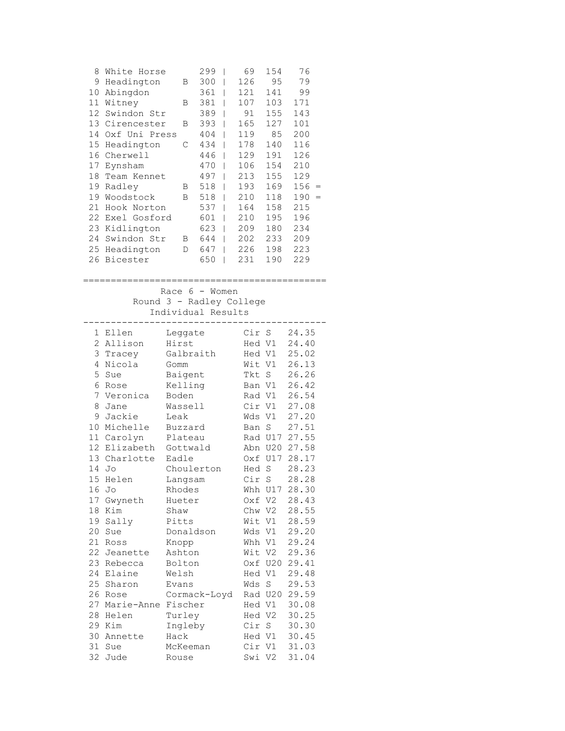| 8<br>9<br>10<br>11<br>12<br>14<br>15<br>16<br>17<br>18<br>19<br>19<br>21<br>22<br>23<br>24<br>25<br>26                                | White Horse<br>Headington<br>Abingdon<br>Witney<br>Swindon Str<br>13 Cirencester<br>Oxf Uni Press<br>Headington<br>Cherwell<br>Eynsham<br>Team Kennet<br>Radley<br>Woodstock<br>Hook Norton<br>Exel Gosford<br>Kidlington<br>Swindon Str<br>Headington<br>Bicester | Β<br>В<br>В<br>С<br>В<br>В<br>B<br>D                                                                                                                                                                                 | 299<br>300<br>361<br>381<br>389<br>393<br>404<br>434<br>446<br>470<br>497<br>518<br>518<br>537<br>601<br>623<br>644<br>647<br>650 | 69<br>I<br>126<br>T<br>121<br>L<br>107<br>I<br>91<br>I<br>165<br>I<br>119<br>I<br>178<br>I<br>129<br>I<br>106<br>I<br>213<br>I<br>193<br>I<br>210<br>I<br>164<br>I<br>210<br>I<br>209<br>I<br>$\overline{\phantom{a}}$<br>202<br>226<br>I<br>231<br>I | 154<br>95<br>141<br>103<br>155<br>127<br>85<br>140<br>191<br>154<br>155<br>169<br>118<br>158<br>195<br>180<br>233<br>198<br>190 | 76<br>79<br>99<br>171<br>143<br>101<br>200<br>116<br>126<br>210<br>129<br>156<br>190<br>$=$<br>215<br>196<br>234<br>209<br>223<br>229                                                                                         |
|---------------------------------------------------------------------------------------------------------------------------------------|--------------------------------------------------------------------------------------------------------------------------------------------------------------------------------------------------------------------------------------------------------------------|----------------------------------------------------------------------------------------------------------------------------------------------------------------------------------------------------------------------|-----------------------------------------------------------------------------------------------------------------------------------|-------------------------------------------------------------------------------------------------------------------------------------------------------------------------------------------------------------------------------------------------------|---------------------------------------------------------------------------------------------------------------------------------|-------------------------------------------------------------------------------------------------------------------------------------------------------------------------------------------------------------------------------|
|                                                                                                                                       | Race                                                                                                                                                                                                                                                               | 6 - Women<br>Round 3 - Radley College<br>Individual Results                                                                                                                                                          |                                                                                                                                   |                                                                                                                                                                                                                                                       |                                                                                                                                 |                                                                                                                                                                                                                               |
| $\overline{c}$<br>3<br>4<br>5<br>6<br>7<br>8<br>9<br>10<br>11<br>12<br>13<br>14<br>15<br>16<br>17<br>18<br>20<br>21<br>22<br>23<br>24 | 1 Ellen<br>Allison<br>Tracey<br>Nicola<br>Sue<br>Rose<br>Veronica<br>Jane<br>Jackie<br>Michelle<br>Carolyn<br>Elizabeth<br>Charlotte<br>Jo<br>Helen<br>Jo<br>Gwyneth<br>Kim<br>19 Sally<br>Sue<br>Ross<br>Jeanette<br>Rebecca<br>Elaine<br>25 Sharon               | Leggate<br>Hirst<br>Gomm<br>Baigent<br>Kelling<br>Boden<br>Wassell<br>Leak<br>Buzzard<br>Plateau<br>Gottwald<br>Eadle<br>Langsam<br>Rhodes<br>Hueter<br>Shaw<br>Pitts<br>Knopp<br>Ashton<br>Bolton<br>Welsh<br>Evans | Galbraith<br>Choulerton<br>Donaldson                                                                                              | Cir S<br>Hed V1<br>Hed V1<br>Wit V1<br>Tkt S<br>Ban V1<br>Rad V1<br>Cir V1<br>Wds V1<br>Ban S<br>Oxf<br>Hed S<br>Oxf V2<br>Chw V2<br>Wit V1<br>Hed V1<br>Wds S                                                                                        | Rad U17<br>Abn U20<br>U17<br>Cir S<br>Whh U17<br>Wds V1<br>Whh V1<br>Wit V2<br>Oxf U20                                          | 24.35<br>24.40<br>25.02<br>26.13<br>26.26<br>26.42<br>26.54<br>27.08<br>27.20<br>27.51<br>27.55<br>27.58<br>28.17<br>28.23<br>28.28<br>28.30<br>28.43<br>28.55<br>28.59<br>29.20<br>29.24<br>29.36<br>29.41<br>29.48<br>29.53 |
| 26<br>27<br>28<br>29<br>30<br>31<br>32                                                                                                | Rose<br>Marie-Anne Fischer<br>Helen<br>Kim<br>Annette<br>Sue<br>Jude                                                                                                                                                                                               | Turley<br>Ingleby<br>Hack<br>McKeeman<br>Rouse                                                                                                                                                                       | Cormack-Loyd                                                                                                                      | Hed V1<br>Hed V2<br>Cir S                                                                                                                                                                                                                             | Rad U20<br>Hed V1<br>Cir V1<br>Swi V2                                                                                           | 29.59<br>30.08<br>30.25<br>30.30<br>30.45<br>31.03<br>31.04                                                                                                                                                                   |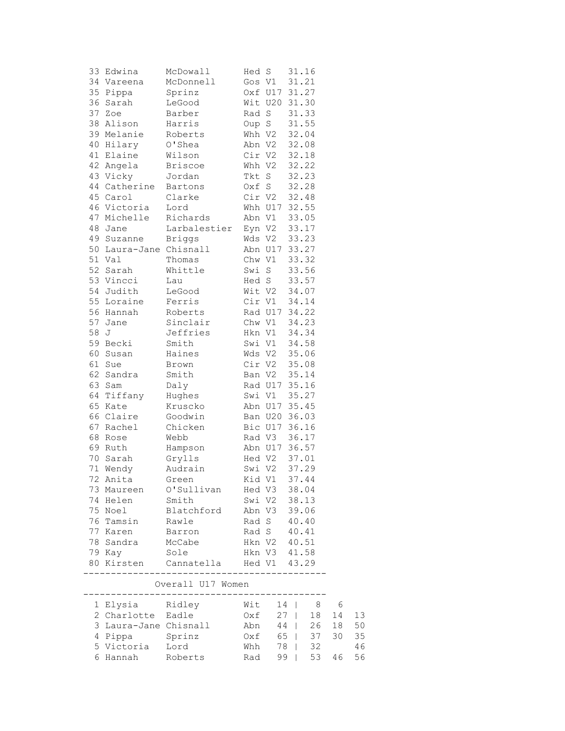|      | 33 Edwina              | McDowall       | Hed S  |        | 31.16         |
|------|------------------------|----------------|--------|--------|---------------|
|      | 34 Vareena             | McDonnell      | Gos V1 |        | 31.21         |
|      | 35 Pippa               | Sprinz         |        |        | Oxf U17 31.27 |
|      | 36 Sarah               | LeGood         |        |        | Wit U20 31.30 |
|      | 37 Zoe                 | Barber         | Rad S  |        | 31.33         |
|      | 38 Alison              | Harris         |        | Oup S  | 31.55         |
|      | 39 Melanie             | Roberts        |        | Whh V2 | 32.04         |
|      | 40 Hilary              | O'Shea         |        | Abn V2 | 32.08         |
|      | 41 Elaine              | Wilson         |        | Cir V2 | 32.18         |
|      | 42 Angela              | <b>Briscoe</b> |        | Whh V2 | 32.22         |
|      | 43 Vicky               | Jordan         |        | Tkt S  | 32.23         |
|      | 44 Catherine           | Bartons        |        | Oxf S  | 32.28         |
|      | 45 Carol               | Clarke         |        | Cir V2 | 32.48         |
|      | 46 Victoria            | Lord           |        |        | Whh U17 32.55 |
|      | 47 Michelle            | Richards       |        | Abn V1 | 33.05         |
|      | 48 Jane                | Larbalestier   |        | Eyn V2 | 33.17         |
|      | 49 Suzanne             | <b>Briggs</b>  |        | Wds V2 | 33.23         |
|      | 50 Laura-Jane Chisnall |                |        |        | Abn U17 33.27 |
|      | 51 Val                 | Thomas         |        | Chw V1 | 33.32         |
|      | 52 Sarah               | Whittle        |        | Swi S  | 33.56         |
|      | 53 Vincci              | Lau            | Hed S  |        | 33.57         |
|      | 54 Judith              | LeGood         |        | Wit V2 | 34.07         |
|      | 55 Loraine             | Ferris         |        | Cir V1 | 34.14         |
|      | 56 Hannah              | Roberts        |        |        | Rad U17 34.22 |
|      | 57 Jane                | Sinclair       |        | Chw V1 | 34.23         |
| 58 J |                        | Jeffries       |        | Hkn V1 | 34.34         |
|      | 59 Becki               | Smith          |        | Swi V1 | 34.58         |
|      | 60 Susan               | Haines         |        | Wds V2 | 35.06         |
|      | 61 Sue                 | Brown          |        | Cir V2 | 35.08         |
|      | 62 Sandra              | Smith          |        | Ban V2 | 35.14         |
|      | 63 Sam                 | Daly           |        |        | Rad U17 35.16 |
|      | 64 Tiffany             | Hughes         |        | Swi V1 | 35.27         |
|      | 65 Kate                | Kruscko        |        |        | Abn U17 35.45 |
|      | 66 Claire              | Goodwin        |        |        | Ban U20 36.03 |
|      | 67 Rachel              | Chicken        |        |        | Bic U17 36.16 |
|      | 68 Rose                | Webb           |        | Rad V3 | 36.17         |
|      | 69 Ruth                | Hampson        |        |        | Abn U17 36.57 |
|      | 70 Sarah               | Grylls         |        | Hed V2 | 37.01         |
|      | 71 Wendy               | Audrain        |        | Swi V2 | 37.29         |
|      | 72 Anita               | Green          |        | Kid V1 | 37.44         |
|      | 73 Maureen             | O'Sullivan     |        | Hed V3 | 38.04         |
|      | 74 Helen               | Smith          |        | Swi V2 | 38.13         |
|      | 75 Noel                | Blatchford     | Abn V3 |        | 39.06         |
|      | 76 Tamsin              | Rawle          | Rad S  |        | 40.40         |
|      | 77 Karen               | Barron         | Rad S  |        | 40.41         |
|      | 78 Sandra              | McCabe         | Hkn V2 |        | 40.51         |
|      | 79 Kay                 | Sole           |        | Hkn V3 | 41.58         |
|      |                        |                |        | Hed V1 | 43.29         |

| Overall U17 Women     |         |             |      |  |         |     |      |  |  |  |  |
|-----------------------|---------|-------------|------|--|---------|-----|------|--|--|--|--|
| 1 Elysia Ridley       |         | $W$ it 14 l |      |  | 8       | - 6 |      |  |  |  |  |
| 2 Charlotte           | Eadle   | $Oxf = 27$  |      |  | 18      | 14  |      |  |  |  |  |
| 3 Laura-Jane Chisnall |         | Abn         | 44   |  | 26      | 18  | 50   |  |  |  |  |
| 4 Pippa               | Sprinz  | Oxf         |      |  | 65   37 | 30  | - 35 |  |  |  |  |
| 5 Victoria            | Lord    | Whh         | 78 I |  | 32      |     | 46   |  |  |  |  |
| 6 Hannah              | Roberts | Rad         | 99   |  | 53      | 46  | 56   |  |  |  |  |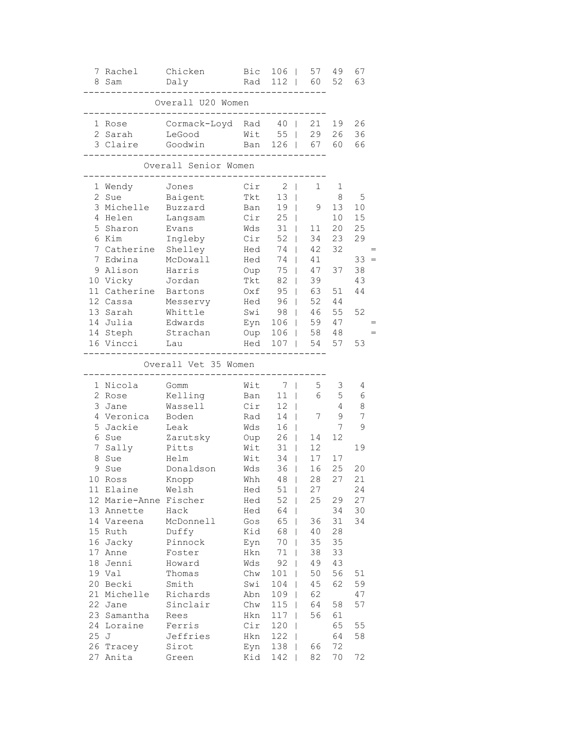| 7<br>8         | Rachel<br>Sam         | Chicken<br>Daly      | Bic<br>Rad | 106<br>112                         | 57<br>60           | 49<br>52 | 67<br>63 |
|----------------|-----------------------|----------------------|------------|------------------------------------|--------------------|----------|----------|
|                |                       | Overall U20 Women    |            |                                    |                    |          |          |
|                | 1 Rose                | Cormack-Loyd         | Rad        | $4\,0$                             | 21<br>$\mathbf{I}$ | 19       | 26       |
|                | 2 Sarah               | LeGood               | Wit        | 55                                 | 29<br>$\mathbf{I}$ | 26       | 36       |
|                | 3 Claire              | Goodwin              | Ban        | 126                                | 67<br>$\mathbf{I}$ | 60       | 66       |
|                |                       | Overall Senior Women |            |                                    |                    |          |          |
| ı,             | Wendy                 | Jones                | Cir        | 2                                  | 1<br>T             | 1        |          |
| 2              | Sue                   | Baigent              | Tkt        | 13                                 | T                  | 8        | 5        |
|                | 3 Michelle            | Buzzard              | Ban        | 19                                 | 9<br>$\mathbf{I}$  | 13       | 10       |
|                | 4 Helen               | Langsam              | Cir        | 25                                 | $\mathbf{I}$       | 10       | 15       |
| 5              | Sharon                | Evans                | Wds        | 31                                 | $\mathbf{I}$<br>11 | 20       | 25       |
| 6              | Kim                   | Ingleby              | Cir        | 52                                 | 34<br>$\mathbf{I}$ | 23       | 29       |
| 7              | Catherine             | Shelley              | Hed        | 74                                 | 42<br>$\mathbf{I}$ | 32       |          |
| 7              | Edwina                | McDowall             | Hed        | 74                                 | 41<br>$\mathbf{I}$ |          | 33       |
| 9              | Alison                | Harris               | Oup        | 75                                 | 47                 | 37       | 38       |
|                | 10 Vicky              | Jordan               | Tkt        | 82                                 | 39                 |          | 43       |
|                | 11 Catherine          | Bartons              | Oxf        | 95                                 | 63<br>L            | 51       | 44       |
|                | 12 Cassa              | Messervy             | Hed        | 96                                 | 52<br>$\mathbf{I}$ | 44       |          |
|                | 13 Sarah              | Whittle              | Swi        | 98                                 | 46<br>$\mathbf{I}$ | 55       | 52       |
|                | 14 Julia              | Edwards              | Eyn        | 106                                | 59<br>$\mathbf{I}$ | 47       |          |
|                | 14 Steph              | Strachan             | Oup        | 106                                | 58<br>$\mathbf{I}$ | 48       |          |
|                | 16 Vincci             | Lau                  | Hed        | 107                                | 54<br>$\mathbf{I}$ | 57       | 53       |
|                |                       | Overall Vet 35 Women |            |                                    |                    |          |          |
|                | 1 Nicola              | Gomm                 | Wit        | 7                                  | 5<br>T             | 3        | 4        |
| $\overline{2}$ | Rose                  | Kelling              | Ban        | 11                                 | 6<br>T             | 5        | 6        |
| 3              | Jane                  | Wassell              | Cir        | 12                                 | $\mathbf{I}$       | 4        | $\,8\,$  |
| 4              | Veronica              | Boden                | Rad        | 14                                 | 7<br>$\mathbf{I}$  | 9        | 7        |
| 5              | Jackie                | Leak                 | Wds        | 16                                 | $\mathbf{I}$       | 7        | 9        |
| 6              | Sue                   | Zarutsky             | Oup        | 26                                 | 14<br>$\mathbf{I}$ | 12       |          |
| 7              | Sally                 | Pitts                | Wit        | 31                                 | 12                 |          | 19       |
| 8              | Sue                   | Helm                 | Wit        | 34                                 | 17                 | 17       |          |
| 9              | Sue                   | Donaldson            | Wds        | 36                                 | 16                 | 25       | 20       |
|                | 10 Ross               | Knopp                | Whh        | $4\,8$<br>$\overline{\phantom{0}}$ | 28                 | 27       | 21       |
|                | 11 Elaine             | Welsh                | Hed        | 51                                 | 27<br>T            |          | 24       |
|                | 12 Marie-Anne Fischer |                      | Hed        | 52                                 | 25<br>T            | 29       | 27       |
|                | 13 Annette            | Hack                 | Hed        | 64                                 |                    | 34       | 30       |
|                | 14 Vareena            | McDonnell            | Gos        | 65                                 | 36<br>L            | 31       | 34       |
| 15             | Ruth                  | Duffy                | Kid        | 68                                 | 40<br>L            | 28       |          |
| 16             | Jacky                 | Pinnock              | Eyn        | 70                                 | 35                 | 35       |          |
| 17             | Anne                  | Foster               | Hkn        | $71\,$                             | 38                 | 33       |          |
| 18             | Jenni                 | Howard               | Wds        | 92                                 | 49                 | 43       |          |
|                | 19 Val                | Thomas               | Chw        | 101                                | 50                 | 56       | 51       |
| 20             | Becki                 | Smith                | Swi        | 104                                | 45                 | 62       | 59       |
| 21             | Michelle              | Richards             | Abn        | 109                                | 62                 |          | 47       |
| 22             | Jane                  | Sinclair             | Chw        | 115                                | 64                 | 58       | 57       |
| 23             | Samantha              | Rees                 | Hkn        | 117                                | 56<br>T            | 61       |          |
| 24             | Loraine               | Ferris               | Cir        | 120                                | T                  | 65       | 55       |
| 25             | J                     | Jeffries             | Hkn        | 122                                |                    | 64       | 58       |
| 26             | Tracey                | Sirot                | Eyn        | 138                                | 66                 | 72       |          |
| 27             | Anita                 | Green                | Kid        | 142                                | 82                 | 70       | 72       |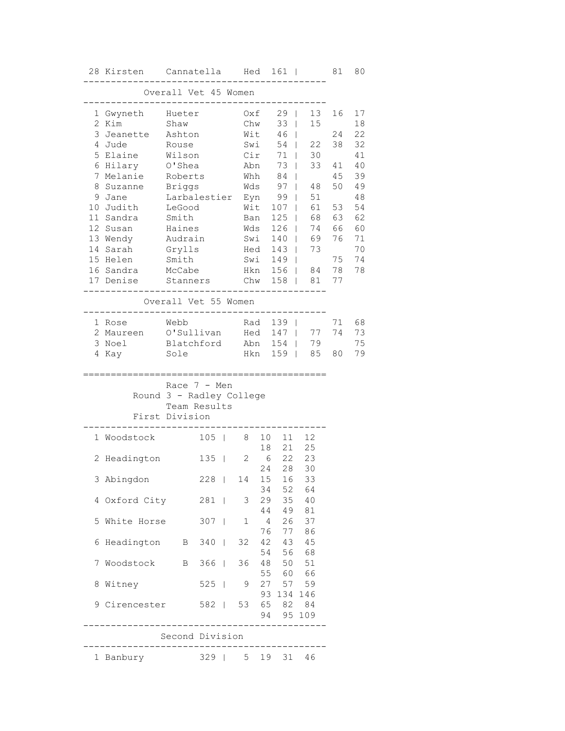|                 | 28 Kirsten Cannatella Hed 161 |                      |               |                   |                |                    |                      | 81 | 80 |
|-----------------|-------------------------------|----------------------|---------------|-------------------|----------------|--------------------|----------------------|----|----|
|                 |                               | Overall Vet 45 Women |               |                   |                |                    |                      |    |    |
|                 | 1 Gwyneth                     | Hueter               |               |                   | Oxf            | 29<br>$\mathbf{I}$ | 13                   | 16 | 17 |
| 2               | Kim                           | Shaw                 |               |                   | Chw            | 33                 | 15<br>$\mathbf{L}$   |    | 18 |
| 3               | Jeanette                      | Ashton               |               | Wit               |                | 46<br>$\mathbf{I}$ |                      | 24 | 22 |
| 4               | Jude                          | Rouse                |               | Swi               |                | 54                 | 22<br>$\mathbf{L}$   | 38 | 32 |
| 5               | Elaine                        | Wilson               |               | Cir               |                | $71$               | 30                   |    | 41 |
| 6               | Hilary                        | O'Shea               |               |                   | Abn            | 73                 | 33<br>$\mathbb{R}$   | 41 | 40 |
| 7               | Melanie                       | Roberts              |               |                   | Whh            | 84                 | $\perp$              | 45 | 39 |
| 8               | Suzanne                       | <b>Briggs</b>        |               |                   | Wds            | 97                 | $\mathbb{R}$<br>48   | 50 | 49 |
| 9               | Jane                          | Larbalestier Eyn     |               |                   |                | 99                 | 51<br>$\mathbf{1}$   |    | 48 |
| 10              | Judith                        | LeGood               |               | Wit               |                | $107$              | 61                   | 53 | 54 |
| 11              | Sandra                        | Smith                |               | Ban               |                | $125$              | 68                   | 63 | 62 |
| 12 <sup>°</sup> | Susan                         | Haines               |               | Wds               |                | 126                | 74<br>$\mathbf{1}$   | 66 | 60 |
|                 | 13 Wendy                      | Audrain              |               | Swi               |                | $140$              | 69                   | 76 | 71 |
| 14              | Sarah                         | Grylls               |               | Hed               |                | 143                | 73<br>$\sim 10^{-1}$ |    | 70 |
|                 | 15 Helen                      | Smith                |               | Swi               |                | $149$              |                      | 75 | 74 |
|                 | 16 Sandra                     | McCabe               |               | Hkn               |                |                    | 156   84             | 78 | 78 |
|                 | 17 Denise                     | Stanners             |               | Chw               |                |                    | 158   81             | 77 |    |
|                 |                               |                      |               |                   |                |                    |                      |    |    |
|                 |                               | Overall Vet 55 Women |               | ----------        |                |                    |                      |    |    |
|                 | 1 Rose                        | Webb                 |               | Rad               |                | $139$              |                      | 71 | 68 |
|                 | 2 Maureen                     | O'Sullivan           |               |                   |                | Hed 147            | 77                   | 74 | 73 |
|                 | 3 Noel                        | Blatchford           |               |                   |                | Abn 154            | 79                   |    | 75 |
|                 | 4 Kay                         | Sole                 |               | Hkn               |                | $159$              | 85                   | 80 | 79 |
|                 |                               |                      |               |                   |                |                    |                      |    |    |
|                 |                               | Race $7 - Men$       |               |                   |                |                    |                      |    |    |
|                 | Round 3 - Radley College      | Team Results         |               |                   |                |                    |                      |    |    |
|                 | First Division                |                      |               |                   |                |                    |                      |    |    |
|                 |                               |                      |               |                   |                |                    |                      |    |    |
|                 | 1 Woodstock                   |                      | $105$         | 8                 | 10<br>18       | 11<br>21           | 12<br>25             |    |    |
| 2               | Headington                    |                      | $135 \quad  $ | 2                 | 6              |                    | 22 23                |    |    |
|                 |                               |                      |               | 228   14 15 16 33 | 24             | 28                 | 30                   |    |    |
|                 | 3 Abingdon                    |                      |               |                   | 34             | 52                 | 64                   |    |    |
|                 | 4 Oxford City 281   3         |                      |               |                   | 29             | 35                 | 40                   |    |    |
|                 |                               |                      |               |                   |                | 44 49              | 81                   |    |    |
|                 | 5 White Horse                 |                      | 307           | 1                 | $\overline{4}$ |                    | 26 37                |    |    |
|                 |                               |                      |               |                   | 76             |                    | 77 86                |    |    |
| 6               | Headington B 340              |                      |               |                   |                | 32 42 43 45        |                      |    |    |
|                 |                               |                      |               |                   |                | 54 56 68           |                      |    |    |
| 7               | Woodstock                     |                      | B 366         |                   | 36 48          |                    | 50 51                |    |    |
|                 |                               |                      |               |                   |                | 55 60 66           |                      |    |    |
| 8               | Witney                        |                      | $525$         | 9                 |                | 27 57 59           |                      |    |    |
|                 |                               |                      |               |                   |                | 93 134 146         |                      |    |    |
| 9               | Cirencester 582               |                      |               |                   |                | 53 65 82 84        |                      |    |    |
|                 |                               |                      |               |                   |                | 94 95 109          |                      |    |    |
|                 |                               |                      |               |                   |                |                    |                      |    |    |
|                 |                               | Second Division      |               |                   |                |                    |                      |    |    |
|                 | 1 Banbury                     |                      |               | 329   5 19        |                | 31                 | 46                   |    |    |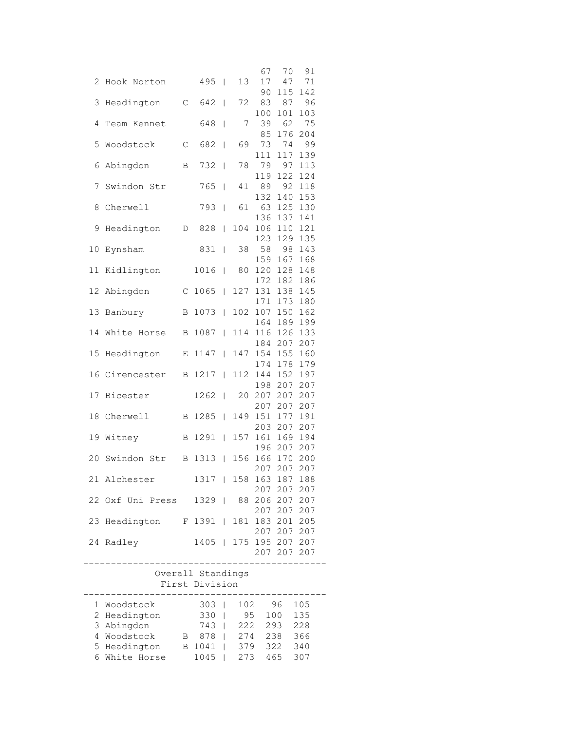|                                        |             |                          |    | 67      | 70              | 91      |
|----------------------------------------|-------------|--------------------------|----|---------|-----------------|---------|
| 2 Hook Norton                          |             | $495$                    | 13 | 17      | 47              | 71      |
|                                        |             |                          |    | 90      | 115             | 142     |
| 3 Headington                           | $\mathbb C$ | $642$                    | 72 | 83      | 87              | 96      |
|                                        |             |                          |    | 100     | 101             | 103     |
| 4 Team Kennet                          |             | 648                      | 7  | 39      | 62              | 75      |
|                                        |             |                          |    |         | 85 176 204      |         |
| 5 Woodstock                            | $\mathbb C$ | 682                      | 69 |         | 73 74           | 99      |
|                                        |             |                          |    | 111     |                 | 117 139 |
| 6 Abingdon B                           |             | 732                      | 78 |         | 79 97 113       |         |
|                                        |             |                          |    |         | 119 122 124     |         |
| 7 Swindon Str                          |             | 765                      | 41 | 89      |                 | 92 118  |
|                                        |             |                          |    | 132     |                 | 140 153 |
| 8 Cherwell                             |             | 793                      |    |         | 61 63 125 130   |         |
|                                        |             |                          |    |         |                 |         |
|                                        |             |                          |    |         | 136 137 141     |         |
|                                        |             |                          |    |         |                 |         |
|                                        |             |                          |    |         | 123 129 135     |         |
| 10 Eynsham                             |             | 831                      | 38 |         | 58 98 143       |         |
|                                        |             |                          |    | 159     | 167 168         |         |
| 11 Kidlington                          |             | 1016                     |    |         | 80 120 128 148  |         |
|                                        |             |                          |    |         | 172 182 186     |         |
| 12 Abingdon                            |             | $C$ 1065                 |    |         | 127 131 138 145 |         |
|                                        |             |                          |    | 171     | 173 180         |         |
| 13 Banbury                             |             | B 1073   102 107 150 162 |    |         |                 |         |
|                                        |             |                          |    |         | 164 189 199     |         |
| 14 White Horse B 1087                  |             |                          |    |         | 114 116 126 133 |         |
|                                        |             |                          |    |         | 184 207 207     |         |
| 15 Headington                          |             | E 1147                   |    |         | 147 154 155 160 |         |
|                                        |             |                          |    |         | 174 178 179     |         |
| 16 Cirencester B 1217                  |             |                          |    |         | 112 144 152 197 |         |
|                                        |             |                          |    |         | 198 207 207     |         |
| 17 Bicester                            |             | $1262$                   |    |         | 20 207 207 207  |         |
|                                        |             |                          |    |         | 207 207 207     |         |
| 18 Cherwell B 1285                     |             |                          |    |         | 149 151 177 191 |         |
|                                        |             |                          |    |         | 203 207 207     |         |
| 19 Witney                              |             | B 1291                   |    | 157 161 | 169 194         |         |
|                                        |             |                          |    |         | 196 207 207     |         |
| 20 Swindon Str B 1313                  |             |                          |    |         | 156 166 170     | 200     |
|                                        |             |                          |    |         | 207 207 207     |         |
| 21 Alchester                           |             | 1317   158 163 187 188   |    |         |                 |         |
|                                        |             |                          |    |         | 207 207 207     |         |
| 22 Oxf Uni Press 1329   88 206 207 207 |             |                          |    |         |                 |         |
|                                        |             |                          |    |         | 207 207 207     |         |
| 23 Headington F 1391   181 183 201 205 |             |                          |    |         |                 |         |
|                                        |             |                          |    |         | 207 207 207     |         |
|                                        |             |                          |    |         |                 |         |
| 24 Radley                              |             | 1405   175 195 207 207   |    |         |                 |         |
|                                        |             |                          |    |         | 207 207 207     |         |
|                                        |             |                          |    |         |                 |         |
|                                        |             | Overall Standings        |    |         |                 |         |
|                                        |             | First Division           |    |         |                 |         |

| 1 Woodstock   |   | 303  | 102 | 96  | 105 |  |
|---------------|---|------|-----|-----|-----|--|
| 2 Headington  |   | 330  | 95  | 100 | 135 |  |
| 3 Abingdon    |   | 743  | 222 | 293 | 228 |  |
| 4 Woodstock   | В | 878  | 274 | 238 | 366 |  |
| 5 Headington  | R | 1041 | 379 | 322 | 340 |  |
| 6 White Horse |   | 1045 |     | 465 |     |  |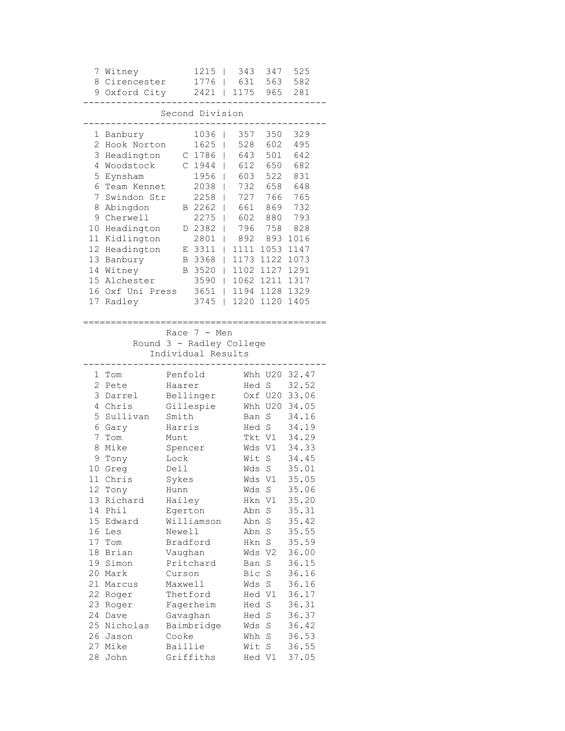|                                                                                                                                        | 7 Witney<br>8 Cirencester<br>9 Oxford City                                                                                                                                                                                                                |                                                                                                                                                                                                                 | 1215<br>1776<br>$2421$                                                                                                                   | T<br>L                                    | 343<br>631<br>1175                                                                                                        | 347<br>563<br>965                                                                                                                                                                                                                                             | 525<br>582<br>281                                                                                                                                                                                                                                                |
|----------------------------------------------------------------------------------------------------------------------------------------|-----------------------------------------------------------------------------------------------------------------------------------------------------------------------------------------------------------------------------------------------------------|-----------------------------------------------------------------------------------------------------------------------------------------------------------------------------------------------------------------|------------------------------------------------------------------------------------------------------------------------------------------|-------------------------------------------|---------------------------------------------------------------------------------------------------------------------------|---------------------------------------------------------------------------------------------------------------------------------------------------------------------------------------------------------------------------------------------------------------|------------------------------------------------------------------------------------------------------------------------------------------------------------------------------------------------------------------------------------------------------------------|
|                                                                                                                                        |                                                                                                                                                                                                                                                           |                                                                                                                                                                                                                 | Second Division                                                                                                                          |                                           |                                                                                                                           |                                                                                                                                                                                                                                                               |                                                                                                                                                                                                                                                                  |
| 5<br>6.<br>7<br>8.<br>10<br>15                                                                                                         | 1 Banbury<br>2 Hook Norton<br>3 Headington<br>4 Woodstock<br>Eynsham<br>Team Kennet<br>Swindon Str<br>Abingdon<br>9 Cherwell<br>Headington<br>11 Kidlington<br>12 Headington<br>13 Banbury<br>14 Witney<br>Alchester<br>16 Oxf Uni Press<br>17 Radley     | С<br>C.<br>Е<br>B<br>B                                                                                                                                                                                          | 1036<br>1625<br>1786<br>1944<br>1956<br>2038<br>2258<br>B 2262<br>2275<br>D 2382<br>2801<br>3311<br>3368<br>3520<br>3590<br>3651<br>3745 | L<br>L<br>L<br>I<br>L<br>I<br>L<br>L<br>L | 357<br>528<br>643<br>612<br>603<br>732<br>727<br>661<br>602<br>796<br>892<br>1111<br>1173<br>1102<br>1062<br>1194<br>1220 | 350<br>602<br>501<br>650<br>522<br>658<br>766<br>869<br>880<br>758<br>893<br>1053<br>1122<br>1127<br>1211<br>1128<br>1120                                                                                                                                     | 329<br>495<br>642<br>682<br>831<br>648<br>765<br>732<br>793<br>828<br>1016<br>1147<br>1073<br>1291<br>1317<br>1329<br>1405                                                                                                                                       |
|                                                                                                                                        | Round 3 - Radley College                                                                                                                                                                                                                                  |                                                                                                                                                                                                                 | Race $7 - Men$<br>Individual Results                                                                                                     |                                           |                                                                                                                           |                                                                                                                                                                                                                                                               |                                                                                                                                                                                                                                                                  |
| 2<br>3<br>5<br>7<br>8<br>9<br>10<br>11<br>12<br>13<br>14<br>15<br>16<br>18<br>19<br>20<br>21<br>22<br>23<br>24<br>25<br>26<br>27<br>28 | 1 Tom<br>Pete<br>Darrel<br>4 Chris<br>Sullivan<br>6 Gary<br>Tom<br>Mike<br>Tony<br>Greg<br>Chris<br>Tony<br>Richard<br>Phil<br>Edward<br>Les<br>17 Tom<br>Brian<br>Simon<br>Mark<br>Marcus<br>Roger<br>Roger<br>Dave<br>Nicholas<br>Jason<br>Mike<br>John | Penfold<br>Haarer<br>Smith<br>Harris<br>Munt<br>Spencer<br>Lock<br>Dell<br>Sykes<br>Hunn<br>Hailey<br>Egerton<br>Newell<br>Bradford<br>Vaughan<br>Curson<br>Maxwell<br>Thetford<br>Gavaghan<br>Cooke<br>Baillie | Bellinger<br>Gillespie<br>Williamson<br>Pritchard<br>Fagerheim<br>Baimbridge<br>Griffiths                                                |                                           | Hed S<br>Ban<br>Wit<br>Wds<br>Wds<br>Wds<br>Hkn<br>Abn<br>Abn<br>Abn<br>Hkn<br>Ban<br>Bic<br>Wds<br>Wds<br>Whh<br>Wit     | Oxf U20<br>Whh U20<br>S<br>Hed S<br>Tkt V1<br>Wds V1<br>$\rm S$<br>S<br>V1<br>S<br>V1<br>S<br>$\mathbf S$<br>$\mathbf S$<br>$\mathbf S$<br>Wds V2<br>S<br>S<br>$\mathbf S$<br>Hed V1<br>Hed S<br>Hed S<br>$\mathbf S$<br>$\mathbf S$<br>$\mathbf S$<br>Hed V1 | Whh U20 32.47<br>32.52<br>33.06<br>34.05<br>34.16<br>34.19<br>34.29<br>34.33<br>34.45<br>35.01<br>35.05<br>35.06<br>35.20<br>35.31<br>35.42<br>35.55<br>35.59<br>36.00<br>36.15<br>36.16<br>36.16<br>36.17<br>36.31<br>36.37<br>36.42<br>36.53<br>36.55<br>37.05 |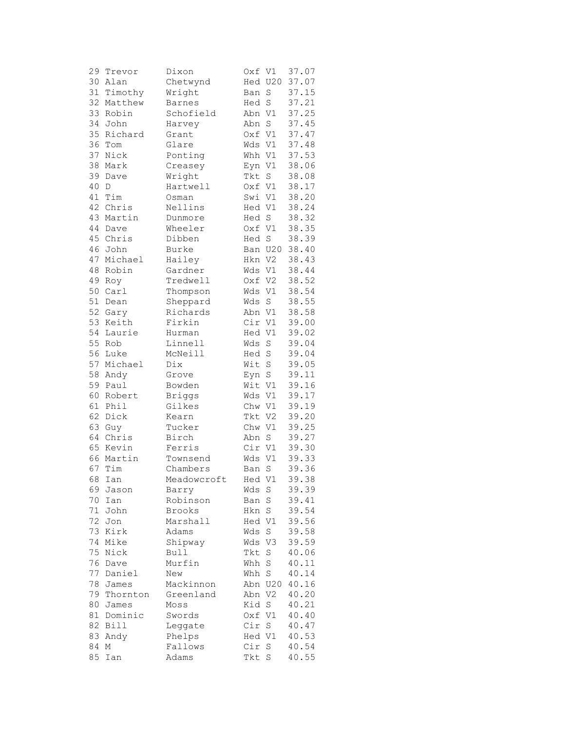| 29 | Trevor      | Dixon         | Oxf V1  |                | 37.07 |
|----|-------------|---------------|---------|----------------|-------|
| 30 | Alan        | Chetwynd      |         | Hed U20        | 37.07 |
| 31 | Timothy     | Wright        | Ban     | S              | 37.15 |
| 32 | Matthew     | <b>Barnes</b> | Hed     | $\rm S$        | 37.21 |
| 33 | Robin       | Schofield     | Abn V1  |                | 37.25 |
| 34 | John        | Harvey        | Abn     | $\mathbf S$    | 37.45 |
| 35 |             | Grant         |         |                |       |
|    | Richard     |               | Oxf V1  |                | 37.47 |
| 36 | Tom         | Glare         | Wds V1  |                | 37.48 |
| 37 | Nick        | Ponting       | Whh V1  |                | 37.53 |
| 38 | Mark        | Creasey       | Eyn V1  |                | 38.06 |
| 39 | Dave        | Wright        | Tkt     | S              | 38.08 |
| 40 | D           | Hartwell      | Oxf V1  |                | 38.17 |
| 41 | Tim         | Osman         | Swi V1  |                | 38.20 |
| 42 | Chris       | Nellins       | Hed V1  |                | 38.24 |
| 43 | Martin      | Dunmore       | Hed S   |                | 38.32 |
| 44 | Dave        | Wheeler       | Oxf V1  |                | 38.35 |
| 45 | Chris       | Dibben        | Hed     | $\rm S$        | 38.39 |
| 46 | John        | Burke         | Ban U20 |                | 38.40 |
| 47 | Michael     | Hailey        | Hkn V2  |                | 38.43 |
| 48 | Robin       | Gardner       | Wds     | V1             | 38.44 |
| 49 |             | Tredwell      | Oxf V2  |                | 38.52 |
|    | Roy         |               |         |                | 38.54 |
| 50 | Carl        | Thompson      | Wds     | V1             |       |
| 51 | Dean        | Sheppard      | Wds     | $\mathbf S$    | 38.55 |
| 52 | Gary        | Richards      | Abn     | V1             | 38.58 |
| 53 | Keith       | Firkin        | Cir V1  |                | 39.00 |
| 54 | Laurie      | Hurman        | Hed V1  |                | 39.02 |
|    | 55 Rob      | Linnell       | Wds     | $\rm S$        | 39.04 |
|    | 56 Luke     | McNeill       | Hed     | $\rm S$        | 39.04 |
| 57 | Michael     | Dix           | Wit     | $\rm S$        | 39.05 |
| 58 | Andy        | Grove         | Eyn     | $\rm S$        | 39.11 |
| 59 | Paul        | Bowden        | Wit     | V1             | 39.16 |
| 60 | Robert      | <b>Briggs</b> | Wds     | V1             | 39.17 |
| 61 | Phil        | Gilkes        | Chw     | V1             | 39.19 |
| 62 | Dick        | Kearn         | Tkt     | V <sub>2</sub> | 39.20 |
| 63 | Guy         | Tucker        | Chw V1  |                | 39.25 |
| 64 | Chris       | Birch         | Abn     | S              | 39.27 |
|    | 65 Kevin    | Ferris        | Cir V1  |                | 39.30 |
|    |             |               |         |                | 39.33 |
|    | 66 Martin   | Townsend      | Wds     | V1             |       |
| 67 | Tim         | Chambers      | Ban     | S              | 39.36 |
|    | 68 Ian      | Meadowcroft   | Hed V1  |                | 39.38 |
| 69 | Jason       | Barry         | Wds     | S              | 39.39 |
| 70 | Ian         | Robinson      | Ban     | $\rm S$        | 39.41 |
| 71 | John        | <b>Brooks</b> | Hkn     | S              | 39.54 |
| 72 | Jon         | Marshall      | Hed V1  |                | 39.56 |
| 73 | Kirk        | Adams         | Wds     | $\rm S$        | 39.58 |
| 74 | Mike        | Shipway       | Wds     | V3             | 39.59 |
| 75 | Nick        | Bull          | Tkt     | S              | 40.06 |
| 76 | Dave        | Murfin        | Whh     | S              | 40.11 |
| 77 | Daniel      | New           | Whh     | S              | 40.14 |
| 78 | James       | Mackinnon     |         | Abn U20        | 40.16 |
| 79 | Thornton    | Greenland     | Abn V2  |                | 40.20 |
| 80 | James       | Moss          | Kid     | $\mathbf S$    | 40.21 |
| 81 | Dominic     | Swords        | Oxf V1  |                | 40.40 |
| 82 | <b>Bill</b> |               | Cir     | $\rm S$        | 40.47 |
|    |             | Leggate       |         |                |       |
| 83 | Andy        | Phelps        | Hed V1  |                | 40.53 |
| 84 | М           | Fallows       | Cir     | S              | 40.54 |
| 85 | Ian         | Adams         | Tkt     | $\mathbf S$    | 40.55 |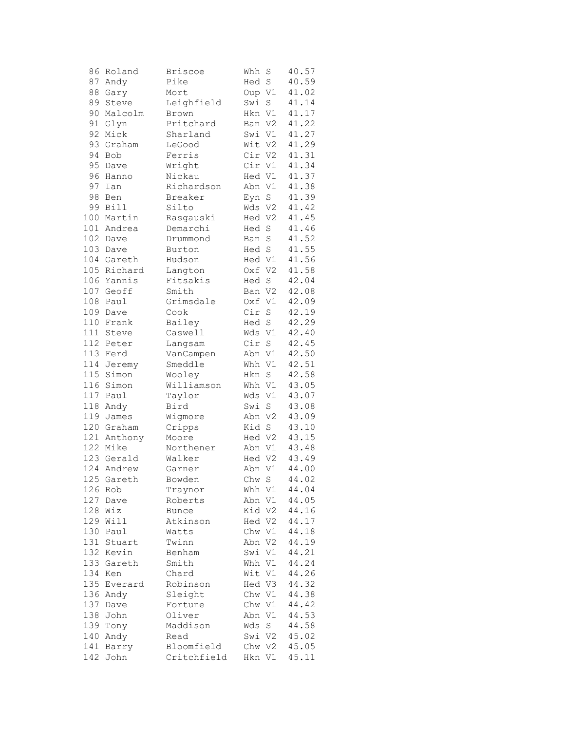| 86  | Roland     | <b>Briscoe</b> | Whh    | S           | 40.57 |
|-----|------------|----------------|--------|-------------|-------|
| 87  | Andy       | Pike           | Hed    | $\rm S$     | 40.59 |
| 88  | Gary       | Mort           | Oup V1 |             | 41.02 |
| 89  | Steve      | Leighfield     | Swi    | $\rm S$     | 41.14 |
| 90  | Malcolm    | Brown          | Hkn V1 |             | 41.17 |
| 91  | Glyn       | Pritchard      | Ban V2 |             | 41.22 |
| 92  | Mick       | Sharland       | Swi V1 |             | 41.27 |
| 93  |            |                | Wit V2 |             | 41.29 |
|     | Graham     | LeGood         |        |             |       |
| 94  | Bob        | Ferris         | Cir V2 |             | 41.31 |
| 95  | Dave       | Wright         | Cir V1 |             | 41.34 |
| 96  | Hanno      | Nickau         | Hed V1 |             | 41.37 |
| 97  | Ian        | Richardson     | Abn V1 |             | 41.38 |
| 98  | Ben        | Breaker        | Eyn    | $\rm S$     | 41.39 |
| 99  | Bill       | Silto          | Wds V2 |             | 41.42 |
| 100 | Martin     | Rasgauski      | Hed V2 |             | 41.45 |
|     | 101 Andrea | Demarchi       | Hed S  |             | 41.46 |
|     | 102 Dave   | Drummond       | Ban    | $\rm S$     | 41.52 |
| 103 | Dave       | Burton         | Hed S  |             | 41.55 |
|     | 104 Gareth | Hudson         | Hed V1 |             | 41.56 |
| 105 | Richard    | Langton        | Oxf V2 |             | 41.58 |
| 106 | Yannis     | Fitsakis       | Hed    | S           | 42.04 |
|     |            |                |        |             |       |
|     | 107 Geoff  | Smith          | Ban V2 |             | 42.08 |
| 108 | Paul       | Grimsdale      | Oxf    | V1          | 42.09 |
|     | 109 Dave   | Cook           | Cir    | $\rm S$     | 42.19 |
| 110 | Frank      | Bailey         | Hed S  |             | 42.29 |
| 111 | Steve      | Caswell        | Wds V1 |             | 42.40 |
|     | 112 Peter  | Langsam        | Cir    | $\mathbf S$ | 42.45 |
| 113 | Ferd       | VanCampen      | Abn V1 |             | 42.50 |
| 114 | Jeremy     | Smeddle        | Whh V1 |             | 42.51 |
| 115 | Simon      | Wooley         | Hkn    | $\mathbf S$ | 42.58 |
| 116 | Simon      | Williamson     | Whh V1 |             | 43.05 |
| 117 | Paul       | Taylor         | Wds V1 |             | 43.07 |
| 118 | Andy       | Bird           | Swi    | $\rm S$     | 43.08 |
| 119 | James      | Wigmore        | Abn V2 |             | 43.09 |
|     | 120 Graham | Cripps         | Kid S  |             | 43.10 |
| 121 | Anthony    | Moore          | Hed V2 |             | 43.15 |
|     | 122 Mike   |                |        |             |       |
|     |            | Northener      | Abn V1 |             | 43.48 |
|     | 123 Gerald | Walker         | Hed V2 |             | 43.49 |
| 124 | Andrew     | Garner         | Abn V1 |             | 44.00 |
|     | 125 Gareth | Bowden         | Chw S  |             | 44.02 |
| 126 | Rob        | Traynor        | Whh V1 |             | 44.04 |
| 127 | Dave       | Roberts        | Abn    | V1          | 44.05 |
| 128 | Wiz        | Bunce          | Kid V2 |             | 44.16 |
| 129 | Will       | Atkinson       | Hed V2 |             | 44.17 |
| 130 | Paul       | Watts          | Chw V1 |             | 44.18 |
| 131 | Stuart     | Twinn          | Abn V2 |             | 44.19 |
| 132 | Kevin      | Benham         | Swi    | V1          | 44.21 |
| 133 | Gareth     | Smith          | Whh V1 |             | 44.24 |
| 134 | Ken        | Chard          | Wit    | V1          | 44.26 |
| 135 | Everard    | Robinson       | Hed V3 |             | 44.32 |
| 136 | Andy       | Sleight        | Chw V1 |             | 44.38 |
| 137 | Dave       | Fortune        | Chw V1 |             | 44.42 |
| 138 |            |                |        |             | 44.53 |
|     | John       | Oliver         | Abn V1 |             |       |
| 139 | Tony       | Maddison       | Wds    | S           | 44.58 |
| 140 | Andy       | Read           | Swi V2 |             | 45.02 |
| 141 | Barry      | Bloomfield     | Chw V2 |             | 45.05 |
| 142 | John       | Critchfield    | Hkn V1 |             | 45.11 |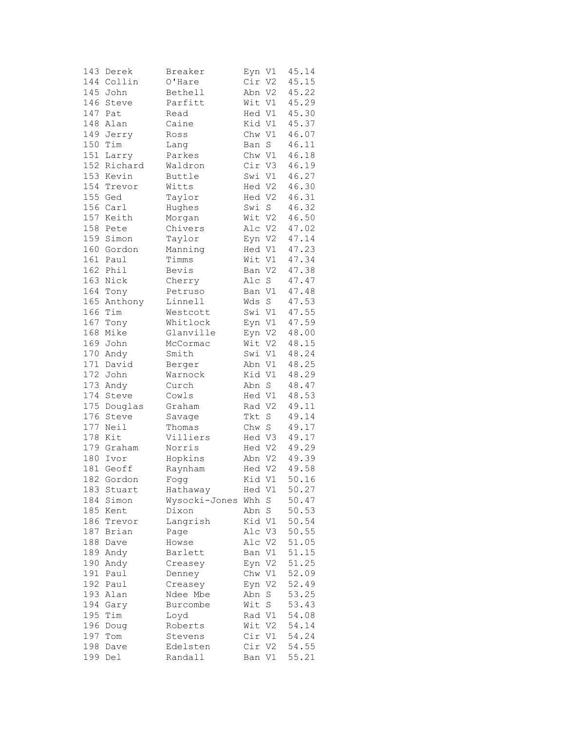| 143 | Derek                | Breaker       | Eyn V1 |         | 45.14          |
|-----|----------------------|---------------|--------|---------|----------------|
|     | 144 Collin           | O'Hare        | Cir V2 |         | 45.15          |
| 145 | John                 | Bethell       | Abn V2 |         | 45.22          |
| 146 | Steve                | Parfitt       | Wit V1 |         | 45.29          |
| 147 | Pat                  | Read          | Hed V1 |         | 45.30          |
| 148 | Alan                 | Caine         | Kid V1 |         | 45.37          |
| 149 | Jerry                | Ross          | Chw V1 |         | 46.07          |
| 150 | Tim                  | Lang          | Ban    | S       | 46.11          |
| 151 | Larry                | Parkes        | Chw V1 |         | 46.18          |
|     | 152 Richard          | Waldron       | Cir V3 |         | 46.19          |
|     | 153 Kevin            | Buttle        | Swi V1 |         | 46.27          |
| 154 | Trevor               | Witts         | Hed V2 |         | 46.30          |
| 155 | Ged                  | Taylor        | Hed V2 |         | 46.31          |
|     | 156 Carl             | Hughes        | Swi S  |         | 46.32          |
|     | 157 Keith            | Morgan        | Wit V2 |         | 46.50          |
| 158 | Pete                 | Chivers       | Alc V2 |         | 47.02          |
| 159 | Simon                | Taylor        | Eyn V2 |         | 47.14          |
|     | 160 Gordon           | Manning       | Hed V1 |         | 47.23          |
|     | 161 Paul             | Timms         | Wit V1 |         | 47.34          |
| 162 | Phil                 | Bevis         | Ban V2 |         | 47.38          |
| 163 | Nick                 | Cherry        | Alc    | $\rm S$ | 47.47          |
| 164 | Tony                 | Petruso       | Ban V1 |         | 47.48          |
| 165 | Anthony              | Linnell       | Wds    | S       | 47.53          |
|     | Tim                  |               | Swi V1 |         |                |
| 166 |                      | Westcott      | Eyn V1 |         | 47.55          |
| 167 | Tony                 | Whitlock      |        |         | 47.59<br>48.00 |
|     | 168 Mike<br>169 John | Glanville     | Eyn V2 |         |                |
|     |                      | McCormac      | Wit V2 |         | 48.15          |
|     | 170 Andy             | Smith         | Swi V1 |         | 48.24          |
| 171 | David                | Berger        | Abn V1 |         | 48.25          |
| 172 | John                 | Warnock       | Kid V1 |         | 48.29          |
| 173 | Andy                 | Curch         | Abn S  |         | 48.47          |
| 174 | Steve                | Cowls         | Hed V1 |         | 48.53          |
| 175 | Douglas              | Graham        | Rad V2 |         | 49.11          |
| 176 | Steve<br>Neil        | Savage        | Tkt    | $\rm S$ | 49.14          |
| 177 |                      | Thomas        | Chw    | $\rm S$ | 49.17          |
|     | 178 Kit              | Villiers      | Hed V3 |         | 49.17          |
|     | 179 Graham           | Norris        | Hed V2 |         | 49.29          |
|     | 180 Ivor             | Hopkins       | Abn V2 |         | 49.39          |
| 181 | Geoff                | Raynham       | Hed V2 |         | 49.58          |
|     | 182 Gordon           | Fogg          | Kid V1 |         | 50.16          |
| 183 | Stuart               | Hathaway      | Hed V1 |         | 50.27          |
| 184 | Simon                | Wysocki-Jones | Whh    | S       | 50.47          |
| 185 | Kent                 | Dixon         | Abn    | S       | 50.53          |
| 186 | Trevor               | Langrish      | Kid V1 |         | 50.54          |
| 187 | Brian                | Page          | Alc V3 |         | 50.55          |
| 188 | Dave                 | Howse         | Alc V2 |         | 51.05          |
| 189 | Andy                 | Barlett       | Ban V1 |         | 51.15          |
| 190 | Andy                 | Creasey       | Eyn V2 |         | 51.25          |
| 191 | Paul                 | Denney        | Chw V1 |         | 52.09          |
| 192 | Paul                 | Creasey       | Eyn V2 |         | 52.49          |
| 193 | Alan                 | Ndee Mbe      | Abn    | $\rm S$ | 53.25          |
| 194 | Gary                 | Burcombe      | Wit    | S       | 53.43          |
| 195 | Tim                  | Loyd          | Rad V1 |         | 54.08          |
| 196 | Doug                 | Roberts       | Wit V2 |         | 54.14          |
| 197 | Tom                  | Stevens       | Cir V1 |         | 54.24          |
| 198 | Dave                 | Edelsten      | Cir V2 |         | 54.55          |
| 199 | Del                  | Randall       | Ban V1 |         | 55.21          |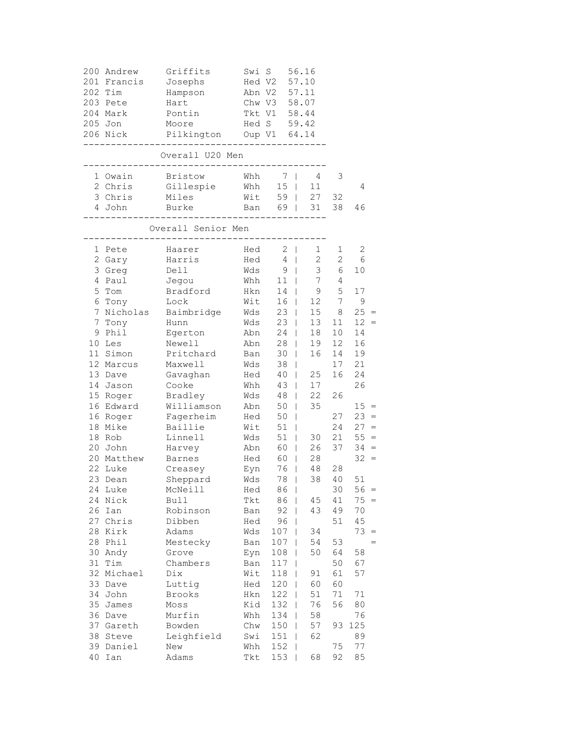|          | 200 Andrew<br>201 Francis<br>202 Tim<br>203 Pete<br>204 Mark<br>205 Jon<br>206 Nick | Griffits<br>Josephs<br>Hampson<br>Hart<br>Pontin<br>Moore<br>Pilkington Oup V1 64.14<br>------------------------------- | Swi S<br>Hed V2<br>Abn V2<br>Chw V3<br>Tkt V1 | Hed S 59.42                                                  | 56.16<br>57.10<br>57.11<br>58.07<br>58.44                  |                                                                               |                                                |
|----------|-------------------------------------------------------------------------------------|-------------------------------------------------------------------------------------------------------------------------|-----------------------------------------------|--------------------------------------------------------------|------------------------------------------------------------|-------------------------------------------------------------------------------|------------------------------------------------|
|          |                                                                                     | Overall U20 Men<br>___________________________                                                                          |                                               |                                                              |                                                            |                                                                               |                                                |
|          | 1 Owain<br>2 Chris<br>3 Chris<br>4 John                                             | Bristow<br>Gillespie<br>Miles<br>Burke<br>------------                                                                  | Whh<br>Whh<br>___________                     | 7 <sub>1</sub><br>$15$                                       | 4<br>11<br>Wit 59   27<br>Ban 69   31                      | 3<br>32<br>38                                                                 | 4<br>46                                        |
|          |                                                                                     | Overall Senior Men<br>----------                                                                                        |                                               |                                                              |                                                            |                                                                               |                                                |
|          | 1 Pete<br>2 Gary<br>3 Greg<br>4 Paul<br>5 Tom                                       | Haarer<br>Harris<br>Dell<br>Jegou<br>Bradford                                                                           | Wds<br>Whh<br>Hkn                             | Hed 2  <br>$Hed \t4$<br>9 <sub>1</sub><br>$11 \quad  $<br>14 | 1<br>$2^{\circ}$<br>3 <sup>7</sup><br>$7\overline{ }$<br>9 | 1<br>2<br>6<br>4<br>5                                                         | 2<br>6<br>10<br>17                             |
| 7        | 6 Tony<br>Tony<br>9 Phil<br>10 Les                                                  | Lock<br>7 Nicholas Baimbridge<br>Hunn<br>Egerton<br>Newell                                                              | Wit<br>Wds<br>Wds<br>Abn<br>Abn               | $16$  <br>23<br>$23 \mid$<br>$24$  <br>$28$                  | 12<br>15<br>13<br>18<br>19                                 | $7\phantom{.0}$<br>8<br>11 <sup>1</sup><br>10 <sub>1</sub><br>12 <sup>°</sup> | $\mathsf 9$<br>$25 =$<br>$12 =$<br>14<br>16    |
|          | 11 Simon<br>12 Marcus<br>13 Dave<br>14 Jason<br>15 Roger                            | Pritchard<br>Maxwell<br>Gavaghan<br>Cooke<br>Bradley                                                                    | Ban<br>Wds<br>Hed<br>Whh<br>Wds               | $30 \mid$<br>38<br>$40$  <br>43  <br>$48$                    | 16<br>$\mathbf{I}$<br>25<br>17<br>22                       | 14<br>17<br>16<br>26                                                          | 19<br>21<br>24<br>26                           |
|          | 16 Edward<br>16 Roger<br>18 Mike<br>18 Rob                                          | Williamson<br>Fagerheim<br>Baillie<br>Linnell                                                                           | Abn<br>Hed<br>Wit<br>Wds                      | 50  <br>$50$  <br>$51$  <br>51                               | 35<br>30                                                   | 27<br>24<br>21                                                                | $15 =$<br>$23 =$<br>$27 =$<br>$55 =$           |
|          | 20 John<br>20 Matthew<br>22 Luke<br>23 Dean                                         | Harvey<br>Barnes<br>Creasey<br>Sheppard                                                                                 | Abn<br>Hed<br>Eyn<br>Wds                      | 60  <br>60  <br>$76$  <br>78                                 | 26<br>28<br>48<br>38                                       | 37<br>28<br>40                                                                | $34 =$<br>$32 =$<br>51                         |
|          | 24 Luke<br>24 Nick<br>26 Ian<br>27 Chris<br>28 Kirk                                 | McNeill<br>Bull<br>Robinson<br>Dibben<br>Adams                                                                          | Hed<br>Tkt<br>Ban<br>Hed<br>Wds               | $86-1$<br>86  <br>92<br>96<br>107                            | 45<br>43<br>L<br>34                                        | 30<br>41<br>49<br>51                                                          | $56 =$<br>$75 =$<br>70<br>45<br>73<br>$\equiv$ |
|          | 28 Phil<br>30 Andy<br>31 Tim<br>32 Michael                                          | Mestecky<br>Grove<br>Chambers<br>Dix                                                                                    | Ban<br>Eyn<br>Ban<br>Wit                      | 107<br>108<br>117<br>118                                     | 54<br>50<br>91                                             | 53<br>64<br>50<br>61                                                          | $=$<br>58<br>67<br>57                          |
| 35       | 33 Dave<br>34 John<br>James                                                         | Luttig<br>Brooks<br>Moss                                                                                                | Hed<br>Hkn<br>Kid                             | 120<br>122<br>132                                            | 60<br>51<br>I<br>76                                        | 60<br>71<br>56                                                                | $71\,$<br>80                                   |
| 38<br>40 | 36 Dave<br>37 Gareth<br>Steve<br>39 Daniel<br>Ian                                   | Murfin<br>Bowden<br>Leighfield<br>New<br>Adams                                                                          | Whh<br>Chw<br>Swi<br>Whh<br>Tkt               | 134<br>150<br>151<br>152<br>153                              | 58<br>57<br>62<br>68                                       | 93<br>75<br>92                                                                | 76<br>125<br>89<br>77<br>85                    |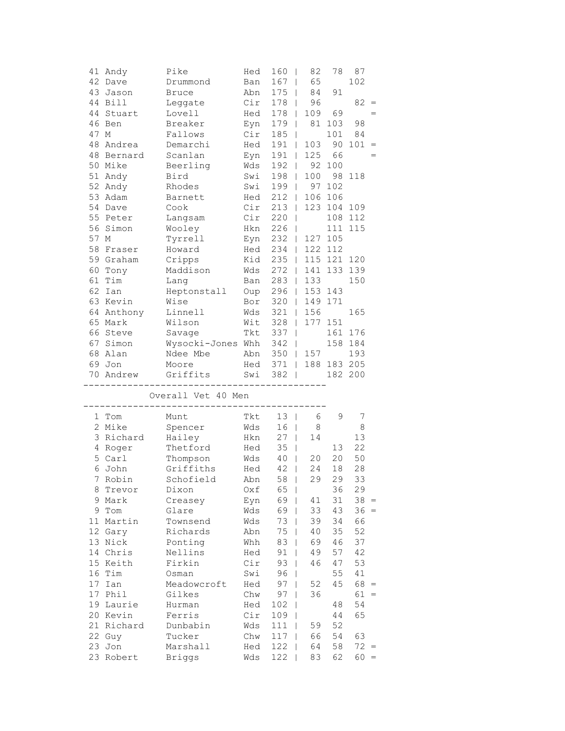|      | 41 Andy    | Pike               | Hed | 160<br>- 1                      | 82      | 78          | 87                                      |
|------|------------|--------------------|-----|---------------------------------|---------|-------------|-----------------------------------------|
|      | 42 Dave    | Drummond           | Ban | 167<br>$\mathbf{I}$             | 65      |             | 102                                     |
|      | 43 Jason   | <b>Bruce</b>       | Abn | $175$                           | 84      | 91          |                                         |
|      | 44 Bill    | Leggate            | Cir | 178                             | 96      |             | 82<br>$=$                               |
|      | 44 Stuart  | Lovell             | Hed | 178                             | 109     | 69          | $=$                                     |
|      | 46 Ben     | Breaker            | Eyn | $179$                           |         | 81 103      | 98                                      |
| 47   | M          | Fallows            | Cir | 185<br>T                        |         | 101         | 84                                      |
|      | 48 Andrea  | Demarchi           | Hed | 191<br>$\mathbf{I}$             | 103     | 90          | 101<br>$=$                              |
|      | 48 Bernard | Scanlan            | Eyn | 191<br>$\Box$                   | 125     | 66          | $=$                                     |
|      | 50 Mike    | Beerling           | Wds | $192$                           |         | 92 100      |                                         |
|      | 51 Andy    | Bird               | Swi | $198$                           | 100     |             | 98 118                                  |
|      | 52 Andy    | Rhodes             | Swi | $199$                           | 97      | 102         |                                         |
|      | 53 Adam    | Barnett            | Hed | $212$                           |         | 106 106     |                                         |
|      | 54 Dave    | Cook               | Cir | $213$                           |         | 123 104     | 109                                     |
|      | 55 Peter   | Langsam            | Cir | 220<br>$\blacksquare$           |         |             | 108 112                                 |
|      | 56 Simon   | Wooley             | Hkn | 226                             |         |             | 111 115                                 |
| 57 M |            | Tyrrell            | Eyn | 232<br>$\mathbf{I}$             |         | 127 105     |                                         |
|      | 58 Fraser  | Howard             | Hed | 234<br>$\perp$                  |         | 122 112     |                                         |
|      | 59 Graham  | Cripps             | Kid | 235<br>$\Box$                   |         | 115 121 120 |                                         |
|      | 60 Tony    | Maddison           | Wds | 272<br>$\Box$                   | 141     |             | 133 139                                 |
|      | 61 Tim     | Lang               | Ban | 283<br>$\Box$                   | 133     |             | 150                                     |
|      | 62 Ian     | Heptonstall        | Oup | 296<br>$\Box$                   | 153 143 |             |                                         |
|      | 63 Kevin   | Wise               | Bor | 320<br>$\mathbf{1}$             |         | 149 171     |                                         |
|      | 64 Anthony | Linnell            | Wds | 321<br>$\Box$                   | 156     |             | 165                                     |
|      | 65 Mark    | Wilson             | Wit | 328                             | 177 151 |             |                                         |
|      | 66 Steve   | Savage             | Tkt | 337<br>$\mathsf{I}$             |         |             | 161 176                                 |
|      | 67 Simon   | Wysocki-Jones Whh  |     | 342<br>$\overline{\phantom{0}}$ |         |             | 158 184                                 |
|      | 68 Alan    | Ndee Mbe           | Abn | $350$                           | 157     |             | 193                                     |
|      |            |                    |     |                                 |         |             |                                         |
|      |            |                    |     |                                 |         |             |                                         |
|      | 69 Jon     | Moore              | Hed | $371$                           |         | 188 183 205 |                                         |
|      | 70 Andrew  | Griffits           | Swi | $382$                           |         |             | 182 200                                 |
|      |            | Overall Vet 40 Men |     |                                 |         |             |                                         |
|      |            |                    |     |                                 |         |             |                                         |
|      | 1 Tom      | Munt               | Tkt | 13<br>$\overline{1}$            | 6       | 9           | 7                                       |
|      | 2 Mike     | Spencer            | Wds | 16<br>$\perp$                   | 8       |             | 8                                       |
|      | 3 Richard  | Hailey             | Hkn | 27<br>$\mathbf{I}$              | 14      |             | 13                                      |
|      | 4 Roger    | Thetford           | Hed | 35<br>$\overline{\phantom{a}}$  |         | 13          | 22                                      |
|      | 5 Carl     | Thompson           | Wds | $40$                            | 20      | 20          | 50                                      |
|      | 6 John     | Griffiths          | Hed | 42<br>$\overline{\phantom{0}}$  | 24      | 18          | 28                                      |
|      | 7 Robin    | Schofield          | Abn | 58                              | 29      | 29          | 33                                      |
|      | 8 Trevor   | Dixon              | Oxf | 65                              |         | 36          | 29                                      |
|      | 9 Mark     | Creasey            | Eyn | 69                              | 41      | 31          | $38 =$                                  |
|      | 9 Tom      | Glare              | Wds | 69                              | 33      | 43          | $36 =$                                  |
|      | 11 Martin  | Townsend           | Wds | $73 \mid$                       | 39      | 34          | 66                                      |
|      | 12 Gary    | Richards           | Abn | 75                              | 40      | 35          | 52                                      |
|      | 13 Nick    | Ponting            | Whh | 83<br>$\Box$                    | 69      | 46          | 37                                      |
|      | 14 Chris   | Nellins            | Hed | $91$                            | 49      | 57          | 42                                      |
|      | 15 Keith   | Firkin             | Cir | $93$                            | 46      | 47          | 53                                      |
|      | 16 Tim     | Osman              | Swi | $96$                            |         | 55          | 41                                      |
|      | 17 Ian     | Meadowcroft        | Hed | $97 \mid$                       | 52      | 45          | $68 =$                                  |
|      | 17 Phil    | Gilkes             | Chw | 97                              | 36      |             | 61<br>$\hspace{0.1cm} = \hspace{0.1cm}$ |
|      | 19 Laurie  | Hurman             | Hed | 102                             |         | 48          | 54                                      |
|      | 20 Kevin   | Ferris             | Cir | 109                             |         | 44          | 65                                      |
|      | 21 Richard | Dunbabin           | Wds | 111<br>$\mathbf{I}$             | 59      | 52          |                                         |
|      | 22 Guy     | Tucker             | Chw | 117<br>T                        | 66      | 54          | 63                                      |
|      | 23 Jon     | Marshall           | Hed | 122                             | 64      | 58          | $72 =$                                  |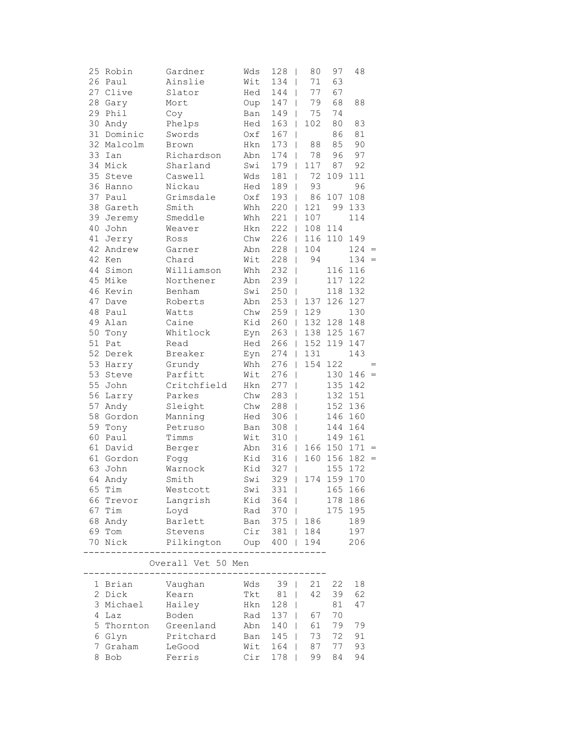| 25 Robin   | Gardner                                                                                                                                                                                                                                                                                                                                                                                                                                           | Wds                                                                                                                                                                                                                                                                                                                                                                                                                                                                                                                | 128                                                                                                                                                                                                                                                                            | 80                                                                                                                                                                                                                                                                                                                                | 97                                                                                                                                                                                                                                                                                                                                                                                                                                                                                                                                                                                                                                                                                                                                              | 48                                                                                                                                                                                                                                                                |                                                                                                                                                                                                                                                                                                                    |
|------------|---------------------------------------------------------------------------------------------------------------------------------------------------------------------------------------------------------------------------------------------------------------------------------------------------------------------------------------------------------------------------------------------------------------------------------------------------|--------------------------------------------------------------------------------------------------------------------------------------------------------------------------------------------------------------------------------------------------------------------------------------------------------------------------------------------------------------------------------------------------------------------------------------------------------------------------------------------------------------------|--------------------------------------------------------------------------------------------------------------------------------------------------------------------------------------------------------------------------------------------------------------------------------|-----------------------------------------------------------------------------------------------------------------------------------------------------------------------------------------------------------------------------------------------------------------------------------------------------------------------------------|-------------------------------------------------------------------------------------------------------------------------------------------------------------------------------------------------------------------------------------------------------------------------------------------------------------------------------------------------------------------------------------------------------------------------------------------------------------------------------------------------------------------------------------------------------------------------------------------------------------------------------------------------------------------------------------------------------------------------------------------------|-------------------------------------------------------------------------------------------------------------------------------------------------------------------------------------------------------------------------------------------------------------------|--------------------------------------------------------------------------------------------------------------------------------------------------------------------------------------------------------------------------------------------------------------------------------------------------------------------|
| 26 Paul    | Ainslie                                                                                                                                                                                                                                                                                                                                                                                                                                           | Wit                                                                                                                                                                                                                                                                                                                                                                                                                                                                                                                | 134                                                                                                                                                                                                                                                                            | 71                                                                                                                                                                                                                                                                                                                                | 63                                                                                                                                                                                                                                                                                                                                                                                                                                                                                                                                                                                                                                                                                                                                              |                                                                                                                                                                                                                                                                   |                                                                                                                                                                                                                                                                                                                    |
| 27 Clive   | Slator                                                                                                                                                                                                                                                                                                                                                                                                                                            | Hed                                                                                                                                                                                                                                                                                                                                                                                                                                                                                                                | 144                                                                                                                                                                                                                                                                            | 77                                                                                                                                                                                                                                                                                                                                | 67                                                                                                                                                                                                                                                                                                                                                                                                                                                                                                                                                                                                                                                                                                                                              |                                                                                                                                                                                                                                                                   |                                                                                                                                                                                                                                                                                                                    |
|            | Mort                                                                                                                                                                                                                                                                                                                                                                                                                                              |                                                                                                                                                                                                                                                                                                                                                                                                                                                                                                                    |                                                                                                                                                                                                                                                                                |                                                                                                                                                                                                                                                                                                                                   | 68                                                                                                                                                                                                                                                                                                                                                                                                                                                                                                                                                                                                                                                                                                                                              | 88                                                                                                                                                                                                                                                                |                                                                                                                                                                                                                                                                                                                    |
|            |                                                                                                                                                                                                                                                                                                                                                                                                                                                   |                                                                                                                                                                                                                                                                                                                                                                                                                                                                                                                    |                                                                                                                                                                                                                                                                                |                                                                                                                                                                                                                                                                                                                                   | 74                                                                                                                                                                                                                                                                                                                                                                                                                                                                                                                                                                                                                                                                                                                                              |                                                                                                                                                                                                                                                                   |                                                                                                                                                                                                                                                                                                                    |
|            |                                                                                                                                                                                                                                                                                                                                                                                                                                                   |                                                                                                                                                                                                                                                                                                                                                                                                                                                                                                                    |                                                                                                                                                                                                                                                                                |                                                                                                                                                                                                                                                                                                                                   |                                                                                                                                                                                                                                                                                                                                                                                                                                                                                                                                                                                                                                                                                                                                                 |                                                                                                                                                                                                                                                                   |                                                                                                                                                                                                                                                                                                                    |
|            |                                                                                                                                                                                                                                                                                                                                                                                                                                                   |                                                                                                                                                                                                                                                                                                                                                                                                                                                                                                                    |                                                                                                                                                                                                                                                                                |                                                                                                                                                                                                                                                                                                                                   |                                                                                                                                                                                                                                                                                                                                                                                                                                                                                                                                                                                                                                                                                                                                                 |                                                                                                                                                                                                                                                                   |                                                                                                                                                                                                                                                                                                                    |
|            |                                                                                                                                                                                                                                                                                                                                                                                                                                                   |                                                                                                                                                                                                                                                                                                                                                                                                                                                                                                                    |                                                                                                                                                                                                                                                                                |                                                                                                                                                                                                                                                                                                                                   |                                                                                                                                                                                                                                                                                                                                                                                                                                                                                                                                                                                                                                                                                                                                                 |                                                                                                                                                                                                                                                                   |                                                                                                                                                                                                                                                                                                                    |
|            |                                                                                                                                                                                                                                                                                                                                                                                                                                                   |                                                                                                                                                                                                                                                                                                                                                                                                                                                                                                                    |                                                                                                                                                                                                                                                                                |                                                                                                                                                                                                                                                                                                                                   |                                                                                                                                                                                                                                                                                                                                                                                                                                                                                                                                                                                                                                                                                                                                                 |                                                                                                                                                                                                                                                                   |                                                                                                                                                                                                                                                                                                                    |
|            |                                                                                                                                                                                                                                                                                                                                                                                                                                                   |                                                                                                                                                                                                                                                                                                                                                                                                                                                                                                                    |                                                                                                                                                                                                                                                                                |                                                                                                                                                                                                                                                                                                                                   |                                                                                                                                                                                                                                                                                                                                                                                                                                                                                                                                                                                                                                                                                                                                                 |                                                                                                                                                                                                                                                                   |                                                                                                                                                                                                                                                                                                                    |
|            |                                                                                                                                                                                                                                                                                                                                                                                                                                                   |                                                                                                                                                                                                                                                                                                                                                                                                                                                                                                                    |                                                                                                                                                                                                                                                                                |                                                                                                                                                                                                                                                                                                                                   |                                                                                                                                                                                                                                                                                                                                                                                                                                                                                                                                                                                                                                                                                                                                                 |                                                                                                                                                                                                                                                                   |                                                                                                                                                                                                                                                                                                                    |
|            |                                                                                                                                                                                                                                                                                                                                                                                                                                                   |                                                                                                                                                                                                                                                                                                                                                                                                                                                                                                                    |                                                                                                                                                                                                                                                                                |                                                                                                                                                                                                                                                                                                                                   |                                                                                                                                                                                                                                                                                                                                                                                                                                                                                                                                                                                                                                                                                                                                                 |                                                                                                                                                                                                                                                                   |                                                                                                                                                                                                                                                                                                                    |
|            |                                                                                                                                                                                                                                                                                                                                                                                                                                                   |                                                                                                                                                                                                                                                                                                                                                                                                                                                                                                                    |                                                                                                                                                                                                                                                                                |                                                                                                                                                                                                                                                                                                                                   |                                                                                                                                                                                                                                                                                                                                                                                                                                                                                                                                                                                                                                                                                                                                                 |                                                                                                                                                                                                                                                                   |                                                                                                                                                                                                                                                                                                                    |
|            |                                                                                                                                                                                                                                                                                                                                                                                                                                                   |                                                                                                                                                                                                                                                                                                                                                                                                                                                                                                                    |                                                                                                                                                                                                                                                                                |                                                                                                                                                                                                                                                                                                                                   |                                                                                                                                                                                                                                                                                                                                                                                                                                                                                                                                                                                                                                                                                                                                                 |                                                                                                                                                                                                                                                                   |                                                                                                                                                                                                                                                                                                                    |
|            |                                                                                                                                                                                                                                                                                                                                                                                                                                                   |                                                                                                                                                                                                                                                                                                                                                                                                                                                                                                                    |                                                                                                                                                                                                                                                                                |                                                                                                                                                                                                                                                                                                                                   |                                                                                                                                                                                                                                                                                                                                                                                                                                                                                                                                                                                                                                                                                                                                                 |                                                                                                                                                                                                                                                                   |                                                                                                                                                                                                                                                                                                                    |
|            |                                                                                                                                                                                                                                                                                                                                                                                                                                                   |                                                                                                                                                                                                                                                                                                                                                                                                                                                                                                                    |                                                                                                                                                                                                                                                                                |                                                                                                                                                                                                                                                                                                                                   |                                                                                                                                                                                                                                                                                                                                                                                                                                                                                                                                                                                                                                                                                                                                                 |                                                                                                                                                                                                                                                                   |                                                                                                                                                                                                                                                                                                                    |
|            |                                                                                                                                                                                                                                                                                                                                                                                                                                                   |                                                                                                                                                                                                                                                                                                                                                                                                                                                                                                                    |                                                                                                                                                                                                                                                                                |                                                                                                                                                                                                                                                                                                                                   |                                                                                                                                                                                                                                                                                                                                                                                                                                                                                                                                                                                                                                                                                                                                                 |                                                                                                                                                                                                                                                                   |                                                                                                                                                                                                                                                                                                                    |
|            |                                                                                                                                                                                                                                                                                                                                                                                                                                                   |                                                                                                                                                                                                                                                                                                                                                                                                                                                                                                                    |                                                                                                                                                                                                                                                                                |                                                                                                                                                                                                                                                                                                                                   |                                                                                                                                                                                                                                                                                                                                                                                                                                                                                                                                                                                                                                                                                                                                                 |                                                                                                                                                                                                                                                                   |                                                                                                                                                                                                                                                                                                                    |
|            |                                                                                                                                                                                                                                                                                                                                                                                                                                                   |                                                                                                                                                                                                                                                                                                                                                                                                                                                                                                                    |                                                                                                                                                                                                                                                                                |                                                                                                                                                                                                                                                                                                                                   |                                                                                                                                                                                                                                                                                                                                                                                                                                                                                                                                                                                                                                                                                                                                                 |                                                                                                                                                                                                                                                                   |                                                                                                                                                                                                                                                                                                                    |
|            |                                                                                                                                                                                                                                                                                                                                                                                                                                                   |                                                                                                                                                                                                                                                                                                                                                                                                                                                                                                                    |                                                                                                                                                                                                                                                                                |                                                                                                                                                                                                                                                                                                                                   |                                                                                                                                                                                                                                                                                                                                                                                                                                                                                                                                                                                                                                                                                                                                                 |                                                                                                                                                                                                                                                                   |                                                                                                                                                                                                                                                                                                                    |
|            |                                                                                                                                                                                                                                                                                                                                                                                                                                                   |                                                                                                                                                                                                                                                                                                                                                                                                                                                                                                                    |                                                                                                                                                                                                                                                                                |                                                                                                                                                                                                                                                                                                                                   |                                                                                                                                                                                                                                                                                                                                                                                                                                                                                                                                                                                                                                                                                                                                                 |                                                                                                                                                                                                                                                                   |                                                                                                                                                                                                                                                                                                                    |
|            |                                                                                                                                                                                                                                                                                                                                                                                                                                                   |                                                                                                                                                                                                                                                                                                                                                                                                                                                                                                                    |                                                                                                                                                                                                                                                                                |                                                                                                                                                                                                                                                                                                                                   |                                                                                                                                                                                                                                                                                                                                                                                                                                                                                                                                                                                                                                                                                                                                                 |                                                                                                                                                                                                                                                                   |                                                                                                                                                                                                                                                                                                                    |
|            |                                                                                                                                                                                                                                                                                                                                                                                                                                                   |                                                                                                                                                                                                                                                                                                                                                                                                                                                                                                                    |                                                                                                                                                                                                                                                                                |                                                                                                                                                                                                                                                                                                                                   |                                                                                                                                                                                                                                                                                                                                                                                                                                                                                                                                                                                                                                                                                                                                                 |                                                                                                                                                                                                                                                                   |                                                                                                                                                                                                                                                                                                                    |
|            |                                                                                                                                                                                                                                                                                                                                                                                                                                                   |                                                                                                                                                                                                                                                                                                                                                                                                                                                                                                                    |                                                                                                                                                                                                                                                                                |                                                                                                                                                                                                                                                                                                                                   |                                                                                                                                                                                                                                                                                                                                                                                                                                                                                                                                                                                                                                                                                                                                                 |                                                                                                                                                                                                                                                                   |                                                                                                                                                                                                                                                                                                                    |
|            |                                                                                                                                                                                                                                                                                                                                                                                                                                                   |                                                                                                                                                                                                                                                                                                                                                                                                                                                                                                                    |                                                                                                                                                                                                                                                                                |                                                                                                                                                                                                                                                                                                                                   |                                                                                                                                                                                                                                                                                                                                                                                                                                                                                                                                                                                                                                                                                                                                                 |                                                                                                                                                                                                                                                                   |                                                                                                                                                                                                                                                                                                                    |
|            |                                                                                                                                                                                                                                                                                                                                                                                                                                                   |                                                                                                                                                                                                                                                                                                                                                                                                                                                                                                                    |                                                                                                                                                                                                                                                                                |                                                                                                                                                                                                                                                                                                                                   |                                                                                                                                                                                                                                                                                                                                                                                                                                                                                                                                                                                                                                                                                                                                                 |                                                                                                                                                                                                                                                                   |                                                                                                                                                                                                                                                                                                                    |
|            |                                                                                                                                                                                                                                                                                                                                                                                                                                                   |                                                                                                                                                                                                                                                                                                                                                                                                                                                                                                                    |                                                                                                                                                                                                                                                                                |                                                                                                                                                                                                                                                                                                                                   |                                                                                                                                                                                                                                                                                                                                                                                                                                                                                                                                                                                                                                                                                                                                                 |                                                                                                                                                                                                                                                                   |                                                                                                                                                                                                                                                                                                                    |
|            |                                                                                                                                                                                                                                                                                                                                                                                                                                                   |                                                                                                                                                                                                                                                                                                                                                                                                                                                                                                                    |                                                                                                                                                                                                                                                                                |                                                                                                                                                                                                                                                                                                                                   |                                                                                                                                                                                                                                                                                                                                                                                                                                                                                                                                                                                                                                                                                                                                                 |                                                                                                                                                                                                                                                                   |                                                                                                                                                                                                                                                                                                                    |
|            |                                                                                                                                                                                                                                                                                                                                                                                                                                                   |                                                                                                                                                                                                                                                                                                                                                                                                                                                                                                                    |                                                                                                                                                                                                                                                                                |                                                                                                                                                                                                                                                                                                                                   |                                                                                                                                                                                                                                                                                                                                                                                                                                                                                                                                                                                                                                                                                                                                                 |                                                                                                                                                                                                                                                                   |                                                                                                                                                                                                                                                                                                                    |
|            |                                                                                                                                                                                                                                                                                                                                                                                                                                                   |                                                                                                                                                                                                                                                                                                                                                                                                                                                                                                                    |                                                                                                                                                                                                                                                                                |                                                                                                                                                                                                                                                                                                                                   |                                                                                                                                                                                                                                                                                                                                                                                                                                                                                                                                                                                                                                                                                                                                                 |                                                                                                                                                                                                                                                                   |                                                                                                                                                                                                                                                                                                                    |
| 55         |                                                                                                                                                                                                                                                                                                                                                                                                                                                   |                                                                                                                                                                                                                                                                                                                                                                                                                                                                                                                    |                                                                                                                                                                                                                                                                                |                                                                                                                                                                                                                                                                                                                                   |                                                                                                                                                                                                                                                                                                                                                                                                                                                                                                                                                                                                                                                                                                                                                 |                                                                                                                                                                                                                                                                   |                                                                                                                                                                                                                                                                                                                    |
|            |                                                                                                                                                                                                                                                                                                                                                                                                                                                   |                                                                                                                                                                                                                                                                                                                                                                                                                                                                                                                    |                                                                                                                                                                                                                                                                                |                                                                                                                                                                                                                                                                                                                                   |                                                                                                                                                                                                                                                                                                                                                                                                                                                                                                                                                                                                                                                                                                                                                 |                                                                                                                                                                                                                                                                   |                                                                                                                                                                                                                                                                                                                    |
|            |                                                                                                                                                                                                                                                                                                                                                                                                                                                   |                                                                                                                                                                                                                                                                                                                                                                                                                                                                                                                    |                                                                                                                                                                                                                                                                                |                                                                                                                                                                                                                                                                                                                                   |                                                                                                                                                                                                                                                                                                                                                                                                                                                                                                                                                                                                                                                                                                                                                 |                                                                                                                                                                                                                                                                   |                                                                                                                                                                                                                                                                                                                    |
|            |                                                                                                                                                                                                                                                                                                                                                                                                                                                   |                                                                                                                                                                                                                                                                                                                                                                                                                                                                                                                    |                                                                                                                                                                                                                                                                                |                                                                                                                                                                                                                                                                                                                                   |                                                                                                                                                                                                                                                                                                                                                                                                                                                                                                                                                                                                                                                                                                                                                 |                                                                                                                                                                                                                                                                   |                                                                                                                                                                                                                                                                                                                    |
|            |                                                                                                                                                                                                                                                                                                                                                                                                                                                   |                                                                                                                                                                                                                                                                                                                                                                                                                                                                                                                    |                                                                                                                                                                                                                                                                                |                                                                                                                                                                                                                                                                                                                                   |                                                                                                                                                                                                                                                                                                                                                                                                                                                                                                                                                                                                                                                                                                                                                 |                                                                                                                                                                                                                                                                   |                                                                                                                                                                                                                                                                                                                    |
| 60         |                                                                                                                                                                                                                                                                                                                                                                                                                                                   |                                                                                                                                                                                                                                                                                                                                                                                                                                                                                                                    |                                                                                                                                                                                                                                                                                |                                                                                                                                                                                                                                                                                                                                   |                                                                                                                                                                                                                                                                                                                                                                                                                                                                                                                                                                                                                                                                                                                                                 |                                                                                                                                                                                                                                                                   |                                                                                                                                                                                                                                                                                                                    |
|            |                                                                                                                                                                                                                                                                                                                                                                                                                                                   |                                                                                                                                                                                                                                                                                                                                                                                                                                                                                                                    |                                                                                                                                                                                                                                                                                |                                                                                                                                                                                                                                                                                                                                   |                                                                                                                                                                                                                                                                                                                                                                                                                                                                                                                                                                                                                                                                                                                                                 |                                                                                                                                                                                                                                                                   | $=$                                                                                                                                                                                                                                                                                                                |
|            |                                                                                                                                                                                                                                                                                                                                                                                                                                                   |                                                                                                                                                                                                                                                                                                                                                                                                                                                                                                                    |                                                                                                                                                                                                                                                                                |                                                                                                                                                                                                                                                                                                                                   |                                                                                                                                                                                                                                                                                                                                                                                                                                                                                                                                                                                                                                                                                                                                                 |                                                                                                                                                                                                                                                                   | $\equiv$                                                                                                                                                                                                                                                                                                           |
| 63<br>John |                                                                                                                                                                                                                                                                                                                                                                                                                                                   |                                                                                                                                                                                                                                                                                                                                                                                                                                                                                                                    |                                                                                                                                                                                                                                                                                |                                                                                                                                                                                                                                                                                                                                   |                                                                                                                                                                                                                                                                                                                                                                                                                                                                                                                                                                                                                                                                                                                                                 | 172                                                                                                                                                                                                                                                               |                                                                                                                                                                                                                                                                                                                    |
|            |                                                                                                                                                                                                                                                                                                                                                                                                                                                   |                                                                                                                                                                                                                                                                                                                                                                                                                                                                                                                    |                                                                                                                                                                                                                                                                                |                                                                                                                                                                                                                                                                                                                                   |                                                                                                                                                                                                                                                                                                                                                                                                                                                                                                                                                                                                                                                                                                                                                 |                                                                                                                                                                                                                                                                   |                                                                                                                                                                                                                                                                                                                    |
| 65 Tim     |                                                                                                                                                                                                                                                                                                                                                                                                                                                   |                                                                                                                                                                                                                                                                                                                                                                                                                                                                                                                    |                                                                                                                                                                                                                                                                                |                                                                                                                                                                                                                                                                                                                                   |                                                                                                                                                                                                                                                                                                                                                                                                                                                                                                                                                                                                                                                                                                                                                 |                                                                                                                                                                                                                                                                   |                                                                                                                                                                                                                                                                                                                    |
|            | Langrish                                                                                                                                                                                                                                                                                                                                                                                                                                          |                                                                                                                                                                                                                                                                                                                                                                                                                                                                                                                    |                                                                                                                                                                                                                                                                                |                                                                                                                                                                                                                                                                                                                                   |                                                                                                                                                                                                                                                                                                                                                                                                                                                                                                                                                                                                                                                                                                                                                 |                                                                                                                                                                                                                                                                   |                                                                                                                                                                                                                                                                                                                    |
| 67 Tim     |                                                                                                                                                                                                                                                                                                                                                                                                                                                   |                                                                                                                                                                                                                                                                                                                                                                                                                                                                                                                    |                                                                                                                                                                                                                                                                                |                                                                                                                                                                                                                                                                                                                                   |                                                                                                                                                                                                                                                                                                                                                                                                                                                                                                                                                                                                                                                                                                                                                 |                                                                                                                                                                                                                                                                   |                                                                                                                                                                                                                                                                                                                    |
| 68 Andy    |                                                                                                                                                                                                                                                                                                                                                                                                                                                   |                                                                                                                                                                                                                                                                                                                                                                                                                                                                                                                    |                                                                                                                                                                                                                                                                                |                                                                                                                                                                                                                                                                                                                                   |                                                                                                                                                                                                                                                                                                                                                                                                                                                                                                                                                                                                                                                                                                                                                 | 189                                                                                                                                                                                                                                                               |                                                                                                                                                                                                                                                                                                                    |
| 69 Tom     | Stevens                                                                                                                                                                                                                                                                                                                                                                                                                                           |                                                                                                                                                                                                                                                                                                                                                                                                                                                                                                                    |                                                                                                                                                                                                                                                                                |                                                                                                                                                                                                                                                                                                                                   |                                                                                                                                                                                                                                                                                                                                                                                                                                                                                                                                                                                                                                                                                                                                                 | 197                                                                                                                                                                                                                                                               |                                                                                                                                                                                                                                                                                                                    |
| 70 Nick    |                                                                                                                                                                                                                                                                                                                                                                                                                                                   |                                                                                                                                                                                                                                                                                                                                                                                                                                                                                                                    |                                                                                                                                                                                                                                                                                |                                                                                                                                                                                                                                                                                                                                   |                                                                                                                                                                                                                                                                                                                                                                                                                                                                                                                                                                                                                                                                                                                                                 | 206                                                                                                                                                                                                                                                               |                                                                                                                                                                                                                                                                                                                    |
|            |                                                                                                                                                                                                                                                                                                                                                                                                                                                   |                                                                                                                                                                                                                                                                                                                                                                                                                                                                                                                    |                                                                                                                                                                                                                                                                                |                                                                                                                                                                                                                                                                                                                                   |                                                                                                                                                                                                                                                                                                                                                                                                                                                                                                                                                                                                                                                                                                                                                 |                                                                                                                                                                                                                                                                   |                                                                                                                                                                                                                                                                                                                    |
|            |                                                                                                                                                                                                                                                                                                                                                                                                                                                   |                                                                                                                                                                                                                                                                                                                                                                                                                                                                                                                    |                                                                                                                                                                                                                                                                                |                                                                                                                                                                                                                                                                                                                                   |                                                                                                                                                                                                                                                                                                                                                                                                                                                                                                                                                                                                                                                                                                                                                 |                                                                                                                                                                                                                                                                   |                                                                                                                                                                                                                                                                                                                    |
|            |                                                                                                                                                                                                                                                                                                                                                                                                                                                   |                                                                                                                                                                                                                                                                                                                                                                                                                                                                                                                    |                                                                                                                                                                                                                                                                                |                                                                                                                                                                                                                                                                                                                                   | 22                                                                                                                                                                                                                                                                                                                                                                                                                                                                                                                                                                                                                                                                                                                                              | 18                                                                                                                                                                                                                                                                |                                                                                                                                                                                                                                                                                                                    |
| 2 Dick     | Kearn                                                                                                                                                                                                                                                                                                                                                                                                                                             |                                                                                                                                                                                                                                                                                                                                                                                                                                                                                                                    |                                                                                                                                                                                                                                                                                | 42                                                                                                                                                                                                                                                                                                                                | 39                                                                                                                                                                                                                                                                                                                                                                                                                                                                                                                                                                                                                                                                                                                                              | 62                                                                                                                                                                                                                                                                |                                                                                                                                                                                                                                                                                                                    |
|            |                                                                                                                                                                                                                                                                                                                                                                                                                                                   |                                                                                                                                                                                                                                                                                                                                                                                                                                                                                                                    |                                                                                                                                                                                                                                                                                |                                                                                                                                                                                                                                                                                                                                   | 81                                                                                                                                                                                                                                                                                                                                                                                                                                                                                                                                                                                                                                                                                                                                              | 47                                                                                                                                                                                                                                                                |                                                                                                                                                                                                                                                                                                                    |
| 4 Laz      |                                                                                                                                                                                                                                                                                                                                                                                                                                                   |                                                                                                                                                                                                                                                                                                                                                                                                                                                                                                                    |                                                                                                                                                                                                                                                                                | 67                                                                                                                                                                                                                                                                                                                                | 70                                                                                                                                                                                                                                                                                                                                                                                                                                                                                                                                                                                                                                                                                                                                              |                                                                                                                                                                                                                                                                   |                                                                                                                                                                                                                                                                                                                    |
|            |                                                                                                                                                                                                                                                                                                                                                                                                                                                   |                                                                                                                                                                                                                                                                                                                                                                                                                                                                                                                    |                                                                                                                                                                                                                                                                                |                                                                                                                                                                                                                                                                                                                                   |                                                                                                                                                                                                                                                                                                                                                                                                                                                                                                                                                                                                                                                                                                                                                 | 79                                                                                                                                                                                                                                                                |                                                                                                                                                                                                                                                                                                                    |
| 6 Glyn     | Pritchard                                                                                                                                                                                                                                                                                                                                                                                                                                         |                                                                                                                                                                                                                                                                                                                                                                                                                                                                                                                    |                                                                                                                                                                                                                                                                                |                                                                                                                                                                                                                                                                                                                                   |                                                                                                                                                                                                                                                                                                                                                                                                                                                                                                                                                                                                                                                                                                                                                 | 91                                                                                                                                                                                                                                                                |                                                                                                                                                                                                                                                                                                                    |
| 7 Graham   |                                                                                                                                                                                                                                                                                                                                                                                                                                                   |                                                                                                                                                                                                                                                                                                                                                                                                                                                                                                                    |                                                                                                                                                                                                                                                                                |                                                                                                                                                                                                                                                                                                                                   |                                                                                                                                                                                                                                                                                                                                                                                                                                                                                                                                                                                                                                                                                                                                                 | 93                                                                                                                                                                                                                                                                |                                                                                                                                                                                                                                                                                                                    |
| 8 Bob      | Ferris                                                                                                                                                                                                                                                                                                                                                                                                                                            | Cir                                                                                                                                                                                                                                                                                                                                                                                                                                                                                                                |                                                                                                                                                                                                                                                                                |                                                                                                                                                                                                                                                                                                                                   | 84                                                                                                                                                                                                                                                                                                                                                                                                                                                                                                                                                                                                                                                                                                                                              | 94                                                                                                                                                                                                                                                                |                                                                                                                                                                                                                                                                                                                    |
| 48         | 28 Gary<br>29 Phil<br>30<br>Andy<br>Dominic<br>32 Malcolm<br>33 Ian<br>34 Mick<br>35 Steve<br>36 Hanno<br>37<br>Paul<br>38 Gareth<br>39<br>Jeremy<br>40<br>John<br>41 Jerry<br>42 Andrew<br>42 Ken<br>44 Simon<br>45 Mike<br>46 Kevin<br>47<br>Dave<br>Paul<br>49 Alan<br>50<br>Tony<br>51<br>Pat<br>52 Derek<br>53 Harry<br>53<br>Steve<br>John<br>56<br>Larry<br>57<br>Andy<br>58 Gordon<br>59 Tony<br>Paul<br>61 David<br>61 Gordon<br>64 Andy | Coy<br>Phelps<br>Swords<br>Brown<br>Richardson<br>Sharland<br>Caswell<br>Nickau<br>Grimsdale<br>Smith<br>Smeddle<br>Weaver<br>Ross<br>Garner<br>Chard<br>Williamson<br>Northener<br>Benham<br>Roberts<br>Watts<br>Caine<br>Whitlock<br>Read<br>Breaker<br>Grundy<br>Parfitt<br>Critchfield<br>Parkes<br>Sleight<br>Manning<br>Petruso<br>Timms<br>Berger<br>Fogg<br>Warnock<br>Smith<br>Westcott<br>66 Trevor<br>Loyd<br>Barlett<br>1 Brian Vaughan<br>3 Michael Hailey<br>Boden<br>5 Thornton Greenland<br>LeGood | Oup<br>Ban<br>Hed<br>Oxf<br>Hkn<br>Abn<br>Swi<br>Wds<br>Hed<br>Oxf<br>Whh<br>Whh<br>Hkn<br>Chw<br>Abn<br>Wit<br>Whh<br>Abn<br>Swi<br>Abn<br>Chw<br>Kid<br>Eyn<br>Hed<br>Eyn<br>Whh<br>Wit<br>Hkn<br>Chw<br>Chw<br>Hed<br>Ban<br>Wit<br>Abn<br>Kid<br>Kid<br>Overall Vet 50 Men | 147<br>149<br>163<br>167<br>173<br>174<br>179<br>181<br>189<br>193<br>220<br>221<br>222<br>226<br>228<br>228<br>232<br>239<br>250<br>253<br>259<br>260<br>263<br>266<br>274<br>276<br>276<br>277<br>283<br>288<br>306<br>308<br>310<br>316<br>316<br>327<br>Swi<br>---------------------------<br>Wds<br>Tkt<br>Abn<br>Ban<br>Wit | $\overline{\phantom{a}}$<br>$\mathsf{I}$<br>$\overline{1}$<br>79<br>$\mathbf{I}$<br>75<br>$\mathbf{I}$<br>102<br>$\mathbf{I}$<br>T<br>88<br>I<br>78<br>I<br>117<br>I<br>72<br>I<br>93<br>I<br>86<br>T<br>121<br>$\mathbf{I}$<br>107<br>$\mathbf{I}$<br>108<br>$\mathbf{I}$<br>116<br>$\mathbf{I}$<br>104<br>$\mathbf{I}$<br>94<br>$\mathsf{I}$<br>I<br>I<br>T<br>137<br>$\mathbf{I}$<br>129<br>$\mathbf{I}$<br>132<br>L<br>138<br>$\mathbf{I}$<br>152<br>$\mathbf{I}$<br>131<br>L<br>154<br>$\mathbf{I}$<br>T<br>T<br>T<br>L<br>T<br>T<br>166<br>$\Box$<br>160<br>$\Box$<br>$\overline{1}$<br>$329$  <br>Swi 331  <br>Kid 364  <br>Rad 370  <br>---------------<br>$39$  <br>81  <br>Hkn 128  <br>Rad 137  <br>$140$  <br>$145$  <br>164<br>178 | 80<br>86<br>85<br>96<br>87<br>109<br>107<br>99<br>114<br>110<br>116<br>118<br>126<br>128<br>119<br>122<br>130<br>135<br>152<br>146<br>144<br>149<br>150<br>156<br>155<br>Ban 375   186<br>Cir 381   184<br>Pilkington Oup 400   194<br>21<br>61<br>73<br>87<br>99 | 83<br>81<br>90<br>97<br>92<br>111<br>96<br>108<br>133<br>114<br>149<br>$124 =$<br>$134 =$<br>116<br>117<br>122<br>132<br>127<br>130<br>148<br>125<br>167<br>147<br>143<br>$146 =$<br>142<br>132<br>151<br>136<br>160<br>164<br>161<br>171<br>182<br>174 159 170<br>165 166<br>178 186<br>175 195<br>79<br>72<br>77 |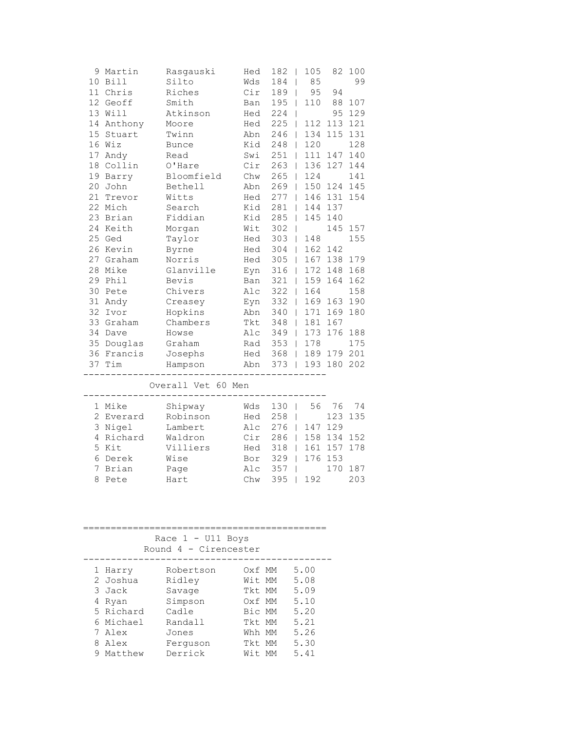| 9 Martin<br>10 Bill<br>11 Chris<br>12 Geoff<br>13 Will<br>14 Anthony<br>15 Stuart | Rasgauski<br>Silto<br>Riches<br>Smith<br>Atkinson<br>Moore<br>Twinn | Hed<br>Wds<br>Cir<br>Ban<br>Hed<br>Hed<br>Abn | 182<br>$\Box$<br>184<br>189  <br>$195$  <br>224<br>225<br>$\Box$<br>246<br>$\Box$ | 105<br>85<br>95<br>110<br>112 | 94<br>113 121<br>134 115 131 | 82 100<br>99<br>88 107<br>95 129 |
|-----------------------------------------------------------------------------------|---------------------------------------------------------------------|-----------------------------------------------|-----------------------------------------------------------------------------------|-------------------------------|------------------------------|----------------------------------|
| 16 Wiz                                                                            | <b>Bunce</b>                                                        | Kid                                           | $248$                                                                             | 120                           |                              | 128                              |
| 17 Andy                                                                           | Read                                                                | Swi                                           | 251<br>$\Box$                                                                     |                               | 111 147 140                  |                                  |
| 18 Collin                                                                         | O'Hare                                                              | Cir                                           | $263 \mid$                                                                        |                               | 136 127 144                  |                                  |
| 19 Barry                                                                          | Bloomfield                                                          | Chw                                           | 265<br>$\Box$                                                                     | 124                           |                              | 141                              |
| 20 John                                                                           | Bethell                                                             | Abn                                           | $269$                                                                             |                               | 150 124 145                  |                                  |
| 21 Trevor                                                                         | Witts                                                               | Hed                                           | $277$                                                                             |                               | 146 131 154                  |                                  |
| 22 Mich                                                                           | Search                                                              | Kid                                           | 281<br>$\Box$                                                                     |                               | 144 137                      |                                  |
| 23 Brian                                                                          | Fiddian                                                             | Kid                                           | 285<br>$\Box$                                                                     |                               | 145 140                      |                                  |
| 24 Keith                                                                          | Morgan                                                              | Wit                                           | $302$                                                                             |                               | 145 157                      |                                  |
| 25 Ged                                                                            | Taylor                                                              | Hed                                           | $303$                                                                             | 148                           |                              | 155                              |
| 26 Kevin                                                                          | Byrne                                                               | Hed                                           | $304$                                                                             |                               | 162 142                      |                                  |
| 27 Graham                                                                         | Norris                                                              | Hed                                           | $305$                                                                             |                               | 167 138 179                  |                                  |
| 28 Mike                                                                           | Glanville                                                           | Eyn                                           | 316                                                                               |                               | 172 148 168                  |                                  |
| 29 Phil                                                                           | Bevis                                                               | Ban                                           | $321$                                                                             |                               | 159 164 162                  |                                  |
| 30 Pete                                                                           | Chivers                                                             | Alc                                           | $322$                                                                             | 164                           |                              | 158                              |
| 31 Andy                                                                           | Creasey                                                             | Eyn                                           | $332$                                                                             |                               | 169 163 190                  |                                  |
| 32 Ivor                                                                           | Hopkins                                                             | Abn                                           | $340$                                                                             |                               | 171 169 180                  |                                  |
| 33 Graham                                                                         | Chambers                                                            | Tkt                                           | $348$                                                                             |                               | 181 167                      |                                  |
| 34 Dave                                                                           | Howse                                                               | Alc                                           | $349$                                                                             |                               | 173 176 188                  |                                  |
| 35 Douglas                                                                        | Graham                                                              | Rad                                           | 353   178                                                                         |                               |                              | 175                              |
| 36 Francis                                                                        | Josephs                                                             |                                               | Hed 368                                                                           |                               | 189 179 201                  |                                  |
| 37 Tim                                                                            | Hampson                                                             |                                               | Abn 373                                                                           |                               | 193 180 202                  |                                  |
|                                                                                   | Overall Vet 60 Men                                                  |                                               | $- - - - -$                                                                       |                               |                              |                                  |
| 1 Mike                                                                            | Shipway                                                             | Wds                                           | $130$                                                                             | 56                            | 76                           | 74                               |
| 2 Everard                                                                         | Robinson                                                            | Hed                                           | 258<br>$\Box$                                                                     |                               | 123 135                      |                                  |
| 3 Nigel                                                                           | Lambert                                                             | Alc                                           | 276                                                                               |                               | 147 129                      |                                  |
| 4 Richard                                                                         | Waldron                                                             | Cir                                           | 286                                                                               |                               | 158 134 152                  |                                  |
| 5 Kit                                                                             | Villiers                                                            | Hed                                           | $318$                                                                             |                               | 161 157 178                  |                                  |
| 6 Derek                                                                           | Wise                                                                | Bor                                           | $329$                                                                             |                               | 176 153                      |                                  |
| 7 Brian                                                                           | Page                                                                | Alc                                           | $357$                                                                             |                               | 170 187                      |                                  |
| 8 Pete                                                                            | Hart                                                                | Chw                                           | $395$                                                                             | 192                           |                              | 203                              |
|                                                                                   |                                                                     |                                               |                                                                                   |                               |                              |                                  |
|                                                                                   | Race 1 - U11 Boys                                                   |                                               |                                                                                   |                               |                              |                                  |

| Round $4 - C$ irencester |  |  |  |  |
|--------------------------|--|--|--|--|

| Round 4 - Cirencester |                     |                  |  |              |  |  |  |  |  |
|-----------------------|---------------------|------------------|--|--------------|--|--|--|--|--|
| 1 Harry<br>2 Joshua   | Robertson<br>Ridley | Oxf MM<br>Wit MM |  | 5.00<br>5.08 |  |  |  |  |  |
| 3 Jack                | Savage              | Tkt MM           |  | 5.09         |  |  |  |  |  |
| 4 Ryan                | Simpson             | Oxf MM           |  | 5.10         |  |  |  |  |  |
| 5 Richard             | Cadle               | Bic MM           |  | 5.20         |  |  |  |  |  |
| 6 Michael             | Randall             | Tkt MM           |  | 5.21         |  |  |  |  |  |
| 7 Alex                | Jones               | Whh MM           |  | 5.26         |  |  |  |  |  |
| 8 Alex                | Ferquson            | Tkt MM           |  | 5.30         |  |  |  |  |  |
| Matthew               | Derrick             | Wit MM           |  | 5.41         |  |  |  |  |  |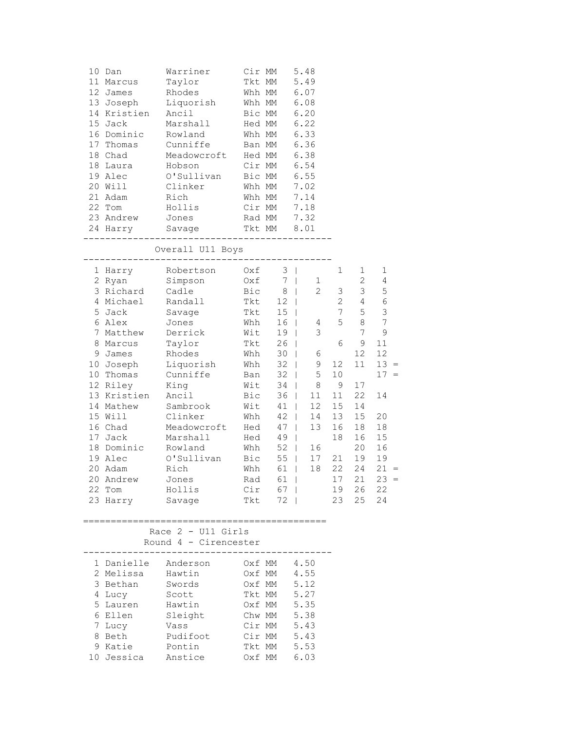| 10 Dan<br>11 Marcus<br>12 James<br>13 Joseph<br>14 Kristien<br>15 Jack<br>16 Dominic<br>17 Thomas<br>18 Chad<br>18 Laura<br>19 Alec<br>20 Will<br>21 Adam<br>22 Tom<br>23 Andrew<br>24 Harry                                                                                  | Warriner<br>Taylor<br>Rhodes<br>Liquorish<br>Ancil<br>Marshall<br>Rowland<br>Cunniffe<br>Meadowcroft<br>Hobson<br>O'Sullivan<br>Clinker<br>Rich<br>Hollis<br>Jones<br>Savage                                                                         | Cir MM<br>Tkt MM<br>Whh MM<br>Whh MM<br>Bic MM<br>Hed MM<br>Whh MM<br>Ban MM<br>Hed MM<br>Cir MM<br>Bic MM<br>Whh MM<br>Whh MM                         | Cir MM<br>Rad MM<br>Tkt MM<br>-----------                                                                                        | 5.48<br>5.49<br>6.07<br>6.08<br>6.20<br>6.22<br>6.33<br>6.36<br>6.38<br>6.54<br>6.55<br>7.02<br>7.14<br>7.18<br>7.32<br>8.01                                                                                                                                                                                                                                                                          |                                                                                                                 |                                                                                                                                                      |                                                                                                                                                                  |
|-------------------------------------------------------------------------------------------------------------------------------------------------------------------------------------------------------------------------------------------------------------------------------|------------------------------------------------------------------------------------------------------------------------------------------------------------------------------------------------------------------------------------------------------|--------------------------------------------------------------------------------------------------------------------------------------------------------|----------------------------------------------------------------------------------------------------------------------------------|-------------------------------------------------------------------------------------------------------------------------------------------------------------------------------------------------------------------------------------------------------------------------------------------------------------------------------------------------------------------------------------------------------|-----------------------------------------------------------------------------------------------------------------|------------------------------------------------------------------------------------------------------------------------------------------------------|------------------------------------------------------------------------------------------------------------------------------------------------------------------|
|                                                                                                                                                                                                                                                                               | Overall U11 Boys                                                                                                                                                                                                                                     |                                                                                                                                                        |                                                                                                                                  |                                                                                                                                                                                                                                                                                                                                                                                                       |                                                                                                                 |                                                                                                                                                      |                                                                                                                                                                  |
| 1 Harry<br>2 Ryan<br>3 Richard<br>4 Michael<br>5 Jack<br>6 Alex<br>7 Matthew<br>8 Marcus<br>9 James<br>10 Joseph<br>10 Thomas<br>12 Riley<br>13 Kristien<br>14 Mathew<br>15 Will<br>16 Chad<br>17 Jack<br>18 Dominic<br>19 Alec<br>20 Adam<br>20 Andrew<br>22 Tom<br>23 Harry | Robertson<br>Simpson<br>Cadle<br>Randall<br>Savage<br>Jones<br>Derrick<br>Taylor<br>Rhodes<br>Liquorish<br>Cunniffe<br>King<br>Ancil<br>Sambrook<br>Clinker<br>Meadowcroft<br>Marshall<br>Rowland<br>O'Sullivan<br>Rich<br>Jones<br>Hollis<br>Savage | Oxf<br>Oxf<br>Bic<br>Tkt<br>Tkt<br>Whh<br>Wit<br>Tkt<br>Whh<br>Whh<br>Ban<br>Wit<br>Bic<br>Wit<br>Whh<br>Hed<br>Hed<br>Whh<br>Bic<br>Whh<br>Cir<br>Tkt | 7<br>8<br>12<br>15<br>16<br>19<br>26<br>30<br>32<br>32<br>34<br>36<br>41<br>42<br>47<br>49<br>55<br>61<br>Rad 61  <br>67  <br>72 | $3 \mid$<br>1<br>$\perp$<br>$\overline{2}$<br>$\mathbf{1}$<br>$\mathbb{R}$<br>$\Box$<br>$\mathbf{I}$<br>4<br>3<br>$\perp$<br>$\perp$<br>6<br>$\perp$<br>9<br>$\perp$<br>5<br>$\mathbf{1}$<br>8<br>$\mathbf{L}$<br>11<br>$\mathbb{R}$<br>$\mathbb{R}$<br>12 <sup>°</sup><br>14<br>$\mathbb{R}^n$<br>13<br>$\mathbb{R}$<br>$\mathbb{R}^n$<br>52  <br>16<br>17<br>$\mathbf{1}$<br>$18\,$<br>$\mathbf{I}$ | 1<br>3<br>$\overline{c}$<br>$\overline{7}$<br>5<br>6<br>12<br>10<br>9<br>11<br>15<br>13<br>16<br>18<br>21<br>22 | 1<br>$\mathbf{2}$<br>3 <sup>7</sup><br>$4 -$<br>5<br>8<br>7<br>9<br>12<br>11<br>17<br>22<br>14<br>15<br>18<br>16<br>20<br>19<br>24<br>19 26<br>23 25 | 1<br>4<br>5<br>$\sqrt{6}$<br>$\mathsf 3$<br>7<br>9<br>11<br>12<br>$13 =$<br>$17 =$<br>14<br>20<br>18<br>15<br>16<br>19<br>$21 =$<br>$17$ $21$ $23 =$<br>22<br>24 |
|                                                                                                                                                                                                                                                                               | Race $2 - 011$ Girls<br>Round 4 - Cirencester                                                                                                                                                                                                        |                                                                                                                                                        |                                                                                                                                  |                                                                                                                                                                                                                                                                                                                                                                                                       |                                                                                                                 |                                                                                                                                                      |                                                                                                                                                                  |
| 1 Danielle Anderson<br>2 Melissa<br>3 Bethan<br>4 Lucy<br>5 Lauren<br>6 Ellen<br>7 Lucy<br>8 Beth<br>9 Katie<br>10 Jessica                                                                                                                                                    | Hawtin<br>Swords<br>Scott<br>Hawtin<br>Sleight<br>Vass<br>Pudifoot<br>Pontin<br>Anstice                                                                                                                                                              |                                                                                                                                                        | Oxf MM<br>Oxf MM<br>Oxf MM<br>Tkt MM<br>Oxf MM<br>Chw MM<br>Cir MM $5.43$<br>$Cir MM$ 5.43<br>Tkt MM<br>Oxf MM 6.03              | 4.50<br>4.55<br>5.12<br>5.27<br>5.35<br>5.38<br>5.53                                                                                                                                                                                                                                                                                                                                                  |                                                                                                                 |                                                                                                                                                      |                                                                                                                                                                  |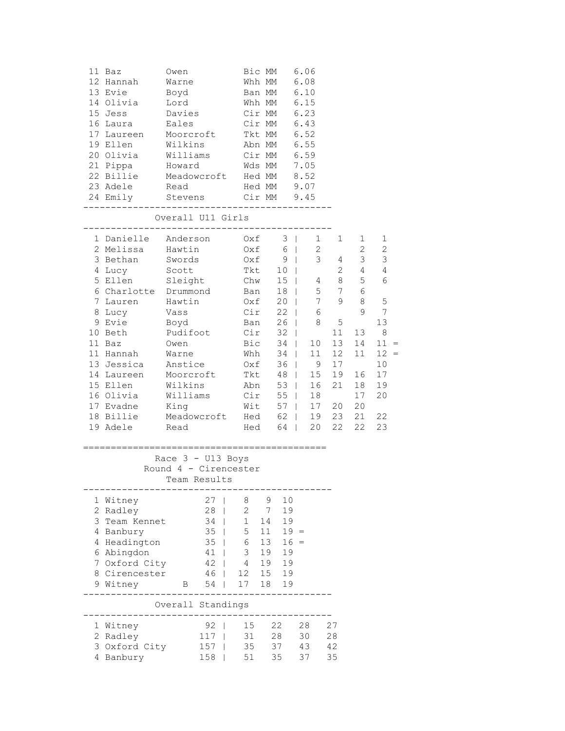| 11 Baz<br>12 Hannah<br>13 Evie<br>14 Olivia<br>15 Jess<br>16 Laura<br>17 Laureen<br>19 Ellen<br>20 Olivia<br>21 Pippa<br>22 Billie<br>23 Adele<br>24 Emily                                                                                             | Owen<br>Warne<br>Boyd<br>Lord<br>Davies<br>Eales<br>Moorcroft<br>Wilkins<br>Williams<br>Howard<br>Meadowcroft<br>Read<br>Stevens                                          |                                                                                                | Bic MM<br>Whh MM<br>Ban MM<br>Whh MM<br>Cir MM<br>Cir MM<br>Tkt MM<br>Abn MM<br>Cir MM<br>Wds MM<br>Hed MM<br>Hed MM<br>Cir MM    |                                                               |                                                                                                                                            | 6.06<br>6.08<br>6.10<br>6.15<br>6.23<br>6.43<br>6.52<br>6.55<br>6.59<br>7.05<br>8.52<br>9.07<br>9.45                                                                                                                                                                |                                                                                                                             |                                                                                                                         |                                                                                                                               |                                                                                                                   |
|--------------------------------------------------------------------------------------------------------------------------------------------------------------------------------------------------------------------------------------------------------|---------------------------------------------------------------------------------------------------------------------------------------------------------------------------|------------------------------------------------------------------------------------------------|-----------------------------------------------------------------------------------------------------------------------------------|---------------------------------------------------------------|--------------------------------------------------------------------------------------------------------------------------------------------|---------------------------------------------------------------------------------------------------------------------------------------------------------------------------------------------------------------------------------------------------------------------|-----------------------------------------------------------------------------------------------------------------------------|-------------------------------------------------------------------------------------------------------------------------|-------------------------------------------------------------------------------------------------------------------------------|-------------------------------------------------------------------------------------------------------------------|
| -------                                                                                                                                                                                                                                                | ___________<br>Overall U11 Girls                                                                                                                                          |                                                                                                | ___________                                                                                                                       |                                                               |                                                                                                                                            |                                                                                                                                                                                                                                                                     |                                                                                                                             |                                                                                                                         |                                                                                                                               |                                                                                                                   |
| 1 Danielle Anderson<br>2 Melissa<br>3 Bethan<br>4 Lucy<br>5 Ellen<br>6 Charlotte Drummond<br>7 Lauren<br>8 Lucy<br>9 Evie<br>10 Beth<br>11 Baz<br>11 Hannah<br>13 Jessica<br>14 Laureen<br>15 Ellen<br>16 Olivia<br>17 Evadne<br>18 Billie<br>19 Adele | Hawtin<br>Swords<br>Scott<br>Sleight<br>Hawtin<br>Vass<br>Boyd<br>Pudifoot<br>Owen<br>Warne<br>Anstice<br>Moorcroft<br>Wilkins<br>Williams<br>King<br>Meadowcroft<br>Read |                                                                                                | Oxf<br>Oxf<br>Oxf<br>Tkt<br>Chw<br>Ban<br>Oxf<br>Cir<br>Ban<br>Cir<br>Bic<br>Whh<br>Oxf<br>Tkt<br>Abn<br>Cir<br>Wit<br>Hed<br>Hed |                                                               | $3 \mid$<br>6<br>9<br>10 <sup>°</sup><br>15<br>18<br>20<br>$\perp$<br>22<br>26<br>32<br>34<br>34<br>36<br>48<br>53<br>55<br>57<br>62<br>64 | $\mathbb{R}$<br>$\mathbb{R}^n$<br>$\Box$<br>$\Box$<br>$\perp$<br>$\mathbf{1}$<br>$\mathbf{1}$<br>$\mathbb{R}$<br>$\mathbb{R}$<br>$\mathbb{R}$<br>$\mathbb{R}^n$<br>$\mathcal{L}(\mathcal{A})$<br>$\mathcal{L}(\mathcal{A})$<br>$\mathcal{L}$<br>L.<br>$\mathcal{L}$ | $1 \quad$<br>$\mathbf{2}$<br>3<br>4<br>5<br>7<br>6<br>8<br>10 <sub>o</sub><br>11<br>- 9<br>15<br>16<br>18<br>17<br>19<br>20 | 1<br>4<br>$\mathbf{2}$<br>8<br>7<br>9<br>$\mathsf S$<br>11<br>13<br>12 <sup>2</sup><br>17<br>19<br>21<br>20<br>23<br>22 | $\mathbf{1}$<br>$\mathbf{2}$<br>3 <sup>7</sup><br>4<br>5<br>6<br>8<br>9<br>13<br>14<br>11<br>16<br>18<br>17<br>20<br>21<br>22 | 1<br>$\mathbf{2}$<br>3<br>4<br>6<br>5<br>7<br>13<br>$8\,$<br>$11 =$<br>$12 =$<br>10<br>17<br>19<br>20<br>22<br>23 |
|                                                                                                                                                                                                                                                        | Race $3 - U13$ Boys<br>Round 4 - Cirencester<br>Team Results                                                                                                              | ------------------------                                                                       |                                                                                                                                   |                                                               |                                                                                                                                            |                                                                                                                                                                                                                                                                     |                                                                                                                             |                                                                                                                         |                                                                                                                               |                                                                                                                   |
| 1 Witney<br>2 Radley<br>3 Team Kennet<br>4 Banbury<br>4 Headington<br>6 Abingdon<br>7 Oxford City<br>8 Cirencester<br>9 Witney                                                                                                                         | 46<br>$\mathbf{B}$                                                                                                                                                        | 27 <sub>1</sub><br>$28$  <br>$34$  <br>35<br>$\overline{1}$<br>$35$  <br>41<br>$42 \mid$<br>54 | 8<br>$\overline{2}$<br>1<br>5<br>6<br>3 <sup>7</sup><br>4<br>12 <sup>7</sup><br>17                                                | 9<br>$\overline{7}$<br>14<br>11<br>13<br>19<br>19<br>15<br>18 | 10<br>19<br>19<br>$19 =$<br>$16 =$<br>19<br>19<br>19<br>19                                                                                 |                                                                                                                                                                                                                                                                     |                                                                                                                             |                                                                                                                         |                                                                                                                               |                                                                                                                   |
|                                                                                                                                                                                                                                                        | Overall Standings                                                                                                                                                         |                                                                                                |                                                                                                                                   |                                                               |                                                                                                                                            |                                                                                                                                                                                                                                                                     |                                                                                                                             |                                                                                                                         |                                                                                                                               |                                                                                                                   |
| 1 Witney<br>2 Radley<br>3 Oxford City<br>4 Banbury                                                                                                                                                                                                     | 158                                                                                                                                                                       | $92$  <br>117<br>157                                                                           | 15<br>31<br>35<br>51                                                                                                              | 35                                                            | 22<br>28<br>37                                                                                                                             | 28<br>30<br>43<br>37                                                                                                                                                                                                                                                |                                                                                                                             | 27<br>28<br>42<br>35                                                                                                    |                                                                                                                               |                                                                                                                   |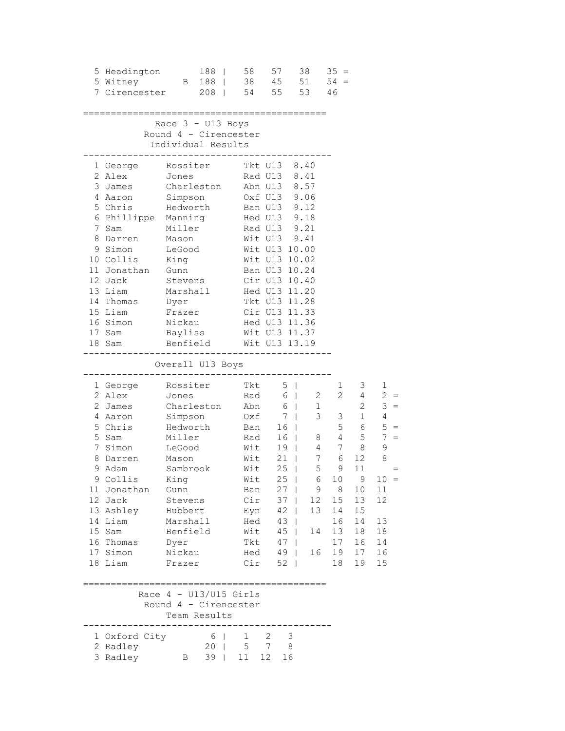| 5 Headington<br>5 Witney<br>7 Cirencester                                                                                                                                                                             |                                                                                                                                                                                           | 188  <br>B 188  <br>$208$ |                   | 58<br>54 55                                                                                                         |            | 57<br>38 45                                                                                                                                     | 38<br>51<br>53                                                                                                                                                                                                                                                                                         | $35 =$<br>$54 =$<br>46                                                 |                                                                                                 |                                                                                                            |                                                                                                                                   |
|-----------------------------------------------------------------------------------------------------------------------------------------------------------------------------------------------------------------------|-------------------------------------------------------------------------------------------------------------------------------------------------------------------------------------------|---------------------------|-------------------|---------------------------------------------------------------------------------------------------------------------|------------|-------------------------------------------------------------------------------------------------------------------------------------------------|--------------------------------------------------------------------------------------------------------------------------------------------------------------------------------------------------------------------------------------------------------------------------------------------------------|------------------------------------------------------------------------|-------------------------------------------------------------------------------------------------|------------------------------------------------------------------------------------------------------------|-----------------------------------------------------------------------------------------------------------------------------------|
|                                                                                                                                                                                                                       | Race 3 - U13 Boys<br>Round 4 - Cirencester<br>Individual Results                                                                                                                          |                           |                   |                                                                                                                     |            |                                                                                                                                                 |                                                                                                                                                                                                                                                                                                        |                                                                        |                                                                                                 |                                                                                                            |                                                                                                                                   |
| 1 George<br>2 Alex<br>3 James<br>4 Aaron<br>5 Chris Hedworth<br>6 Phillippe<br>7 Sam<br>8 Darren<br>9 Simon<br>10 Collis<br>11 Jonathan<br>12 Jack<br>13 Liam<br>14 Thomas<br>15 Liam<br>16 Simon<br>17 Sam<br>18 Sam | Rossiter<br>Jones<br>Charleston<br>Simpson<br>Manning<br>Miller<br>Mason<br>LeGood<br>King<br>Gunn<br>Stevens<br>Marshall<br>Dyer<br>Frazer<br>Nickau<br>Bayliss<br>Benfield              |                           |                   |                                                                                                                     |            | ----------                                                                                                                                      | Tkt U13 8.40<br>Rad U13 8.41<br>Abn U13 8.57<br>Oxf U13 9.06<br>Ban U13 9.12<br>Hed U13 9.18<br>Rad U13 9.21<br>Wit U13 9.41<br>Wit U13 10.00<br>Wit U13 10.02<br>Ban U13 10.24<br>Cir U13 10.40<br>Hed U13 11.20<br>Tkt U13 11.28<br>Cir U13 11.33<br>Hed U13 11.36<br>Wit U13 11.37<br>Wit U13 13.19 |                                                                        |                                                                                                 |                                                                                                            |                                                                                                                                   |
|                                                                                                                                                                                                                       | Overall U13 Boys                                                                                                                                                                          |                           |                   |                                                                                                                     |            |                                                                                                                                                 |                                                                                                                                                                                                                                                                                                        |                                                                        |                                                                                                 |                                                                                                            |                                                                                                                                   |
| 1 George<br>2 Alex<br>2 James<br>4 Aaron<br>5 Chris<br>5 Sam<br>7 Simon<br>8 Darren<br>9 Adam<br>9 Collis<br>11 Jonathan<br>12 Jack<br>13 Ashley<br>14 Liam<br>15 Sam<br>16 Thomas<br>17 Simon<br>18 Liam             | Rossiter<br>Jones<br>Charleston<br>Simpson<br>Hedworth<br>Miller<br>LeGood<br>Mason<br>Sambrook<br>King<br>Gunn<br>Stevens<br>Hubbert<br>Marshall<br>Benfield<br>Dyer<br>Nickau<br>Frazer |                           |                   | Abn<br>Oxf<br>Ban<br>Rad<br>Wit<br>Wit<br>Wit<br>Wit $25$  <br>Ban<br>Cir<br>Eyn<br>Hed<br>Wit<br>Tkt<br>Hed<br>Cir | Tkt<br>Rad | $5 \mid$<br>7 <sub>1</sub><br>16<br>16<br>$19 \mid$<br>21<br>25<br>$27 \mid$<br>$37 \mid$<br>$42 \mid$<br>$43 \mid$<br>45<br>47<br>$49$  <br>52 | $6 \mid$<br>$6 \mid$<br>1<br>$\mathbb{R}$<br>$\mathbb{R}$<br>8<br>4<br>$\Box$<br>5<br>$\mathbb{R}^n$<br>9<br>12<br>13<br>14<br>$\mathbf{1}$<br>$\Box$<br>16<br>- 1                                                                                                                                     | 2<br>3 <sup>7</sup><br>$7\overline{ }$<br>6 10<br>8 <sup>8</sup><br>14 | 1<br>$2^{\circ}$<br>3 <sup>7</sup><br>5<br>4<br>7<br>6<br>9<br>15<br>16<br>13<br>17<br>19<br>18 | 3<br>4<br>$2^{\circ}$<br>1<br>6<br>5<br>8<br>12<br>11<br>9<br>10<br>13<br>15<br>14<br>18<br>16<br>17<br>19 | $\mathbf{1}$<br>$2 =$<br>$3 =$<br>$4\overline{ }$<br>$5 =$<br>$7 =$<br>9<br>8<br>$10 =$<br>11<br>12<br>13<br>18<br>14<br>16<br>15 |
|                                                                                                                                                                                                                       | Race $4 - U13/U15$ Girls<br>Round 4 - Cirencester<br>Team Results                                                                                                                         |                           |                   |                                                                                                                     |            |                                                                                                                                                 |                                                                                                                                                                                                                                                                                                        |                                                                        |                                                                                                 |                                                                                                            |                                                                                                                                   |
| 1 Oxford City<br>2 Radley<br>3 Radley                                                                                                                                                                                 | $\mathbf{B}$                                                                                                                                                                              | $6 \mid$                  | 20  <br>$39 \mid$ | $\mathbf{1}$<br>11                                                                                                  | 12         | $2 \quad 3$<br>5 7 8<br>16                                                                                                                      |                                                                                                                                                                                                                                                                                                        |                                                                        |                                                                                                 |                                                                                                            |                                                                                                                                   |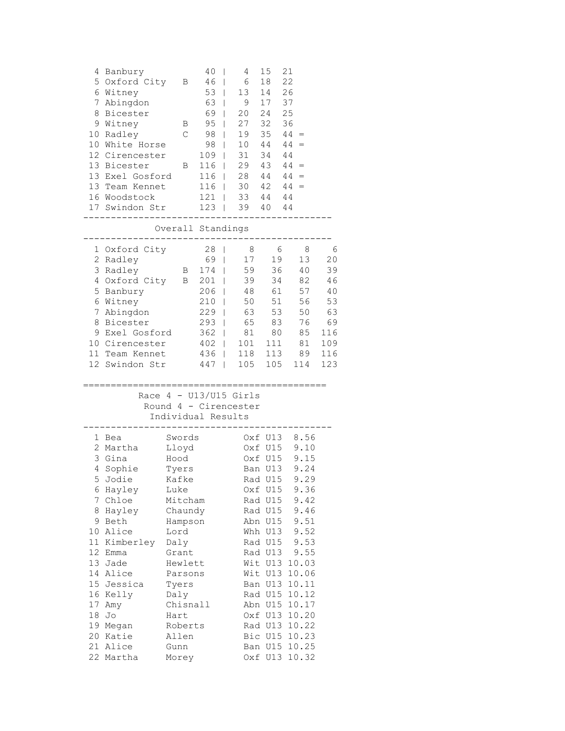| 7                                    | 4 Banbury<br>5 Oxford City<br>6 Witney<br>Abingdon<br>8 Bicester<br>9 Witney<br>10 Radley<br>10 White Horse<br>12 Cirencester<br>13 Bicester<br>13 Exel Gosford<br>13 Team Kennet<br>16 Woodstock<br>17 Swindon Str                      | Β<br>Β<br>$\mathcal{C}$<br>В                                                                                                                                                                                | 40<br>46<br>$53$  <br>63  <br>69<br>95<br>98<br>98<br>$109$  <br>116<br>116<br>$116$  <br>$121$  <br>$123$     | 4<br>- 1<br>6<br>T<br>13<br>9<br>20<br>T<br>27<br>T<br>19<br>T<br>10<br>T<br>31<br>29<br>$28 \t 44 \t 44 =$<br>$30 \t 42 \t 44 =$<br>33 44 44<br>39 40 44 | 15<br>18<br>14<br>17<br>24 25<br>32<br>35<br>44<br>34<br>$43 \quad 44 =$                                                                                                                           | 21<br>22<br>26<br>37<br>36<br>$44 =$<br>$44 =$<br>44                                                                                                                                                                   |                                                                         |
|--------------------------------------|------------------------------------------------------------------------------------------------------------------------------------------------------------------------------------------------------------------------------------------|-------------------------------------------------------------------------------------------------------------------------------------------------------------------------------------------------------------|----------------------------------------------------------------------------------------------------------------|-----------------------------------------------------------------------------------------------------------------------------------------------------------|----------------------------------------------------------------------------------------------------------------------------------------------------------------------------------------------------|------------------------------------------------------------------------------------------------------------------------------------------------------------------------------------------------------------------------|-------------------------------------------------------------------------|
|                                      |                                                                                                                                                                                                                                          | Overall Standings                                                                                                                                                                                           |                                                                                                                |                                                                                                                                                           |                                                                                                                                                                                                    |                                                                                                                                                                                                                        |                                                                         |
|                                      | 1 Oxford City<br>2 Radley<br>3 Radley<br>4 Oxford City<br>5 Banbury<br>6 Witney<br>7 Abingdon<br>8 Bicester<br>9 Exel Gosford<br>10 Cirencester<br>11 Team Kennet<br>12 Swindon Str                                                      | $\mathbf{B}$                                                                                                                                                                                                | 28<br>69  <br>174<br>B 201  <br>$206$  <br>210<br>229<br>$293$  <br>$362$  <br>$402$  <br>436<br>$447 \quad  $ | 8<br>17<br>59<br>T<br>39<br>48<br>50<br>63<br>T<br>65<br>81<br>101<br>118<br>105                                                                          | - 6<br>19<br>36<br>34<br>61<br>51<br>53<br>83<br>80<br>111<br>113<br>105                                                                                                                           | 8<br>13<br>40<br>82<br>57<br>56<br>50<br>76<br>85<br>81<br>89<br>114                                                                                                                                                   | 6<br>20<br>39<br>46<br>40<br>53<br>63<br>69<br>116<br>109<br>116<br>123 |
|                                      |                                                                                                                                                                                                                                          | Individual Results                                                                                                                                                                                          |                                                                                                                | Race $4 - U13/U15$ Girls<br>Round 4 - Cirencester                                                                                                         |                                                                                                                                                                                                    |                                                                                                                                                                                                                        |                                                                         |
| 6<br>8<br>13<br>17<br>18<br>20<br>21 | 1 Bea<br>2 Martha<br>3 Gina<br>4 Sophie<br>5 Jodie<br>Hayley<br>7 Chloe<br>Hayley<br>9 Beth<br>10 Alice<br>11 Kimberley<br>12 Emma<br>Jade<br>14 Alice<br>15 Jessica<br>16 Kelly<br>Amy<br>Jo<br>19 Megan<br>Katie<br>Alice<br>22 Martha | Swords<br>Lloyd<br>Hood<br>Tyers<br>Kafke<br>Luke<br>Mitcham<br>Chaundy<br>Hampson<br>Lord<br>Daly<br>Grant<br>Hewlett<br>Parsons<br>Tyers<br>Daly<br>Chisnall<br>Hart<br>Roberts<br>Allen<br>Gunn<br>Morey |                                                                                                                |                                                                                                                                                           | Oxf U13<br>Oxf U15<br>Oxf U15<br>Ban U13<br>Rad U15<br>Oxf U15<br>Rad U15<br>Rad U15<br>Abn U15<br>Whh U13<br>Rad U15<br>Rad U13<br>Wit U13<br>Wit U13<br>Rad U13<br>Bic U15<br>Ban U15<br>Oxf U13 | 8.56<br>9.10<br>9.15<br>9.24<br>9.29<br>9.36<br>9.42<br>9.46<br>9.51<br>9.52<br>9.53<br>9.55<br>10.03<br>10.06<br>Ban U13 10.11<br>Rad U15 10.12<br>Abn U15 10.17<br>Oxf U13 10.20<br>10.22<br>10.23<br>10.25<br>10.32 |                                                                         |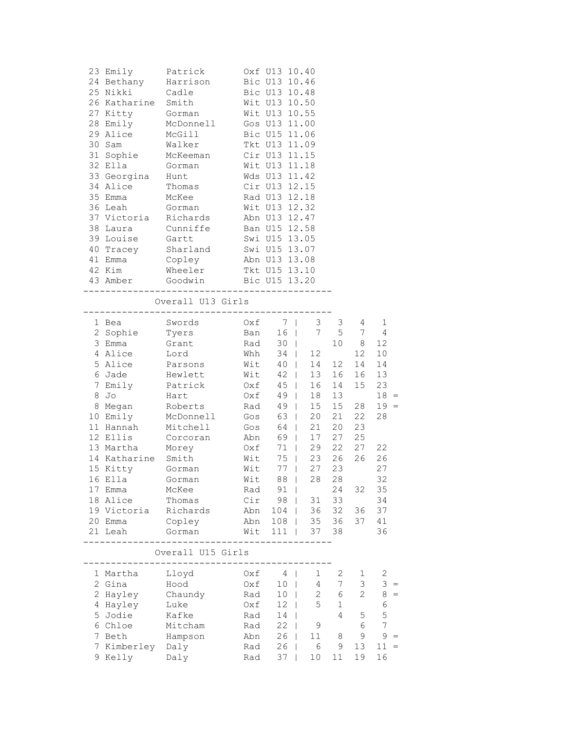| 23 Emily<br>24 Bethany Harrison<br>25 Nikki Cadle<br>26 Katharine Smith<br>27 Kitty Gorman<br>28 Emily McDonnell<br>29 Alice McGill<br>30 Sam<br>31 Sophie McKeeman<br>10 Tlla Gorman | Patrick                     |                | Oxf U13 10.40<br>Bic U13 10.46<br>Bic U13 10.48<br>Wit U13 10.50<br>Wit U13 10.55<br>Gos U13 11.00<br>Bic U15 11.06<br>Tkt U13 11.09 |              |          |                                                        |                |
|---------------------------------------------------------------------------------------------------------------------------------------------------------------------------------------|-----------------------------|----------------|--------------------------------------------------------------------------------------------------------------------------------------|--------------|----------|--------------------------------------------------------|----------------|
|                                                                                                                                                                                       |                             |                | Tkt 013 11.09<br>Cir 013 11.15<br>Wit 013 11.18<br>Wit U13 11.18                                                                     |              |          |                                                        |                |
| 33 Georgina Hunt                                                                                                                                                                      |                             |                | Wds U13 11.42                                                                                                                        |              |          |                                                        |                |
| 34 Alice Thomas<br>35 Emma                                                                                                                                                            | McKee                       |                | Cir U13 12.15<br>Rad U13 12.18                                                                                                       |              |          |                                                        |                |
| 36 Leah                                                                                                                                                                               | Gorman                      |                | Wit U13 12.32                                                                                                                        |              |          |                                                        |                |
| 37 Victoria Richards                                                                                                                                                                  |                             |                | Abn U13 12.47                                                                                                                        |              |          |                                                        |                |
| 38 Laura Cunniffe                                                                                                                                                                     |                             |                | Ban U15 12.58                                                                                                                        |              |          |                                                        |                |
| 39 Louise                                                                                                                                                                             |                             |                |                                                                                                                                      |              |          |                                                        |                |
| 40 Tracey                                                                                                                                                                             | Gartt<br>Sharland<br>Copley |                | Swi U15 13.05<br>Swi U15 13.07                                                                                                       |              |          |                                                        |                |
| 41 Emma                                                                                                                                                                               |                             |                | Abn U13 13.08                                                                                                                        |              |          |                                                        |                |
| 42 Kim                                                                                                                                                                                | Wheeler                     |                | Tkt U15 13.10                                                                                                                        |              |          |                                                        |                |
| 43 Amber Goodwin Bic U15 13.20                                                                                                                                                        |                             |                |                                                                                                                                      |              |          |                                                        |                |
|                                                                                                                                                                                       | Overall U13 Girls           |                |                                                                                                                                      |              |          |                                                        |                |
| 1 Bea                                                                                                                                                                                 | Swords                      |                | Oxf 7   3 3                                                                                                                          |              |          | 4                                                      | 1              |
| 2 Sophie Tyers                                                                                                                                                                        |                             |                |                                                                                                                                      |              |          | $\begin{array}{ccc} & 5 & 7 \\ 10 & 8 & 1 \end{array}$ | 4              |
|                                                                                                                                                                                       |                             |                | Ban 16   7 5<br>Rad 30   10<br>Whh 34   12                                                                                           |              |          | 12                                                     | 12             |
|                                                                                                                                                                                       |                             | Wit 40   14 12 |                                                                                                                                      |              |          | 14                                                     | 10<br>14       |
| 6 Jade Hewlett                                                                                                                                                                        |                             |                | Wit 42                                                                                                                               | 13           | 16       | 16                                                     | 13             |
| 7 Emily Patrick                                                                                                                                                                       |                             | Oxf            | $45 \mid$                                                                                                                            |              | 16 14    | 15                                                     | 23             |
| 8 Jo<br>Hart                                                                                                                                                                          |                             | Oxf            | $49$                                                                                                                                 |              | 18 13    |                                                        | $18 =$         |
| 8 Megan Roberts                                                                                                                                                                       |                             | Rad            | $49$                                                                                                                                 |              | 15 15    | 28                                                     | $19 =$         |
| 10 Emily                                                                                                                                                                              | McDonnell Gos               |                | 63                                                                                                                                   | 20           | 21       | 22                                                     | 28             |
| 11 Hannah                                                                                                                                                                             | Mitchell                    | Gos<br>Abn     | 64  <br>69                                                                                                                           | 21           | 20       | 23                                                     |                |
| 12 Ellis                                                                                                                                                                              | Corcoran                    |                |                                                                                                                                      | 17           | 27       | 25                                                     |                |
| 13 Martha                                                                                                                                                                             | Morey                       |                | $0xf$ 71                                                                                                                             |              | 29 22    | 27                                                     | 22             |
| 14 Katharine Smith                                                                                                                                                                    |                             | Wit            |                                                                                                                                      | 75   23 26   |          | 26                                                     | 26             |
| 15 Kitty Gorman                                                                                                                                                                       |                             | Wit            | $77 \mid$                                                                                                                            | 27           | 23       |                                                        | 27             |
|                                                                                                                                                                                       |                             |                | Wit 88   28 28                                                                                                                       |              |          |                                                        | 32             |
| 17 Emma<br>18 Alice                                                                                                                                                                   | McKee<br>Thomas             | Rad<br>Cir     | 91<br>98                                                                                                                             | 31           | 24<br>33 | 32                                                     | 35<br>34       |
| 19 Victoria                                                                                                                                                                           | Richards                    | Abn            | 104                                                                                                                                  | 36           | 32       | 36                                                     | 37             |
| 20 Emma                                                                                                                                                                               | Copley                      | Abn            | 108                                                                                                                                  | 35           | 36       | 37                                                     | 41             |
| 21 Leah                                                                                                                                                                               | Gorman                      | Wit            | 111                                                                                                                                  | 37           | 38       |                                                        | 36             |
|                                                                                                                                                                                       | Overall U15 Girls           |                |                                                                                                                                      |              |          |                                                        |                |
| 1 Martha                                                                                                                                                                              | Lloyd                       | Oxf            | 4                                                                                                                                    | 1            | 2        | 1                                                      | 2              |
| 2 Gina                                                                                                                                                                                | Hood                        | Oxf            | 10                                                                                                                                   | 4            | 7        | 3                                                      | 3              |
| 2 Hayley                                                                                                                                                                              | Chaundy                     | Rad            | 10                                                                                                                                   | $\mathbf{2}$ | 6        | $\overline{c}$                                         | $\,8\,$<br>$=$ |
| 4 Hayley                                                                                                                                                                              | Luke                        | Oxf            | 12                                                                                                                                   | 5            | 1        |                                                        | 6              |
| 5 Jodie                                                                                                                                                                               | Kafke                       | Rad            | 14                                                                                                                                   |              | 4        | 5                                                      | 5              |
| 6 Chloe                                                                                                                                                                               | Mitcham                     | Rad            | 22                                                                                                                                   | 9            |          | 6                                                      | $\overline{7}$ |
| 7 Beth<br>7 Kimberley                                                                                                                                                                 | Hampson                     | Abn            | 26<br>26                                                                                                                             | 11<br>6      | 8<br>9   | 9<br>13                                                | 9<br>11        |
| 9 Kelly                                                                                                                                                                               | Daly<br>Daly                | Rad<br>Rad     | 37                                                                                                                                   | 10           | 11       | 19                                                     | 16             |
|                                                                                                                                                                                       |                             |                |                                                                                                                                      |              |          |                                                        |                |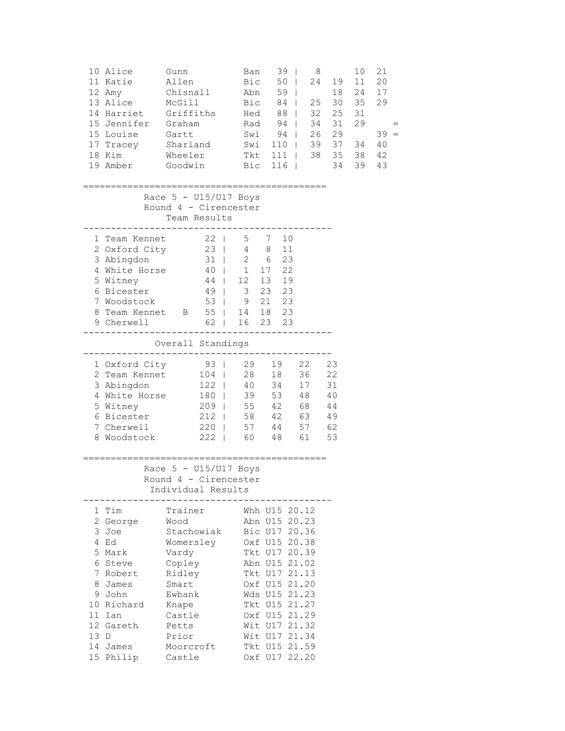|   | 10 Alice<br>11 Katie<br>12 Amy<br>13 Alice<br>14 Harriet<br>15 Jennifer Graham<br>15 Louise<br>17 Tracey Sharland<br>18 Kim<br>19 Amber                      | Gunn<br>Allen<br>Chisnall<br>McGill<br>Griffiths<br>Gartt<br>Wheeler<br>Goodwin                                                                        |                                        | Ban<br>Bic<br>Abn<br>Bic<br>Hed      | Rad 94  <br>Swi 94  <br>Swi 110  <br>Tkt 111  <br>Bic 116     | $39$  <br>$50 \mid$<br>59  <br>84  <br>88  <br>$\Box$                                                                                                                                                                                                       | 8<br>24<br>25<br>32<br>34<br>26 29               | 10<br>19<br>11<br>18<br>24<br>30 35<br>25<br>31<br>31<br>29<br>39 37 34<br>38 35 38<br>34<br>39 | 21<br>20<br>17<br>29<br>$39 =$<br>40<br>42<br>43 |
|---|--------------------------------------------------------------------------------------------------------------------------------------------------------------|--------------------------------------------------------------------------------------------------------------------------------------------------------|----------------------------------------|--------------------------------------|---------------------------------------------------------------|-------------------------------------------------------------------------------------------------------------------------------------------------------------------------------------------------------------------------------------------------------------|--------------------------------------------------|-------------------------------------------------------------------------------------------------|--------------------------------------------------|
|   |                                                                                                                                                              | Race $5 - U15/U17$ Boys<br>Round 4 - Cirencester<br>Team Results                                                                                       |                                        |                                      |                                                               | ====================                                                                                                                                                                                                                                        |                                                  |                                                                                                 |                                                  |
|   | 1 Team Kennet<br>2 Oxford City<br>3 Abingdon<br>4 White Horse<br>5 Witney<br>6 Bicester<br>7 Woodstock<br>8 Team Kennet B 55   14 18 23<br>9 Cherwell        |                                                                                                                                                        | 22<br>23<br>31<br>40  <br>$44$   12 13 | 5 7<br>$4 \qquad 8$<br>$2 \t 6$<br>1 | 17<br>49   3 23 23<br>53   9 21 23<br>62   16 23 23<br>------ | 10<br>11<br>23<br>22<br>19                                                                                                                                                                                                                                  |                                                  |                                                                                                 |                                                  |
|   |                                                                                                                                                              | Overall Standings                                                                                                                                      |                                        |                                      |                                                               |                                                                                                                                                                                                                                                             |                                                  |                                                                                                 |                                                  |
|   | 1 Oxford City<br>2 Team Kennet<br>3 Abingdon<br>4 White Horse<br>5 Witney<br>6 Bicester<br>7 Cherwell<br>8 Woodstock                                         | 222   60 48 61                                                                                                                                         | $93 \mid$<br>$104$                     |                                      | 29 19<br>28 18<br>122   40 34<br>180   39 53<br>220   57 44   | 22<br>36<br>17<br>48<br>209   55 42 68<br>212   58 42 63<br>57                                                                                                                                                                                              | 23<br>22<br>31<br>40<br>$4\,4$<br>49<br>62<br>53 |                                                                                                 |                                                  |
|   |                                                                                                                                                              | Race $5 - U15/U17$ Boys<br>Round 4 - Cirencester<br>Individual Results                                                                                 |                                        |                                      |                                                               |                                                                                                                                                                                                                                                             |                                                  |                                                                                                 |                                                  |
| 8 | 1 Tim<br>2 George<br>3 Joe<br>4 Ed<br>5 Mark<br>6 Steve<br>7 Robert<br>James<br>9 John<br>10 Richard<br>11 Ian<br>12 Gareth<br>13 D<br>14 James<br>15 Philip | Trainer<br>Wood<br>Stachowiak<br>Womersley<br>Vardy<br>Copley<br>Ridley<br>Smart<br>Ewbank<br>Knape<br>Castle<br>Petts<br>Prior<br>Moorcroft<br>Castle |                                        |                                      |                                                               | Whh U15 20.12<br>Abn U15 20.23<br>Bic U17 20.36<br>Oxf U15 20.38<br>Tkt U17 20.39<br>Abn U15 21.02<br>Tkt U17 21.13<br>Oxf U15 21.20<br>Wds U15 21.23<br>Tkt U15 21.27<br>Oxf U15 21.29<br>Wit U17 21.32<br>Wit U17 21.34<br>Tkt U15 21.59<br>Oxf U17 22.20 |                                                  |                                                                                                 |                                                  |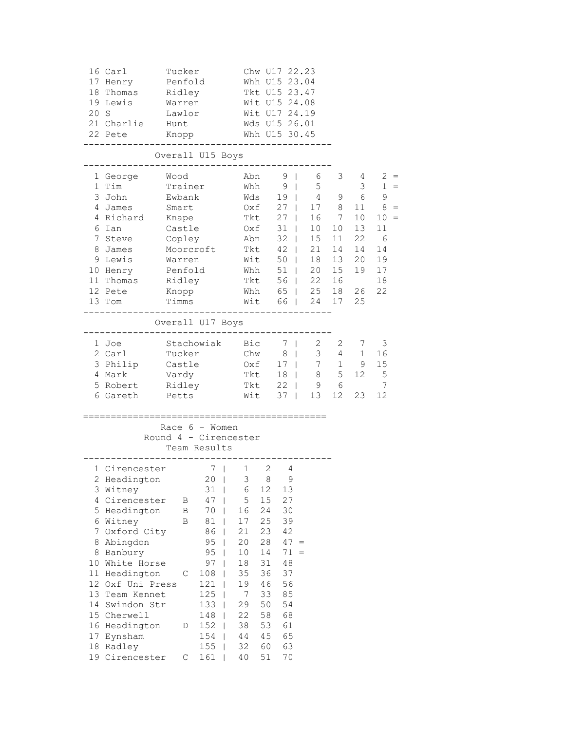|    | 16 Carl<br>17 Henry   | Tucker<br>Penfold |                                           |                                    |     | Chw U17 22.23<br>Whh U15 23.04 |                            |                |                                                      |                |
|----|-----------------------|-------------------|-------------------------------------------|------------------------------------|-----|--------------------------------|----------------------------|----------------|------------------------------------------------------|----------------|
|    | 18 Thomas             | Ridley            |                                           |                                    |     | Tkt U15 23.47                  |                            |                |                                                      |                |
|    | 19 Lewis              | Warren            |                                           |                                    |     | Wit U15 24.08                  |                            |                |                                                      |                |
|    | 20 S                  | Lawlor            |                                           |                                    |     | Wit U17 24.19                  |                            |                |                                                      |                |
|    | 21 Charlie            | Hunt              |                                           |                                    |     | Wds U15 26.01                  |                            |                |                                                      |                |
|    | 22 Pete               |                   | Knopp                                     |                                    |     | Whh U15 30.45                  |                            |                |                                                      |                |
|    |                       |                   | Overall U15 Boys                          |                                    |     |                                |                            |                |                                                      |                |
|    | 1 George Wood         |                   |                                           |                                    |     |                                | Abn 9   6                  |                | $3 \t 4$                                             | $2 =$          |
|    | 1 Tim                 |                   | Trainer                                   |                                    | Whh |                                | $9 \mid$<br>5 <sub>1</sub> |                | $\mathcal{S}$                                        | $1 =$          |
|    | 3 John Sale           | Ewbank            |                                           |                                    |     |                                | Wds 19   4 9 6             |                |                                                      | 9              |
|    | 4 James               | Smart             |                                           |                                    |     | 0xf 27                         |                            | 17 8           | 11                                                   | $8 =$          |
|    | 4 Richard             | Knape             |                                           |                                    |     | Tkt 27                         | 16                         | $\overline{7}$ | 10                                                   | $10 =$<br>11   |
|    | 6 Ian                 | Castle            |                                           |                                    | Oxf | $31$                           | 10 <sup>°</sup>            | 10             | 13                                                   |                |
|    | 7 Steve               | Copley            |                                           |                                    | Abn | $32$                           | 15                         | 11             | 22                                                   | 6              |
|    | 8 James               |                   | Moorcroft                                 |                                    | Tkt | $42 \mid$                      | 21                         | 14             | 14                                                   | 14             |
|    | 9 Lewis               | Warren            |                                           |                                    | Wit | $50 \mid$                      | 18<br>20                   | 13             | 20                                                   | 19             |
|    | 10 Henry              | Penfold           |                                           |                                    | Whh | $51$                           | 56   22                    | 15             | 19                                                   | 17             |
|    | 11 Thomas             | Ridley            |                                           |                                    | Tkt |                                | Whh 65   25                | 16             |                                                      | 18             |
|    | 12 Pete<br>13 Tom     | Knopp<br>Timms    |                                           |                                    |     |                                | Wit 66   24 17 25          |                | 18 26                                                | 22             |
|    |                       |                   |                                           |                                    |     |                                |                            |                |                                                      |                |
|    |                       |                   | Overall U17 Boys                          |                                    |     |                                |                            |                |                                                      |                |
|    | 1 Joe                 |                   | Stachowiak Bic                            |                                    |     |                                | 7   2                      |                | $\begin{array}{ccc} 2 & 7 \\ 4 & 1 \end{array}$<br>7 | 3              |
|    | 2 Carl                | Tucker            |                                           |                                    | Chw | 8 <sup>1</sup>                 |                            | 3 <sup>7</sup> |                                                      | 16             |
|    | 3 Philip              | Castle            |                                           |                                    |     |                                | $0xf$ 17   7 1 9           |                |                                                      | 15             |
|    | 4 Mark                | Vardy             |                                           |                                    | Tkt |                                | 18   8 5 12 5              |                |                                                      |                |
|    | 5 Robert Ridley       |                   |                                           |                                    |     |                                | Tkt 22   9 6               |                |                                                      | $\overline{7}$ |
|    | 6 Gareth Petts        |                   |                                           |                                    |     |                                | Wit 37   13 12             |                | 23                                                   | 12             |
|    | ==========            |                   | =========                                 |                                    |     |                                | =================          |                |                                                      |                |
|    |                       |                   | Race $6 -$ Women<br>Round 4 - Cirencester |                                    |     |                                |                            |                |                                                      |                |
|    |                       |                   | Team Results                              |                                    |     |                                |                            |                |                                                      |                |
|    | 1 Cirencester         |                   | 7 <sup>1</sup>                            |                                    |     | $1 \quad 2 \quad 4$            |                            |                |                                                      |                |
|    | 2 Headington 20   3 8 |                   |                                           |                                    |     | 9                              |                            |                |                                                      |                |
|    | 3 Witney              |                   | 31                                        | 6                                  | 12  | 13                             |                            |                |                                                      |                |
|    | 4 Cirencester         | Β                 | 47                                        | 5                                  | 15  | 27                             |                            |                |                                                      |                |
|    | 5 Headington          | B                 | 70                                        | 16                                 | 24  | 30                             |                            |                |                                                      |                |
|    | 6 Witney              | В                 | $8\,1$                                    | 17                                 | 25  | 39                             |                            |                |                                                      |                |
|    | 7 Oxford City         |                   | 86                                        | 21                                 | 23  | 42                             |                            |                |                                                      |                |
|    | 8 Abingdon            |                   | 95                                        | 20<br>$\overline{\phantom{a}}$     | 28  | $47 =$                         |                            |                |                                                      |                |
|    | 8 Banbury             |                   | 95                                        | 10<br>-1                           | 14  | $71 =$                         |                            |                |                                                      |                |
|    | 10 White Horse        |                   | 97                                        | $1\,8$<br>$\overline{\phantom{a}}$ | 31  | 48                             |                            |                |                                                      |                |
|    | 11 Headington         | С                 | 108                                       | 35                                 | 36  | 37                             |                            |                |                                                      |                |
|    | 12 Oxf Uni Press      |                   | 121                                       | 19                                 | 46  | 56                             |                            |                |                                                      |                |
| 13 | Team Kennet           |                   | 125                                       | 7                                  | 33  | 85                             |                            |                |                                                      |                |
| 14 | Swindon Str           |                   | 133                                       | 29                                 | 50  | 54                             |                            |                |                                                      |                |
|    | 15 Cherwell           |                   | 148                                       | 22                                 | 58  | 68                             |                            |                |                                                      |                |
|    | 16 Headington         | D                 | 152                                       | 38                                 | 53  | 61                             |                            |                |                                                      |                |
|    | 17 Eynsham            |                   | 154                                       | 44                                 | 45  | 65                             |                            |                |                                                      |                |
|    | 18 Radley             |                   | 155                                       | 32                                 | 60  | 63                             |                            |                |                                                      |                |
|    | 19 Cirencester        | С                 | 161                                       | 40                                 | 51  | 70                             |                            |                |                                                      |                |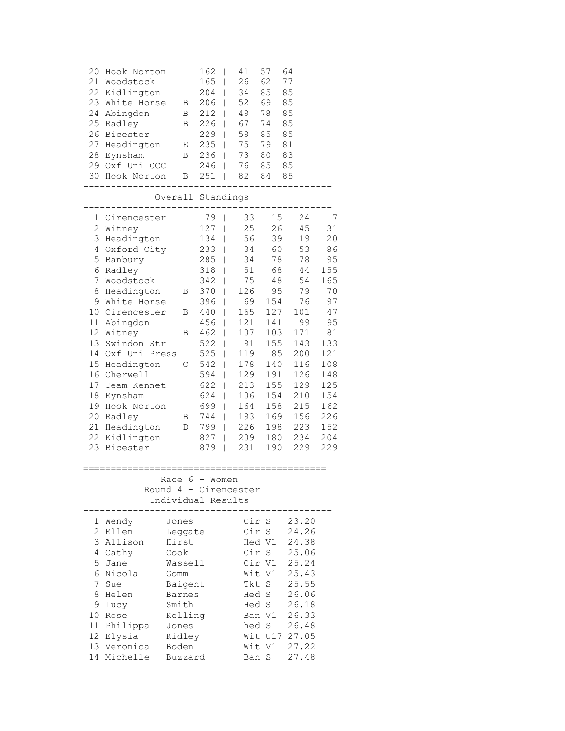| 20<br>21<br>22<br>23<br>24<br>25<br>26<br>27<br>28<br>29                                                                             | Hook Norton<br>Woodstock<br>Kidlington<br>White Horse<br>Abingdon<br>Radley<br>Bicester<br>Headington<br>Eynsham<br>Oxf Uni CCC<br>30 Hook Norton                                                                                                                                                              | Β<br>Β<br>B<br>Е<br>B<br>B                                                                | 162<br>165<br>204<br>206<br>212<br>226<br>229<br>235<br>236<br>246<br>251                                                                                      | I<br>I<br>I<br>I<br>I<br>I<br>I<br>I<br>I<br>I<br>I                                                                                       | 41<br>26<br>34<br>52<br>49<br>67<br>59<br>75<br>73<br>76<br>82                                                                                       | 57<br>62<br>85<br>69<br>78<br>74<br>85<br>79<br>80<br>85<br>84                                                                                       | 64<br>77<br>85<br>85<br>85<br>85<br>85<br>81<br>83<br>85<br>85                                                                                      |                                                                                                                                                    |
|--------------------------------------------------------------------------------------------------------------------------------------|----------------------------------------------------------------------------------------------------------------------------------------------------------------------------------------------------------------------------------------------------------------------------------------------------------------|-------------------------------------------------------------------------------------------|----------------------------------------------------------------------------------------------------------------------------------------------------------------|-------------------------------------------------------------------------------------------------------------------------------------------|------------------------------------------------------------------------------------------------------------------------------------------------------|------------------------------------------------------------------------------------------------------------------------------------------------------|-----------------------------------------------------------------------------------------------------------------------------------------------------|----------------------------------------------------------------------------------------------------------------------------------------------------|
|                                                                                                                                      |                                                                                                                                                                                                                                                                                                                | Overall Standings                                                                         |                                                                                                                                                                |                                                                                                                                           |                                                                                                                                                      |                                                                                                                                                      |                                                                                                                                                     |                                                                                                                                                    |
| 1<br>$\overline{2}$<br>3<br>4<br>5<br>6<br>7<br>8<br>9<br>10<br>11<br>13<br>14<br>15<br>16<br>17<br>18<br>19<br>20<br>21<br>22<br>23 | Cirencester<br>Witney<br>Headington<br>Oxford City<br>Banbury<br>Radley<br>Woodstock<br>Headington<br>White Horse<br>Cirencester<br>Abingdon<br>12 Witney<br>Swindon Str<br>Oxf Uni Press<br>Headington<br>Cherwell<br>Team Kennet<br>Eynsham<br>Hook Norton<br>Radley<br>Headington<br>Kidlington<br>Bicester | Β<br>В<br>В<br>$\mathcal{C}$<br>Β<br>D                                                    | 79<br>127<br>134<br>233<br>285<br>318<br>342<br>370<br>396<br>440<br>456<br>462<br>522<br>525<br>542<br>594<br>622<br>624<br>699<br>744  <br>799<br>827<br>879 | I<br>$\Box$<br>$\overline{1}$<br>$\overline{1}$<br>T<br>T<br>I<br>I<br>I<br>I<br>I<br>I<br>I<br>I<br>I<br>I<br>I<br>I<br>I<br>I<br>I<br>I | 33<br>25<br>56<br>34<br>34<br>51<br>75<br>126<br>69<br>165<br>121<br>107<br>91<br>119<br>178<br>129<br>213<br>106<br>164<br>193<br>226<br>209<br>231 | 15<br>26<br>39<br>60<br>78<br>68<br>48<br>95<br>154<br>127<br>141<br>103<br>155<br>85<br>140<br>191<br>155<br>154<br>158<br>169<br>198<br>180<br>190 | 24<br>45<br>19<br>53<br>78<br>44<br>54<br>79<br>76<br>101<br>99<br>171<br>143<br>200<br>116<br>126<br>129<br>210<br>215<br>156<br>223<br>234<br>229 | 7<br>31<br>20<br>86<br>95<br>155<br>165<br>70<br>97<br>47<br>95<br>81<br>133<br>121<br>108<br>148<br>125<br>154<br>162<br>226<br>152<br>204<br>229 |
|                                                                                                                                      |                                                                                                                                                                                                                                                                                                                | Race 6 - Women<br>Round 4 - Cirencester<br>Individual Results                             |                                                                                                                                                                |                                                                                                                                           |                                                                                                                                                      |                                                                                                                                                      |                                                                                                                                                     |                                                                                                                                                    |
| 1<br>$\overline{c}$<br>3<br>4<br>5<br>6<br>7<br>8<br>9                                                                               | Wendy<br>Ellen<br>Allison<br>Cathy<br>Jane<br>Nicola<br>Sue<br>Helen<br>Lucy                                                                                                                                                                                                                                   | Jones<br>Leggate<br>Hirst<br>Cook<br>Wassell<br>Gomm<br>Baigent<br><b>Barnes</b><br>Smith |                                                                                                                                                                |                                                                                                                                           | Cir<br>Cir<br>Tkt<br>Hed S<br>Hed S                                                                                                                  | Cir S<br>S<br>Hed V1<br>S<br>Cir V1<br>Wit V1<br>S                                                                                                   | 23.20<br>24.26<br>24.38<br>25.06<br>25.24<br>25.43<br>25.55<br>26.06<br>26.18                                                                       |                                                                                                                                                    |

10 Rose Kelling Ban V1 26.33 11 Philippa Jones hed S 26.48 12 Elysia Ridley Wit U17 27.05 13 Veronica Boden Wit V1 27.22 14 Michelle Buzzard Ban S 27.48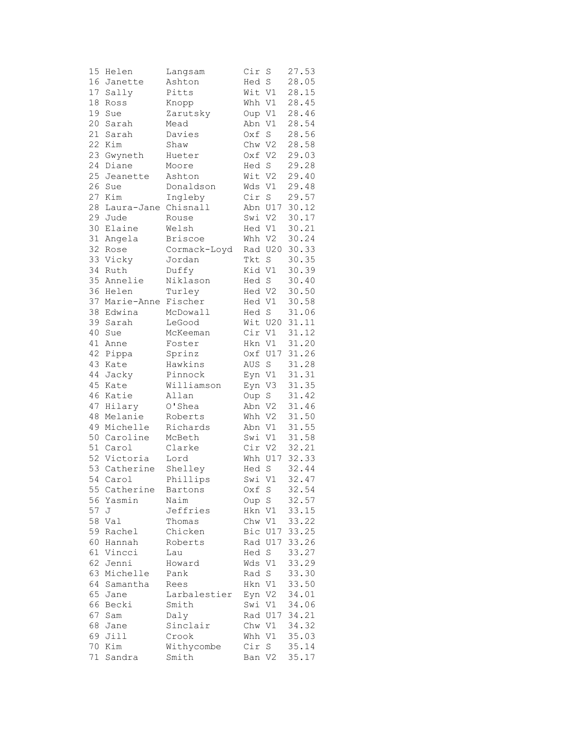| 15 | Helen        | Langsam        | Cir    | S           | 27.53 |
|----|--------------|----------------|--------|-------------|-------|
|    | 16 Janette   | Ashton         | Hed S  |             | 28.05 |
| 17 | Sally        | Pitts          | Wit V1 |             | 28.15 |
| 18 | Ross         | Knopp          | Whh V1 |             | 28.45 |
| 19 | Sue          | Zarutsky       | Oup V1 |             | 28.46 |
| 20 | Sarah        | Mead           | Abn    | V1          | 28.54 |
| 21 | Sarah        | Davies         | Oxf    | S           | 28.56 |
|    |              |                |        |             |       |
| 22 | Kim          | Shaw           | Chw V2 |             | 28.58 |
|    | 23 Gwyneth   | Hueter         | Oxf V2 |             | 29.03 |
| 24 | Diane        | Moore          | Hed S  |             | 29.28 |
| 25 | Jeanette     | Ashton         | Wit V2 |             | 29.40 |
| 26 | Sue          | Donaldson      | Wds V1 |             | 29.48 |
| 27 | Kim          | Ingleby        | Cir S  |             | 29.57 |
| 28 | Laura-Jane   | Chisnall       |        | Abn U17     | 30.12 |
|    | 29 Jude      | Rouse          | Swi V2 |             | 30.17 |
| 30 | Elaine       | Welsh          | Hed V1 |             | 30.21 |
| 31 | Angela       | <b>Briscoe</b> | Whh V2 |             | 30.24 |
| 32 | Rose         | Cormack-Loyd   |        | Rad U20     | 30.33 |
|    | 33 Vicky     | Jordan         | Tkt    | $\mathbf S$ | 30.35 |
| 34 | Ruth         | Duffy          | Kid V1 |             | 30.39 |
| 35 | Annelie      | Niklason       | Hed S  |             | 30.40 |
| 36 | Helen        | Turley         |        |             |       |
| 37 |              |                | Hed V2 |             | 30.50 |
|    | Marie-Anne   | Fischer        | Hed V1 |             | 30.58 |
| 38 | Edwina       | McDowall       | Hed S  |             | 31.06 |
| 39 | Sarah        | LeGood         |        | Wit U20     | 31.11 |
| 40 | Sue          | McKeeman       | Cir V1 |             | 31.12 |
| 41 | Anne         | Foster         | Hkn V1 |             | 31.20 |
| 42 | Pippa        | Sprinz         |        | Oxf U17     | 31.26 |
| 43 | Kate         | Hawkins        | AUS    | $\rm S$     | 31.28 |
| 44 | Jacky        | Pinnock        | Eyn V1 |             | 31.31 |
| 45 | Kate         | Williamson     | Eyn    | V3          | 31.35 |
| 46 | Katie        | Allan          | Oup    | $\rm S$     | 31.42 |
| 47 | Hilary       | O'Shea         | Abn    | V2          | 31.46 |
| 48 | Melanie      | Roberts        | Whh V2 |             | 31.50 |
|    | 49 Michelle  | Richards       | Abn V1 |             | 31.55 |
|    | 50 Caroline  | McBeth         | Swi V1 |             | 31.58 |
|    | 51 Carol     | Clarke         | Cir V2 |             | 32.21 |
|    | 52 Victoria  | Lord           | Whh    | U17         | 32.33 |
| 53 | Catherine    | Shelley        | Hed S  |             | 32.44 |
|    | 54 Carol     |                | Swi Vl |             | 32.47 |
|    |              | Phillips       | Oxf    |             |       |
|    | 55 Catherine | Bartons        |        | $\mathbf S$ | 32.54 |
| 56 | Yasmin       | Naim           | Oup S  |             | 32.57 |
| 57 | J            | Jeffries       | Hkn V1 |             | 33.15 |
|    | 58 Val       | Thomas         | Chw V1 |             | 33.22 |
| 59 | Rachel       | Chicken        |        | Bic U17     | 33.25 |
|    | 60 Hannah    | Roberts        |        | Rad U17     | 33.26 |
| 61 | Vincci       | Lau            | Hed S  |             | 33.27 |
| 62 | Jenni        | Howard         | Wds V1 |             | 33.29 |
| 63 | Michelle     | Pank           | Rad S  |             | 33.30 |
| 64 | Samantha     | Rees           | Hkn V1 |             | 33.50 |
| 65 | Jane         | Larbalestier   | Eyn V2 |             | 34.01 |
| 66 | Becki        | Smith          | Swi V1 |             | 34.06 |
| 67 | Sam          | Daly           |        | Rad U17     | 34.21 |
| 68 | Jane         | Sinclair       | Chw V1 |             | 34.32 |
| 69 | Jill         | Crook          | Whh V1 |             | 35.03 |
| 70 | Kim          | Withycombe     | Cir    | S           | 35.14 |
| 71 |              |                | Ban V2 |             | 35.17 |
|    | Sandra       | Smith          |        |             |       |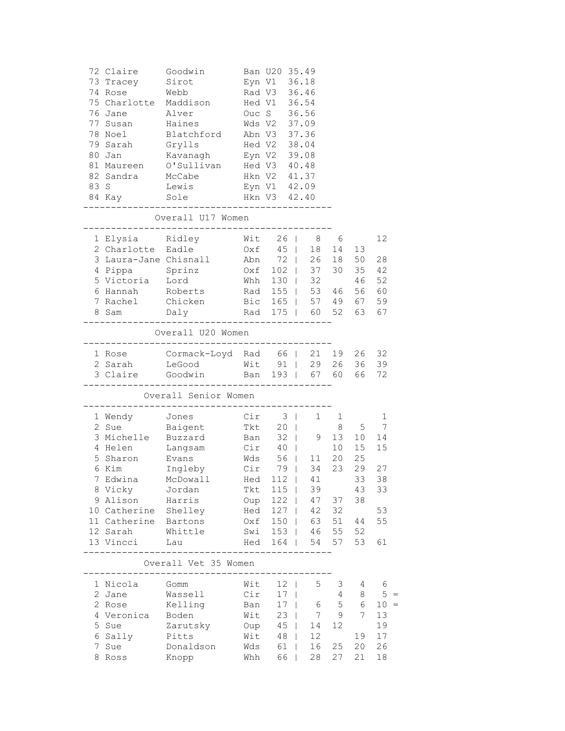|  | 72 Claire             | Goodwin                                         |                              | Ban U20 35.49        |                 |                                                    |                |                 |        |
|--|-----------------------|-------------------------------------------------|------------------------------|----------------------|-----------------|----------------------------------------------------|----------------|-----------------|--------|
|  | 73 Tracey             | Sirot                                           |                              | Eyn V1               |                 | 36.18                                              |                |                 |        |
|  | 74 Rose               | Webb                                            |                              | $\frac{1}{2}$ Rad V3 |                 | 36.46                                              |                |                 |        |
|  | 75 Charlotte Maddison |                                                 |                              | Hed V1               |                 | 36.54                                              |                |                 |        |
|  | 76 Jane               | Alver                                           |                              | Ouc S                |                 | 36.56                                              |                |                 |        |
|  | 77 Susan Haines       |                                                 |                              | Wds V2 37.09         |                 |                                                    |                |                 |        |
|  | 78 Noel               | Blatchford                                      |                              | Abn V3 37.36         |                 |                                                    |                |                 |        |
|  | 79 Sarah              | Grylls                                          | Hed V2 38.04                 |                      |                 |                                                    |                |                 |        |
|  | 80 Jan                | Kavanagh Eyn V2 39.08                           |                              |                      |                 |                                                    |                |                 |        |
|  |                       | 81 Maureen O'Sullivan Hed V3 40.48              |                              |                      |                 |                                                    |                |                 |        |
|  | 82 Sandra             | McCabe                                          | Hkn V2 41.37                 |                      |                 |                                                    |                |                 |        |
|  | 83 S                  | Lewis                                           |                              |                      |                 |                                                    |                |                 |        |
|  | 84 Kay                | Sole                                            | Eyn V1 42.09<br>Hkn V3 42.40 |                      |                 |                                                    |                |                 |        |
|  |                       | ----------------                                |                              |                      |                 |                                                    |                |                 |        |
|  |                       | Overall U17 Women                               |                              |                      |                 |                                                    |                |                 |        |
|  |                       | 1 Elysia Ridley Mit 26                          |                              |                      |                 | 8 <sup>8</sup>                                     | - 6            |                 | 12     |
|  | 2 Charlotte Eadle     |                                                 |                              |                      |                 | Oxf 45   18                                        | 14             | 13              |        |
|  |                       | 3 Laura-Jane Chisnall Abn 72   26               |                              |                      |                 |                                                    | 18             | 50              | 28     |
|  |                       | 4 Pippa Sprinz                                  |                              |                      |                 | Oxf 102   37                                       | 30             | 35              | 42     |
|  | 5 Victoria Lord       |                                                 |                              |                      |                 |                                                    |                | 46              | 52     |
|  | 6 Hannah              | Roberts                                         |                              |                      |                 |                                                    |                | 56              | 60     |
|  | 7 Rachel              | Chicken                                         |                              |                      |                 | Whh 130   32<br>Rad 155   53 46<br>Bic 165   57 49 |                | 67              | 59     |
|  | 8 Sam                 | Daly                                            |                              |                      |                 | Rad 175   60 52                                    |                | 63              | 67     |
|  |                       | Overall U20 Women                               | ---------                    |                      |                 |                                                    |                |                 |        |
|  |                       |                                                 |                              |                      |                 |                                                    |                |                 |        |
|  | 1 Rose                | Cormack-Loyd Rad 66   21                        |                              |                      |                 |                                                    | 19             | 26              | 32     |
|  | 2 Sarah               | LeGood Wit 91   29 26 36                        |                              |                      |                 |                                                    |                |                 | 39     |
|  | 3 Claire              | Goodwin                                         |                              |                      |                 | Ban 193   67 60                                    |                | 66              | 72     |
|  |                       | Overall Senior Women                            |                              |                      |                 |                                                    |                |                 |        |
|  | 1 Wendy               | _____________________<br>Jones                  | Cir                          |                      | $3 \mid$        | 1                                                  | $\overline{1}$ |                 | 1      |
|  | 2 Sue                 | Baigent Tkt 20                                  |                              |                      |                 |                                                    |                | 8 5             | 7      |
|  | 3 Michelle            | Buzzard Ban 32                                  |                              |                      |                 | 9                                                  | 13             | 10              | 14     |
|  | 4 Helen               | Langsam                                         | $Cir$ 40                     |                      |                 |                                                    |                | 10 15           | 15     |
|  | 5 Sharon              | Evans                                           |                              |                      |                 | Wds 56   11                                        | 20             | 25              |        |
|  | 6 Kim                 | Ingleby                                         | Cir                          | 79                   |                 | 34                                                 | 23             | 29              | 27     |
|  | 7 Edwina              | McDowall                                        | Hed                          |                      | $112$           | 41                                                 |                | 33              | 38     |
|  | 8 Vicky               | Jordan                                          | Tkt                          |                      | $115$           | 39                                                 |                | 43              | 33     |
|  | 9 Alison Harris       |                                                 | Oup                          |                      |                 | 122   47                                           | 37             | 38              |        |
|  | 10 Catherine Shelley  |                                                 | Hed                          |                      |                 | $127$   42                                         | 32             |                 | 53     |
|  |                       | 11 Catherine Bartons 0xf                        |                              |                      |                 | 150   63 51 44                                     |                |                 | 55     |
|  | 12 Sarah              | Whittle Swi 153   46 55 52                      |                              |                      |                 |                                                    |                |                 |        |
|  | 13 Vincci             | Lau                                             |                              |                      |                 | Hed 164   54 57 53                                 |                |                 | 61     |
|  |                       |                                                 |                              |                      |                 |                                                    |                |                 |        |
|  |                       | Overall Vet 35 Women<br>_______________________ |                              |                      |                 |                                                    |                |                 |        |
|  | 1 Nicola Gomm         |                                                 | Wit                          |                      | $12 \quad  $    | $5 -$                                              | 3 <sup>7</sup> | 4               | 6      |
|  | 2 Jane                | Wassell                                         | Cir                          |                      | 17 <sup>1</sup> |                                                    | 4              | 8               | $5 =$  |
|  |                       | 2 Rose Kelling                                  | Ban                          |                      |                 | 17   6 5                                           |                | $6\overline{6}$ | $10 =$ |
|  | 4 Veronica Boden      |                                                 |                              |                      |                 | Wit 23   7 9                                       |                | $7\overline{ }$ | 13     |
|  | 5 Sue                 | Zarutsky Oup 45                                 |                              |                      |                 | 14                                                 | 12             |                 | 19     |
|  | 6 Sally               | Pitts                                           | Wit                          |                      | 48              | 12                                                 |                | 19              | 17     |
|  | 7 Sue                 | Donaldson                                       | Wds                          |                      | 61              | 16                                                 | 25             | 20              | 26     |
|  | 8 Ross                | Knopp                                           | Whh                          |                      | 66              | 28                                                 | 27             | 21              | 18     |
|  |                       |                                                 |                              |                      |                 |                                                    |                |                 |        |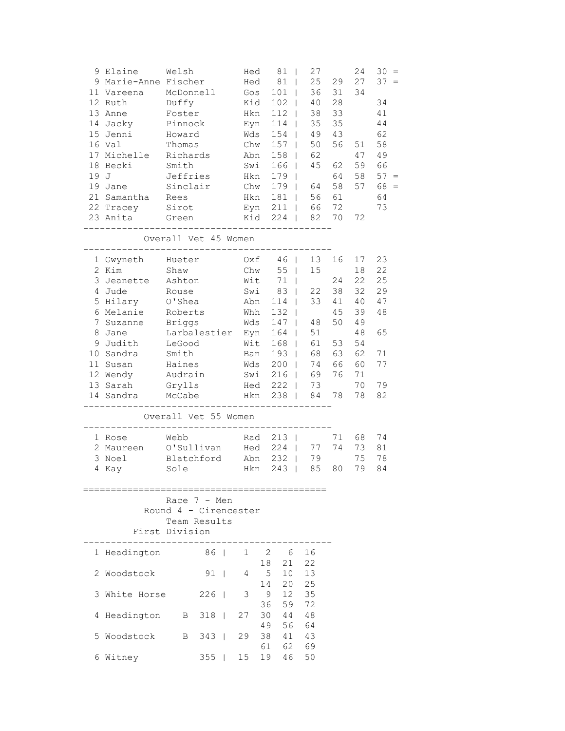|      | 9 Elaine<br>9 Marie-Anne Fischer | Welsh                 |       | Hed<br>Hed |          | 81<br>81<br>$\perp$   | 27<br>25 | 29 | 24<br>27 | $30 =$<br>$37 =$ |
|------|----------------------------------|-----------------------|-------|------------|----------|-----------------------|----------|----|----------|------------------|
|      | 11 Vareena                       | McDonnell             |       | Gos        |          | 101<br>$\Box$         | 36       | 31 | 34       |                  |
|      | 12 Ruth                          | Duffy                 |       | Kid        |          | 102<br>$\mathbf{I}$   | 40       | 28 |          | 34               |
|      | 13 Anne                          | Foster                |       | Hkn        |          | 112<br>$\mathbf{I}$   | 38       | 33 |          | 41               |
| 14   | Jacky                            | Pinnock               |       | Eyn        |          | 114                   | 35       | 35 |          | 44               |
| 15   | Jenni                            | Howard                |       | Wds        |          | 154                   | 49       | 43 |          | 62               |
|      | 16 Val                           | Thomas                |       | Chw        |          | 157                   | 50       | 56 | 51       | 58               |
|      | 17 Michelle                      | Richards              |       | Abn        |          | 158<br>$\perp$        | 62       |    | 47       | 49               |
|      | 18 Becki                         | Smith                 |       | Swi        |          | 166<br>$\mathbf{I}$   | 45       | 62 | 59       | 66               |
| 19 J |                                  | Jeffries              |       | Hkn        |          | 179<br>$\mathbf{I}$   |          | 64 | 58       | $57 =$           |
|      | 19 Jane                          | Sinclair              |       | Chw        |          | 179<br>$\Box$         | 64       | 58 | 57       | 68               |
|      | 21 Samantha                      | Rees                  |       | Hkn        |          | 181<br>$\Box$         | 56       | 61 |          | 64               |
|      | 22 Tracey                        | Sirot                 |       | Eyn        |          | 211<br>$\mathbf{I}$   | 66       | 72 |          | 73               |
|      | 23 Anita                         | Green                 |       | Kid        |          | 224<br>$\Box$         | 82       | 70 | 72       |                  |
|      |                                  |                       |       |            |          |                       |          |    |          |                  |
|      |                                  | Overall Vet 45 Women  |       |            |          |                       |          |    |          |                  |
|      | 1 Gwyneth                        | Hueter                |       | Oxf        |          | 46<br>$\mathbf{I}$    | 13       | 16 | 17       | 23               |
|      | 2 Kim                            | Shaw                  |       | Chw        |          | 55<br>$\Box$          | 15       |    | $1\,8$   | 22               |
|      | 3 Jeanette                       | Ashton                |       | Wit        |          | 71<br>$\mathbf{I}$    |          | 24 | 22       | 25               |
| 4    | Jude                             | Rouse                 |       | Swi        |          | 83<br>$\mathbf{I}$    | 22       | 38 | 32       | 29               |
| 5    | Hilary                           | O'Shea                |       | Abn        |          | 114                   | 33       | 41 | 40       | 47               |
| 6    | Melanie                          | Roberts               |       | Whh        |          | 132                   |          | 45 | 39       | 48               |
| 7    | Suzanne                          | <b>Briggs</b>         |       | Wds        |          | 147                   | 48       | 50 | 49       |                  |
| 8    | Jane                             | Larbalestier          |       | Eyn        |          | 164                   | 51       |    | 48       | 65               |
| 9    | Judith                           | LeGood                |       | Wit        |          | 168<br>$\mathbf{I}$   | 61       | 53 | 54       |                  |
|      | 10 Sandra                        | Smith                 |       | Ban        |          | 193<br>$\mathbf{I}$   | 68       | 63 | 62       | 71               |
|      | 11 Susan                         | Haines                |       | Wds        |          | 200<br>$\Box$         | 74       | 66 | 60       | 77               |
|      | 12 Wendy                         | Audrain               |       | Swi        |          | 216<br>$\mathbf{I}$   | 69       | 76 | 71       |                  |
|      | 13 Sarah                         | Grylls                |       | Hed        |          | 222<br>- 1            | 73       |    | 70       | 79               |
|      | 14 Sandra                        | McCabe                |       | Hkn        |          | 238                   | 84       | 78 | 78       | 82               |
|      |                                  | Overall Vet 55 Women  |       |            |          |                       |          |    |          |                  |
|      | 1 Rose                           | Webb                  |       | Rad        |          | $213$                 |          | 71 | 68       | 74               |
|      | 2 Maureen                        | O'Sullivan            |       | Hed        |          | 224<br>$\Box$         | 77       | 74 | 73       | 81               |
|      | 3 Noel                           | Blatchford            |       | Abn        |          | 232<br>$\blacksquare$ | 79       |    | 75       | 78               |
|      | 4 Kay                            | Sole                  |       | Hkn        |          | 243<br>$\Box$         | 85       | 80 | 79       | 84               |
|      |                                  | Race 7 - Men          |       |            |          |                       |          |    |          |                  |
|      |                                  | Round 4 - Cirencester |       |            |          |                       |          |    |          |                  |
|      |                                  | Team Results          |       |            |          |                       |          |    |          |                  |
|      |                                  | First Division        |       |            |          |                       |          |    |          |                  |
|      | 1 Headington 86   1 2            |                       |       |            |          | - 6                   | 16       |    |          |                  |
|      | 2 Woodstock                      |                       | $91$  | 4          | 18<br>5  | 21<br>10 <sub>1</sub> | 22<br>13 |    |          |                  |
|      |                                  |                       |       |            | 14       | 20                    | 25       |    |          |                  |
|      | 3 White Horse                    |                       | $226$ | 3          | 9        | 12                    | 35       |    |          |                  |
|      |                                  |                       |       |            | 36       | 59                    | 72       |    |          |                  |
| 4    | Headington                       | $\mathbf{B}$          | $318$ | 27         | 30       | 44                    | 48       |    |          |                  |
| 5    | Woodstock                        | B                     | $343$ | 29         | 49<br>38 | 56<br>41              | 64<br>43 |    |          |                  |
|      |                                  |                       |       |            | 61       | 62                    | 69       |    |          |                  |
|      | 6 Witney                         |                       | $355$ | 15         | 19       | 46                    | 50       |    |          |                  |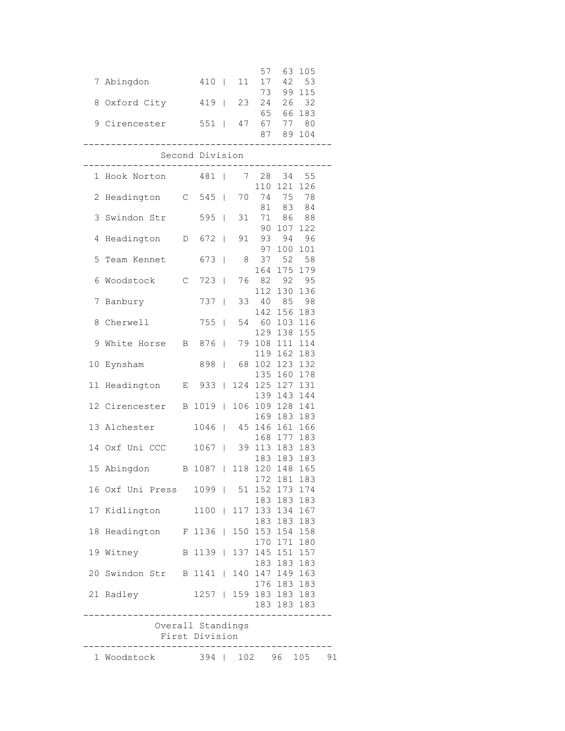|                                         |                        |                     | 57 63 105       |    |
|-----------------------------------------|------------------------|---------------------|-----------------|----|
| 7 Abingdon 410   11 17 42 53            |                        |                     |                 |    |
|                                         |                        |                     | 73 99 115       |    |
| 8 Oxford City 419   23 24 26 32         |                        |                     |                 |    |
|                                         |                        |                     | 65 66 183       |    |
| 9 Cirencester 551   47 67 77 80         |                        |                     |                 |    |
|                                         |                        |                     | 87 89 104       |    |
| ----------------------                  |                        |                     | ------------    |    |
|                                         | Second Division        |                     |                 |    |
| 1 Hook Norton 481   7 28 34 55          |                        |                     |                 |    |
|                                         |                        |                     | 110 121 126     |    |
| 2 Headington C 545   70 74 75 78        |                        |                     |                 |    |
|                                         |                        |                     | 81 83 84        |    |
| 3 Swindon Str 595   31 71 86 88         |                        |                     |                 |    |
|                                         |                        |                     | 90 107 122      |    |
| 4 Headington  D 672   91 93 94 96       |                        |                     |                 |    |
|                                         |                        |                     | 97 100 101      |    |
| 5 Team Kennet 673   8 37 52 58          |                        |                     |                 |    |
|                                         |                        |                     | 164 175 179     |    |
| 6 Woodstock C 723   76 82 92 95         |                        |                     |                 |    |
|                                         |                        |                     | 112 130 136     |    |
| 7 Banbury 737   33 40 85 98             |                        |                     |                 |    |
|                                         |                        |                     | 142 156 183     |    |
| 8 Cherwell 755   54 60 103 116          |                        |                     |                 |    |
|                                         |                        |                     | 129 138 155     |    |
| 9 White Horse B 876   79 108 111 114    |                        |                     |                 |    |
|                                         |                        |                     | 119 162 183     |    |
| 10 Eynsham 898   68 102 123 132         |                        |                     |                 |    |
|                                         |                        |                     | 135 160 178     |    |
| 11 Headington E 933   124 125 127 131   |                        |                     |                 |    |
|                                         |                        |                     | 139 143 144     |    |
| 12 Cirencester B 1019   106 109 128 141 |                        |                     |                 |    |
|                                         |                        |                     | 169 183 183     |    |
| 13 Alchester 1046   45 146 161 166      |                        |                     |                 |    |
|                                         |                        |                     | 168 177 183     |    |
| 14 Oxf Uni CCC 1067   39 113 183 183    |                        |                     |                 |    |
| 15 Abingdon B 1087   118 120 148 165    |                        |                     | 183 183 183     |    |
|                                         |                        |                     | 172 181 183     |    |
| 16 Oxf Uni Press 1099   51 152 173 174  |                        |                     |                 |    |
|                                         |                        |                     | 183 183 183     |    |
| 17 Kidlington                           | 1100   117 133 134 167 |                     |                 |    |
|                                         |                        |                     | 183 183 183     |    |
| 18 Headington F 1136   150 153 154 158  |                        |                     |                 |    |
|                                         |                        |                     | 170 171 180     |    |
| 19 Witney                               | B 1139                 |                     | 137 145 151 157 |    |
|                                         |                        |                     | 183 183 183     |    |
| 20 Swindon Str B 1141                   |                        |                     | 140 147 149 163 |    |
|                                         |                        |                     | 176 183 183     |    |
| 21 Radley                               | 1257   159 183 183 183 |                     |                 |    |
|                                         |                        |                     | 183 183 183     |    |
|                                         |                        | ___________________ |                 |    |
|                                         | Overall Standings      |                     |                 |    |
|                                         | First Division         |                     |                 |    |
|                                         |                        |                     |                 |    |
| 1 Woodstock                             | 394   102 96 105       |                     |                 | 91 |
|                                         |                        |                     |                 |    |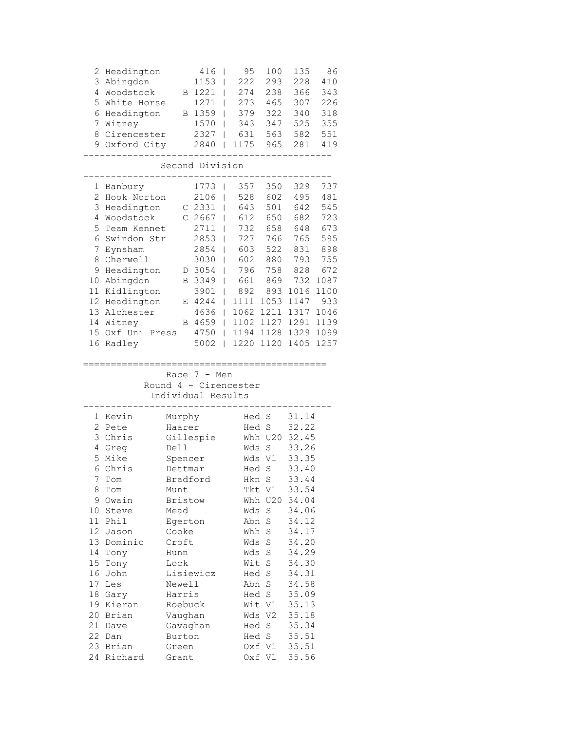| Headington<br>2<br>3 Abingdon<br>4 Woodstock<br>5<br>White Horse                                                                                                                                                                                                                                                    | В                                                                                                                                                                                                                                                     | 416<br>1153<br>1221<br>1271                                                                                                                           | 95<br>222<br>274<br>273<br>I                                                                                                                                   | 100<br>293<br>238<br>465                                                                                                                                                                                                           | 135<br>228<br>366<br>307                                                                                                                                                                                    | 86<br>410<br>343<br>226                                                                                    |
|---------------------------------------------------------------------------------------------------------------------------------------------------------------------------------------------------------------------------------------------------------------------------------------------------------------------|-------------------------------------------------------------------------------------------------------------------------------------------------------------------------------------------------------------------------------------------------------|-------------------------------------------------------------------------------------------------------------------------------------------------------|----------------------------------------------------------------------------------------------------------------------------------------------------------------|------------------------------------------------------------------------------------------------------------------------------------------------------------------------------------------------------------------------------------|-------------------------------------------------------------------------------------------------------------------------------------------------------------------------------------------------------------|------------------------------------------------------------------------------------------------------------|
| Headington<br>6<br>7<br>Witney<br>8 Cirencester<br>9 Oxford City                                                                                                                                                                                                                                                    |                                                                                                                                                                                                                                                       | B 1359<br>1570<br>2327<br>2840                                                                                                                        | 379<br>I<br>343<br>I<br>631<br>I<br>1175<br>I                                                                                                                  | 322<br>347<br>563<br>965                                                                                                                                                                                                           | 340<br>525<br>582<br>281                                                                                                                                                                                    | 318<br>355<br>551<br>419                                                                                   |
|                                                                                                                                                                                                                                                                                                                     | Second Division                                                                                                                                                                                                                                       |                                                                                                                                                       |                                                                                                                                                                |                                                                                                                                                                                                                                    |                                                                                                                                                                                                             |                                                                                                            |
| 1 Banbury<br>$\overline{2}$<br>Hook Norton<br>3<br>Headington<br>4<br>Woodstock<br>5<br>Team Kennet<br>6<br>Swindon Str<br>$7\phantom{.}$<br>Eynsham<br>8 Cherwell<br>Headington<br>9<br>10 Abingdon<br>11<br>Kidlington<br>12<br>Headington<br>13<br>Alchester<br>14 Witney<br>Oxf Uni Press<br>15<br>16<br>Radley |                                                                                                                                                                                                                                                       | 1773<br>2106<br>C <sub>2331</sub><br>$C$ 2667<br>2711<br>2853<br>2854<br>3030<br>D 3054<br>B 3349<br>3901<br>E 4244<br>4636<br>B 4659<br>4750<br>5002 | 357<br>I<br>528<br>I<br>643<br>I<br>612<br>732<br>727<br>603<br>602<br>796<br>661<br>892<br>I<br>1111<br>I<br>1062<br>L<br>1102<br>L<br>1194<br>L<br>1220<br>L | 350<br>602<br>501<br>650<br>658<br>766<br>522<br>880<br>758<br>869<br>893<br>1053<br>1211<br>1127<br>1128<br>1120                                                                                                                  | 329<br>495<br>642<br>682<br>648<br>765<br>831<br>793<br>828<br>732<br>1016<br>1147<br>1317<br>1291<br>1329 1099<br>1405                                                                                     | 737<br>481<br>545<br>723<br>673<br>595<br>898<br>755<br>672<br>1087<br>1100<br>933<br>1046<br>1139<br>1257 |
|                                                                                                                                                                                                                                                                                                                     | Individual Results                                                                                                                                                                                                                                    | Race 7 - Men                                                                                                                                          | Round 4 - Cirencester                                                                                                                                          |                                                                                                                                                                                                                                    |                                                                                                                                                                                                             |                                                                                                            |
| 1 Kevin<br>2 Pete<br>3 Chris<br>4 Greg<br>5 Mike<br>6 Chris<br>$7\overline{ }$<br>Tom<br>8<br>Tom<br>9 Owain<br>10 Steve<br>11 Phil<br>12 Jason<br>13 Dominic<br>14 Tony<br>15 Tony<br>16<br>John<br>17<br>Les<br>18 Gary<br>19 Kieran<br>20 Brian<br>21 Dave<br>22 Dan<br>23 Brian<br>24 Richard                   | Murphy<br>Haarer<br>Gillespie<br>Dell<br>Spencer<br>Dettmar<br>Bradford<br>Munt<br><b>Bristow</b><br>Mead<br>Egerton<br>Cooke<br>Croft<br>Hunn<br>Lock<br>Lisiewicz<br>Newell<br>Harris<br>Roebuck<br>Vaughan<br>Gavaghan<br>Burton<br>Green<br>Grant |                                                                                                                                                       | Wds<br>Wds<br>Wds                                                                                                                                              | Hed S<br>Hed S<br>Whh U20<br>$\mathbf S$<br>Wds V1<br>Hed S<br>Hkn S<br>Tkt V1<br>Whh U20 34.04<br>S<br>Abn S<br>Whh S<br>S<br>Wds S<br>Wit S<br>Hed S<br>Abn S<br>Hed S<br>Wit V1<br>Wds V2<br>Hed S<br>Hed S<br>Oxf V1<br>Oxf V1 | 31.14<br>32.22<br>32.45<br>33.26<br>33.35<br>33.40<br>33.44<br>33.54<br>34.06<br>34.12<br>34.17<br>34.20<br>34.29<br>34.30<br>34.31<br>34.58<br>35.09<br>35.13<br>35.18<br>35.34<br>35.51<br>35.51<br>35.56 |                                                                                                            |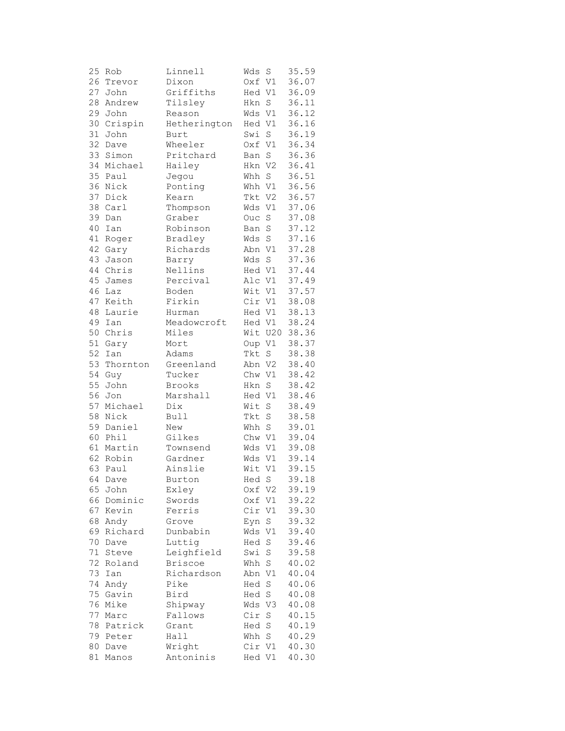| 25 | Rob              | Linnell        | Wds    | S              | 35.59 |
|----|------------------|----------------|--------|----------------|-------|
| 26 | Trevor           | Dixon          | Oxf V1 |                | 36.07 |
| 27 | John             | Griffiths      | Hed V1 |                | 36.09 |
| 28 | Andrew           | Tilsley        | Hkn    | S              | 36.11 |
| 29 | John             | Reason         | Wds    | V1             | 36.12 |
| 30 | Crispin          | Hetherington   | Hed V1 |                | 36.16 |
| 31 | John             | Burt           | Swi    | $\mathbf S$    | 36.19 |
| 32 | Dave             | Wheeler        | Oxf V1 |                | 36.34 |
| 33 | Simon            | Pritchard      | Ban    | $\rm S$        | 36.36 |
|    | 34 Michael       | Hailey         | Hkn V2 |                | 36.41 |
| 35 | Paul             | Jegou          | Whh    | S              | 36.51 |
| 36 | Nick             | Ponting        | Whh V1 |                | 36.56 |
| 37 | Dick             | Kearn          | Tkt    | V <sub>2</sub> | 36.57 |
| 38 | Carl             | Thompson       | Wds    | V1             | 37.06 |
| 39 | Dan              | Graber         | Ouc    | S              | 37.08 |
| 40 | Ian              | Robinson       | Ban    | S              | 37.12 |
| 41 |                  | Bradley        | Wds    | $\rm S$        | 37.16 |
|    | Roger<br>42 Gary | Richards       | Abn    |                | 37.28 |
|    |                  |                |        | V1             | 37.36 |
| 43 | Jason            | Barry          | Wds    | S              |       |
| 44 | Chris            | Nellins        | Hed V1 |                | 37.44 |
| 45 | James            | Percival       | Alc V1 |                | 37.49 |
| 46 | Laz              | Boden          | Wit V1 |                | 37.57 |
| 47 | Keith            | Firkin         | Cir V1 |                | 38.08 |
| 48 | Laurie           | Hurman         | Hed V1 |                | 38.13 |
| 49 | Ian              | Meadowcroft    | Hed V1 |                | 38.24 |
|    | 50 Chris         | Miles          |        | Wit U20        | 38.36 |
| 51 | Gary             | Mort           | Oup V1 |                | 38.37 |
| 52 | Ian              | Adams          | Tkt    | S              | 38.38 |
| 53 | Thornton         | Greenland      | Abn V2 |                | 38.40 |
| 54 | Guy              | Tucker         | Chw V1 |                | 38.42 |
| 55 | John             | Brooks         | Hkn    | S              | 38.42 |
| 56 | Jon              | Marshall       | Hed V1 |                | 38.46 |
| 57 | Michael          | Dix            | Wit    | S              | 38.49 |
| 58 | Nick             | Bull           | Tkt    | S              | 38.58 |
| 59 | Daniel           | New            | Whh S  |                | 39.01 |
| 60 | Phil             | Gilkes         | Chw V1 |                | 39.04 |
| 61 | Martin           | Townsend       | Wds    | V1             | 39.08 |
| 62 | Robin            | Gardner        | Wds    | V1             | 39.14 |
| 63 | Paul             | Ainslie        | Wit    | V1             | 39.15 |
|    | 64 Dave          | Burton         | Hed S  |                | 39.18 |
| 65 | John             | Exley          | Oxf    | V <sub>2</sub> | 39.19 |
| 66 | Dominic          | Swords         | Oxf    | V1             | 39.22 |
| 67 | Kevin            | Ferris         | Cir    | V1             | 39.30 |
| 68 | Andy             | Grove          | Eyn    | S              | 39.32 |
| 69 | Richard          | Dunbabin       | Wds    | V1             | 39.40 |
| 70 | Dave             | Luttig         | Hed    | $\rm S$        | 39.46 |
| 71 | Steve            | Leighfield     | Swi    | S              | 39.58 |
| 72 | Roland           | <b>Briscoe</b> | Whh    | $\mathbf S$    | 40.02 |
| 73 | Ian              | Richardson     | Abn    | V1             | 40.04 |
| 74 | Andy             | Pike           | Hed    | $\rm S$        | 40.06 |
| 75 | Gavin            | Bird           | Hed    | $\mathbf S$    | 40.08 |
| 76 | Mike             | Shipway        | Wds    | V3             | 40.08 |
| 77 | Marc             | Fallows        | Cir    | $\rm S$        | 40.15 |
| 78 | Patrick          | Grant          | Hed    | $\mathbf S$    | 40.19 |
| 79 | Peter            | Hall           | Whh    | $\rm S$        | 40.29 |
| 80 | Dave             | Wright         | Cir    | V1             | 40.30 |
| 81 | Manos            | Antoninis      | Hed V1 |                | 40.30 |
|    |                  |                |        |                |       |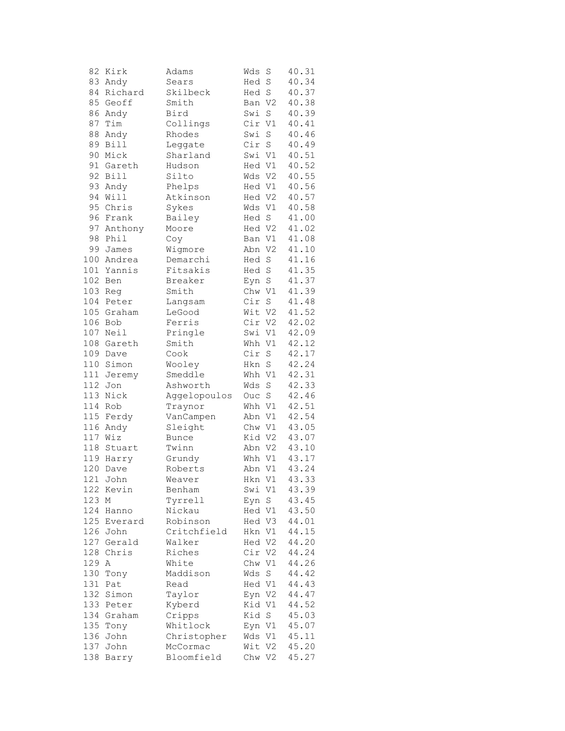| 82      | Kirk        | Adams        | Wds    | S              | 40.31 |
|---------|-------------|--------------|--------|----------------|-------|
|         | 83 Andy     | Sears        | Hed    | $\rm S$        | 40.34 |
| 84      | Richard     | Skilbeck     | Hed    | $\mathbf S$    | 40.37 |
| 85      | Geoff       | Smith        | Ban    | V <sub>2</sub> | 40.38 |
| 86      | Andy        | Bird         | Swi    | S              | 40.39 |
| 87      | Tim         | Collings     | Cir    | V1             | 40.41 |
| 88      |             | Rhodes       | Swi    | $\rm S$        |       |
|         | Andy        |              |        |                | 40.46 |
| 89      | <b>Bill</b> | Leggate      | Cir    | $\rm S$        | 40.49 |
| 90      | Mick        | Sharland     | Swi V1 |                | 40.51 |
|         | 91 Gareth   | Hudson       | Hed V1 |                | 40.52 |
| 92      | Bill        | Silto        | Wds V2 |                | 40.55 |
| 93      | Andy        | Phelps       | Hed V1 |                | 40.56 |
| 94      | Will        | Atkinson     | Hed V2 |                | 40.57 |
| 95      | Chris       | Sykes        | Wds    | V1             | 40.58 |
| 96      | Frank       | Bailey       | Hed S  |                | 41.00 |
| 97      | Anthony     | Moore        | Hed V2 |                | 41.02 |
| 98      | Phil        | Coy          | Ban V1 |                | 41.08 |
| 99      | James       | Wigmore      | Abn V2 |                | 41.10 |
|         | 100 Andrea  |              | Hed    | $\rm S$        | 41.16 |
|         |             | Demarchi     |        |                |       |
|         | 101 Yannis  | Fitsakis     | Hed    | $\rm S$        | 41.35 |
| 102     | Ben         | Breaker      | Eyn    | S              | 41.37 |
| 103     | Reg         | Smith        | Chw    | V1             | 41.39 |
| 104     | Peter       | Langsam      | Cir    | $\rm S$        | 41.48 |
|         | 105 Graham  | LeGood       | Wit    | V <sub>2</sub> | 41.52 |
| 106 Bob |             | Ferris       | Cir V2 |                | 42.02 |
|         | 107 Neil    | Pringle      | Swi V1 |                | 42.09 |
|         | 108 Gareth  | Smith        | Whh V1 |                | 42.12 |
| 109     | Dave        | Cook         | Cir    | $\rm S$        | 42.17 |
| 110     | Simon       | Wooley       | Hkn    | $\rm S$        | 42.24 |
| 111     | Jeremy      | Smeddle      | Whh V1 |                | 42.31 |
| 112     | Jon         | Ashworth     | Wds    | $\rm S$        | 42.33 |
| 113     | Nick        | Aggelopoulos | Ouc    | $\rm S$        | 42.46 |
| 114     | Rob         |              | Whh    |                |       |
|         |             | Traynor      |        | V1             | 42.51 |
|         | 115 Ferdy   | VanCampen    | Abn V1 |                | 42.54 |
| 116     | Andy        | Sleight      | Chw V1 |                | 43.05 |
| 117 Wiz |             | <b>Bunce</b> | Kid V2 |                | 43.07 |
| 118     | Stuart      | Twinn        | Abn V2 |                | 43.10 |
| 119     | Harry       | Grundy       | Whh V1 |                | 43.17 |
| 120     | Dave        | Roberts      | Abn V1 |                | 43.24 |
|         | 121 John    | Weaver       | Hkn V1 |                | 43.33 |
| 122     | Kevin       | Benham       | Swi V1 |                | 43.39 |
| 123     | Μ           | Tyrrell      | Eyn    | S              | 43.45 |
| 124     | Hanno       | Nickau       | Hed V1 |                | 43.50 |
| 125     | Everard     | Robinson     | Hed V3 |                | 44.01 |
|         | 126 John    | Critchfield  | Hkn V1 |                | 44.15 |
|         | 127 Gerald  | Walker       | Hed V2 |                | 44.20 |
| 128     | Chris       | Riches       | Cir V2 |                | 44.24 |
|         |             |              |        |                | 44.26 |
| 129     | Α           | White        | Chw    | V1             |       |
| 130     | Tony        | Maddison     | Wds    | S              | 44.42 |
| 131     | Pat         | Read         | Hed V1 |                | 44.43 |
| 132     | Simon       | Taylor       | Eyn V2 |                | 44.47 |
| 133     | Peter       | Kyberd       | Kid V1 |                | 44.52 |
| 134     | Graham      | Cripps       | Kid    | S              | 45.03 |
| 135     | Tony        | Whitlock     | Eyn V1 |                | 45.07 |
| 136     | John        | Christopher  | Wds    | V1             | 45.11 |
| 137     | John        | McCormac     | Wit    | V2             | 45.20 |
| 138     | Barry       | Bloomfield   | Chw V2 |                | 45.27 |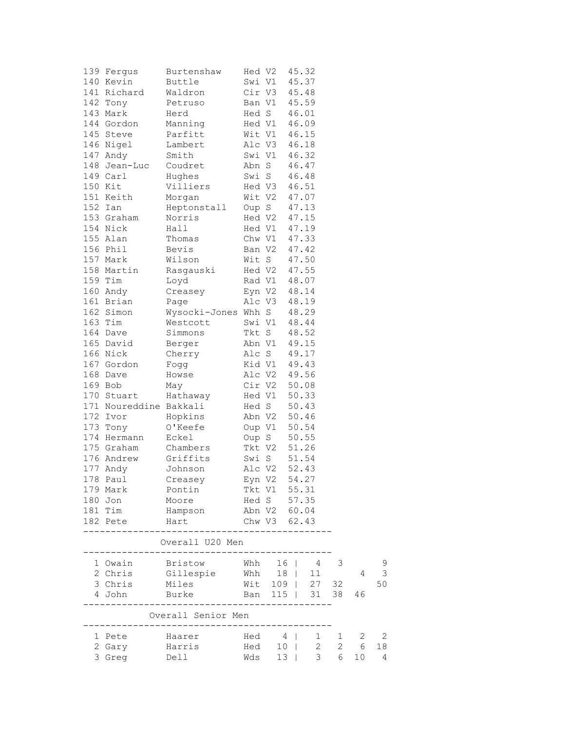| 139 Fergus             | Burtenshaw                                                      | Hed V2       |              | 45.32 |                |              |    |                |
|------------------------|-----------------------------------------------------------------|--------------|--------------|-------|----------------|--------------|----|----------------|
| 140 Kevin              | Buttle                                                          | Swi V1       |              |       | 45.37          |              |    |                |
| 141 Richard            | Waldron                                                         |              | Cir V3       | 45.48 |                |              |    |                |
| 142 Tony               | Petruso                                                         |              | Ban V1       |       | 45.59          |              |    |                |
| 143 Mark               | Herd                                                            |              | Hed S        | 46.01 |                |              |    |                |
| 144 Gordon             | Manning                                                         |              | Hed V1       |       | 46.09          |              |    |                |
| 145 Steve              | Parfitt                                                         |              | Wit V1       | 46.15 |                |              |    |                |
| 146 Nigel              | Lambert                                                         |              | Alc V3       | 46.18 |                |              |    |                |
| 147 Andy               | Smith                                                           |              | Swi V1 46.32 |       |                |              |    |                |
| 148 Jean-Luc           | Coudret                                                         |              | Abn S        |       | 46.47          |              |    |                |
| 149 Carl               | Hughes                                                          |              | Swi S        |       | 46.48          |              |    |                |
| 150 Kit                | Villiers                                                        |              | Hed V3       | 46.51 |                |              |    |                |
|                        |                                                                 |              |              |       |                |              |    |                |
| 151 Keith              | Morgan                                                          |              | Wit V2       | 47.07 |                |              |    |                |
| 152 Ian                | Heptonstall                                                     |              | Oup S        |       | 47.13          |              |    |                |
| 153 Graham             | Norris                                                          |              | Hed V2       | 47.15 |                |              |    |                |
| 154 Nick               | Hall                                                            |              | Hed V1       | 47.19 |                |              |    |                |
| 155 Alan               | Thomas                                                          |              | Chw V1       |       | 47.33          |              |    |                |
| 156 Phil               | Bevis                                                           |              | Ban V2       | 47.42 |                |              |    |                |
| 157 Mark               | Wilson                                                          |              | Wit S        |       | 47.50          |              |    |                |
| 158 Martin             | Rasgauski                                                       |              | Hed V2       |       | 47.55          |              |    |                |
| 159 Tim                | Loyd                                                            |              | Rad V1       |       | 48.07          |              |    |                |
| 160 Andy               | Creasey                                                         |              | Eyn V2       | 48.14 |                |              |    |                |
| 161 Brian              | Page                                                            |              | Alc V3       | 48.19 |                |              |    |                |
| 162 Simon              | Wysocki-Jones Whh S                                             |              |              |       | 48.29          |              |    |                |
| 163 Tim                | Westcott                                                        | Swi V1       |              | 48.44 |                |              |    |                |
| 164 Dave               | Simmons                                                         | Tkt S        |              |       | 48.52          |              |    |                |
| 165 David              | Berger                                                          | Abn V1       |              | 49.15 |                |              |    |                |
| 166 Nick               | Cherry                                                          |              | Alc S        |       | 49.17          |              |    |                |
| 167 Gordon             | Fogg                                                            |              | Kid V1 49.43 |       |                |              |    |                |
| 168 Dave               | Howse                                                           |              | Alc V2       |       | 49.56          |              |    |                |
| 169 Bob                |                                                                 |              | Cir V2       |       | 50.08          |              |    |                |
|                        | May                                                             |              |              |       |                |              |    |                |
| 170 Stuart             | Hathaway                                                        |              | Hed V1       | 50.33 |                |              |    |                |
| 171 Noureddine Bakkali |                                                                 |              | Hed S        |       | 50.43          |              |    |                |
| 172 Ivor               | Hopkins                                                         | Abn V2       |              |       | 50.46          |              |    |                |
| 173 Tony               | O'Keefe                                                         | Oup V1       |              |       | 50.54          |              |    |                |
| 174 Hermann            | Eckel                                                           |              | Oup S        |       | 50.55          |              |    |                |
| 175 Graham             | Chambers                                                        | Tkt V2       |              |       | 51.26          |              |    |                |
| 176 Andrew             | Griffits                                                        |              | Swi S        |       | 51.54          |              |    |                |
| 177 Andy               | Johnson                                                         |              | Alc V2       | 52.43 |                |              |    |                |
| 178 Paul               | Creasey                                                         |              | Eyn V2       |       | 54.27          |              |    |                |
|                        | 179 Mark Pontin                                                 | Tkt V1 55.31 |              |       |                |              |    |                |
| 180 Jon                | Moore<br>Hed S 57.35                                            |              |              |       |                |              |    |                |
| 181 Tim                | Hampson Abn V2 60.04                                            |              |              |       |                |              |    |                |
| 182 Pete               | Hart                                                            | Chw V3 62.43 |              |       |                |              |    |                |
|                        | ______________________                                          |              |              |       |                |              |    |                |
|                        | Overall U20 Men<br>-----------------------------                |              |              |       |                |              |    |                |
|                        | 1 Owain Bristow Whh 16   4 3                                    |              |              |       |                |              |    | 9              |
|                        | 2 Chris Gillespie Whh 18   11                                   |              |              |       |                |              |    |                |
|                        |                                                                 |              |              |       |                |              | 4  | 3              |
|                        | 3 Chris Miles Mit 109   27 32                                   |              |              |       |                |              |    | 50             |
| 4 John                 | Burke Ban 115   31 38<br>-------------------------------------- |              |              |       |                |              | 46 |                |
|                        | Overall Senior Men                                              |              |              |       |                |              |    |                |
|                        |                                                                 |              |              |       |                |              |    |                |
| 1 Pete                 | Haarer                                                          |              |              |       | Hed 4   1 1    |              | 2  | 2              |
| 2 Gary                 | Harris                                                          |              |              |       | Hed 10   2 2 6 |              |    | 18             |
| 3 Greg                 | Dell                                                            | Wds 13       |              |       |                | $3 \qquad 6$ | 10 | $\overline{4}$ |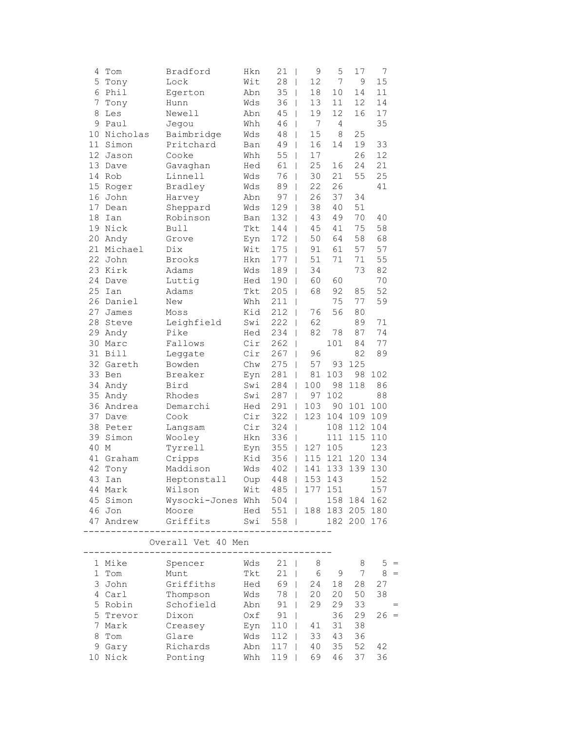| 4  | Tom       | Bradford                       | Hkn | 21<br>T                   | 9      | 5       | 17          | 7     |  |
|----|-----------|--------------------------------|-----|---------------------------|--------|---------|-------------|-------|--|
| 5  | Tony      | Lock                           | Wit | 28<br>L                   | 12     | 7       | 9           | 15    |  |
| 6  | Phil      | Egerton                        | Abn | 35<br>L                   | 18     | 10      | 14          | 11    |  |
| 7  | Tony      | Hunn                           | Wds | 36<br>L                   | 13     | 11      | 12          | 14    |  |
| 8  | Les       | Newell                         | Abn | 45<br>L                   | 19     | 12      | 16          | 17    |  |
| 9  | Paul      | Jegou                          | Whh | 46                        | 7      | 4       |             | 35    |  |
| 10 | Nicholas  | Baimbridge                     | Wds | 48                        | 15     | $\,8\,$ | 25          |       |  |
| 11 | Simon     | Pritchard                      | Ban | 49                        | 16     | 14      | 19          | 33    |  |
| 12 | Jason     | Cooke                          | Whh | 55<br>T                   | 17     |         | 26          | 12    |  |
| 13 | Dave      | Gavaghan                       | Hed | 61<br>L                   | 25     | 16      | 24          | 21    |  |
| 14 | Rob       | Linnell                        | Wds | 76<br>T                   | 30     | 21      | 55          | 25    |  |
| 15 | Roger     | Bradley                        | Wds | 89<br>I                   | 22     | 26      |             | 41    |  |
| 16 | John      | Harvey                         | Abn | 97<br>T                   | 26     | 37      | 34          |       |  |
| 17 | Dean      | Sheppard                       | Wds | 129<br>T                  | 38     | 40      | 51          |       |  |
| 18 | Ian       | Robinson                       | Ban | 132                       | 43     | 49      | 70          | 40    |  |
| 19 | Nick      | <b>Bull</b>                    | Tkt | 144                       | 45     | 41      | 75          | 58    |  |
| 20 | Andy      | Grove                          | Eyn | 172                       | 50     | 64      | 58          | 68    |  |
| 21 | Michael   | Dix                            | Wit | 175<br>T                  | 91     | 61      | 57          | 57    |  |
| 22 | John      | <b>Brooks</b>                  | Hkn | 177<br>T                  | 51     | 71      | 71          | 55    |  |
| 23 | Kirk      | Adams                          | Wds | 189<br>I                  | 34     |         | 73          | 82    |  |
| 24 | Dave      | Luttig                         | Hed | 190<br>T                  | 60     | 60      |             | 70    |  |
| 25 | Ian       | Adams                          | Tkt | 205<br>L                  | 68     | 92      | 85          | 52    |  |
| 26 | Daniel    | New                            | Whh | 211<br>T                  |        | 75      | 77          | 59    |  |
| 27 | James     | Moss                           | Kid | 212                       | 76     | 56      | 80          |       |  |
| 28 | Steve     | Leighfield                     | Swi | 222                       | 62     |         | 89          | 71    |  |
| 29 | Andy      | Pike                           | Hed | 234                       | 82     | 78      | 87          | 74    |  |
| 30 | Marc      | Fallows                        | Cir | 262<br>I                  |        | 101     | 84          | 77    |  |
| 31 | Bill      | Leggate                        | Cir | 267<br>T                  | 96     |         | 82          | 89    |  |
|    | 32 Gareth | Bowden                         | Chw | 275<br>I                  | 57     | 93      | 125         |       |  |
| 33 | Ben       | Breaker                        | Eyn | 281<br>I                  | $8\,1$ | 103     | 98          | 102   |  |
| 34 | Andy      | Bird                           | Swi | 284<br>T                  | 100    | 98      | 118         | 86    |  |
| 35 | Andy      | Rhodes                         | Swi | 287<br>L                  | 97     | 102     |             | 88    |  |
| 36 | Andrea    | Demarchi                       | Hed | 291<br>I                  | 103    | 90      | 101         | 100   |  |
| 37 | Dave      | Cook                           | Cir | 322                       | 123    | 104     | 109         | 109   |  |
| 38 | Peter     | Langsam                        | Cir | 324<br>I                  |        | 108     | 112         | 104   |  |
| 39 | Simon     | Wooley                         | Hkn | 336<br>I                  |        | 111     | 115         | 110   |  |
| 40 | М         | Tyrrell                        | Eyn | 355<br>$\mathbf{I}$       | 127    | 105     |             | 123   |  |
| 41 | Graham    | Cripps                         | Kid | 356<br>$\mathbf{I}$       | 115    | 121     | 120         | 134   |  |
| 42 | Tony      | Maddison                       | Wds | 402<br>L                  | 141    | 133     | 139         | 130   |  |
|    | 43 Ian    | Heptonstall                    | Oup | 448   153 143             |        |         |             | 152   |  |
|    | 44 Mark   | Wilson                         |     | Wit 485   177 151         |        |         |             | 157   |  |
|    |           | 45 Simon Wysocki-Jones Whh 504 |     |                           |        |         | 158 184 162 |       |  |
|    | 46 Jon    | Moore                          |     | Hed 551   188 183 205 180 |        |         |             |       |  |
|    | 47 Andrew | Griffits                       |     | Swi 558                   |        |         | 182 200 176 |       |  |
|    |           | Overall Vet 40 Men             |     |                           |        |         |             |       |  |
|    |           | ------                         |     |                           |        |         |             |       |  |
|    |           | 1 Mike Spencer Wds 21          |     |                           | 8      |         | 8           | $5 =$ |  |

1 Tom Munt Tkt 21 | 6 9 7 8 = 3 John Griffiths Hed 69 | 24 18 28 27 4 Carl Thompson Wds 78 | 20 20 50 38 5 Robin Schofield Abn 91 | 29 29 33 = 5 Trevor Dixon Oxf 91 | 36 29 26 = Eyn 110 | 41 31 38 8 Tom Glare Wds 112 | 33 43 36 9 Gary Richards Abn 117 | 40 35 52 42<br>10 Nick Ponting Whh 119 | 69 46 37 36 Ponting Whh 119 | 69 46 37 36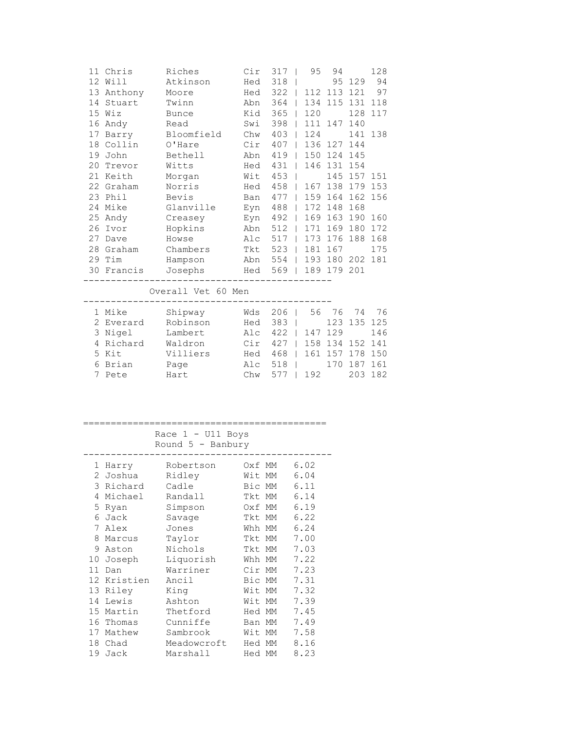| 11 | Chris     | Riches             | Cir | 317                            |                          | 95  | 94      |     | 128 |
|----|-----------|--------------------|-----|--------------------------------|--------------------------|-----|---------|-----|-----|
| 12 | Will      | Atkinson           | Hed | 318                            |                          |     | 95      | 129 | 94  |
| 13 | Anthony   | Moore              | Hed | $322$                          |                          |     | 112 113 | 121 | 97  |
| 14 | Stuart    | Twinn              | Abn | 364                            |                          | 134 | 115     | 131 | 118 |
| 15 | Wiz       | <b>Bunce</b>       | Kid | 365                            | $\Box$                   | 120 |         | 128 | 117 |
| 16 | Andy      | Read               | Swi | 398                            |                          | 111 | 147     | 140 |     |
| 17 | Barry     | Bloomfield         | Chw | 403                            |                          | 124 |         | 141 | 138 |
| 18 | Collin    | O'Hare             | Cir | 407                            |                          | 136 | 127     | 144 |     |
| 19 | John      | Bethell            | Abn | 419                            | $\mathbf{I}$             | 150 | 124     | 145 |     |
| 20 | Trevor    | Witts              | Hed | 431                            |                          | 146 | 131     | 154 |     |
| 21 | Keith     | Morgan             | Wit | 453                            |                          |     | 145     | 157 | 151 |
| 22 | Graham    | Norris             | Hed | 458                            | $\overline{\phantom{a}}$ | 167 | 138     | 179 | 153 |
| 23 | Phil      | Bevis              | Ban | 4771                           |                          | 159 | 164     | 162 | 156 |
| 24 | Mike      | Glanville          | Eyn | 488                            | $\mathbf{I}$             | 172 | 148     | 168 |     |
| 25 | Andy      | Creasey            | Eyn | 492                            |                          | 169 | 163     | 190 | 160 |
| 26 | Ivor      | Hopkins            | Abn | 512                            | $\mathbf{I}$             | 171 | 169     | 180 | 172 |
| 27 | Dave      | Howse              | Alc | 517                            | $\mathbf{I}$             | 173 | 176     | 188 | 168 |
| 28 | Graham    | Chambers           | Tkt | 523                            | $\Box$                   | 181 | 167     |     | 175 |
|    | 29 Tim    | Hampson            | Abn | 554                            |                          | 193 | 180     | 202 | 181 |
| 30 | Francis   | Josephs            | Hed | 569                            | $\Box$                   |     | 189 179 | 201 |     |
|    |           | Overall Vet 60 Men |     |                                |                          |     |         |     |     |
|    |           |                    |     |                                |                          |     |         |     |     |
|    | 1 Mike    | Shipway            | Wds | 206                            |                          | 56  | 76      | 74  | 76  |
|    | 2 Everard | Robinson           | Hed | 383                            |                          |     | 123     | 135 | 125 |
|    | 3 Nigel   | Lambert            | Alc | $422$ $\overline{\phantom{0}}$ |                          | 147 | 129     |     | 146 |
| 4  | Richard   | Waldron            | Cir | 427                            | $\mathbf{I}$             | 158 | 134     | 152 | 141 |
| 5  | Kit       | Villiers           | Hed | $468$                          |                          | 161 | 157     | 178 | 150 |
| 6  | Brian     | Page               | Alc | 518                            |                          |     | 170     | 187 | 161 |
| 7  | Pete      | Hart               | Chw | 577                            |                          | 192 |         | 203 | 182 |
|    |           |                    |     |                                |                          |     |         |     |     |

| ____<br>_____<br>__ |  |
|---------------------|--|
| Race $1 - U11$ Boys |  |

|    |          | Race $1 - U11$ Boys<br>Round $5$ - Banbury |        |    |      |
|----|----------|--------------------------------------------|--------|----|------|
| 1  | Harry    | Robertson                                  | Oxf MM |    | 6.02 |
| 2  | Joshua   | Ridley                                     | Wit    | MM | 6.04 |
| 3  | Richard  | Cadle                                      | Bic MM |    | 6.11 |
| 4  | Michael  | Randall                                    | Tkt    | MM | 6.14 |
| 5  | Ryan     | Simpson                                    | 0xf    | МM | 6.19 |
| 6  | Jack     | Savage                                     | Tkt    | МM | 6.22 |
| 7  | Alex     | Jones                                      | Whh MM |    | 6.24 |
| 8  | Marcus   | Taylor                                     | Tkt    | MM | 7.00 |
| 9  | Aston    | Nichols                                    | Tkt    | МM | 7.03 |
| 10 | Joseph   | Liquorish                                  | Whh MM |    | 7.22 |
| 11 | Dan      | Warriner                                   | Cir MM |    | 7.23 |
| 12 | Kristien | Ancil                                      | Bic MM |    | 7.31 |
| 13 | Riley    | King                                       | Wit    | MM | 7.32 |
| 14 | Lewis    | Ashton                                     | Wit    | MM | 7.39 |
| 15 | Martin   | Thetford                                   | Hed MM |    | 7.45 |
| 16 | Thomas   | Cunniffe                                   | Ban MM |    | 7.49 |
| 17 | Mathew   | Sambrook                                   | Wit    | MM | 7.58 |
| 18 | Chad     | Meadowcroft                                | Hed MM |    | 8.16 |
| 19 | Jack     | Marshall                                   | Hed MM |    | 8.23 |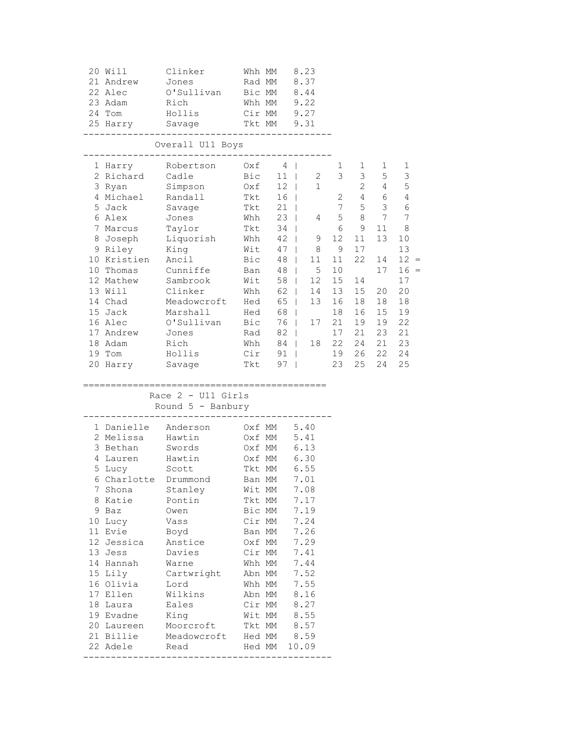| 20 Will<br>21 Andrew<br>22 Alec<br>23 Adam<br>24 Tom<br>25 Harry                                                                                                                                                                                                                          | Clinker<br>Jones<br>O'Sullivan<br>Rich<br>Hollis<br>Savage                                                                                                                                                    | Whh MM<br>Rad MM<br>Bic MM<br>Whh MM<br>Cir MM $9.27$<br>Tkt MM 9.31                                                                                                                                                               |                                                                                                                                                                        | 8.23<br>8.37<br>8.44<br>9.22                                                                                                                                        |                                                                                                                         |                                                                                                                        |                                                                                                                                           |                                                                                                                       |
|-------------------------------------------------------------------------------------------------------------------------------------------------------------------------------------------------------------------------------------------------------------------------------------------|---------------------------------------------------------------------------------------------------------------------------------------------------------------------------------------------------------------|------------------------------------------------------------------------------------------------------------------------------------------------------------------------------------------------------------------------------------|------------------------------------------------------------------------------------------------------------------------------------------------------------------------|---------------------------------------------------------------------------------------------------------------------------------------------------------------------|-------------------------------------------------------------------------------------------------------------------------|------------------------------------------------------------------------------------------------------------------------|-------------------------------------------------------------------------------------------------------------------------------------------|-----------------------------------------------------------------------------------------------------------------------|
|                                                                                                                                                                                                                                                                                           | ----------------------------<br>Overall U11 Boys                                                                                                                                                              |                                                                                                                                                                                                                                    |                                                                                                                                                                        |                                                                                                                                                                     |                                                                                                                         |                                                                                                                        |                                                                                                                                           |                                                                                                                       |
| 1 Harry<br>2 Richard<br>3 Ryan<br>4 Michael<br>5 Jack<br>6 Alex<br>7 Marcus Taylor<br>9 Riley<br>10 Kristien<br>10 Thomas<br>12 Mathew<br>13 Will<br>14 Chad<br>15 Jack<br>16 Alec<br>17 Andrew<br>18 Adam<br>19 Tom<br>20 Harry Savage                                                   | Robertson Oxf<br>Cadle<br>Simpson<br>Randall<br>Savage<br>Jones<br>8 Joseph Liquorish<br>King<br>Ancil<br>Cunniffe<br>Sambrook<br>Clinker<br>Meadowcroft<br>Marshall<br>O'Sullivan<br>Jones<br>Rich<br>Hollis | $Bic$ 11  <br>0xf 12  <br>Tkt 16  <br>Tkt<br>Tkt<br>Whh<br>Tkt<br>Whh<br>Wit<br>Bic<br>Ban<br>Wit<br>Whh<br>Hed<br>Hed<br>Bic<br>Rad<br>Cir<br>Tkt                                                                                 | $4 \mid$<br>16 <sup>1</sup><br>$21$  <br>$23 \mid$<br>$34$  <br>$42 \mid$<br>$47 \mid$<br>48<br>48<br>58<br>$62 \mid$<br>65  <br>68  <br>76  <br>$82 \mid$<br>91<br>97 | $2 \overline{2}$<br>1<br>9<br>8 <sup>8</sup><br>11<br>$5\phantom{.0}$<br>$\Box$<br>12 <sup>°</sup><br>$\mathbf{L}$<br>14<br>13<br>17<br>Whh 84   18<br>$\mathbf{I}$ | 1<br>3<br>2<br>$7\overline{ }$<br>4 5<br>6<br>12<br>9<br>11<br>10<br>15<br>13<br>16<br>18<br>21<br>17<br>22<br>19<br>23 | 1<br>3 <sup>7</sup><br>$\frac{2}{4}$<br>8<br>9<br>11<br>17<br>22<br>14<br>15<br>18<br>16<br>19<br>21<br>24<br>26<br>25 | 1<br>5<br>$\overline{4}$<br>- 6<br>$5 \qquad 3$<br>$\overline{7}$<br>11<br>13<br>14<br>17<br>20<br>18<br>15<br>19<br>23<br>21<br>22<br>24 | 1<br>3<br>5<br>4<br>6<br>7<br>8<br>10<br>13<br>$12 =$<br>$16 =$<br>17<br>20<br>18<br>19<br>22<br>21<br>23<br>24<br>25 |
|                                                                                                                                                                                                                                                                                           | Race $2 - U11$ Girls<br>Round $5$ - Banbury                                                                                                                                                                   |                                                                                                                                                                                                                                    |                                                                                                                                                                        |                                                                                                                                                                     |                                                                                                                         |                                                                                                                        |                                                                                                                                           |                                                                                                                       |
| 1 Danielle Anderson<br>2 Melissa<br>3 Bethan<br>4 Lauren<br>5 Lucy<br>6 Charlotte Drummond<br>7 Shona<br>8 Katie<br>9 Baz<br>10 Lucy<br>11 Evie<br>12 Jessica<br>13 Jess<br>14 Hannah<br>15 Lily<br>16 Olivia<br>17 Ellen<br>18 Laura<br>19 Evadne<br>20 Laureen<br>21 Billie<br>22 Adele | Hawtin<br>Swords<br>Hawtin<br>Scott<br>Stanley<br>Pontin<br>Owen<br>Vass<br>Boyd<br>Anstice<br>Davies<br>Warne<br>Cartwright<br>Lord<br>Wilkins<br>Eales<br>King<br>Moorcroft<br>Meadowcroft<br>Read          | Oxf MM 5.40<br>Oxf MM<br>Oxf MM 6.13<br>Oxf MM<br>Tkt MM<br>Ban MM<br>Wit MM<br>Tkt MM<br>Bic MM<br>Cir MM<br>Ban MM<br>Oxf MM<br>Cir MM<br>Whh MM<br>Abn MM<br>Whh MM<br>Abn MM<br>Cir MM<br>Wit MM<br>Tkt MM<br>Hed MM<br>Hed MM |                                                                                                                                                                        | 5.41<br>6.30<br>6.55<br>7.01<br>7.08<br>7.17<br>7.19<br>7.24<br>7.26<br>7.29<br>7.41<br>7.44<br>7.52<br>7.55<br>8.16<br>8.27<br>8.55<br>8.57<br>8.59<br>10.09       |                                                                                                                         |                                                                                                                        |                                                                                                                                           |                                                                                                                       |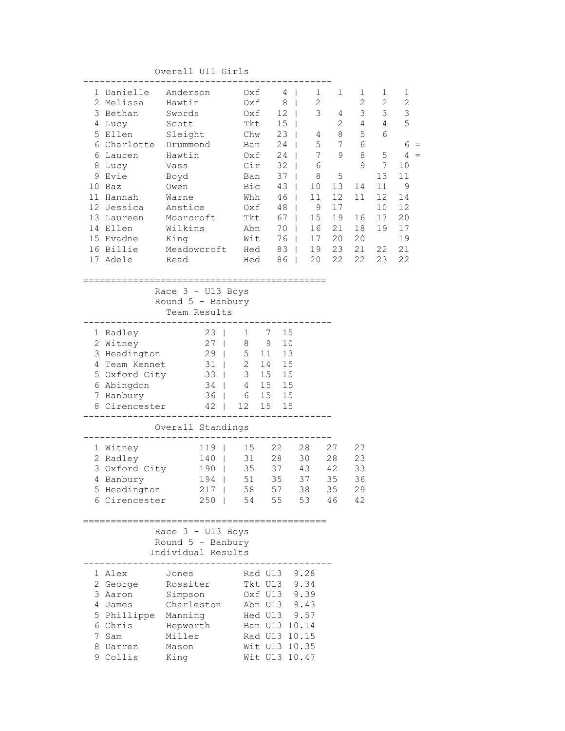Overall U11 Girls

| 1 Danielle<br>2 Melissa<br>3 Bethan<br>4 Lucy<br>5 Ellen<br>6 Charlotte Drummond<br>6 Lauren<br>8 Lucy<br>9 Evie | Anderson<br>Hawtin<br>Swords<br>Scott<br>Sleight<br>Hawtin<br>Vass<br>Boyd | Oxf<br>Oxf<br>Oxf<br>Tkt<br>Chw<br>Ban<br>Oxf<br>Cir<br>Ban | 4<br>8 <sup>1</sup><br>12 <sub>1</sub><br>15 <sub>1</sub><br>$23 \mid$<br>24<br>24<br>$\Box$<br>$32$  <br>$37 \mid$ | $\mathbf{1}$<br>$\overline{\phantom{a}}$<br>2<br>3<br>4<br>5<br>$7\phantom{.}$<br>6<br>8 | 1<br>4<br>2<br>8<br>7<br>9<br>5 | 1<br>$\mathbf{2}$<br>3<br>4<br>5<br>6<br>8<br>9 | 1<br>2<br>$\mathcal{S}$<br>$\overline{4}$<br>6<br>5<br>7<br>13 | 1<br>$\mathbf{2}$<br>3<br>5<br>6<br>4<br>10<br>11 |
|------------------------------------------------------------------------------------------------------------------|----------------------------------------------------------------------------|-------------------------------------------------------------|---------------------------------------------------------------------------------------------------------------------|------------------------------------------------------------------------------------------|---------------------------------|-------------------------------------------------|----------------------------------------------------------------|---------------------------------------------------|
| 10 Baz<br>11 Hannah                                                                                              | Owen<br>Warne                                                              | Bic<br>Whh                                                  | $43 \mid$<br>$46-1$                                                                                                 | 10 <sub>1</sub><br>11                                                                    | 13<br>12                        | 14<br>11                                        | 11<br>12                                                       | 9<br>14                                           |
| 12 Jessica                                                                                                       | Anstice                                                                    | Oxf                                                         | $48$                                                                                                                | 9                                                                                        | 17                              |                                                 | 10                                                             | 12                                                |
| 13 Laureen                                                                                                       | Moorcroft                                                                  | Tkt                                                         | $67 \mid$                                                                                                           | 15                                                                                       | 19                              | 16                                              | 17                                                             | 20                                                |
| 14 Ellen<br>15 Evadne                                                                                            | Wilkins<br>King                                                            | Abn<br>Wit                                                  | 70<br>76                                                                                                            | 16<br>17                                                                                 | 21<br>20                        | 18<br>20                                        | 19                                                             | 17<br>19                                          |
| 16 Billie                                                                                                        | Meadowcroft                                                                | Hed                                                         | $83 \mid$                                                                                                           | 19                                                                                       | 23                              | 21                                              | 22                                                             | 21                                                |
| 17 Adele                                                                                                         | Read                                                                       | Hed                                                         | $86$                                                                                                                | 20                                                                                       | 22                              | 22                                              | 23                                                             | 22                                                |
|                                                                                                                  |                                                                            |                                                             |                                                                                                                     |                                                                                          |                                 |                                                 |                                                                |                                                   |
|                                                                                                                  | Race $3 - U13$ Boys                                                        |                                                             |                                                                                                                     |                                                                                          |                                 |                                                 |                                                                |                                                   |
|                                                                                                                  | Round $5$ - Banbury                                                        |                                                             |                                                                                                                     |                                                                                          |                                 |                                                 |                                                                |                                                   |
|                                                                                                                  | Team Results                                                               |                                                             |                                                                                                                     |                                                                                          |                                 |                                                 |                                                                |                                                   |
| 1 Radley                                                                                                         | $23 \mid$                                                                  | $\mathbf{1}$<br>-7                                          | 15                                                                                                                  |                                                                                          |                                 |                                                 |                                                                |                                                   |
| 2 Witney                                                                                                         | $27 \mid$                                                                  | 8<br>$\overline{9}$                                         | 10                                                                                                                  |                                                                                          |                                 |                                                 |                                                                |                                                   |
| 3 Headington                                                                                                     | $29$                                                                       | 5<br>11                                                     | 13                                                                                                                  |                                                                                          |                                 |                                                 |                                                                |                                                   |
| 4 Team Kennet                                                                                                    | $31$                                                                       | $\overline{2}$<br>14                                        | 15                                                                                                                  |                                                                                          |                                 |                                                 |                                                                |                                                   |
| 5 Oxford City<br>6 Abingdon                                                                                      | $33 \mid$<br>$34$                                                          | $\mathcal{S}$<br>15<br>$4\overline{ }$                      | 15<br>15 15                                                                                                         |                                                                                          |                                 |                                                 |                                                                |                                                   |
| 7 Banbury                                                                                                        | $36 \mid$                                                                  | 6                                                           | 15 15                                                                                                               |                                                                                          |                                 |                                                 |                                                                |                                                   |
| 8 Cirencester                                                                                                    |                                                                            | 42   12<br>15                                               | 15                                                                                                                  |                                                                                          |                                 |                                                 |                                                                |                                                   |
|                                                                                                                  |                                                                            |                                                             |                                                                                                                     |                                                                                          |                                 |                                                 |                                                                |                                                   |
|                                                                                                                  | Overall Standings                                                          |                                                             |                                                                                                                     |                                                                                          |                                 |                                                 |                                                                |                                                   |
| 1 Witney                                                                                                         | $119$                                                                      | 15 22                                                       |                                                                                                                     | 28                                                                                       | 27                              | 27                                              |                                                                |                                                   |
| 2 Radley                                                                                                         | 140                                                                        | 31                                                          | 28                                                                                                                  | 30                                                                                       | 28                              | 23                                              |                                                                |                                                   |
| 3 Oxford City                                                                                                    | 190                                                                        | 35<br>51                                                    | 37<br>35                                                                                                            | 43<br>37                                                                                 | 42<br>35                        | 33                                              |                                                                |                                                   |
| 4 Banbury<br>5 Headington                                                                                        | 194  <br>$217$                                                             | 58                                                          | 57                                                                                                                  | 38                                                                                       | 35                              | 36<br>29                                        |                                                                |                                                   |
| 6 Cirencester                                                                                                    | $250$                                                                      | 54                                                          | 55                                                                                                                  | 53                                                                                       | 46                              | 42                                              |                                                                |                                                   |
|                                                                                                                  |                                                                            |                                                             |                                                                                                                     |                                                                                          |                                 |                                                 |                                                                |                                                   |
|                                                                                                                  | Race 3 - U13 Boys                                                          | ======================                                      |                                                                                                                     |                                                                                          |                                 |                                                 |                                                                |                                                   |
|                                                                                                                  | Round $5$ - Banbury                                                        |                                                             |                                                                                                                     |                                                                                          |                                 |                                                 |                                                                |                                                   |
|                                                                                                                  | Individual Results                                                         |                                                             |                                                                                                                     |                                                                                          |                                 |                                                 |                                                                |                                                   |
| 1 Alex                                                                                                           | Jones                                                                      |                                                             | Rad U13 9.28                                                                                                        |                                                                                          |                                 |                                                 |                                                                |                                                   |
| 2 George                                                                                                         | Rossiter                                                                   |                                                             | Tkt U13 9.34                                                                                                        |                                                                                          |                                 |                                                 |                                                                |                                                   |
| 3 Aaron<br>4 James                                                                                               | Simpson<br>Charleston                                                      |                                                             | Oxf U13 9.39<br>Abn U13 9.43                                                                                        |                                                                                          |                                 |                                                 |                                                                |                                                   |
| 5 Phillippe Manning                                                                                              |                                                                            |                                                             | Hed U13 9.57                                                                                                        |                                                                                          |                                 |                                                 |                                                                |                                                   |
| 6 Chris                                                                                                          | Hepworth                                                                   |                                                             | Ban U13 10.14                                                                                                       |                                                                                          |                                 |                                                 |                                                                |                                                   |
| 7 Sam                                                                                                            | Miller                                                                     |                                                             | Rad U13 10.15                                                                                                       |                                                                                          |                                 |                                                 |                                                                |                                                   |
| 8 Darren                                                                                                         | Mason                                                                      |                                                             | Wit U13 10.35                                                                                                       |                                                                                          |                                 |                                                 |                                                                |                                                   |
| 9 Collis                                                                                                         | King                                                                       |                                                             | Wit U13 10.47                                                                                                       |                                                                                          |                                 |                                                 |                                                                |                                                   |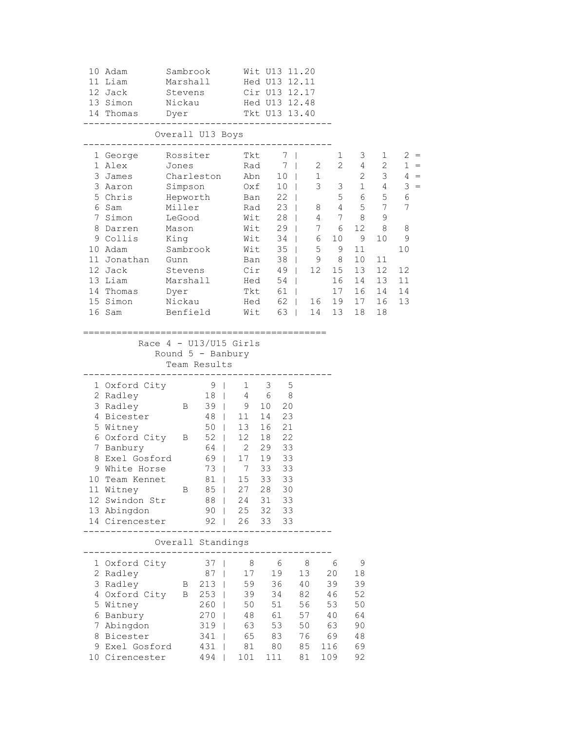|    | 10 Adam<br>11 Liam<br>12 Jack<br>13 Simon<br>14 Thomas                                                                                                                                                                                             | Sambrook<br>Marshall<br>Stevens<br>Nickau<br>Dyer                                                                                                |                                                                                      | Cir U13 12.17<br>Tkt U13 13.40                                                                  | Wit U13 11.20<br>Hed U13 12.11<br>Hed U13 12.48                            |                                                    |                                                                      |                                                                                                                                                                  |                                                                                                             |                                                                                                                                        |                                                                                    |
|----|----------------------------------------------------------------------------------------------------------------------------------------------------------------------------------------------------------------------------------------------------|--------------------------------------------------------------------------------------------------------------------------------------------------|--------------------------------------------------------------------------------------|-------------------------------------------------------------------------------------------------|----------------------------------------------------------------------------|----------------------------------------------------|----------------------------------------------------------------------|------------------------------------------------------------------------------------------------------------------------------------------------------------------|-------------------------------------------------------------------------------------------------------------|----------------------------------------------------------------------------------------------------------------------------------------|------------------------------------------------------------------------------------|
|    | -----------------------------------                                                                                                                                                                                                                | Overall U13 Boys<br>. _ _ _ _ _ _ _ _ _ _ _ _ _ _ _                                                                                              |                                                                                      |                                                                                                 |                                                                            |                                                    |                                                                      |                                                                                                                                                                  |                                                                                                             |                                                                                                                                        |                                                                                    |
|    | 1 George Rossiter Tkt<br>1 Alex<br>3 James<br>3 Aaron<br>5 Chris<br>6 Sam<br>7 Simon LeGood<br>8 Darren Mason<br>9 Collis<br>10 Adam<br>11 Jonathan Gunn<br>12 Jack<br>13 Liam<br>14 Thomas<br>15 Simon                                            | Jones Rad 7  <br>Charleston Abn 10  <br>Simpson 0xf 10  <br>Hepworth<br>Miller<br>King<br>Sambrook<br>Stevens<br>~<br>Marshall<br>Dyer<br>Nickau |                                                                                      | Ban 22  <br>Rad<br>Wit<br>Wit 35  <br>Ban 38  <br>Cir 49                                        | Wit 29  <br>$Head = 54$<br>Tkt 61                                          | 7 <sub>1</sub><br>7 <sup>1</sup><br>$28$  <br>49   | Wit 34   6<br>Hed 62   16                                            | 1<br>$2\overline{ }$<br>$2\overline{ }$<br>1<br>$3 \quad 3$<br>23   8 4 5 7<br>4 7 8<br>7 6<br>10<br>5 <sup>5</sup><br>9<br>9<br>8<br>12<br>15<br>16<br>17<br>19 | 3<br>$4\overline{ }$<br>$2^{\circ}$<br>$5 \qquad 6 \qquad 5$<br>12<br>9<br>11<br>10<br>13<br>14<br>16<br>17 | $\mathbf{1}$<br>$\frac{2}{2}$<br>3 <sup>7</sup><br>$\begin{array}{cc} 1 & 4 \end{array}$<br>9<br>8<br>10<br>11<br>12<br>13<br>14<br>16 | $2 =$<br>$1 =$<br>$4 =$<br>$3 =$<br>6<br>7<br>8<br>9<br>10<br>12<br>11<br>14<br>13 |
|    | 16 Sam<br>-----------                                                                                                                                                                                                                              | Benfield<br>Race $4 - U13/U15$ Girls<br>Round $5$ - Banbury<br>-----------                                                                       | Team Results                                                                         | =====================                                                                           |                                                                            |                                                    | Wit 63   14                                                          | 13                                                                                                                                                               | 18                                                                                                          | 18                                                                                                                                     |                                                                                    |
| 10 | 1 Oxford City 9  <br>2 Radley<br>3 Radley B 39   9<br>4 Bicester<br>5 Witney<br>$6$ Oxford City $B$ 52   12<br>7 Banbury<br>8 Exel Gosford<br>9 White Horse<br>Team Kennet<br>11 Witney<br>12 Swindon Str<br>13 Abingdon<br>14 Cirencester 92   26 | $\mathbf{B}$                                                                                                                                     | $69$  <br>85  <br>$88$                                                               | 18   4 6 8<br>48   11<br>50   13<br>64   2<br>73   7<br>81   15 33<br>27<br>24<br>90   25 32 33 | $1 \qquad 3 \qquad 5$<br>16 21<br>18 22<br>17  19  33<br>33<br>28<br>33 33 | 10 20<br>14 23<br>29 33<br>33<br>33<br>30<br>31 33 |                                                                      |                                                                                                                                                                  |                                                                                                             |                                                                                                                                        |                                                                                    |
|    | -----------                                                                                                                                                                                                                                        | Overall Standings                                                                                                                                |                                                                                      |                                                                                                 | -------------                                                              |                                                    |                                                                      |                                                                                                                                                                  |                                                                                                             |                                                                                                                                        |                                                                                    |
|    | 1 Oxford City<br>2 Radley<br>3 Radley<br>4 Oxford City B 253  <br>5 Witney<br>6 Banbury<br>7 Abingdon<br>8 Bicester<br>9 Exel Gosford<br>10 Cirencester                                                                                            | B 213                                                                                                                                            | $37 \mid$<br>$87 \mid$<br>$260$  <br>$270$  <br>$319$  <br>$341$  <br>431  <br>$494$ | 8 <sup>8</sup><br>17<br>59<br>39<br>50<br>48<br>63<br>65<br>81<br>101                           | 111                                                                        | 6<br>19<br>36<br>34<br>51<br>61<br>53<br>83<br>80  | 8 <sup>8</sup><br>13<br>40<br>82<br>56<br>57<br>50<br>76<br>85<br>81 | - 6<br>20<br>39<br>46<br>53<br>40<br>63<br>69<br>116<br>109                                                                                                      | 9<br>18<br>39<br>52<br>50<br>64<br>90<br>48<br>69<br>92                                                     |                                                                                                                                        |                                                                                    |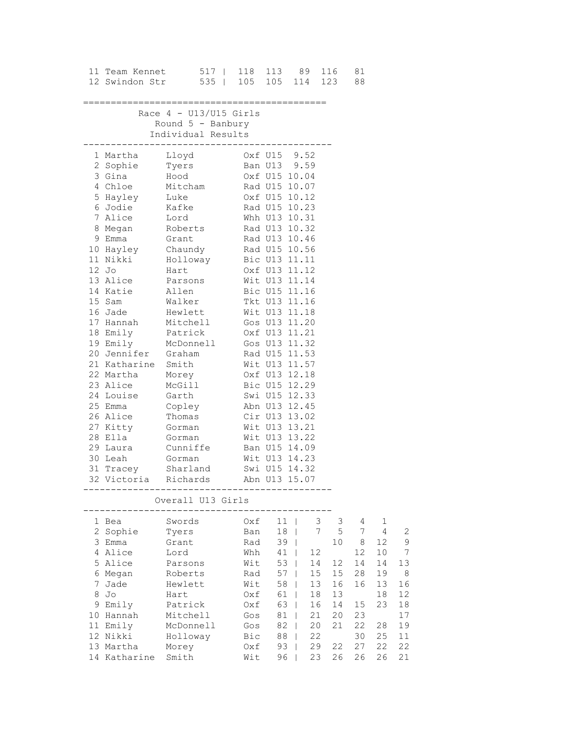|   |                                                                                                                                                                | 11 Team Kennet 517   118 113 89 116<br>12 Swindon Str 535   105 105 114 123 88                                                                                                                                                                                                                                                                                                                                                                                                                                                                                                                                                                                                                                                                               |                                                                                                |                                                                                  |                                                                                                                                                                           |                                                                                        | 81                                                                      |                                                                          |                                                                        |
|---|----------------------------------------------------------------------------------------------------------------------------------------------------------------|--------------------------------------------------------------------------------------------------------------------------------------------------------------------------------------------------------------------------------------------------------------------------------------------------------------------------------------------------------------------------------------------------------------------------------------------------------------------------------------------------------------------------------------------------------------------------------------------------------------------------------------------------------------------------------------------------------------------------------------------------------------|------------------------------------------------------------------------------------------------|----------------------------------------------------------------------------------|---------------------------------------------------------------------------------------------------------------------------------------------------------------------------|----------------------------------------------------------------------------------------|-------------------------------------------------------------------------|--------------------------------------------------------------------------|------------------------------------------------------------------------|
|   |                                                                                                                                                                | Race $4 - U13/U15$ Girls<br>Round $5$ - Banbury<br>Individual Results                                                                                                                                                                                                                                                                                                                                                                                                                                                                                                                                                                                                                                                                                        |                                                                                                |                                                                                  |                                                                                                                                                                           |                                                                                        |                                                                         |                                                                          |                                                                        |
|   | $12$ Jo<br>Hart<br>13 Alice<br>14 Katie<br>15 Sam<br>21 Katharine Smith<br>22 Martha Morey<br>23 Alice<br>23 Anise Mossie<br>24 Louise Garth<br>30 Leah Gorman | ---------------------------------<br>1 Martha Lloyd 0xf U15 9.52<br>2 Sophie Tyers Ban U13 9.59<br>3 Gina Hood<br>4 Chloe Mitcham Rad U15 10.07<br>5 Hayley Luke 0xf U15 10.12<br>6 Jodie Kafke Rad U15 10.23<br>7 Alice Lord Whh U13 10.31<br>8 Megan Roberts Rad U13 10.32<br>9 Emma Grant Rad U13 10.46<br>10 Hayley Chaundy Rad U15 10.56<br>11 Nikki Holloway Bic U13 11.11<br>16 Jade Hewlett Wit U13 11.18<br>17 Hannah Mitchell Gos U13 11.20<br>18 Emily Patrick 0xf U13 11.21<br>19 Emily McDonnell Gos U13 11.32<br>20 Jennifer Graham Rad U15 11.53<br>McGill<br>25 Emma Copley Abn U13 12.45<br>26 Alice Thomas Cir U13 13.02<br>27 Kitty Gorman Wit U13 13.21<br>29 Laura Cunniffe Ban U15 14.09<br>31 Tracey Sharland<br>32 Victoria Richards | Wit U13 14.23                                                                                  |                                                                                  | Oxf U15 10.04<br>Rad U15 10.07<br>Oxf U13 11.12<br>Wit U13 11.14<br>Wit U13 11.57<br>Oxf U13 12.18<br>Bic U15 12.29<br>Swi U15 12.33<br>Swi U15 14.32<br>Abn U13 15.07    |                                                                                        |                                                                         |                                                                          |                                                                        |
|   |                                                                                                                                                                | Overall U13 Girls                                                                                                                                                                                                                                                                                                                                                                                                                                                                                                                                                                                                                                                                                                                                            |                                                                                                |                                                                                  |                                                                                                                                                                           |                                                                                        |                                                                         |                                                                          |                                                                        |
| 8 | 1 Bea<br>2 Sophie<br>3 Emma<br>4 Alice<br>5 Alice<br>6 Megan<br>7 Jade<br>Jo<br>9 Emily<br>10 Hannah<br>11 Emily<br>12 Nikki<br>13 Martha<br>14 Katharine      | Swords<br>Tyers<br>Grant<br>Lord<br>Parsons<br>Roberts<br>Hewlett<br>Hart<br>Patrick<br>Mitchell<br>McDonnell<br>Holloway<br>Morey<br>Smith                                                                                                                                                                                                                                                                                                                                                                                                                                                                                                                                                                                                                  | Oxf<br>Ban<br>Rad<br>Whh<br>Wit<br>Rad<br>Wit<br>Oxf<br>Oxf<br>Gos<br>Gos<br>Bic<br>Oxf<br>Wit | 11<br>18<br>39<br>41<br>53<br>57<br>58<br>61<br>63<br>81<br>82<br>88<br>93<br>96 | 12<br>$\perp$<br>14<br>$\mathbf{I}$<br>15<br>$\mathbf{I}$<br>13<br>$\mathbf{I}$<br>18<br>$\Box$<br>16<br>$\perp$<br>21<br>$\mathbf{I}$<br>20<br>22<br>29<br>$\perp$<br>23 | 3<br>3<br>$\mathsf S$<br>7<br>10<br>12<br>15<br>16<br>13<br>14<br>20<br>21<br>22<br>26 | 4<br>7<br>8<br>12<br>14<br>28<br>16<br>15<br>23<br>22<br>30<br>27<br>26 | 1<br>4<br>12<br>10<br>14<br>19<br>13<br>18<br>23<br>28<br>25<br>22<br>26 | 2<br>9<br>7<br>13<br>8<br>16<br>12<br>18<br>17<br>19<br>11<br>22<br>21 |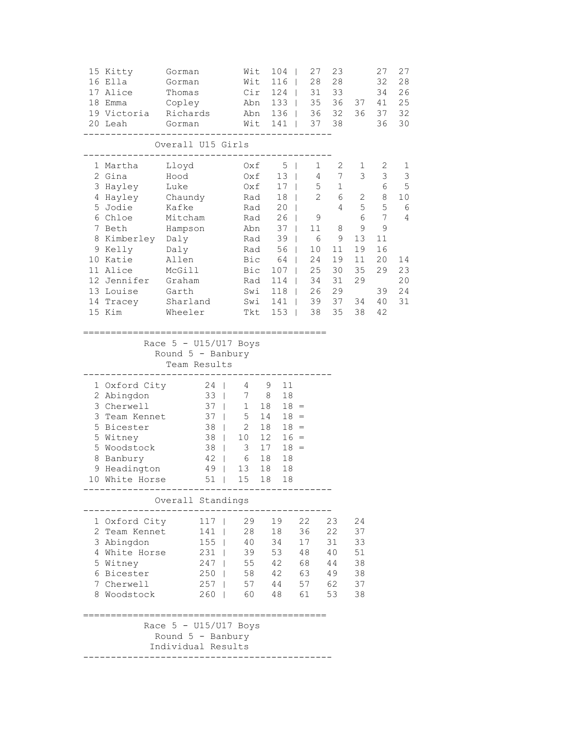| 15 Kitty<br>16 Ella<br>17 Alice<br>18 Emma<br>20 Leah | 19 Victoria                                                                                                                                            | Gorman<br>Gorman<br>Thomas<br>Copley<br>Richards<br>Gorman                                                                           | Wit<br>Wit                                                                                                                                               | 104<br>116<br>$Cir$ 124  <br>Abn 133  <br>Abn 136  <br>$Wit$ 141                                                   | - 1<br>$\perp$<br>$\Box$                                                                                                                                             | 27<br>23<br>28<br>28<br>31<br>33<br>35<br>36<br>36 32<br>37<br>38                                                                                                                                          | 37<br>36                                                                       | 27<br>32<br>34<br>41<br>37<br>36                                                                 | 27<br>28<br>26<br>25<br>32<br>30                            |
|-------------------------------------------------------|--------------------------------------------------------------------------------------------------------------------------------------------------------|--------------------------------------------------------------------------------------------------------------------------------------|----------------------------------------------------------------------------------------------------------------------------------------------------------|--------------------------------------------------------------------------------------------------------------------|----------------------------------------------------------------------------------------------------------------------------------------------------------------------|------------------------------------------------------------------------------------------------------------------------------------------------------------------------------------------------------------|--------------------------------------------------------------------------------|--------------------------------------------------------------------------------------------------|-------------------------------------------------------------|
|                                                       |                                                                                                                                                        | Overall U15 Girls                                                                                                                    |                                                                                                                                                          |                                                                                                                    |                                                                                                                                                                      |                                                                                                                                                                                                            |                                                                                |                                                                                                  |                                                             |
| 2 Gina<br>7 Beth<br>15 Kim                            | 1 Martha<br>3 Hayley<br>4 Hayley<br>5 Jodie<br>6 Chloe<br>8 Kimberley Daly<br>9 Kelly<br>10 Katie<br>11 Alice<br>12 Jennifer<br>13 Louise<br>14 Tracey | Lloyd<br>Hood<br>Luke<br>Chaundy<br>Kafke<br>Mitcham<br>Hampson<br>Daly<br>Allen<br>McGill<br>Graham<br>Garth<br>Sharland<br>Wheeler | Oxf<br>Oxf<br>Oxf<br>Rad<br>Bic<br>Bic<br>Tkt                                                                                                            | $5 \mid$<br>Rad<br>Rad<br>Rad<br>Abn 37  <br>Rad 39<br>56<br>64<br>107<br>Rad 114<br>Swi 118  <br>Swi $141$<br>153 | $13 \mid$<br>$17 \mid$<br>18 <sup>1</sup><br>$20 \mid$<br>$26$  <br>$\mathbf{L}$<br>$\mathbf{L}$<br>$\mathbb{R}$<br>$\Box$<br>$\Box$<br>$\mathbf{1}$<br>$\mathbb{R}$ | 2<br>1<br>$\overline{4}$<br>7<br>5<br>$\mathbf{1}$<br>$\overline{2}$<br>6<br>4<br>9<br>11<br>8<br>$6\overline{6}$<br>9<br>10<br>11<br>24<br>19<br>25<br>30<br>34<br>31<br>26<br>29<br>39<br>37<br>35<br>38 | 1<br>3<br>2<br>5<br>6<br>$\mathsf 9$<br>13<br>19<br>11<br>35<br>29<br>34<br>38 | 2<br>$\mathfrak{Z}$<br>6<br>8<br>5<br>7<br>$\mathsf 9$<br>11<br>16<br>20<br>29<br>39<br>40<br>42 | 1<br>3<br>5<br>10<br>- 6<br>4<br>14<br>23<br>20<br>24<br>31 |
|                                                       |                                                                                                                                                        | Race $5 - U15/U17$ Boys<br>Round $5$ - Banbury<br>Team Results                                                                       | ================                                                                                                                                         |                                                                                                                    |                                                                                                                                                                      |                                                                                                                                                                                                            |                                                                                |                                                                                                  |                                                             |
|                                                       | 1 Oxford City<br>2 Abingdon<br>3 Cherwell<br>3 Team Kennet<br>5 Bicester<br>5 Witney<br>5 Woodstock<br>8 Banbury<br>9 Headington<br>10 White Horse     | $24$  <br>$33 \mid$<br>37<br>37<br>38<br>38<br>38<br>42<br>49<br>$51$                                                                | 4<br>$\mathbb{R}^n$<br>1 5 14<br>$\mathbb{R}$<br>10 <sub>o</sub><br>$\mathbb{R}^n$<br>3<br>$\mathbf{L}$<br>6<br>$\mathbf{L}$<br>13<br>$\mathbb{R}$<br>15 | 9<br>7 8<br>$1\quad 18$<br>2 18<br>12<br>17<br>18<br>18<br>18                                                      | 11<br>18<br>$18 =$<br>$18 =$<br>$18 =$<br>$16 =$<br>$18 =$<br>18<br>18<br>18                                                                                         |                                                                                                                                                                                                            |                                                                                |                                                                                                  |                                                             |
|                                                       |                                                                                                                                                        | Overall Standings                                                                                                                    |                                                                                                                                                          |                                                                                                                    |                                                                                                                                                                      |                                                                                                                                                                                                            |                                                                                |                                                                                                  |                                                             |
|                                                       | 1 Oxford City<br>2 Team Kennet<br>3 Abingdon<br>4 White Horse<br>5 Witney<br>6 Bicester<br>7 Cherwell<br>8 Woodstock                                   | 117<br>141<br>155<br>231<br>247<br>250<br>$260$                                                                                      | 29<br>28<br>40<br>39<br>$\mathbf{1}$<br>55<br>$\mathbf{1}$<br>$\vert$ 58<br>257   57<br>60 —                                                             | 19<br>18<br>34<br>53<br>42<br>42<br>44<br>48                                                                       | 22<br>36<br>17<br>48<br>68<br>63<br>57<br>61                                                                                                                         | 23<br>22<br>31<br>40<br>44<br>49<br>62<br>53                                                                                                                                                               | 24<br>37<br>33<br>51<br>38<br>38<br>37<br>38                                   |                                                                                                  |                                                             |
|                                                       |                                                                                                                                                        | Race $5 - U15/U17$ Boys<br>Round 5 - Banbury<br>Individual Results                                                                   |                                                                                                                                                          |                                                                                                                    |                                                                                                                                                                      |                                                                                                                                                                                                            |                                                                                |                                                                                                  |                                                             |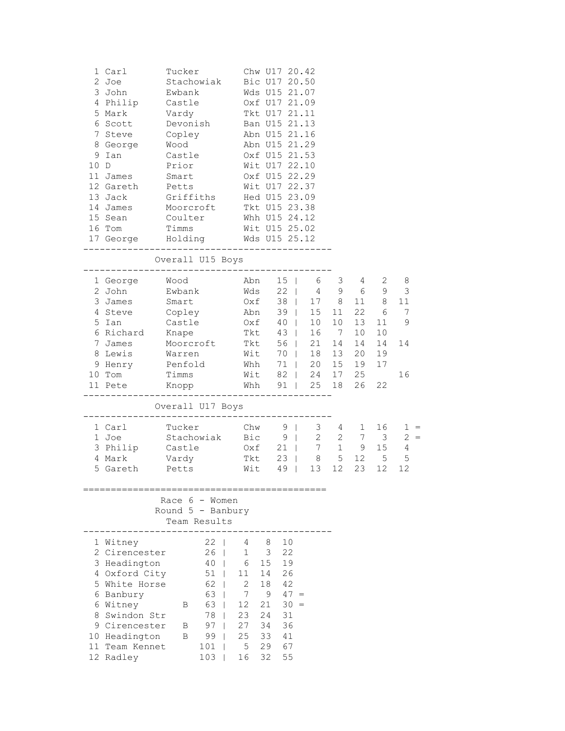| 10 D<br>16 Tom | 1 Carl<br>2 Joe<br>3 John<br>4 Philip<br>5 Mark<br>6 Scott<br>7 Steve<br>8 George<br>9 Ian<br>11 James<br>12 Gareth<br>13 Jack<br>14 James<br>15 Sean<br>17 George Holding Wds U15 25.12 | Tucker<br>Stachowiak<br>Ewbank<br>Castle<br>Vardy<br>Devonish<br>Copley<br>Wood<br>Castle<br>Prior<br>Smart<br>Petts<br>Griffiths<br>Moorcroft<br>Coulter<br>Timms |                                                                         |                                                                                        |                                                                   | Chw U17 20.42<br>Bic U17 20.50<br>Wds U15 21.07<br>Oxf U17 21.09<br>Tkt U17 21.11<br>Ban U15 21.13<br>Abn U15 21.16<br>Abn U15 21.29<br>Oxf U15 21.53<br>Wit U17 22.10<br>Oxf U15 22.29<br>Wit U17 22.37<br>Hed U15 23.09<br>Tkt U15 23.38<br>Whh U15 24.12<br>Wit U15 25.02<br>___________ |                                                                      |                                                                                       |                                                                                                                   |                                                                   |                                    |
|----------------|------------------------------------------------------------------------------------------------------------------------------------------------------------------------------------------|--------------------------------------------------------------------------------------------------------------------------------------------------------------------|-------------------------------------------------------------------------|----------------------------------------------------------------------------------------|-------------------------------------------------------------------|---------------------------------------------------------------------------------------------------------------------------------------------------------------------------------------------------------------------------------------------------------------------------------------------|----------------------------------------------------------------------|---------------------------------------------------------------------------------------|-------------------------------------------------------------------------------------------------------------------|-------------------------------------------------------------------|------------------------------------|
|                |                                                                                                                                                                                          | Overall U15 Boys                                                                                                                                                   |                                                                         |                                                                                        |                                                                   |                                                                                                                                                                                                                                                                                             |                                                                      |                                                                                       |                                                                                                                   |                                                                   |                                    |
|                | 1 George<br>2 John<br>3 James<br>4 Steve<br>5 Ian<br>6 Richard<br>7 James<br>8 Lewis<br>9 Henry<br>10 Tom<br>11 Pete                                                                     | Wood<br>Ewbank<br>Smart<br>Copley<br>Castle<br>Knape<br>Moorcroft<br>Warren<br>Penfold<br>Timms<br>Knopp                                                           |                                                                         | Abn<br>Wds<br>Oxf<br>Abn<br>Oxf<br>Tkt<br>Tkt<br>Wit<br>Whh<br>Wit                     |                                                                   | $15 \mid$<br>$22 \mid$<br>$39 \mid$<br>40<br>$43 \mid$<br>56  <br>70                                                                                                                                                                                                                        | 6<br>15<br>10<br>16<br>21<br>18<br>71   20<br>82   24<br>Whh 91   25 | 3<br>$4\overline{ }$<br>9<br>38   17 8<br>11<br>10<br>7<br>14<br>13<br>15<br>17<br>18 | 4<br>6<br>11<br>22<br>13<br>10<br>14<br>20<br>19<br>25<br>26                                                      | 2<br>9<br>8 <sup>8</sup><br>6<br>11<br>10<br>14<br>19<br>17<br>22 | 8<br>3<br>11<br>7<br>9<br>14<br>16 |
|                |                                                                                                                                                                                          | Overall U17 Boys                                                                                                                                                   |                                                                         |                                                                                        |                                                                   |                                                                                                                                                                                                                                                                                             |                                                                      |                                                                                       |                                                                                                                   |                                                                   |                                    |
|                | 1 Carl<br>1 Joe<br>3 Philip<br>4 Mark<br>5 Gareth                                                                                                                                        | Tucker<br>Stachowiak<br>Castle<br>Vardy<br>Petts                                                                                                                   |                                                                         | Chw<br>Bic<br>Tkt<br>Wit                                                               | Oxf                                                               | $9 \mid$<br>$9 \mid$<br>$21 \mid$<br>$23 \mid$<br>$49$                                                                                                                                                                                                                                      | 7<br>13                                                              | 3 <sup>7</sup><br>$4\overline{ }$<br>$\overline{c}$<br>8<br>5<br>12 <sup>°</sup>      | 1<br>$\begin{array}{c} 4 \\ 2 \\ 9 \\ 2 \end{array}$<br>$\begin{array}{ccc} 7 & & \\ & & \end{array}$<br>12<br>23 | 16<br>$\overline{3}$<br>15<br>5<br>12                             | $1 =$<br>$2 =$<br>4<br>5<br>12     |
|                |                                                                                                                                                                                          | Race $6 -$ Women<br>Round $5$ - Banbury<br>Team Results                                                                                                            |                                                                         |                                                                                        |                                                                   |                                                                                                                                                                                                                                                                                             |                                                                      |                                                                                       |                                                                                                                   |                                                                   |                                    |
|                | 1 Witney<br>2 Cirencester<br>3 Headington<br>4 Oxford City<br>5 White Horse<br>6 Banbury<br>6 Witney<br>8 Swindon Str<br>9 Cirencester<br>10 Headington<br>11 Team Kennet<br>12 Radley   | 51<br>63<br>63<br>В<br>78<br>97<br>B<br>B<br>99<br>101<br>103                                                                                                      | $22 \quad$<br>26 <sub>1</sub><br>40 <sub>1</sub><br>$\Box$<br>$62 \mid$ | 4<br>$\mathbf{1}$<br>6<br>11<br>$\overline{2}$<br>7<br>12<br>23<br>27<br>25<br>5<br>16 | 8<br>3<br>15<br>14<br>18<br>9<br>21<br>24<br>34<br>33<br>29<br>32 | 10<br>22<br>19<br>26<br>42<br>$47 =$<br>30<br>31<br>36<br>41<br>67<br>55                                                                                                                                                                                                                    | $\hspace{0.1cm} = \hspace{0.1cm}$                                    |                                                                                       |                                                                                                                   |                                                                   |                                    |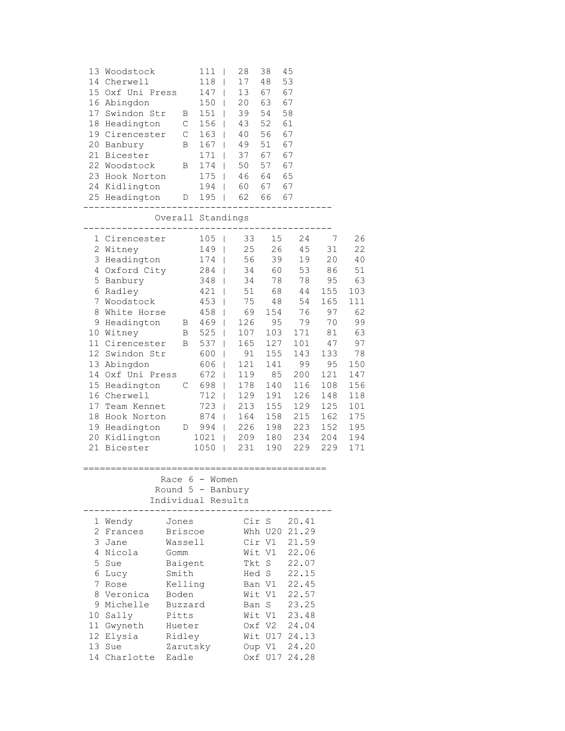| 17                        | 13 Woodstock<br>14 Cherwell<br>15 Oxf Uni Press<br>16 Abingdon<br>Swindon Str<br>18 Headington<br>19 Cirencester<br>20 Banbury<br>21 Bicester<br>22 Woodstock<br>23 Hook Norton<br>24 Kidlington<br>25 Headington                                                                                                                     | B<br>$\mathbb{C}$<br>$\mathbb C$<br>B<br>В<br>D                                                                                                 | 111<br>118<br>$147$  <br>150<br>$\overline{\phantom{0}}$<br>$151$  <br>156<br>$163$  <br>167<br>171<br>174<br>$175$  <br>194<br>$195$                                                                                       | 28<br>T<br>17<br>$\mathsf{I}$<br>13<br>20<br>39<br>43<br>40<br>49<br>$\mathbf{I}$<br>37<br>$\overline{\phantom{a}}$<br>50<br>$\mathbf{I}$<br>46                                                                                                         | 38<br>48<br>67<br>63<br>54<br>52<br>56<br>51<br>67<br>57<br>64<br>60 67 67<br>62 66 67                                          | 45<br>53<br>67<br>67<br>58<br>61<br>67<br>67<br>67<br>67<br>65                                                                             |                                                                                                                                      |                                                                                                                                       |
|---------------------------|---------------------------------------------------------------------------------------------------------------------------------------------------------------------------------------------------------------------------------------------------------------------------------------------------------------------------------------|-------------------------------------------------------------------------------------------------------------------------------------------------|-----------------------------------------------------------------------------------------------------------------------------------------------------------------------------------------------------------------------------|---------------------------------------------------------------------------------------------------------------------------------------------------------------------------------------------------------------------------------------------------------|---------------------------------------------------------------------------------------------------------------------------------|--------------------------------------------------------------------------------------------------------------------------------------------|--------------------------------------------------------------------------------------------------------------------------------------|---------------------------------------------------------------------------------------------------------------------------------------|
|                           |                                                                                                                                                                                                                                                                                                                                       | Overall Standings                                                                                                                               |                                                                                                                                                                                                                             |                                                                                                                                                                                                                                                         |                                                                                                                                 |                                                                                                                                            |                                                                                                                                      |                                                                                                                                       |
| $7\phantom{.}$<br>8<br>17 | 1 Cirencester<br>2 Witney<br>3 Headington<br>4 Oxford City<br>5 Banbury<br>6 Radley<br>Woodstock<br>White Horse<br>9 Headington<br>10 Witney<br>11 Cirencester<br>12 Swindon Str<br>13 Abingdon<br>14 Oxf Uni Press<br>15 Headington<br>16 Cherwell<br>Team Kennet<br>18 Hook Norton<br>19 Headington<br>20 Kidlington<br>21 Bicester | $\mathbf{B}$<br>B<br>C<br>$D \qquad \qquad$                                                                                                     | 105<br>149<br>174<br>284  <br>348  <br>$421$  <br>$453$  <br>$458$  <br>$469$  <br>525<br>B 537<br>600<br>606<br>$\Box$<br>$672$  <br>698  <br>$712$  <br>723<br>$874$  <br>994<br>1021<br>$\blacksquare$<br>1050<br>$\Box$ | 33<br>T<br>25<br>$\mathsf{I}$<br>56<br>$\overline{\phantom{a}}$<br>34<br>34<br>51<br>75<br>69<br>126<br>107<br>$\mathbf{I}$<br>165<br>$\mathbf{I}$<br>91<br>$\mathsf{I}$<br>121<br>119<br>178<br>129<br>213<br>164<br>226<br>$\mathbf{I}$<br>209<br>231 | 15<br>26<br>39<br>60<br>78<br>68<br>48<br>154<br>95<br>103<br>127<br>155<br>141<br>85<br>140<br>191<br>155<br>158<br>198<br>190 | 24<br>45<br>19<br>53<br>78<br>44<br>54<br>76<br>79<br>171<br>101<br>143<br>99<br>200<br>116<br>126<br>129<br>215<br>223<br>180 234<br>229  | 7<br>31<br>20<br>86<br>95<br>155<br>165<br>97<br>70<br>81<br>47<br>133<br>95<br>121<br>108<br>148<br>125<br>162<br>152<br>204<br>229 | 26<br>22<br>40<br>51<br>63<br>103<br>111<br>62<br>99<br>63<br>97<br>78<br>150<br>147<br>156<br>118<br>101<br>175<br>195<br>194<br>171 |
|                           |                                                                                                                                                                                                                                                                                                                                       | Race 6 - Women<br>Round $5$ - Banbury<br>Individual Results                                                                                     |                                                                                                                                                                                                                             |                                                                                                                                                                                                                                                         |                                                                                                                                 |                                                                                                                                            |                                                                                                                                      |                                                                                                                                       |
| 7                         | 1 Wendy<br>2 Frances<br>3 Jane<br>4 Nicola<br>5 Sue<br>6 Lucy<br>Rose<br>8 Veronica<br>9 Michelle<br>10 Sally<br>11 Gwyneth<br>12 Elysia<br>13 Sue<br>14 Charlotte                                                                                                                                                                    | Jones<br><b>Briscoe</b><br>Wassell<br>Gomm<br>Baigent<br>Smith<br>Kelling<br>Boden<br>Buzzard<br>Pitts<br>Hueter<br>Ridley<br>Zarutsky<br>Eadle |                                                                                                                                                                                                                             |                                                                                                                                                                                                                                                         | Cir S<br>Whh U20<br>Cir V1<br>Wit V1<br>Tkt S<br>Hed S<br>Ban V1<br>Wit V1<br>Ban S<br>Wit V1<br>Oxf V2<br>Oup V1               | 20.41<br>21.29<br>21.59<br>22.06<br>22.07<br>22.15<br>22.45<br>22.57<br>23.25<br>23.48<br>24.04<br>Wit U17 24.13<br>24.20<br>Oxf U17 24.28 |                                                                                                                                      |                                                                                                                                       |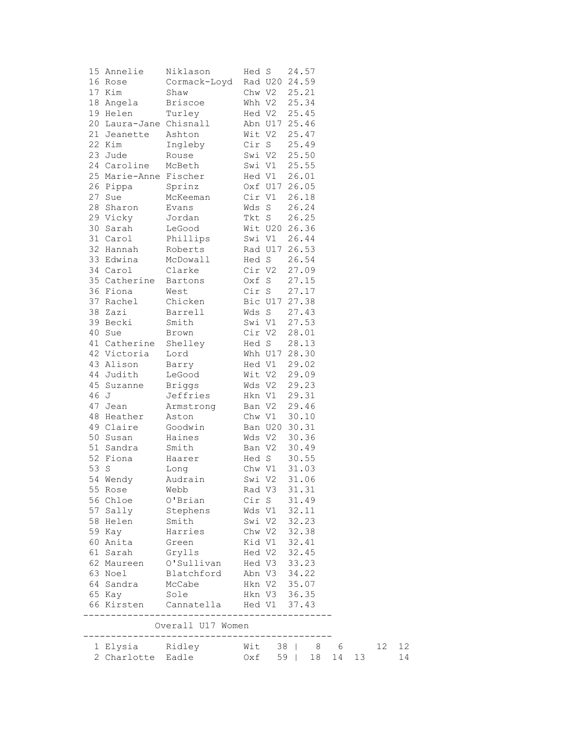|      | 15 Annelie             | Niklason                | Hed S  |               | 24.57 |              |    |    |    |    |
|------|------------------------|-------------------------|--------|---------------|-------|--------------|----|----|----|----|
|      | 16 Rose                | Cormack-Loyd            |        | Rad U20 24.59 |       |              |    |    |    |    |
|      | 17 Kim                 | Shaw                    |        | Chw V2        | 25.21 |              |    |    |    |    |
|      | 18 Angela              | <b>Briscoe</b>          |        | Whh V2        | 25.34 |              |    |    |    |    |
|      | 19 Helen               | Turley                  |        | Hed V2        | 25.45 |              |    |    |    |    |
|      | 20 Laura-Jane Chisnall |                         |        | Abn U17 25.46 |       |              |    |    |    |    |
|      | 21 Jeanette            | Ashton                  |        | Wit V2        | 25.47 |              |    |    |    |    |
|      | 22 Kim                 | Ingleby                 |        | Cir S         | 25.49 |              |    |    |    |    |
|      | 23 Jude                | Rouse                   |        | Swi V2        | 25.50 |              |    |    |    |    |
|      | 24 Caroline            | McBeth                  |        | Swi V1        | 25.55 |              |    |    |    |    |
|      | 25 Marie-Anne Fischer  |                         |        | Hed V1        | 26.01 |              |    |    |    |    |
|      | 26 Pippa               | Sprinz                  |        | Oxf U17 26.05 |       |              |    |    |    |    |
|      | 27 Sue                 | McKeeman                |        | Cir V1        | 26.18 |              |    |    |    |    |
|      | 28 Sharon              | Evans                   |        | Wds S         | 26.24 |              |    |    |    |    |
|      |                        |                         |        |               |       |              |    |    |    |    |
|      | 29 Vicky               | Jordan                  |        | Tkt S         | 26.25 |              |    |    |    |    |
|      | 30 Sarah               | LeGood                  |        | Wit U20 26.36 |       |              |    |    |    |    |
|      | 31 Carol               | Phillips                |        | Swi V1        | 26.44 |              |    |    |    |    |
|      | 32 Hannah              | Roberts                 |        | Rad U17 26.53 |       |              |    |    |    |    |
|      | 33 Edwina              | McDowall                |        | Hed S         | 26.54 |              |    |    |    |    |
|      | 34 Carol               | Clarke                  |        | Cir V2        | 27.09 |              |    |    |    |    |
|      | 35 Catherine Bartons   |                         |        | Oxf S         | 27.15 |              |    |    |    |    |
|      | 36 Fiona               | West                    |        | Cir S         | 27.17 |              |    |    |    |    |
|      | 37 Rachel              | Chicken                 |        | Bic U17 27.38 |       |              |    |    |    |    |
|      | 38 Zazi                | Barrell                 |        | Wds S         | 27.43 |              |    |    |    |    |
|      | 39 Becki               | Smith                   |        | Swi V1        | 27.53 |              |    |    |    |    |
|      | 40 Sue                 | Brown                   |        | Cir V2        | 28.01 |              |    |    |    |    |
|      | 41 Catherine Shelley   |                         |        | Hed S         | 28.13 |              |    |    |    |    |
|      | 42 Victoria            | Lord                    |        | Whh U17 28.30 |       |              |    |    |    |    |
|      | 43 Alison              | Barry                   |        | Hed V1        | 29.02 |              |    |    |    |    |
|      | 44 Judith              | LeGood                  |        | Wit V2        | 29.09 |              |    |    |    |    |
|      | 45 Suzanne             | <b>Briggs</b>           |        | Wds V2        | 29.23 |              |    |    |    |    |
| 46 J |                        | Jeffries                |        | Hkn V1        | 29.31 |              |    |    |    |    |
|      | 47 Jean                | Armstrong               | Ban V2 |               | 29.46 |              |    |    |    |    |
|      | 48 Heather             | Aston                   |        | Chw V1        | 30.10 |              |    |    |    |    |
|      | 49 Claire              | Goodwin                 |        | Ban U20 30.31 |       |              |    |    |    |    |
|      | 50 Susan               | Haines                  |        | Wds V2        | 30.36 |              |    |    |    |    |
|      | 51 Sandra              |                         |        | Ban V2        | 30.49 |              |    |    |    |    |
|      | 52 Fiona               | Smith                   |        |               |       |              |    |    |    |    |
|      |                        | Haarer                  |        | Hed S         | 30.55 |              |    |    |    |    |
| 53 S |                        | Long                    |        | Chw V1        | 31.03 |              |    |    |    |    |
|      | 54 Wendy               | Audrain                 |        | Swi V2        | 31.06 |              |    |    |    |    |
|      | 55 Rose                | Webb                    |        | Rad V3 31.31  |       |              |    |    |    |    |
|      | 56 Chloe               | O'Brian                 |        | Cir S 31.49   |       |              |    |    |    |    |
|      | 57 Sally               | Stephens                |        | Wds V1 32.11  |       |              |    |    |    |    |
|      | 58 Helen               | Smith                   |        | Swi V2        | 32.23 |              |    |    |    |    |
|      | 59 Kay                 | Harries                 |        | Chw V2        | 32.38 |              |    |    |    |    |
|      | 60 Anita               | Green                   |        | Kid V1        | 32.41 |              |    |    |    |    |
|      | 61 Sarah               | Grylls                  |        | Hed V2        | 32.45 |              |    |    |    |    |
|      |                        | 62 Maureen O'Sullivan   |        | Hed V3        | 33.23 |              |    |    |    |    |
|      | 63 Noel                | Blatchford              |        | Abn V3 34.22  |       |              |    |    |    |    |
|      |                        | 64 Sandra McCabe        |        | Hkn V2 35.07  |       |              |    |    |    |    |
|      | 65 Кау                 | Sole                    |        | Hkn V3 36.35  |       |              |    |    |    |    |
|      | 66 Kirsten             | Cannatella Hed V1 37.43 |        |               |       |              |    |    |    |    |
|      |                        |                         |        |               |       |              |    |    |    |    |
|      |                        | Overall U17 Women       |        |               |       |              |    |    |    |    |
|      |                        |                         |        |               |       |              |    |    |    |    |
|      | 1 Elysia Ridley        |                         |        |               |       | Wit 38   8 6 |    |    | 12 | 12 |
|      | 2 Charlotte Eadle      |                         | Oxf    |               | 59    | 18           | 14 | 13 |    | 14 |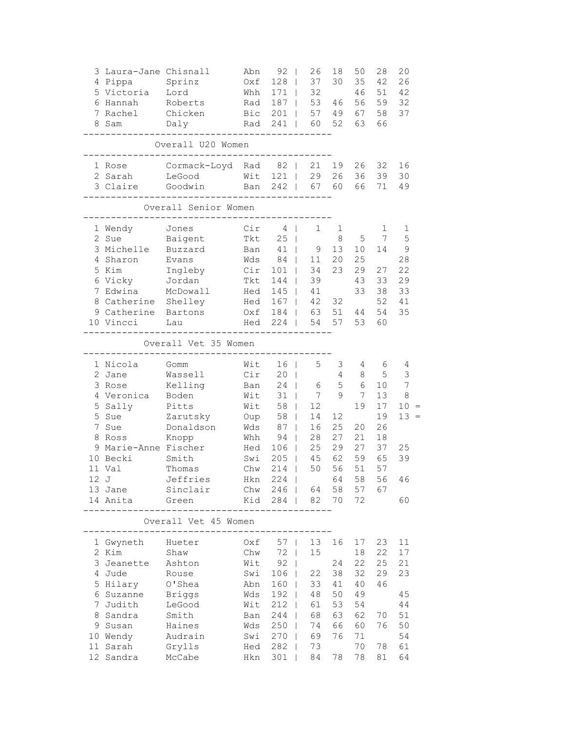|   | 3 Laura-Jane Chisnall<br>4 Pippa<br>5 Victoria<br>6 Hannah<br>7 Rachel                                                                                                        | Sprinz<br>Lord<br>Roberts<br>Chicken                                                                                      | Abn<br>Oxf<br>Whh<br>Rad<br>Bic                                                         | 92<br>128<br>$171$  <br>$187$  <br>$201$                                                                                              | 26<br>37<br>32<br>53<br>57                                                                | 18<br>30<br>46<br>49                                                   | 50<br>35<br>46<br>56<br>67                                             | 28<br>42<br>51<br>59<br>58                                               | 20<br>26<br>42<br>32<br>37                               |
|---|-------------------------------------------------------------------------------------------------------------------------------------------------------------------------------|---------------------------------------------------------------------------------------------------------------------------|-----------------------------------------------------------------------------------------|---------------------------------------------------------------------------------------------------------------------------------------|-------------------------------------------------------------------------------------------|------------------------------------------------------------------------|------------------------------------------------------------------------|--------------------------------------------------------------------------|----------------------------------------------------------|
|   | 8 Sam                                                                                                                                                                         | Daly<br>Overall U20 Women                                                                                                 |                                                                                         | Rad 241                                                                                                                               | 60                                                                                        | 52                                                                     | 63                                                                     | 66                                                                       |                                                          |
|   | 1 Rose<br>2 Sarah                                                                                                                                                             | Cormack-Loyd Rad 82  <br>LeGood                                                                                           | Wit                                                                                     | $121$                                                                                                                                 | 21<br>29                                                                                  | 19<br>26                                                               | 26<br>36                                                               | 32<br>39                                                                 | 16<br>30                                                 |
|   | 3 Claire                                                                                                                                                                      | Goodwin                                                                                                                   | Ban                                                                                     | $242$  <br>-----------                                                                                                                | 67                                                                                        | 60                                                                     | 66                                                                     | 71                                                                       | 49                                                       |
|   |                                                                                                                                                                               | Overall Senior Women                                                                                                      |                                                                                         |                                                                                                                                       |                                                                                           |                                                                        |                                                                        |                                                                          |                                                          |
|   | 1 Wendy<br>2 Sue<br>3 Michelle<br>4 Sharon<br>5 Kim<br>6 Vicky<br>7 Edwina<br>8 Catherine Shelley<br>9 Catherine Bartons<br>10 Vincci                                         | Jones<br>Baigent<br>Buzzard<br>Evans<br>Ingleby<br>Jordan<br>McDowall<br>Lau                                              | Cir<br>Tkt<br>Ban<br>Wds<br>Cir<br>Tkt<br>Hed<br>Hed<br>Oxf<br>Hed                      | 4<br>25<br>41<br>84<br>$101$  <br>144<br>$145$  <br>$167$  <br>224                                                                    | 1<br>9<br>11<br>34<br>39<br>41<br>42<br>184   63<br>54                                    | 1<br>8<br>13<br>20<br>23<br>32<br>51<br>57                             | 5<br>10<br>25<br>29<br>43<br>33<br>44<br>53                            | 1<br>7<br>14<br>27<br>33<br>38<br>52<br>54<br>60                         | 1<br>5<br>9<br>28<br>22<br>29<br>33<br>41<br>35          |
|   |                                                                                                                                                                               | Overall Vet 35 Women                                                                                                      |                                                                                         | -------                                                                                                                               |                                                                                           |                                                                        |                                                                        |                                                                          |                                                          |
|   | 1 Nicola<br>2 Jane<br>3 Rose<br>4 Veronica Boden<br>5 Sally<br>5 Sue<br>7 Sue<br>8 Ross<br>9 Marie-Anne Fischer<br>10 Becki<br>11 Val<br>12J<br>13 Jane<br>14 Anita<br>------ | Gomm<br>Wassell<br>Kelling<br>Pitts<br>Zarutsky<br>Donaldson<br>Knopp<br>Smith<br>Thomas<br>Jeffries<br>Sinclair<br>Green | Wit<br>Cir<br>Ban<br>Wit<br>Wit<br>Oup<br>Wds<br>Whh<br>Hed<br>Swi<br>Chw<br>Hkn<br>Kid | 16 <sup>1</sup><br>20 <sub>1</sub><br>24<br>$31 \quad  $<br>58  <br>$58$  <br>87<br>94<br>$106$  <br>$205$  <br>214<br>$224$  <br>284 | 5<br>6<br>$7\overline{ }$<br>12<br>14<br>16<br>28<br>25<br>45<br>50<br>Chw 246   64<br>82 | 3<br>4<br>5<br>9<br>12<br>25<br>27<br>29<br>62<br>56<br>64<br>58<br>70 | 4<br>8<br>6<br>7<br>19<br>20<br>21<br>27<br>59<br>51<br>58<br>57<br>72 | 6<br>5<br>10<br>13<br>17<br>19<br>26<br>18<br>37<br>65<br>57<br>56<br>67 | 4<br>3<br>7<br>8<br>10<br>$13 =$<br>25<br>39<br>46<br>60 |
|   |                                                                                                                                                                               | Overall Vet 45 Women                                                                                                      |                                                                                         |                                                                                                                                       |                                                                                           |                                                                        |                                                                        |                                                                          |                                                          |
| 7 | 1 Gwyneth Hueter<br>2 Kim<br>3 Jeanette<br>4 Jude<br>5 Hilary<br>6 Suzanne<br>Judith<br>8 Sandra                                                                              | Shaw<br>Ashton<br>Rouse<br>O'Shea<br>Briggs<br>LeGood<br>Smith                                                            | Oxf<br>Chw<br>Wit<br>Swi<br>Abn<br>Wds<br>Wit<br>Ban                                    | $57$  <br>72<br>$92 \mid$<br>$106$  <br>$160$  <br>$192$  <br>$212$  <br>244                                                          | 13<br>15<br>22<br>33<br>48<br>61<br>68<br>74                                              | 16<br>24<br>38<br>41<br>50<br>53<br>63<br>66                           | 17<br>18<br>22<br>32<br>40<br>49<br>54<br>62                           | 23<br>22<br>25<br>29<br>46<br>70<br>76                                   | 11<br>17<br>21<br>23<br>45<br>44<br>51<br>50             |
|   | 9 Susan<br>10 Wendy<br>11 Sarah<br>12 Sandra                                                                                                                                  | Haines<br>Audrain<br>Grylls<br>McCabe                                                                                     | Wds<br>Swi<br>Hed<br>Hkn                                                                | 250<br>$270$  <br>282<br>301                                                                                                          | 69<br>73<br>84                                                                            | 76<br>78                                                               | 60<br>71<br>70<br>78                                                   | 78<br>81                                                                 | 54<br>61<br>64                                           |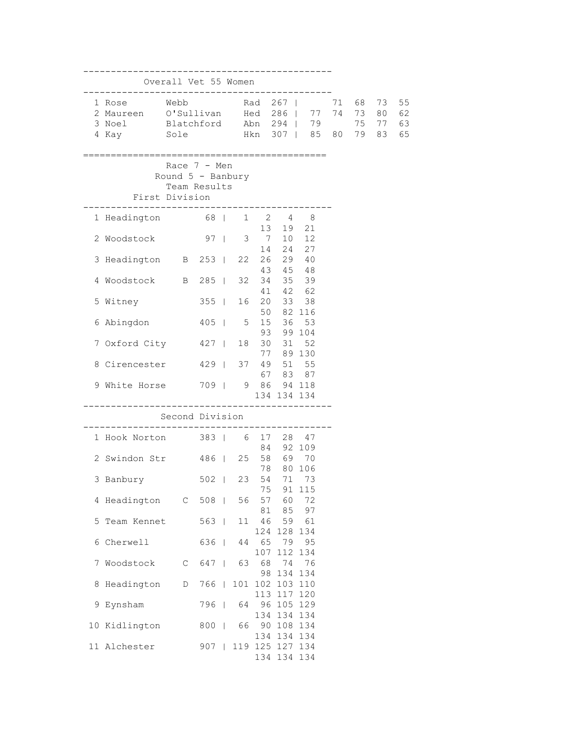|   |                                                                                                                              | Overall Vet 55 Women                                               | -----------      |    |                              |                           |                               |    |                         |                      |
|---|------------------------------------------------------------------------------------------------------------------------------|--------------------------------------------------------------------|------------------|----|------------------------------|---------------------------|-------------------------------|----|-------------------------|----------------------|
|   | 1 Rose Webb<br>2 Maureen 0'Sullivan Hed 286   77 74 73 80<br>3 Noel Blatchford Abn 294   79<br>4 Kay 501e 50 Hkn 307   85 80 |                                                                    | Rad 267          |    |                              |                           | ============================= | 71 | 68 73<br>75 77<br>79 83 | 55<br>62<br>63<br>65 |
|   | First Division                                                                                                               | Race $7 - Men$<br>Round $5$ - Banbury<br>Team Results<br>--------- |                  |    |                              |                           |                               |    |                         |                      |
|   | 1 Headington 68   1 2 4 8                                                                                                    |                                                                    |                  |    |                              |                           |                               |    |                         |                      |
|   | 2 Woodstock                                                                                                                  |                                                                    | 97   3 7         |    | 14                           | 13 19 21                  | 10 12<br>24 27                |    |                         |                      |
|   | 3 Headington B 253   22 26                                                                                                   |                                                                    |                  |    |                              | 43 45 48                  | 29 40                         |    |                         |                      |
|   | 4 Woodstock B 285                                                                                                            |                                                                    |                  |    | 32 34                        |                           | 35 39                         |    |                         |                      |
|   | 5 Witney                                                                                                                     |                                                                    | $355$            |    | 16 20                        | 41 42 62                  | 33 38                         |    |                         |                      |
|   | 6 Abingdon                                                                                                                   |                                                                    | 405   5 15 36 53 |    |                              | 50 82 116                 |                               |    |                         |                      |
|   | 7 Oxford City 427                                                                                                            |                                                                    |                  |    | 93<br>18 30                  |                           | 99 104<br>31 52               |    |                         |                      |
|   | 8 Cirencester 429   37 49 51 55                                                                                              |                                                                    |                  |    |                              | 77 89 130                 |                               |    |                         |                      |
|   |                                                                                                                              |                                                                    |                  |    |                              | 67 83 87<br>134 134 134   |                               |    |                         |                      |
|   |                                                                                                                              | Second Division                                                    |                  |    |                              |                           |                               |    |                         |                      |
|   | 1 Hook Norton 383   6 17 28 47                                                                                               |                                                                    |                  |    |                              | 84 92 109                 |                               |    |                         |                      |
|   | 2 Swindon Str 486                                                                                                            |                                                                    |                  |    | 25 58 69 70<br>78            |                           | 80 106                        |    |                         |                      |
|   | 3 Banbury                                                                                                                    |                                                                    | 502              | 23 | 54                           |                           | 71 73                         |    |                         |                      |
|   | 4 Headington C 508                                                                                                           |                                                                    |                  |    | 75<br>56 57                  | 60                        | 91 115<br>72                  |    |                         |                      |
|   | 5 Team Kennet                                                                                                                |                                                                    | 563              | 11 | 81<br>46                     | 85                        | 97<br>59 61                   |    |                         |                      |
|   | 6 Cherwell                                                                                                                   |                                                                    | 636              | 44 | 124<br>65                    | 128 134<br>79 95          |                               |    |                         |                      |
|   | 7 Woodstock                                                                                                                  | $\mathbb C$                                                        | 647              | 63 | 107<br>68                    | 112<br>74                 | 134<br>76                     |    |                         |                      |
| 8 | Headington                                                                                                                   | D                                                                  | 766              |    | 98<br>101 102 103 110<br>113 | 134 134<br>117 120        |                               |    |                         |                      |
|   | 9 Eynsham                                                                                                                    |                                                                    | 796              | 64 |                              | 96 105 129<br>134 134 134 |                               |    |                         |                      |
|   | 10 Kidlington                                                                                                                |                                                                    | 800              | 66 |                              | 90 108 134<br>134 134 134 |                               |    |                         |                      |
|   | 11 Alchester                                                                                                                 |                                                                    | 907              |    | 119 125 127 134              | 134 134 134               |                               |    |                         |                      |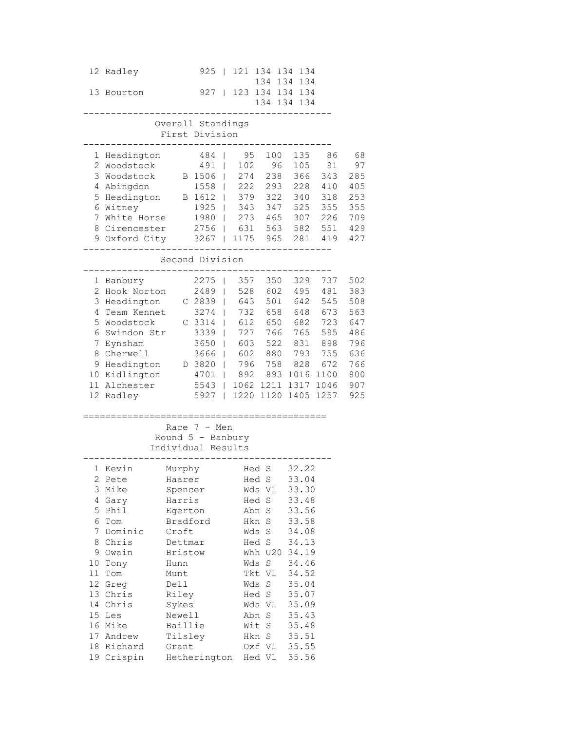| 134 134 134                                                              |        |
|--------------------------------------------------------------------------|--------|
| 927   123 134 134 134<br>13 Bourton                                      |        |
| 134 134 134                                                              |        |
|                                                                          |        |
| Overall Standings                                                        |        |
| First Division                                                           |        |
| 484   95 100 135<br>1 Headington                                         | - 8    |
| 100000710F<br>$\Lambda$ $\cap$ $\Lambda$ $\Lambda$<br>$0.77 - 0.7 + 0.7$ | $\sim$ |

| 1<br>$\overline{2}$<br>3<br>4<br>5<br>6<br>7<br>8                        | Headington<br>Woodstock<br>Woodstock<br>Abingdon<br>Headington<br>Witney<br>White Horse<br>Cirencester                                                                   |                                                                                                                                                                                               | 484<br>491<br>B 1506<br>1558<br>B 1612<br>1925<br>1980<br>2756                                     | 95<br>I<br>102<br>274<br>222<br>T<br>379<br>$\overline{1}$<br>343<br>$\overline{1}$<br>273<br>$\mathsf{I}$<br>631<br>$\mathbf{I}$                                                                                       | 100<br>96<br>238<br>293<br>322<br>347<br>465<br>563                                                                                                              | 135<br>105<br>366<br>228<br>340<br>525<br>307<br>582                                                                                                           | 86<br>91<br>343<br>410<br>318<br>355<br>226<br>551                                  | 68<br>97<br>285<br>405<br>253<br>355<br>709<br>429                               |
|--------------------------------------------------------------------------|--------------------------------------------------------------------------------------------------------------------------------------------------------------------------|-----------------------------------------------------------------------------------------------------------------------------------------------------------------------------------------------|----------------------------------------------------------------------------------------------------|-------------------------------------------------------------------------------------------------------------------------------------------------------------------------------------------------------------------------|------------------------------------------------------------------------------------------------------------------------------------------------------------------|----------------------------------------------------------------------------------------------------------------------------------------------------------------|-------------------------------------------------------------------------------------|----------------------------------------------------------------------------------|
| 9                                                                        | Oxford City                                                                                                                                                              |                                                                                                                                                                                               | 3267<br>Second Division                                                                            | 1175<br>T                                                                                                                                                                                                               | 965                                                                                                                                                              | 281                                                                                                                                                            | 419                                                                                 | 427                                                                              |
| 1<br>$\overline{2}$<br>3<br>4<br>5<br>6<br>7<br>8<br>9<br>10<br>11       | Banbury<br>Hook Norton<br>Headington<br>Team Kennet<br>Woodstock<br>Swindon Str<br>Eynsham<br>Cherwell<br>Headington<br>Kidlington<br>Alchester<br>12 Radley             |                                                                                                                                                                                               | 2275<br>2489<br>C 2839<br>3274<br>C 3314<br>3339<br>3650<br>3666<br>D 3820<br>4701<br>5543<br>5927 | 357<br>T<br>528<br>$\overline{1}$<br>643<br>$\mathbf{I}$<br>732<br>$\mathsf{I}$<br>612<br>$\mathbf{I}$<br>727<br>T<br>603<br>$\mathbf{I}$<br>602<br>L<br>796<br>T<br>892<br>T<br>$\overline{1}$<br>1220<br>$\mathbf{I}$ | 350<br>602<br>501<br>658<br>650<br>766<br>522<br>880<br>758<br>893<br>1062 1211<br>1120                                                                          | 329<br>495<br>642<br>648<br>682<br>765<br>831<br>793<br>828<br>1016<br>1317<br>1405                                                                            | 737<br>481<br>545<br>673<br>723<br>595<br>898<br>755<br>672<br>1100<br>1046<br>1257 | 502<br>383<br>508<br>563<br>647<br>486<br>796<br>636<br>766<br>800<br>907<br>925 |
|                                                                          |                                                                                                                                                                          |                                                                                                                                                                                               | Race $7 - Men$<br>Round $5$ - Banbury<br>Individual Results                                        |                                                                                                                                                                                                                         |                                                                                                                                                                  |                                                                                                                                                                |                                                                                     |                                                                                  |
| 1<br>$\overline{2}$<br>3<br>4<br>5<br>6<br>7<br>8<br>9<br>14<br>15<br>17 | Kevin<br>Pete<br>Mike<br>Gary<br>Phil<br>Tom<br>Dominic<br>Chris<br>Owain<br>10 Tony<br>11 Tom<br>12 Greg<br>13 Chris<br>Chris<br>Les<br>16 Mike<br>Andrew<br>18 Richard | Murphy<br>Haarer<br>Spencer<br>Harris<br>Egerton<br>Bradford<br>Croft<br>Dettmar<br><b>Bristow</b><br>${\tt Hunn}$<br>Munt<br>Dell<br>Riley<br>Sykes<br>Newell<br>Baillie<br>Tilsley<br>Grant |                                                                                                    | Wds                                                                                                                                                                                                                     | Hed S<br>Hed S<br>Wds V1<br>Hed S<br>Abn S<br>Hkn S<br>S<br>Hed S<br>Whh U20<br>Wds S<br>Tkt V1<br>Wds S<br>Hed S<br>Wds V1<br>Abn S<br>Wit S<br>Hkn S<br>Oxf V1 | 32.22<br>33.04<br>33.30<br>33.48<br>33.56<br>33.58<br>34.08<br>34.13<br>34.19<br>34.46<br>34.52<br>35.04<br>35.07<br>35.09<br>35.43<br>35.48<br>35.51<br>35.55 |                                                                                     |                                                                                  |

19 Crispin Hetherington Hed V1 35.56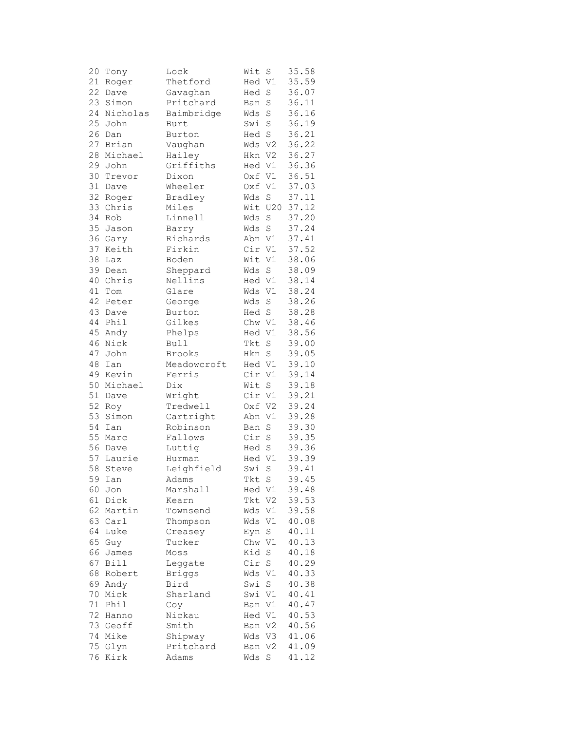| 20 | Tony     | Lock          | Wit    | S              | 35.58 |
|----|----------|---------------|--------|----------------|-------|
| 21 | Roger    | Thetford      | Hed V1 |                | 35.59 |
| 22 | Dave     | Gavaghan      | Hed    | $\rm S$        | 36.07 |
| 23 | Simon    | Pritchard     | Ban    | S              | 36.11 |
| 24 | Nicholas | Baimbridge    | Wds    | $\rm S$        | 36.16 |
| 25 |          |               | Swi    | $\rm S$        | 36.19 |
|    | John     | Burt          |        |                |       |
| 26 | Dan      | Burton        | Hed S  |                | 36.21 |
| 27 | Brian    | Vaughan       | Wds    | V <sub>2</sub> | 36.22 |
| 28 | Michael  | Hailey        | Hkn    | V <sub>2</sub> | 36.27 |
| 29 | John     | Griffiths     | Hed V1 |                | 36.36 |
| 30 | Trevor   | Dixon         | Oxf V1 |                | 36.51 |
| 31 | Dave     | Wheeler       | 0xf    | V1             | 37.03 |
| 32 | Roger    | Bradley       | Wds    | $\mathbf S$    | 37.11 |
| 33 | Chris    | Miles         | Wit    | U20            | 37.12 |
| 34 | Rob      | Linnell       | Wds    | S              | 37.20 |
| 35 | Jason    | Barry         | Wds    | $\rm S$        | 37.24 |
| 36 | Gary     | Richards      | Abn V1 |                | 37.41 |
| 37 | Keith    | Firkin        | Cir    | V1             | 37.52 |
| 38 | Laz      | Boden         | Wit    | V1             | 38.06 |
| 39 |          | Sheppard      | Wds    | $\rm S$        | 38.09 |
|    | Dean     |               |        |                |       |
| 40 | Chris    | Nellins       | Hed V1 |                | 38.14 |
| 41 | Tom      | Glare         | Wds    | V1             | 38.24 |
| 42 | Peter    | George        | Wds    | $\rm S$        | 38.26 |
| 43 | Dave     | Burton        | Hed S  |                | 38.28 |
| 44 | Phil     | Gilkes        | Chw V1 |                | 38.46 |
| 45 | Andy     | Phelps        | Hed V1 |                | 38.56 |
| 46 | Nick     | Bull          | Tkt    | S              | 39.00 |
| 47 | John     | Brooks        | Hkn    | $\rm S$        | 39.05 |
| 48 | Ian      | Meadowcroft   | Hed V1 |                | 39.10 |
| 49 | Kevin    | Ferris        | Cir    | V1             | 39.14 |
| 50 | Michael  | Dix           | Wit    | S              | 39.18 |
| 51 | Dave     | Wright        | Cir    | V1             | 39.21 |
| 52 | Roy      | Tredwell      | Oxf    | V <sub>2</sub> | 39.24 |
| 53 | Simon    | Cartright     | Abn    | V1             | 39.28 |
| 54 | Ian      | Robinson      | Ban    | $\rm S$        | 39.30 |
| 55 | Marc     | Fallows       | Cir    | $\rm S$        | 39.35 |
| 56 |          |               | Hed S  |                | 39.36 |
|    | Dave     | Luttig        |        |                |       |
| 57 | Laurie   | Hurman        | Hed V1 |                | 39.39 |
| 58 | Steve    | Leighfield    | Swi    | S              | 39.41 |
| 59 | Ian      | Adams         | Tkt S  |                | 39.45 |
| 60 | Jon      | Marshall      | Hed V1 |                | 39.48 |
| 61 | Dick     | Kearn         | Tkt    | V2             | 39.53 |
| 62 | Martin   | Townsend      | Wds    | V1             | 39.58 |
|    | 63 Carl  | Thompson      | Wds    | V1             | 40.08 |
| 64 | Luke     | Creasey       | Eyn    | $\rm S$        | 40.11 |
| 65 | Guy      | Tucker        | Chw    | V1             | 40.13 |
| 66 | James    | Moss          | Kid    | $\rm S$        | 40.18 |
| 67 | Bill     | Leggate       | Cir    | $\rm S$        | 40.29 |
| 68 | Robert   | <b>Briggs</b> | Wds    | V1             | 40.33 |
| 69 | Andy     | Bird          | Swi    | $\rm S$        | 40.38 |
| 70 | Mick     | Sharland      | Swi    | V1             | 40.41 |
| 71 | Phil     | Coy           | Ban    | V1             | 40.47 |
| 72 |          | Nickau        | Hed V1 |                | 40.53 |
|    | Hanno    |               |        |                |       |
| 73 | Geoff    | Smith         | Ban    | V <sub>2</sub> | 40.56 |
| 74 | Mike     | Shipway       | Wds    | V3             | 41.06 |
| 75 | Glyn     | Pritchard     | Ban    | V2             | 41.09 |
| 76 | Kirk     | Adams         | Wds    | $\rm S$        | 41.12 |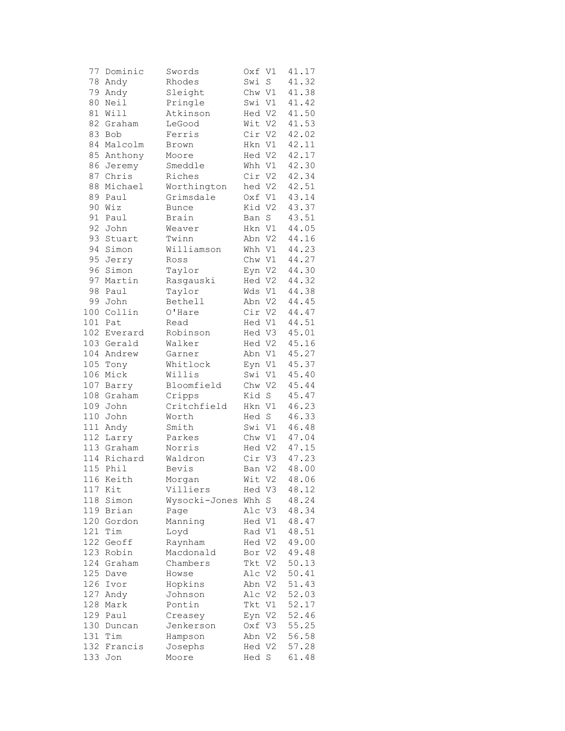| 77  | Dominic     | Swords             | Oxf V1 |    | 41.17 |
|-----|-------------|--------------------|--------|----|-------|
| 78  | Andy        | Rhodes             | Swi    | S  | 41.32 |
| 79  | Andy        | Sleight            | Chw V1 |    | 41.38 |
| 80  | Neil        | Pringle            | Swi V1 |    | 41.42 |
| 81  | Will        | Atkinson           | Hed V2 |    | 41.50 |
| 82  | Graham      | LeGood             | Wit V2 |    | 41.53 |
| 83  | Bob         | Ferris             | Cir V2 |    | 42.02 |
| 84  | Malcolm     | Brown              | Hkn V1 |    | 42.11 |
| 85  | Anthony     | Moore              | Hed V2 |    | 42.17 |
| 86  | Jeremy      | Smeddle            | Whh V1 |    | 42.30 |
| 87  | Chris       | Riches             | Cir V2 |    | 42.34 |
| 88  | Michael     | Worthington        | hed V2 |    | 42.51 |
| 89  | Paul        | Grimsdale          | Oxf V1 |    | 43.14 |
| 90  | Wiz         | <b>Bunce</b>       | Kid V2 |    | 43.37 |
| 91  | Paul        | Brain              | Ban    | S  | 43.51 |
| 92  | John        | Weaver             | Hkn V1 |    | 44.05 |
| 93  | Stuart      | Twinn              | Abn V2 |    | 44.16 |
| 94  | Simon       | Williamson         | Whh V1 |    | 44.23 |
|     |             |                    |        |    |       |
| 95  | Jerry       | Ross               | Chw V1 |    | 44.27 |
| 96  | Simon       | Taylor             | Eyn V2 |    | 44.30 |
| 97  | Martin      | Rasgauski          | Hed V2 |    | 44.32 |
| 98  | Paul        | Taylor             | Wds V1 |    | 44.38 |
| 99  | John        | Bethell            | Abn V2 |    | 44.45 |
| 100 | Collin      | O'Hare             | Cir V2 |    | 44.47 |
|     | 101 Pat     | Read               | Hed V1 |    | 44.51 |
|     | 102 Everard | Robinson           | Hed V3 |    | 45.01 |
|     | 103 Gerald  | Walker             | Hed V2 |    | 45.16 |
|     | 104 Andrew  | Garner             | Abn V1 |    | 45.27 |
| 105 | Tony        | Whitlock           | Eyn V1 |    | 45.37 |
| 106 | Mick        | Willis             | Swi V1 |    | 45.40 |
| 107 | Barry       | Bloomfield         | Chw V2 |    | 45.44 |
| 108 | Graham      | Cripps             | Kid S  |    | 45.47 |
| 109 | John        | Critchfield        | Hkn V1 |    | 46.23 |
| 110 | John        | Worth              | Hed S  |    | 46.33 |
|     | 111 Andy    | Smith              | Swi V1 |    | 46.48 |
| 112 | Larry       | Parkes             | Chw V1 |    | 47.04 |
|     | 113 Graham  | Norris             | Hed V2 |    | 47.15 |
|     | 114 Richard | Waldron            | Cir V3 |    | 47.23 |
| 115 | Phil        | Bevis              | Ban V2 |    | 48.00 |
|     | 116 Keith   | Morgan             | Wit V2 |    | 48.06 |
| 117 | Kit         | Villiers           | Hed V3 |    | 48.12 |
| 118 | Simon       | Wysocki-Jones      | Whh    | S  | 48.24 |
| 119 | Brian       | Page               | Alc V3 |    | 48.34 |
| 120 | Gordon      | Manning            | Hed V1 |    | 48.47 |
| 121 | Tim         | Loyd               | Rad V1 |    | 48.51 |
| 122 | Geoff       | Raynham            | Hed V2 |    | 49.00 |
| 123 | Robin       | Macdonald          | Bor V2 |    | 49.48 |
| 124 | Graham      | Chambers           | Tkt    | V2 | 50.13 |
| 125 | Dave        | Howse              | Alc V2 |    | 50.41 |
| 126 | Ivor        | Hopkins            | Abn V2 |    | 51.43 |
| 127 | Andy        | Johnson            | Alc V2 |    | 52.03 |
| 128 | Mark        | Pontin             | Tkt V1 |    | 52.17 |
| 129 | Paul        | Creasey            | Eyn V2 |    | 52.46 |
| 130 | Duncan      | Jenkerson          | Oxf V3 |    | 55.25 |
| 131 | Tim         |                    | Abn V2 |    | 56.58 |
| 132 | Francis     | Hampson<br>Josephs | Hed V2 |    | 57.28 |
|     |             |                    |        |    |       |
| 133 | Jon         | Moore              | Hed S  |    | 61.48 |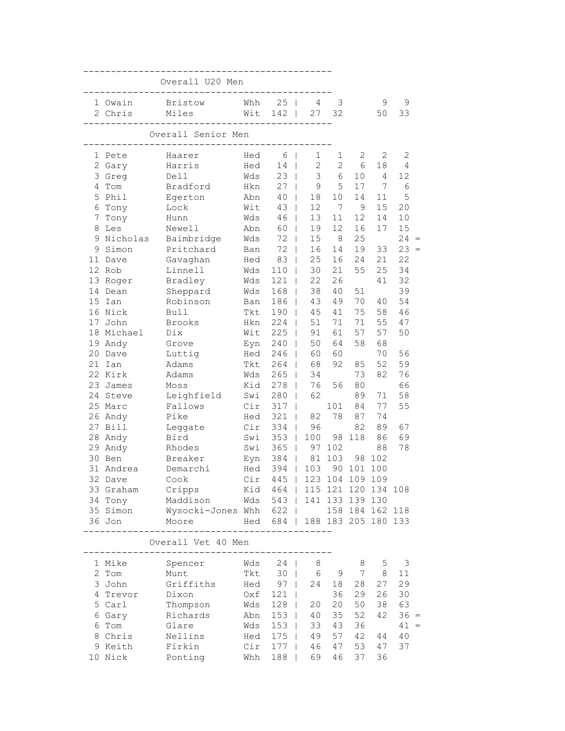|             |                     | Overall U20 Men                      |            |                               |                       |                 |                 |                 |                |  |
|-------------|---------------------|--------------------------------------|------------|-------------------------------|-----------------------|-----------------|-----------------|-----------------|----------------|--|
|             | 1 Owain             | Bristow                              | Whh        | $25 \mid$                     | 4                     | 3               |                 | 9               | 9              |  |
|             | 2 Chris             | Miles                                | Wit        | 142                           | 27                    | 32              |                 | 50              | 33             |  |
|             |                     | Overall Senior Men<br>--------       |            |                               |                       |                 |                 |                 |                |  |
|             | 1 Pete              | Haarer                               | Hed        | 6 <sup>1</sup>                | 1                     | $\mathbf{1}$    | 2               | 2               | $\overline{2}$ |  |
|             | 2 Gary              | Harris                               | Hed        | 14                            | $\overline{c}$        | $\mathbf{2}$    | 6               | 18              | 4              |  |
|             | 3 Greg              | Dell                                 | Wds        | $23$                          | 3                     | 6               | 10              | 4               | 12             |  |
|             | 4 Tom               | Bradford                             | Hkn        | $27 \mid$                     | 9                     | 5               | 17              | 7               | 6              |  |
|             | 5 Phil              | Egerton                              | Abn        | $40 \mid$                     | 18                    | 10 <sub>1</sub> | 14              | 11              | 5              |  |
|             | 6 Tony              | Lock                                 | Wit        | $43 \mid$                     | 12                    | 7               | 9               | 15              | 20             |  |
| $7^{\circ}$ | Tony                | Hunn                                 | Wds        | 46                            | 13                    | 11              | 12              | 14              | 10             |  |
|             | 8 Les               | Newell                               | Abn        | 60                            | 19                    | 12              | 16              | 17              | 15             |  |
|             | 9 Nicholas          | Baimbridge                           | Wds        | 72                            | 15<br>$\mathbf{L}$    | 8               | 25              |                 | $24 =$         |  |
|             | 9 Simon             | Pritchard                            | Ban        | 72<br>$\Box$                  | 16                    | 14              | 19              | 33              | 23             |  |
|             | 11 Dave<br>12 Rob   | Gavaghan                             | Hed        | 83<br>$\Box$                  | 25                    | 16              | 24              | 21              | 22             |  |
|             |                     | Linnell                              | Wds        | $110$                         | 30                    | 21              | 55              | 25              | 34             |  |
|             | 13 Roger<br>14 Dean | Bradley                              | Wds        | $121$                         | 22                    | 26              | 51              | 41              | 32<br>39       |  |
|             | 15 Ian              | Sheppard<br>Robinson                 | Wds<br>Ban | $168$  <br>186                | 38<br>43              | 40<br>49        | 70              | 40              | 54             |  |
|             | 16 Nick             | <b>Bull</b>                          | Tkt        | 190                           | 45                    | 41              | 75              | 58              | 46             |  |
|             | 17 John             | <b>Brooks</b>                        | Hkn        | 224                           | 51                    | 71              | 71              | 55              | 47             |  |
|             | 18 Michael          | Dix                                  | Wit        | 225                           | 91<br>$\mathbf{I}$    | 61              | 57              | 57              | 50             |  |
|             | 19 Andy             | Grove                                | Eyn        | 240                           | 50<br>$\Box$          | 64              | 58              | 68              |                |  |
|             | 20 Dave             | Luttig                               | Hed        | 246<br>$\mathbb{R}$           | 60                    | 60              |                 | 70              | 56             |  |
|             | 21 Ian              | Adams                                | Tkt        | 264                           | 68<br>$\perp$         | 92              | 85              | 52              | 59             |  |
|             | 22 Kirk             | Adams                                | Wds        | 265                           | 34<br>$\Box$          |                 | 73              | 82              | 76             |  |
|             | 23 James            | Moss                                 | Kid        | $278$                         | 76                    | 56              | 80              |                 | 66             |  |
|             | 24 Steve            | Leighfield                           | Swi        | 280                           | 62                    |                 | 89              | 71              | 58             |  |
|             | 25 Marc             | Fallows                              | Cir        | 317                           |                       | 101             | 84              | 77              | 55             |  |
|             | 26 Andy             | Pike                                 | Hed        | 321                           | 82                    | 78              | 87              | 74              |                |  |
|             | 27 Bill             | Leggate                              | Cir        | 334                           | 96<br>$\mathbf{I}$    |                 | 82              | 89              | 67             |  |
|             | 28 Andy             | Bird                                 | Swi        | $353$                         | 100                   |                 | 98 118          | 86              | 69             |  |
|             | 29 Andy             | Rhodes                               | Swi        | $365$                         | 97                    | 102             |                 | 88              | 78             |  |
|             | 30 Ben              | Breaker                              | Eyn        | 384                           | 81<br>$\mathbf{I}$    | 103             | 98              | 102             |                |  |
|             | 31 Andrea           | Demarchi                             | Hed        | 394                           | 103<br>$\perp$        |                 | 90 101 100      |                 |                |  |
|             | 32 Dave             | Cook                                 | Cir        | 445                           |                       |                 | 123 104 109 109 |                 |                |  |
|             | 33 Graham           | Cripps                               |            | Kid 464   115 121 120 134 108 |                       |                 |                 |                 |                |  |
|             | 34 Tony             | Maddison                             | Wds        |                               | 543   141 133 139 130 |                 |                 |                 |                |  |
|             | 35 Simon            | Wysocki-Jones Whh 622                |            |                               |                       |                 |                 | 158 184 162 118 |                |  |
|             | 36 Jon              | Moore                                |            | Hed 684   188 183 205 180 133 |                       |                 |                 |                 |                |  |
|             |                     | Overall Vet 40 Men<br>-------------- |            |                               |                       |                 |                 |                 |                |  |
|             | 1 Mike              | Spencer                              | Wds        | $24$                          | 8                     |                 | 8               | 5               | 3              |  |
|             | 2 Tom               | Munt                                 | Tkt        | $30$                          |                       | 69              | 7               | 8               | 11             |  |
|             | 3 John              | Griffiths                            |            | Hed 97                        | 24                    | 18              | 28              | 27              | 29             |  |
|             | 4 Trevor            | Dixon                                | Oxf        | $121$                         |                       | 36              | 29              | 26              | 30             |  |
|             | 5 Carl              | Thompson                             | Wds        | $128$                         | 20                    | 20              | 50              | 38              | 63             |  |
|             | 6 Gary              | Richards                             | Abn        | $153$                         | 40                    | 35              | 52              | 42              | $36 =$         |  |
|             | 6 Tom               | Glare                                | Wds        | $153$                         | 33                    | 43              | 36              |                 | $41 =$         |  |
|             | 8 Chris             | Nellins                              | Hed        | $175 \mid$                    | 49                    | 57              | 42              | 44              | 40             |  |
|             | 9 Keith             | Firkin                               | Cir        | 177                           | 46                    | 47              | 53              | 47              | 37             |  |
|             | 10 Nick             | Ponting                              | Whh        | 188                           | 69                    | 46              | 37              | 36              |                |  |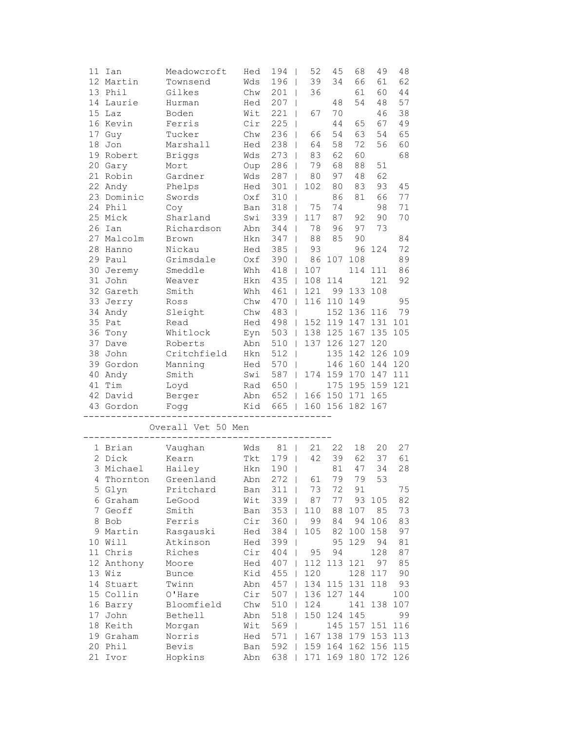|    | 11 Ian          | Meadowcroft        | Hed        | 194                                    | 52                      | 45              | 68      | 49                  | 48  |
|----|-----------------|--------------------|------------|----------------------------------------|-------------------------|-----------------|---------|---------------------|-----|
|    | 12 Martin       | Townsend           | Wds        | 196<br>$\mathbf{I}$                    | 39                      | 34              | 66      | 61                  | 62  |
|    | 13 Phil         | Gilkes             | Chw        | 201                                    | 36<br>$\overline{1}$    |                 | 61      | 60                  | 44  |
| 14 | Laurie          | Hurman             | Hed        | 207                                    | T                       | 48              | 54      | 48                  | 57  |
| 15 | Laz             | Boden              | Wit        | 221                                    | 67                      | 70              |         | 46                  | 38  |
|    | 16 Kevin        | Ferris             | Cir        | 225                                    |                         | 44              | 65      | 67                  | 49  |
| 17 | Guy             | Tucker             | Chw        | 236                                    | 66                      | 54              | 63      | 54                  | 65  |
| 18 | Jon             | Marshall           | Hed        | 238                                    | 64                      | 58              | 72      | 56                  | 60  |
| 19 | Robert          | <b>Briggs</b>      | Wds        | 273                                    | 83                      | 62              | 60      |                     | 68  |
| 20 | Gary            | Mort               | Oup        | 286                                    | 79                      | 68              | 88      | 51                  |     |
|    | 21 Robin        | Gardner            | Wds        | 287                                    | 80<br>$\overline{1}$    | 97              | 48      | 62                  |     |
|    | 22 Andy         | Phelps             | Hed        | 301                                    | 102<br>$\overline{1}$   | 80              | 83      | 93                  | 45  |
| 23 | Dominic         | Swords             | Oxf        | 310                                    | $\overline{1}$          | 86              | 81      | 66                  | 77  |
|    | 24 Phil         | Coy                | Ban        | 318                                    | 75<br>T                 | 74              |         | 98                  | 71  |
|    | 25 Mick         | Sharland           | Swi        | 339                                    | 117                     | 87              | 92      | 90                  | 70  |
| 26 | Ian             | Richardson         | Abn        | 344                                    | 78                      | 96              | 97      | 73                  |     |
| 27 | Malcolm         | Brown              | Hkn        | 347                                    | 88                      | 85              | 90      |                     | 84  |
| 28 | Hanno           | Nickau             | Hed        | 385                                    | 93                      |                 | 96      | 124                 | 72  |
|    | 29 Paul         | Grimsdale          | Oxf        | 390<br>$\perp$                         | 86                      | 107             | 108     |                     | 89  |
|    | 30 Jeremy       | Smeddle            | Whh        | 418<br>$\Box$                          | 107                     |                 | 114     | 111                 | 86  |
| 31 | John            | Weaver             | Hkn        | 435<br>$\mathbb{R}$                    | 108                     | 114             |         | 121                 | 92  |
|    | 32 Gareth       | Smith              | Whh        | 461<br>$\Box$                          | 121                     | 99              | 133     | 108                 |     |
| 33 | Jerry           | Ross               | Chw        | 470<br>$\perp$                         |                         | 116 110         | 149     |                     | 95  |
| 34 | Andy            | Sleight            | Chw        | 483                                    | $\mathbf{I}$            | 152             | 136     | 116                 | 79  |
| 35 | Pat             | Read               | Hed        | 498                                    | 152 119<br>$\mathbf{I}$ |                 | 147     | 131                 | 101 |
| 36 | Tony            | Whitlock           | Eyn        | 503                                    | 138 125<br>$\mathbf{I}$ |                 | 167     | 135                 | 105 |
| 37 | Dave            | Roberts            | Abn        | 510                                    |                         | 137 126         | 127     | 120                 |     |
| 38 | John            | Critchfield        | Hkn        | 512                                    |                         | 135             | 142 126 |                     | 109 |
|    | 39 Gordon       | Manning            | Hed        | 570                                    |                         | 146             | 160 144 |                     | 120 |
| 40 | Andy            | Smith              | Swi        | 587<br>$\Box$                          |                         | 174 159         | 170     | 147                 | 111 |
| 41 | Tim             | Loyd               | Rad        | 650<br>$\perp$                         |                         | 175             | 195     | 159                 | 121 |
|    | 42 David        | Berger             | Abn        | 652<br>$\Box$                          |                         | 166 150         | 171     | 165                 |     |
|    | 43 Gordon       | Fogg               | Kid        | 665                                    | $\Box$                  | 160 156 182 167 |         |                     |     |
|    |                 |                    |            |                                        |                         |                 |         |                     |     |
|    |                 | Overall Vet 50 Men |            |                                        |                         |                 |         |                     |     |
|    | 1 Brian         | Vaughan            | Wds        | 81<br>$\blacksquare$                   | 21                      | 22              | 18      | 20                  | 27  |
|    | 2 Dick          | Kearn              | Tkt        | 179<br>$\Box$                          |                         | 39              | 62      | 37                  | 61  |
|    | 3 Michael       |                    |            |                                        |                         |                 |         |                     |     |
| 4  |                 |                    |            |                                        | 42                      |                 |         |                     |     |
|    |                 | Hailey             | Hkn        | 190<br>$\overline{\phantom{0}}$        |                         | 81              | 47      | 34                  | 28  |
|    | Thornton        | Greenland          | Abn        | $272$                                  | 61                      | 79              | 79      | 53                  |     |
|    | 5 Glyn          | Pritchard          | Ban        | $311$                                  | 73                      | 72              | 91      |                     | 75  |
|    | 6 Graham        | LeGood             | Wit        | 339                                    | 87                      | 77              |         | 93 105              | 82  |
|    | 7 Geoff         | Smith              | Ban        | 353                                    | 110                     | 88              | 107     | 85                  | 73  |
|    | 8 Bob           | Ferris             | Cir        | 360                                    | 99                      | 84              | 94      | 106                 | 83  |
|    | 9 Martin        | Rasgauski          | Hed        | 384                                    | 105                     | 82              | 100     | 158                 | 97  |
|    | 10 Will         | Atkinson           | Hed        | 399<br>$\blacksquare$                  |                         | 95              | 129     | 94                  | 81  |
|    | 11 Chris        | Riches             | Cir        | 404                                    | 95                      | 94              |         | 128                 | 87  |
|    | 12 Anthony      | Moore              | Hed        | 407<br>$\Box$                          | 112                     | 113             | 121     | 97                  | 85  |
|    | 13 Wiz          | <b>Bunce</b>       | Kid        | 455<br>$\perp$                         | 120                     |                 | 128     | 117                 | 90  |
|    | 14 Stuart       | Twinn              | Abn        | $457$                                  | 134                     | 115             | 131     | 118                 | 93  |
|    | 15 Collin       | O'Hare             | Cir        | 507<br>- 1                             | 136                     | 127             | 144     |                     | 100 |
|    | 16 Barry        | Bloomfield         | Chw        | 510                                    | 124                     |                 | 141     | 138                 | 107 |
|    | 17 John         | Bethell            | Abn        | 518                                    | 150                     | 124             | 145     |                     | 99  |
|    | 18 Keith        | Morgan             | Wit        | 569                                    |                         |                 | 145 157 | 151                 | 116 |
|    | 19 Graham       | Norris             | Hed        | 571<br>$\overline{1}$                  |                         | 167 138         | 179 153 |                     | 113 |
| 21 | 20 Phil<br>Ivor | Bevis<br>Hopkins   | Ban<br>Abn | 592<br>$\overline{\phantom{a}}$<br>638 |                         | 171 169 180 172 |         | 159 164 162 156 115 | 126 |